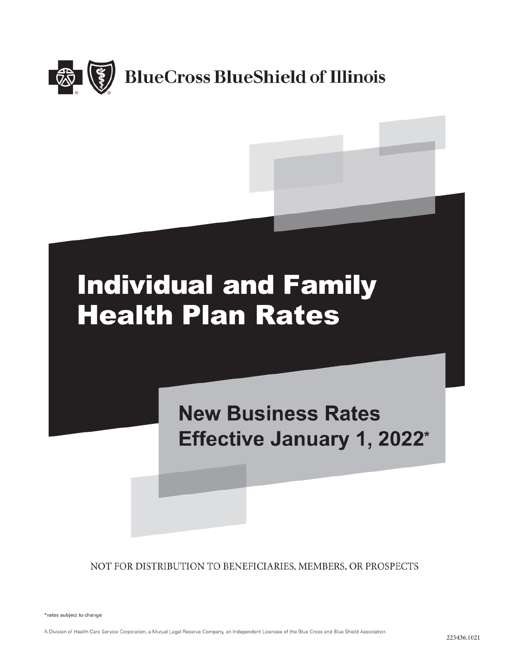

# **Individual and Family Health Plan Rates**

**New Business Rates** Effective January 1, 2022\*

NOT FOR DISTRIBUTION TO BENEFICIARIES, MEMBERS, OR PROSPECTS

\*rates subject to change

A Division of Health Care Service Corporation, a Mutual Legal Reserve Company, an Independent Licensee of the Blue Cross and Blue Shield Association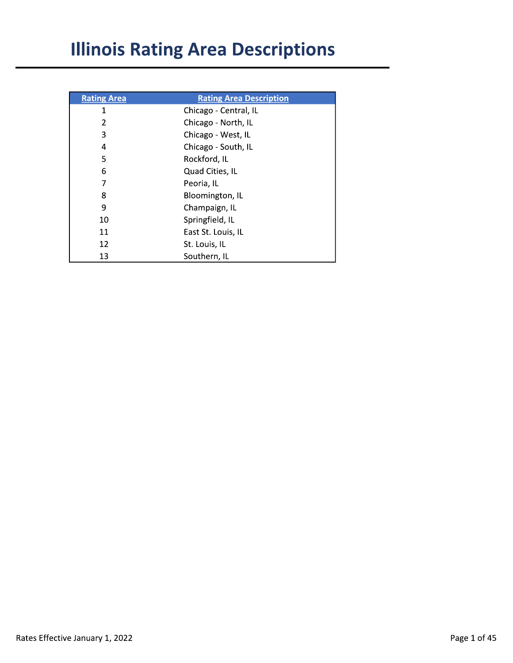# **Illinois Rating Area Descriptions**

| <b>Rating Area</b> | <b>Rating Area Description</b> |
|--------------------|--------------------------------|
| 1                  | Chicago - Central, IL          |
| 2                  | Chicago - North, IL            |
| 3                  | Chicago - West, IL             |
| 4                  | Chicago - South, IL            |
| 5                  | Rockford, IL                   |
| 6                  | Quad Cities, IL                |
| 7                  | Peoria, IL                     |
| 8                  | Bloomington, IL                |
| 9                  | Champaign, IL                  |
| 10                 | Springfield, IL                |
| 11                 | East St. Louis, IL             |
| 12                 | St. Louis, IL                  |
| 13                 | Southern, IL                   |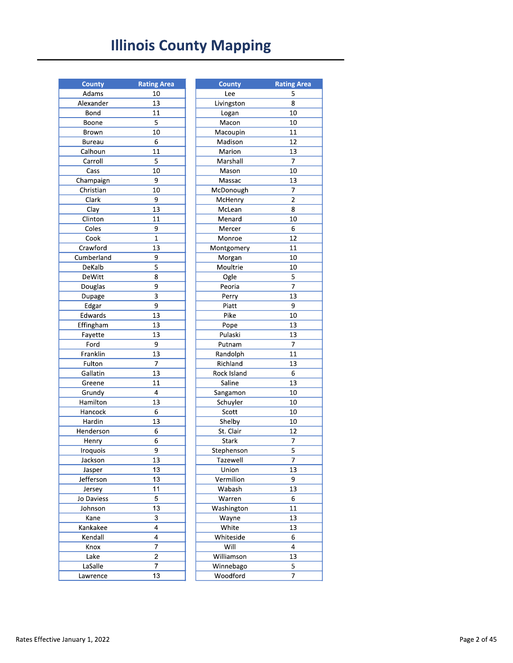## **Illinois County Mapping**

| <b>County</b> | <b>Rating Area</b> |
|---------------|--------------------|
| Adams         | 10                 |
| Alexander     | 13                 |
| Bond          | 11                 |
| Boone         | 5                  |
| Brown         | 10                 |
| Bureau        | 6                  |
| Calhoun       | $\overline{11}$    |
| Carroll       | 5                  |
|               | 10                 |
| Cass          |                    |
| Champaign     | 9                  |
| Christian     | 10                 |
| Clark         | 9                  |
| Clay          | 13                 |
| Clinton       | 11                 |
| Coles         | 9                  |
| Cook          | $\overline{1}$     |
| Crawford      | 13                 |
| Cumberland    | 9                  |
| DeKalb        | 5                  |
| DeWitt        | 8                  |
| Douglas       | 9                  |
| Dupage        | 3                  |
| Edgar         | 9                  |
| Edwards       | 13                 |
| Effingham     | 13                 |
| Fayette       | 13                 |
| Ford          | 9                  |
| Franklin      | 13                 |
| Fulton        | 7                  |
| Gallatin      | 13                 |
| Greene        | 11                 |
| Grundy        | 4                  |
| Hamilton      | 13                 |
| Hancock       | 6                  |
| Hardin        | 13                 |
| Henderson     | 6                  |
| Henry         | 6                  |
| Iroquois      | 9                  |
| Jackson       | 13                 |
| Jasper        | 13                 |
| Jefferson     | 13                 |
| Jersey        | 11                 |
| Jo Daviess    | 5                  |
| Johnson       | 13                 |
| Kane          | 3                  |
|               | 4                  |
| Kankakee      |                    |
| Kendall       | 4                  |
| Knox          | 7                  |
| Lake          | $\overline{2}$     |
| LaSalle       | 7                  |
| Lawrence      | 13                 |

| <b>County</b> | <b>Rating Area</b> |
|---------------|--------------------|
| Lee           | 5                  |
| Livingston    | 8                  |
| Logan         | 10                 |
| Macon         | 10                 |
| Macoupin      | 11                 |
| Madison       | 12                 |
| Marion        | 13                 |
| Marshall      | 7                  |
| Mason         | 10                 |
| Massac        | 13                 |
| McDonough     | 7                  |
| McHenry       | $\overline{2}$     |
| McLean        | 8                  |
| Menard        | 10                 |
| Mercer        | 6                  |
| Monroe        | 12                 |
| Montgomery    | 11                 |
| Morgan        | 10                 |
| Moultrie      | 10                 |
| Ogle          | 5                  |
| Peoria        | 7                  |
| Perry         | 13                 |
| Piatt         | 9                  |
| Pike          | 10                 |
| Pope          | 13                 |
| Pulaski       | 13                 |
| Putnam        | 7                  |
| Randolph      | 11                 |
| Richland      | 13                 |
| Rock Island   | 6                  |
| Saline        | 13                 |
| Sangamon      | 10                 |
| Schuyler      | 10                 |
| Scott         | 10                 |
| Shelby        | 10                 |
| St. Clair     | 12                 |
| Stark         | 7                  |
| Stephenson    | $\overline{5}$     |
| Tazewell      | 7                  |
| Union         | 13                 |
| Vermilion     | 9                  |
| Wabash        | 13                 |
| Warren        | 6                  |
| Washington    | 11                 |
| Wayne         | 13                 |
| White         | 13                 |
| Whiteside     | 6                  |
| Will          | 4                  |
| Williamson    | 13                 |
| Winnebago     | 5                  |
| Woodford      | 7                  |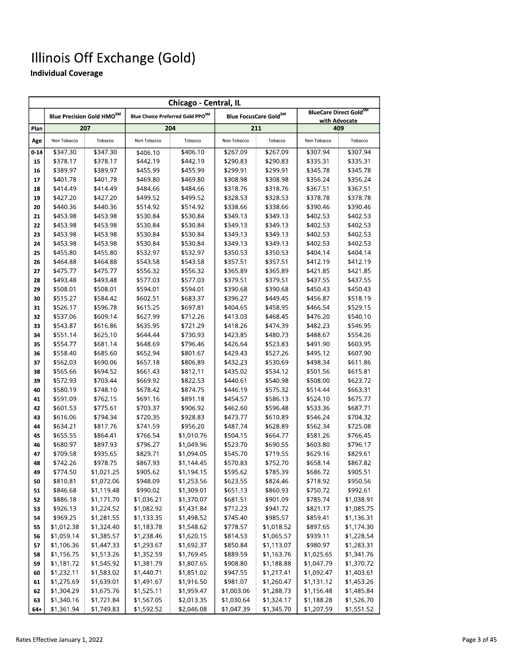|       | Chicago - Central, IL                                                                 |            |             |            |             |                       |                      |                        |
|-------|---------------------------------------------------------------------------------------|------------|-------------|------------|-------------|-----------------------|----------------------|------------------------|
|       | Blue Precision Gold HMO <sup>SM</sup><br>Blue Choice Preferred Gold PPO <sup>SM</sup> |            |             |            |             | Blue FocusCare GoldSM |                      | BlueCare Direct GoldSM |
| Plan  |                                                                                       | 207        |             | 204        |             | 211                   | with Advocate<br>409 |                        |
| Age   | Non Tobacco                                                                           | Tobacco    | Non Tobacco | Tobacco    | Non Tobacco | Tobacco               | Non Tobacco          | Tobacco                |
| 0-14  | \$347.30                                                                              | \$347.30   | \$406.10    | \$406.10   | \$267.09    | \$267.09              | \$307.94             | \$307.94               |
| 15    | \$378.17                                                                              | \$378.17   | \$442.19    | \$442.19   | \$290.83    | \$290.83              | \$335.31             | \$335.31               |
| 16    | \$389.97                                                                              | \$389.97   | \$455.99    | \$455.99   | \$299.91    | \$299.91              | \$345.78             | \$345.78               |
| 17    | \$401.78                                                                              | \$401.78   | \$469.80    | \$469.80   | \$308.98    | \$308.98              | \$356.24             | \$356.24               |
| 18    | \$414.49                                                                              | \$414.49   | \$484.66    | \$484.66   | \$318.76    | \$318.76              | \$367.51             | \$367.51               |
| 19    | \$427.20                                                                              | \$427.20   | \$499.52    | \$499.52   | \$328.53    | \$328.53              | \$378.78             | \$378.78               |
| 20    | \$440.36                                                                              | \$440.36   | \$514.92    | \$514.92   | \$338.66    | \$338.66              | \$390.46             | \$390.46               |
| 21    | \$453.98                                                                              | \$453.98   | \$530.84    | \$530.84   | \$349.13    | \$349.13              | \$402.53             | \$402.53               |
| 22    | \$453.98                                                                              | \$453.98   | \$530.84    | \$530.84   | \$349.13    | \$349.13              | \$402.53             | \$402.53               |
| 23    | \$453.98                                                                              | \$453.98   | \$530.84    | \$530.84   | \$349.13    | \$349.13              | \$402.53             | \$402.53               |
| 24    | \$453.98                                                                              | \$453.98   | \$530.84    | \$530.84   | \$349.13    | \$349.13              | \$402.53             | \$402.53               |
| 25    | \$455.80                                                                              | \$455.80   | \$532.97    | \$532.97   | \$350.53    | \$350.53              | \$404.14             | \$404.14               |
| 26    | \$464.88                                                                              | \$464.88   | \$543.58    | \$543.58   | \$357.51    | \$357.51              | \$412.19             | \$412.19               |
| 27    | \$475.77                                                                              | \$475.77   | \$556.32    | \$556.32   | \$365.89    | \$365.89              | \$421.85             | \$421.85               |
| 28    | \$493.48                                                                              | \$493.48   | \$577.03    | \$577.03   | \$379.51    | \$379.51              | \$437.55             | \$437.55               |
| 29    | \$508.01                                                                              | \$508.01   | \$594.01    | \$594.01   | \$390.68    | \$390.68              | \$450.43             | \$450.43               |
| 30    | \$515.27                                                                              | \$584.42   | \$602.51    | \$683.37   | \$396.27    | \$449.45              | \$456.87             | \$518.19               |
| 31    | \$526.17                                                                              | \$596.78   | \$615.25    | \$697.81   | \$404.65    | \$458.95              | \$466.54             | \$529.15               |
| 32    | \$537.06                                                                              | \$609.14   | \$627.99    | \$712.26   | \$413.03    | \$468.45              | \$476.20             | \$540.10               |
| 33    | \$543.87                                                                              | \$616.86   | \$635.95    | \$721.29   | \$418.26    | \$474.39              | \$482.23             | \$546.95               |
| 34    | \$551.14                                                                              | \$625.10   | \$644.44    | \$730.93   | \$423.85    | \$480.73              | \$488.67             | \$554.26               |
| 35    | \$554.77                                                                              | \$681.14   | \$648.69    | \$796.46   | \$426.64    | \$523.83              | \$491.90             | \$603.95               |
| 36    | \$558.40                                                                              | \$685.60   | \$652.94    | \$801.67   | \$429.43    | \$527.26              | \$495.12             | \$607.90               |
| 37    | \$562.03                                                                              | \$690.06   | \$657.18    | \$806.89   | \$432.23    | \$530.69              | \$498.34             | \$611.86               |
| 38    | \$565.66                                                                              | \$694.52   | \$661.43    | \$812.11   | \$435.02    | \$534.12              | \$501.56             | \$615.81               |
| 39    | \$572.93                                                                              | \$703.44   | \$669.92    | \$822.53   | \$440.61    | \$540.98              | \$508.00             | \$623.72               |
| 40    | \$580.19                                                                              | \$748.10   | \$678.42    | \$874.75   | \$446.19    | \$575.32              | \$514.44             | \$663.31               |
| 41    | \$591.09                                                                              | \$762.15   | \$691.16    | \$891.18   | \$454.57    | \$586.13              | \$524.10             | \$675.77               |
| 42    | \$601.53                                                                              | \$775.61   | \$703.37    | \$906.92   | \$462.60    | \$596.48              | \$533.36             | \$687.71               |
| 43    | \$616.06                                                                              | \$794.34   | \$720.35    | \$928.83   | \$473.77    | \$610.89              | \$546.24             | \$704.32               |
| 44    | \$634.21                                                                              | \$817.76   | \$741.59    | \$956.20   | \$487.74    | \$628.89              | \$562.34             | \$725.08               |
| 45    | \$655.55                                                                              | \$864.41   | \$766.54    | \$1,010.76 | \$504.15    | \$664.77              | \$581.26             | \$766.45               |
| 46    | \$680.97                                                                              | \$897.93   | \$796.27    | \$1,049.96 | \$523.70    | \$690.55              | \$603.80             | \$796.17               |
| 47    | \$709.58                                                                              | \$935.65   | \$829.71    | \$1,094.05 | \$545.70    | \$719.55              | \$629.16             | \$829.61               |
| 48    | \$742.26                                                                              | \$978.75   | \$867.93    | \$1,144.45 | \$570.83    | \$752.70              | \$658.14             | \$867.82               |
| 49    | \$774.50                                                                              | \$1,021.25 | \$905.62    | \$1,194.15 | \$595.62    | \$785.39              | \$686.72             | \$905.51               |
| 50    | \$810.81                                                                              | \$1,072.06 | \$948.09    | \$1,253.56 | \$623.55    | \$824.46              | \$718.92             | \$950.56               |
| 51    | \$846.68                                                                              | \$1,119.48 | \$990.02    | \$1,309.01 | \$651.13    | \$860.93              | \$750.72             | \$992.61               |
| 52    | \$886.18                                                                              | \$1,171.70 | \$1,036.21  | \$1,370.07 | \$681.51    | \$901.09              | \$785.74             | \$1,038.91             |
| 53    | \$926.13                                                                              | \$1,224.52 | \$1,082.92  | \$1,431.84 | \$712.23    | \$941.72              | \$821.17             | \$1,085.75             |
| 54    | \$969.25                                                                              | \$1,281.55 | \$1,133.35  | \$1,498.52 | \$745.40    | \$985.57              | \$859.41             | \$1,136.31             |
| 55    | \$1,012.38                                                                            | \$1,324.40 | \$1,183.78  | \$1,548.62 | \$778.57    | \$1,018.52            | \$897.65             | \$1,174.30             |
| 56    | \$1,059.14                                                                            | \$1,385.57 | \$1,238.46  | \$1,620.15 | \$814.53    | \$1,065.57            | \$939.11             | \$1,228.54             |
| 57    | \$1,106.36                                                                            | \$1,447.33 | \$1,293.67  | \$1,692.37 | \$850.84    | \$1,113.07            | \$980.97             | \$1,283.31             |
| 58    | \$1,156.75                                                                            | \$1,513.26 | \$1,352.59  | \$1,769.45 | \$889.59    | \$1,163.76            | \$1,025.65           | \$1,341.76             |
| 59    | \$1,181.72                                                                            | \$1,545.92 | \$1,381.79  | \$1,807.65 | \$908.80    | \$1,188.88            | \$1,047.79           | \$1,370.72             |
| 60    | \$1,232.11                                                                            | \$1,583.02 | \$1,440.71  | \$1,851.02 | \$947.55    | \$1,217.41            | \$1,092.47           | \$1,403.61             |
| 61    | \$1,275.69                                                                            | \$1,639.01 | \$1,491.67  | \$1,916.50 | \$981.07    | \$1,260.47            | \$1,131.12           | \$1,453.26             |
| 62    | \$1,304.29                                                                            | \$1,675.76 | \$1,525.11  | \$1,959.47 | \$1,003.06  | \$1,288.73            | \$1,156.48           | \$1,485.84             |
| 63    | \$1,340.16                                                                            | \$1,721.84 | \$1,567.05  | \$2,013.35 | \$1,030.64  | \$1,324.17            | \$1,188.28           | \$1,526.70             |
| $64+$ | \$1.361.94                                                                            | \$1.749.83 | \$1.592.52  | \$2,046.08 | \$1.047.39  | \$1.345.70            | \$1,207.59           | \$1.551.52             |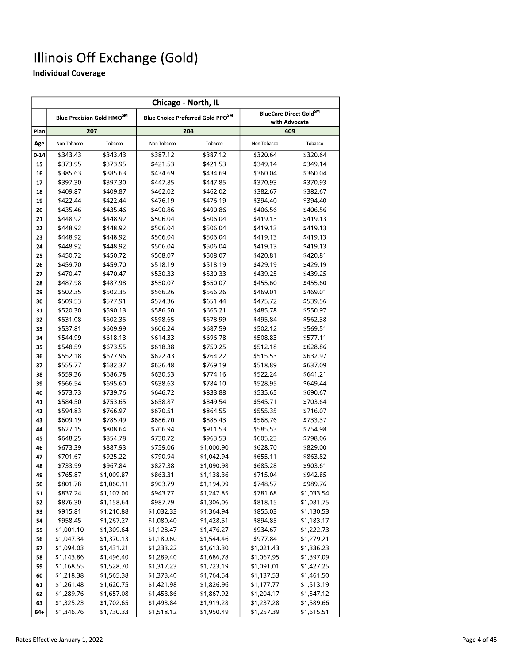|          | Chicago - North, IL  |                                       |                      |                                              |                      |                                                     |
|----------|----------------------|---------------------------------------|----------------------|----------------------------------------------|----------------------|-----------------------------------------------------|
|          |                      | Blue Precision Gold HMO <sup>SM</sup> |                      | Blue Choice Preferred Gold PPO <sup>SM</sup> |                      | BlueCare Direct Gold <sup>SM</sup><br>with Advocate |
| Plan     |                      | 207                                   |                      | 204                                          |                      | 409                                                 |
| Age      | Non Tobacco          | Tobacco                               | Non Tobacco          | Tobacco                                      | Non Tobacco          | Tobacco                                             |
| $0 - 14$ | \$343.43             | \$343.43                              | \$387.12             | \$387.12                                     | \$320.64             | \$320.64                                            |
| 15       | \$373.95             | \$373.95                              | \$421.53             | \$421.53                                     | \$349.14             | \$349.14                                            |
| 16       | \$385.63             | \$385.63                              | \$434.69             | \$434.69                                     | \$360.04             | \$360.04                                            |
| 17       | \$397.30             | \$397.30                              | \$447.85             | \$447.85                                     | \$370.93             | \$370.93                                            |
| 18       | \$409.87             | \$409.87                              | \$462.02             | \$462.02                                     | \$382.67             | \$382.67                                            |
| 19       | \$422.44             | \$422.44                              | \$476.19             | \$476.19                                     | \$394.40             | \$394.40                                            |
| 20       | \$435.46             | \$435.46                              | \$490.86             | \$490.86                                     | \$406.56             | \$406.56                                            |
| 21       | \$448.92             | \$448.92                              | \$506.04             | \$506.04                                     | \$419.13             | \$419.13                                            |
| 22       | \$448.92             | \$448.92                              | \$506.04             | \$506.04                                     | \$419.13             | \$419.13                                            |
| 23       | \$448.92             | \$448.92                              | \$506.04             | \$506.04                                     | \$419.13             | \$419.13                                            |
| 24       | \$448.92             | \$448.92                              | \$506.04             | \$506.04                                     | \$419.13             | \$419.13                                            |
| 25       | \$450.72             | \$450.72                              | \$508.07             | \$508.07                                     | \$420.81             | \$420.81                                            |
| 26       | \$459.70             | \$459.70                              | \$518.19             | \$518.19                                     | \$429.19             | \$429.19                                            |
| 27       | \$470.47             | \$470.47                              | \$530.33             | \$530.33                                     | \$439.25             | \$439.25                                            |
| 28       | \$487.98             | \$487.98                              | \$550.07             | \$550.07                                     | \$455.60             | \$455.60                                            |
| 29       | \$502.35             | \$502.35                              | \$566.26             | \$566.26                                     | \$469.01             | \$469.01                                            |
| 30       | \$509.53             | \$577.91                              | \$574.36             | \$651.44                                     | \$475.72             | \$539.56                                            |
| 31       | \$520.30             | \$590.13                              | \$586.50             | \$665.21                                     | \$485.78             | \$550.97                                            |
| 32       | \$531.08             | \$602.35                              | \$598.65             | \$678.99                                     | \$495.84             | \$562.38                                            |
| 33       | \$537.81             | \$609.99                              | \$606.24             | \$687.59                                     | \$502.12             | \$569.51                                            |
| 34       | \$544.99             | \$618.13                              | \$614.33             | \$696.78                                     | \$508.83             | \$577.11                                            |
| 35       | \$548.59             | \$673.55                              | \$618.38             | \$759.25                                     | \$512.18             | \$628.86                                            |
| 36       | \$552.18             | \$677.96                              | \$622.43             | \$764.22                                     | \$515.53             | \$632.97                                            |
| 37       | \$555.77             | \$682.37                              | \$626.48             | \$769.19                                     | \$518.89             | \$637.09                                            |
| 38       | \$559.36             | \$686.78                              | \$630.53             | \$774.16                                     | \$522.24             | \$641.21                                            |
| 39       | \$566.54             | \$695.60                              | \$638.63             | \$784.10                                     | \$528.95             | \$649.44                                            |
| 40       | \$573.73             | \$739.76                              | \$646.72             | \$833.88                                     | \$535.65             | \$690.67                                            |
| 41       | \$584.50             | \$753.65                              | \$658.87             | \$849.54                                     | \$545.71             | \$703.64                                            |
| 42       | \$594.83<br>\$609.19 | \$766.97<br>\$785.49                  | \$670.51<br>\$686.70 | \$864.55<br>\$885.43                         | \$555.35<br>\$568.76 | \$716.07                                            |
| 43<br>44 | \$627.15             | \$808.64                              | \$706.94             | \$911.53                                     | \$585.53             | \$733.37<br>\$754.98                                |
| 45       | \$648.25             | \$854.78                              | \$730.72             | \$963.53                                     | \$605.23             | \$798.06                                            |
| 46       | \$673.39             | \$887.93                              | \$759.06             | \$1,000.90                                   | \$628.70             | \$829.00                                            |
| 47       | \$701.67             | \$925.22                              | \$790.94             | \$1,042.94                                   | \$655.11             | \$863.82                                            |
| 48       | \$733.99             | \$967.84                              | \$827.38             | \$1,090.98                                   | \$685.28             | \$903.61                                            |
| 49       | \$765.87             | \$1,009.87                            | \$863.31             | \$1,138.36                                   | \$715.04             | \$942.85                                            |
| 50       | \$801.78             | \$1,060.11                            | \$903.79             | \$1,194.99                                   | \$748.57             | \$989.76                                            |
| 51       | \$837.24             | \$1,107.00                            | \$943.77             | \$1,247.85                                   | \$781.68             | \$1,033.54                                          |
| 52       | \$876.30             | \$1,158.64                            | \$987.79             | \$1,306.06                                   | \$818.15             | \$1,081.75                                          |
| 53       | \$915.81             | \$1,210.88                            | \$1,032.33           | \$1,364.94                                   | \$855.03             | \$1,130.53                                          |
| 54       | \$958.45             | \$1,267.27                            | \$1,080.40           | \$1,428.51                                   | \$894.85             | \$1,183.17                                          |
| 55       | \$1,001.10           | \$1,309.64                            | \$1,128.47           | \$1,476.27                                   | \$934.67             | \$1,222.73                                          |
| 56       | \$1,047.34           | \$1,370.13                            | \$1,180.60           | \$1,544.46                                   | \$977.84             | \$1,279.21                                          |
| 57       | \$1,094.03           | \$1,431.21                            | \$1,233.22           | \$1,613.30                                   | \$1,021.43           | \$1,336.23                                          |
| 58       | \$1,143.86           | \$1,496.40                            | \$1,289.40           | \$1,686.78                                   | \$1,067.95           | \$1,397.09                                          |
| 59       | \$1,168.55           | \$1,528.70                            | \$1,317.23           | \$1,723.19                                   | \$1,091.01           | \$1,427.25                                          |
| 60       | \$1,218.38           | \$1,565.38                            | \$1,373.40           | \$1,764.54                                   | \$1,137.53           | \$1,461.50                                          |
| 61       | \$1,261.48           | \$1,620.75                            | \$1,421.98           | \$1,826.96                                   | \$1,177.77           | \$1,513.19                                          |
| 62       | \$1,289.76           | \$1,657.08                            | \$1,453.86           | \$1,867.92                                   | \$1,204.17           | \$1,547.12                                          |
| 63       | \$1,325.23           | \$1,702.65                            | \$1,493.84           | \$1,919.28                                   | \$1,237.28           | \$1,589.66                                          |
| 64+      | \$1,346.76           | \$1,730.33                            | \$1,518.12           | \$1,950.49                                   | \$1,257.39           | \$1,615.51                                          |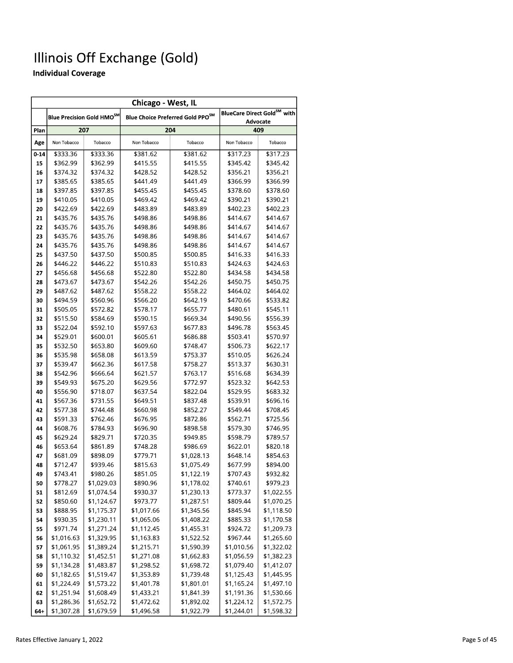| Chicago - West, IL |                      |                                       |                      |                                              |                      |                                         |  |
|--------------------|----------------------|---------------------------------------|----------------------|----------------------------------------------|----------------------|-----------------------------------------|--|
|                    |                      | Blue Precision Gold HMO <sup>SM</sup> |                      | Blue Choice Preferred Gold PPO <sup>SM</sup> |                      | BlueCare Direct Gold <sup>SM</sup> with |  |
| Plan               | 207                  |                                       |                      | 204                                          |                      | <b>Advocate</b><br>409                  |  |
| Age                | Non Tobacco          | Tobacco                               | Non Tobacco          | Tobacco                                      | Non Tobacco          | Tobacco                                 |  |
| $0 - 14$           | \$333.36             | \$333.36                              | \$381.62             | \$381.62                                     | \$317.23             | \$317.23                                |  |
| 15                 | \$362.99             | \$362.99                              | \$415.55             | \$415.55                                     | \$345.42             | \$345.42                                |  |
| 16                 | \$374.32             | \$374.32                              | \$428.52             | \$428.52                                     | \$356.21             | \$356.21                                |  |
| 17                 | \$385.65             | \$385.65                              | \$441.49             | \$441.49                                     | \$366.99             | \$366.99                                |  |
| 18                 | \$397.85             | \$397.85                              | \$455.45             | \$455.45                                     | \$378.60             | \$378.60                                |  |
| 19                 | \$410.05             | \$410.05                              | \$469.42             | \$469.42                                     | \$390.21             | \$390.21                                |  |
| 20                 | \$422.69             | \$422.69                              | \$483.89             | \$483.89                                     | \$402.23             | \$402.23                                |  |
| 21                 | \$435.76             | \$435.76                              | \$498.86             | \$498.86                                     | \$414.67             | \$414.67                                |  |
| 22                 | \$435.76             | \$435.76                              | \$498.86             | \$498.86                                     | \$414.67             | \$414.67                                |  |
| 23                 | \$435.76             | \$435.76                              | \$498.86             | \$498.86                                     | \$414.67             | \$414.67                                |  |
| 24                 | \$435.76             | \$435.76                              | \$498.86             | \$498.86                                     | \$414.67             | \$414.67                                |  |
| 25                 | \$437.50             | \$437.50                              | \$500.85             | \$500.85                                     | \$416.33             | \$416.33                                |  |
| 26                 | \$446.22             | \$446.22                              | \$510.83             | \$510.83                                     | \$424.63             | \$424.63                                |  |
| 27                 | \$456.68             | \$456.68                              | \$522.80             | \$522.80                                     | \$434.58             | \$434.58                                |  |
| 28                 | \$473.67             | \$473.67                              | \$542.26             | \$542.26                                     | \$450.75             | \$450.75                                |  |
| 29                 | \$487.62             | \$487.62                              | \$558.22             | \$558.22                                     | \$464.02             | \$464.02                                |  |
| 30                 | \$494.59             | \$560.96                              | \$566.20             | \$642.19                                     | \$470.66             | \$533.82                                |  |
| 31                 | \$505.05             | \$572.82                              | \$578.17             | \$655.77                                     | \$480.61             | \$545.11                                |  |
| 32                 | \$515.50             | \$584.69                              | \$590.15             | \$669.34                                     | \$490.56             | \$556.39                                |  |
| 33                 | \$522.04             | \$592.10                              | \$597.63             | \$677.83                                     | \$496.78             | \$563.45                                |  |
| 34                 | \$529.01             | \$600.01                              | \$605.61             | \$686.88                                     | \$503.41             | \$570.97                                |  |
| 35                 | \$532.50             | \$653.80                              | \$609.60             | \$748.47                                     | \$506.73             | \$622.17                                |  |
| 36                 | \$535.98             | \$658.08                              | \$613.59             | \$753.37                                     | \$510.05             | \$626.24                                |  |
| 37                 | \$539.47             | \$662.36                              | \$617.58             | \$758.27                                     | \$513.37             | \$630.31                                |  |
| 38                 | \$542.96             | \$666.64                              | \$621.57             | \$763.17                                     | \$516.68             | \$634.39                                |  |
| 39<br>40           | \$549.93<br>\$556.90 | \$675.20<br>\$718.07                  | \$629.56<br>\$637.54 | \$772.97<br>\$822.04                         | \$523.32<br>\$529.95 | \$642.53<br>\$683.32                    |  |
| 41                 | \$567.36             | \$731.55                              | \$649.51             | \$837.48                                     | \$539.91             | \$696.16                                |  |
| 42                 | \$577.38             | \$744.48                              | \$660.98             | \$852.27                                     | \$549.44             | \$708.45                                |  |
| 43                 | \$591.33             | \$762.46                              | \$676.95             | \$872.86                                     | \$562.71             | \$725.56                                |  |
| 44                 | \$608.76             | \$784.93                              | \$696.90             | \$898.58                                     | \$579.30             | \$746.95                                |  |
| 45                 | \$629.24             | \$829.71                              | \$720.35             | \$949.85                                     | \$598.79             | \$789.57                                |  |
| 46                 | \$653.64             | \$861.89                              | \$748.28             | \$986.69                                     | \$622.01             | \$820.18                                |  |
| 47                 | \$681.09             | \$898.09                              | \$779.71             | \$1,028.13                                   | \$648.14             | \$854.63                                |  |
| 48                 | \$712.47             | \$939.46                              | \$815.63             | \$1,075.49                                   | \$677.99             | \$894.00                                |  |
| 49                 | \$743.41             | \$980.26                              | \$851.05             | \$1,122.19                                   | \$707.43             | \$932.82                                |  |
| 50                 | \$778.27             | \$1,029.03                            | \$890.96             | \$1,178.02                                   | \$740.61             | \$979.23                                |  |
| 51                 | \$812.69             | \$1,074.54                            | \$930.37             | \$1,230.13                                   | \$773.37             | \$1,022.55                              |  |
| 52                 | \$850.60             | \$1,124.67                            | \$973.77             | \$1,287.51                                   | \$809.44             | \$1,070.25                              |  |
| 53                 | \$888.95             | \$1,175.37                            | \$1,017.66           | \$1,345.56                                   | \$845.94             | \$1,118.50                              |  |
| 54                 | \$930.35             | \$1,230.11                            | \$1,065.06           | \$1,408.22                                   | \$885.33             | \$1,170.58                              |  |
| 55                 | \$971.74             | \$1,271.24                            | \$1,112.45           | \$1,455.31                                   | \$924.72             | \$1,209.73                              |  |
| 56                 | \$1,016.63           | \$1,329.95                            | \$1,163.83           | \$1,522.52                                   | \$967.44             | \$1,265.60                              |  |
| 57                 | \$1,061.95           | \$1,389.24                            | \$1,215.71           | \$1,590.39                                   | \$1,010.56           | \$1,322.02                              |  |
| 58                 | \$1,110.32           | \$1,452.51                            | \$1,271.08           | \$1,662.83                                   | \$1,056.59           | \$1,382.23                              |  |
| 59                 | \$1,134.28           | \$1,483.87                            | \$1,298.52           | \$1,698.72                                   | \$1,079.40           | \$1,412.07                              |  |
| 60                 | \$1,182.65           | \$1,519.47                            | \$1,353.89           | \$1,739.48                                   | \$1,125.43           | \$1,445.95                              |  |
| 61                 | \$1,224.49           | \$1,573.22                            | \$1,401.78           | \$1,801.01                                   | \$1,165.24           | \$1,497.10                              |  |
| 62                 | \$1,251.94           | \$1,608.49                            | \$1,433.21           | \$1,841.39                                   | \$1,191.36           | \$1,530.66                              |  |
| 63                 | \$1,286.36           | \$1,652.72                            | \$1,472.62           | \$1,892.02                                   | \$1,224.12           | \$1,572.75                              |  |
| $64 +$             | \$1,307.28           | \$1,679.59                            | \$1,496.58           | \$1,922.79                                   | \$1,244.01           | \$1,598.32                              |  |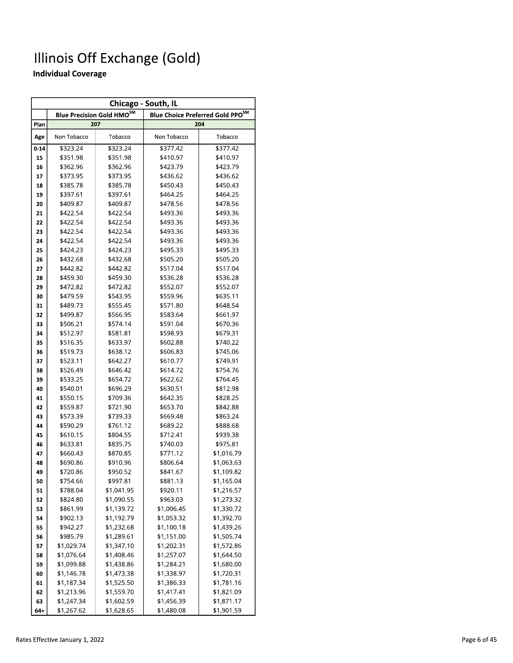|          | Chicago - South, IL |                                             |             |                                                    |  |
|----------|---------------------|---------------------------------------------|-------------|----------------------------------------------------|--|
|          |                     | <b>Blue Precision Gold HMO<sup>SM</sup></b> |             | <b>Blue Choice Preferred Gold PPO<sup>SM</sup></b> |  |
| Plan     |                     | 207                                         |             | 204                                                |  |
| Age      | Non Tobacco         | Tobacco                                     | Non Tobacco | Tobacco                                            |  |
| $0 - 14$ | \$323.24            | \$323.24                                    | \$377.42    | \$377.42                                           |  |
| 15       | \$351.98            | \$351.98                                    | \$410.97    | \$410.97                                           |  |
| 16       | \$362.96            | \$362.96                                    | \$423.79    | \$423.79                                           |  |
| 17       | \$373.95            | \$373.95                                    | \$436.62    | \$436.62                                           |  |
| 18       | \$385.78            | \$385.78                                    | \$450.43    | \$450.43                                           |  |
| 19       | \$397.61            | \$397.61                                    | \$464.25    | \$464.25                                           |  |
| 20       | \$409.87            | \$409.87                                    | \$478.56    | \$478.56                                           |  |
| 21       | \$422.54            | \$422.54                                    | \$493.36    | \$493.36                                           |  |
| 22       | \$422.54            | \$422.54                                    | \$493.36    | \$493.36                                           |  |
| 23       | \$422.54            | \$422.54                                    | \$493.36    | \$493.36                                           |  |
| 24       | \$422.54            | \$422.54                                    | \$493.36    | \$493.36                                           |  |
| 25       | \$424.23            | \$424.23                                    | \$495.33    | \$495.33                                           |  |
| 26       | \$432.68            | \$432.68                                    | \$505.20    | \$505.20                                           |  |
| 27       | \$442.82            | \$442.82                                    | \$517.04    | \$517.04                                           |  |
| 28       | \$459.30            | \$459.30                                    | \$536.28    | \$536.28                                           |  |
| 29       | \$472.82            | \$472.82                                    | \$552.07    | \$552.07                                           |  |
| 30       | \$479.59            | \$543.95                                    | \$559.96    | \$635.11                                           |  |
| 31       | \$489.73            | \$555.45                                    | \$571.80    | \$648.54                                           |  |
| 32       | \$499.87            | \$566.95                                    | \$583.64    | \$661.97                                           |  |
| 33       | \$506.21            | \$574.14                                    | \$591.04    | \$670.36                                           |  |
| 34       | \$512.97            | \$581.81                                    | \$598.93    | \$679.31                                           |  |
| 35       | \$516.35            | \$633.97                                    | \$602.88    | \$740.22                                           |  |
| 36       | \$519.73            | \$638.12                                    | \$606.83    | \$745.06                                           |  |
| 37       | \$523.11            | \$642.27                                    | \$610.77    | \$749.91                                           |  |
| 38       | \$526.49            | \$646.42                                    | \$614.72    | \$754.76                                           |  |
| 39       | \$533.25            | \$654.72                                    | \$622.62    | \$764.45                                           |  |
| 40       | \$540.01            | \$696.29                                    | \$630.51    | \$812.98                                           |  |
| 41       | \$550.15            | \$709.36                                    | \$642.35    | \$828.25                                           |  |
| 42       | \$559.87            | \$721.90                                    | \$653.70    | \$842.88                                           |  |
| 43       | \$573.39            | \$739.33                                    | \$669.48    | \$863.24                                           |  |
| 44       | \$590.29            | \$761.12                                    | \$689.22    | \$888.68                                           |  |
| 45       | \$610.15            | \$804.55                                    | \$712.41    | \$939.38                                           |  |
| 46       | \$633.81            | \$835.75                                    | \$740.03    | \$975.81                                           |  |
| 47       | \$660.43            | \$870.85                                    | \$771.12    | \$1,016.79                                         |  |
| 48       | \$690.86            | \$910.96                                    | \$806.64    | \$1,063.63                                         |  |
| 49       | \$720.86            | \$950.52                                    | \$841.67    | \$1,109.82                                         |  |
| 50       | \$754.66            | \$997.81                                    | \$881.13    | \$1,165.04                                         |  |
| 51       | \$788.04            | \$1,041.95                                  | \$920.11    | \$1,216.57                                         |  |
| 52       | \$824.80            | \$1,090.55                                  | \$963.03    | \$1,273.32                                         |  |
| 53       | \$861.99            | \$1,139.72                                  | \$1,006.45  | \$1,330.72                                         |  |
| 54       | \$902.13            | \$1,192.79                                  | \$1,053.32  | \$1,392.70                                         |  |
| 55       | \$942.27            | \$1,232.68                                  | \$1,100.18  | \$1,439.26                                         |  |
| 56       | \$985.79            | \$1,289.61                                  | \$1,151.00  | \$1,505.74                                         |  |
| 57       | \$1,029.74          | \$1,347.10                                  | \$1,202.31  | \$1,572.86                                         |  |
| 58       | \$1,076.64          | \$1,408.46                                  | \$1,257.07  | \$1,644.50                                         |  |
| 59       | \$1,099.88          | \$1,438.86                                  | \$1,284.21  | \$1,680.00                                         |  |
| 60       | \$1,146.78          | \$1,473.38                                  | \$1,338.97  | \$1,720.31                                         |  |
| 61       | \$1,187.34          | \$1,525.50                                  | \$1,386.33  | \$1,781.16                                         |  |
| 62       | \$1,213.96          | \$1,559.70                                  | \$1,417.41  | \$1,821.09                                         |  |
| 63       | \$1,247.34          | \$1,602.59                                  | \$1,456.39  | \$1,871.17                                         |  |
| $64 +$   | \$1,267.62          | \$1,628.65                                  | \$1,480.08  | \$1,901.59                                         |  |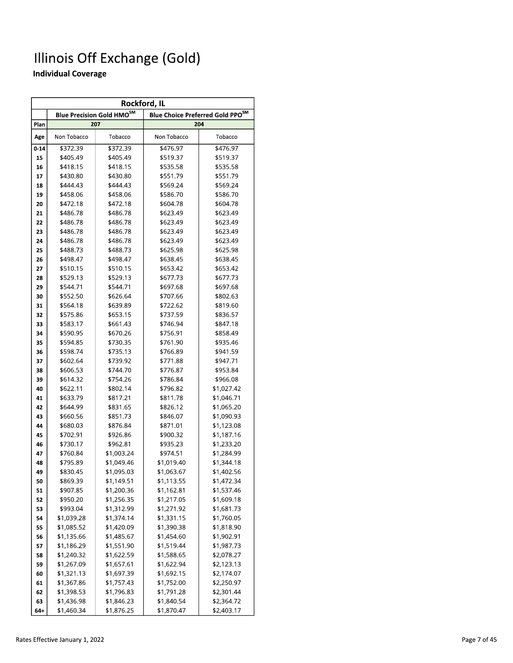| Rockford, IL |             |                                  |             |                                              |  |
|--------------|-------------|----------------------------------|-------------|----------------------------------------------|--|
|              |             | <b>Blue Precision Gold HMOSM</b> |             | Blue Choice Preferred Gold PPO <sup>SM</sup> |  |
| Plan         |             | 207                              |             | 204                                          |  |
| Age          | Non Tobacco | Tobacco                          | Non Tobacco | Tobacco                                      |  |
| $0 - 14$     | \$372.39    | \$372.39                         | \$476.97    | \$476.97                                     |  |
| 15           | \$405.49    | \$405.49                         | \$519.37    | \$519.37                                     |  |
| 16           | \$418.15    | \$418.15                         | \$535.58    | \$535.58                                     |  |
| 17           | \$430.80    | \$430.80                         | \$551.79    | \$551.79                                     |  |
| 18           | \$444.43    | \$444.43                         | \$569.24    | \$569.24                                     |  |
| 19           | \$458.06    | \$458.06                         | \$586.70    | \$586.70                                     |  |
| 20           | \$472.18    | \$472.18                         | \$604.78    | \$604.78                                     |  |
| 21           | \$486.78    | \$486.78                         | \$623.49    | \$623.49                                     |  |
| 22           | \$486.78    | \$486.78                         | \$623.49    | \$623.49                                     |  |
| 23           | \$486.78    | \$486.78                         | \$623.49    | \$623.49                                     |  |
| 24           | \$486.78    | \$486.78                         | \$623.49    | \$623.49                                     |  |
| 25           | \$488.73    | \$488.73                         | \$625.98    | \$625.98                                     |  |
| 26           | \$498.47    | \$498.47                         | \$638.45    | \$638.45                                     |  |
| 27           | \$510.15    | \$510.15                         | \$653.42    | \$653.42                                     |  |
| 28           | \$529.13    | \$529.13                         | \$677.73    | \$677.73                                     |  |
| 29           | \$544.71    | \$544.71                         | \$697.68    | \$697.68                                     |  |
| 30           | \$552.50    | \$626.64                         | \$707.66    | \$802.63                                     |  |
| 31           | \$564.18    | \$639.89                         | \$722.62    | \$819.60                                     |  |
| 32           | \$575.86    | \$653.15                         | \$737.59    | \$836.57                                     |  |
| 33           | \$583.17    | \$661.43                         | \$746.94    | \$847.18                                     |  |
| 34           | \$590.95    | \$670.26                         | \$756.91    | \$858.49                                     |  |
| 35           | \$594.85    | \$730.35                         | \$761.90    | \$935.46                                     |  |
| 36           | \$598.74    | \$735.13                         | \$766.89    | \$941.59                                     |  |
| 37           | \$602.64    | \$739.92                         | \$771.88    | \$947.71                                     |  |
| 38           | \$606.53    | \$744.70                         | \$776.87    | \$953.84                                     |  |
| 39           | \$614.32    | \$754.26                         | \$786.84    | \$966.08                                     |  |
| 40           | \$622.11    | \$802.14                         | \$796.82    | \$1,027.42                                   |  |
| 41           | \$633.79    | \$817.21                         | \$811.78    | \$1,046.71                                   |  |
| 42           | \$644.99    | \$831.65                         | \$826.12    | \$1,065.20                                   |  |
| 43           | \$660.56    | \$851.73                         | \$846.07    | \$1,090.93                                   |  |
| 44           | \$680.03    | \$876.84                         | \$871.01    | \$1,123.08                                   |  |
| 45           | \$702.91    | \$926.86                         | \$900.32    | \$1,187.16                                   |  |
| 46           | \$730.17    | \$962.81                         | \$935.23    | \$1,233.20                                   |  |
| 47           | \$760.84    | \$1,003.24                       | \$974.51    | \$1,284.99                                   |  |
| 48           | \$795.89    | \$1,049.46                       | \$1,019.40  | \$1,344.18                                   |  |
| 49           | \$830.45    | \$1,095.03                       | \$1,063.67  | \$1,402.56                                   |  |
| 50           | \$869.39    | \$1,149.51                       | \$1,113.55  | \$1,472.34                                   |  |
| 51           | \$907.85    | \$1,200.36                       | \$1,162.81  | \$1,537.46                                   |  |
| 52           | \$950.20    | \$1,256.35                       | \$1,217.05  | \$1,609.18                                   |  |
| 53           | \$993.04    | \$1,312.99                       | \$1,271.92  | \$1,681.73                                   |  |
| 54           | \$1,039.28  | \$1,374.14                       | \$1,331.15  | \$1,760.05                                   |  |
| 55           | \$1,085.52  | \$1,420.09                       | \$1,390.38  | \$1,818.90                                   |  |
| 56           | \$1,135.66  | \$1,485.67                       | \$1,454.60  | \$1,902.91                                   |  |
| 57           | \$1,186.29  | \$1,551.90                       | \$1,519.44  | \$1,987.73                                   |  |
| 58           | \$1,240.32  | \$1,622.59                       | \$1,588.65  | \$2,078.27                                   |  |
| 59           | \$1,267.09  | \$1,657.61                       | \$1,622.94  | \$2,123.13                                   |  |
| 60           | \$1,321.13  | \$1,697.39                       | \$1,692.15  | \$2,174.07                                   |  |
| 61           | \$1,367.86  | \$1,757.43                       | \$1,752.00  | \$2,250.97                                   |  |
| 62           | \$1,398.53  | \$1,796.83                       | \$1,791.28  | \$2,301.44                                   |  |
| 63           | \$1,436.98  | \$1,846.23                       | \$1,840.54  | \$2,364.72                                   |  |
| 64+          | \$1,460.34  | \$1,876.25                       | \$1,870.47  | \$2,403.17                                   |  |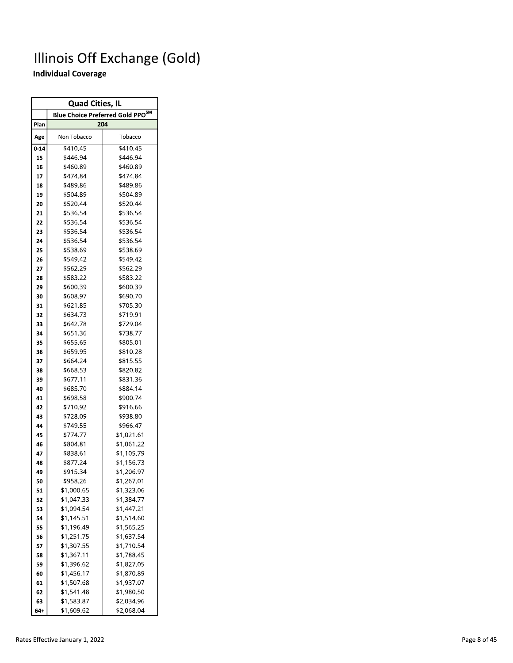$\overline{\phantom{0}}$ 

| 204<br>Plan<br>Non Tobacco<br>Tobacco<br>Age<br>\$410.45<br>\$410.45<br>$0 - 14$<br>\$446.94<br>15<br>\$446.94<br>\$460.89<br>\$460.89<br>16<br>\$474.84<br>\$474.84<br>17<br>\$489.86<br>\$489.86<br>18<br>\$504.89<br>\$504.89<br>19<br>\$520.44<br>\$520.44<br>20<br>\$536.54<br>\$536.54<br>21<br>\$536.54<br>\$536.54<br>22<br>\$536.54<br>\$536.54<br>23<br>\$536.54<br>\$536.54<br>24<br>\$538.69<br>25<br>\$538.69<br>26<br>\$549.42<br>\$549.42<br>\$562.29<br>\$562.29<br>27<br>\$583.22<br>\$583.22<br>28<br>\$600.39<br>\$600.39<br>29<br>\$608.97<br>\$690.70<br>30<br>\$705.30<br>\$621.85<br>31<br>\$634.73<br>\$719.91<br>32<br>\$642.78<br>33<br>\$729.04<br>\$651.36<br>\$738.77<br>34<br>\$655.65<br>35<br>\$805.01<br>\$659.95<br>\$810.28<br>36<br>\$664.24<br>\$815.55<br>37<br>38<br>\$668.53<br>\$820.82<br>\$677.11<br>\$831.36<br>39<br>40<br>\$685.70<br>\$884.14<br>\$698.58<br>\$900.74<br>41<br>\$710.92<br>\$916.66<br>42<br>\$728.09<br>\$938.80<br>43<br>\$749.55<br>\$966.47<br>44<br>45<br>\$774.77<br>\$1,021.61<br>46<br>\$804.81<br>\$1,061.22<br>\$838.61<br>47<br>\$1,105.79<br>\$877.24<br>48<br>\$1,156.73<br>\$915.34<br>\$1,206.97<br>49<br>\$958.26<br>\$1,267.01<br>50<br>\$1,000.65<br>51<br>\$1,323.06<br>52<br>\$1,047.33<br>\$1,384.77<br>\$1,094.54<br>\$1,447.21<br>53<br>\$1,514.60<br>54<br>\$1,145.51<br>\$1,565.25<br>55<br>\$1,196.49<br>\$1,251.75<br>56<br>\$1,637.54<br>57<br>\$1,307.55<br>\$1,710.54<br>58<br>\$1,367.11<br>\$1,788.45<br>59<br>\$1,396.62<br>\$1,827.05<br>\$1,456.17<br>60<br>\$1,870.89<br>\$1,507.68<br>\$1,937.07<br>61<br>\$1,541.48<br>62<br>\$1,980.50 | <b>Quad Cities, IL</b> |                                              |  |  |  |  |
|----------------------------------------------------------------------------------------------------------------------------------------------------------------------------------------------------------------------------------------------------------------------------------------------------------------------------------------------------------------------------------------------------------------------------------------------------------------------------------------------------------------------------------------------------------------------------------------------------------------------------------------------------------------------------------------------------------------------------------------------------------------------------------------------------------------------------------------------------------------------------------------------------------------------------------------------------------------------------------------------------------------------------------------------------------------------------------------------------------------------------------------------------------------------------------------------------------------------------------------------------------------------------------------------------------------------------------------------------------------------------------------------------------------------------------------------------------------------------------------------------------------------------------------------------------------------------------------------------------------------------------------------|------------------------|----------------------------------------------|--|--|--|--|
|                                                                                                                                                                                                                                                                                                                                                                                                                                                                                                                                                                                                                                                                                                                                                                                                                                                                                                                                                                                                                                                                                                                                                                                                                                                                                                                                                                                                                                                                                                                                                                                                                                              |                        | Blue Choice Preferred Gold PPO <sup>SM</sup> |  |  |  |  |
|                                                                                                                                                                                                                                                                                                                                                                                                                                                                                                                                                                                                                                                                                                                                                                                                                                                                                                                                                                                                                                                                                                                                                                                                                                                                                                                                                                                                                                                                                                                                                                                                                                              |                        |                                              |  |  |  |  |
|                                                                                                                                                                                                                                                                                                                                                                                                                                                                                                                                                                                                                                                                                                                                                                                                                                                                                                                                                                                                                                                                                                                                                                                                                                                                                                                                                                                                                                                                                                                                                                                                                                              |                        |                                              |  |  |  |  |
|                                                                                                                                                                                                                                                                                                                                                                                                                                                                                                                                                                                                                                                                                                                                                                                                                                                                                                                                                                                                                                                                                                                                                                                                                                                                                                                                                                                                                                                                                                                                                                                                                                              |                        |                                              |  |  |  |  |
|                                                                                                                                                                                                                                                                                                                                                                                                                                                                                                                                                                                                                                                                                                                                                                                                                                                                                                                                                                                                                                                                                                                                                                                                                                                                                                                                                                                                                                                                                                                                                                                                                                              |                        |                                              |  |  |  |  |
|                                                                                                                                                                                                                                                                                                                                                                                                                                                                                                                                                                                                                                                                                                                                                                                                                                                                                                                                                                                                                                                                                                                                                                                                                                                                                                                                                                                                                                                                                                                                                                                                                                              |                        |                                              |  |  |  |  |
|                                                                                                                                                                                                                                                                                                                                                                                                                                                                                                                                                                                                                                                                                                                                                                                                                                                                                                                                                                                                                                                                                                                                                                                                                                                                                                                                                                                                                                                                                                                                                                                                                                              |                        |                                              |  |  |  |  |
|                                                                                                                                                                                                                                                                                                                                                                                                                                                                                                                                                                                                                                                                                                                                                                                                                                                                                                                                                                                                                                                                                                                                                                                                                                                                                                                                                                                                                                                                                                                                                                                                                                              |                        |                                              |  |  |  |  |
|                                                                                                                                                                                                                                                                                                                                                                                                                                                                                                                                                                                                                                                                                                                                                                                                                                                                                                                                                                                                                                                                                                                                                                                                                                                                                                                                                                                                                                                                                                                                                                                                                                              |                        |                                              |  |  |  |  |
|                                                                                                                                                                                                                                                                                                                                                                                                                                                                                                                                                                                                                                                                                                                                                                                                                                                                                                                                                                                                                                                                                                                                                                                                                                                                                                                                                                                                                                                                                                                                                                                                                                              |                        |                                              |  |  |  |  |
|                                                                                                                                                                                                                                                                                                                                                                                                                                                                                                                                                                                                                                                                                                                                                                                                                                                                                                                                                                                                                                                                                                                                                                                                                                                                                                                                                                                                                                                                                                                                                                                                                                              |                        |                                              |  |  |  |  |
|                                                                                                                                                                                                                                                                                                                                                                                                                                                                                                                                                                                                                                                                                                                                                                                                                                                                                                                                                                                                                                                                                                                                                                                                                                                                                                                                                                                                                                                                                                                                                                                                                                              |                        |                                              |  |  |  |  |
|                                                                                                                                                                                                                                                                                                                                                                                                                                                                                                                                                                                                                                                                                                                                                                                                                                                                                                                                                                                                                                                                                                                                                                                                                                                                                                                                                                                                                                                                                                                                                                                                                                              |                        |                                              |  |  |  |  |
|                                                                                                                                                                                                                                                                                                                                                                                                                                                                                                                                                                                                                                                                                                                                                                                                                                                                                                                                                                                                                                                                                                                                                                                                                                                                                                                                                                                                                                                                                                                                                                                                                                              |                        |                                              |  |  |  |  |
|                                                                                                                                                                                                                                                                                                                                                                                                                                                                                                                                                                                                                                                                                                                                                                                                                                                                                                                                                                                                                                                                                                                                                                                                                                                                                                                                                                                                                                                                                                                                                                                                                                              |                        |                                              |  |  |  |  |
|                                                                                                                                                                                                                                                                                                                                                                                                                                                                                                                                                                                                                                                                                                                                                                                                                                                                                                                                                                                                                                                                                                                                                                                                                                                                                                                                                                                                                                                                                                                                                                                                                                              |                        |                                              |  |  |  |  |
|                                                                                                                                                                                                                                                                                                                                                                                                                                                                                                                                                                                                                                                                                                                                                                                                                                                                                                                                                                                                                                                                                                                                                                                                                                                                                                                                                                                                                                                                                                                                                                                                                                              |                        |                                              |  |  |  |  |
|                                                                                                                                                                                                                                                                                                                                                                                                                                                                                                                                                                                                                                                                                                                                                                                                                                                                                                                                                                                                                                                                                                                                                                                                                                                                                                                                                                                                                                                                                                                                                                                                                                              |                        |                                              |  |  |  |  |
|                                                                                                                                                                                                                                                                                                                                                                                                                                                                                                                                                                                                                                                                                                                                                                                                                                                                                                                                                                                                                                                                                                                                                                                                                                                                                                                                                                                                                                                                                                                                                                                                                                              |                        |                                              |  |  |  |  |
|                                                                                                                                                                                                                                                                                                                                                                                                                                                                                                                                                                                                                                                                                                                                                                                                                                                                                                                                                                                                                                                                                                                                                                                                                                                                                                                                                                                                                                                                                                                                                                                                                                              |                        |                                              |  |  |  |  |
|                                                                                                                                                                                                                                                                                                                                                                                                                                                                                                                                                                                                                                                                                                                                                                                                                                                                                                                                                                                                                                                                                                                                                                                                                                                                                                                                                                                                                                                                                                                                                                                                                                              |                        |                                              |  |  |  |  |
|                                                                                                                                                                                                                                                                                                                                                                                                                                                                                                                                                                                                                                                                                                                                                                                                                                                                                                                                                                                                                                                                                                                                                                                                                                                                                                                                                                                                                                                                                                                                                                                                                                              |                        |                                              |  |  |  |  |
|                                                                                                                                                                                                                                                                                                                                                                                                                                                                                                                                                                                                                                                                                                                                                                                                                                                                                                                                                                                                                                                                                                                                                                                                                                                                                                                                                                                                                                                                                                                                                                                                                                              |                        |                                              |  |  |  |  |
|                                                                                                                                                                                                                                                                                                                                                                                                                                                                                                                                                                                                                                                                                                                                                                                                                                                                                                                                                                                                                                                                                                                                                                                                                                                                                                                                                                                                                                                                                                                                                                                                                                              |                        |                                              |  |  |  |  |
|                                                                                                                                                                                                                                                                                                                                                                                                                                                                                                                                                                                                                                                                                                                                                                                                                                                                                                                                                                                                                                                                                                                                                                                                                                                                                                                                                                                                                                                                                                                                                                                                                                              |                        |                                              |  |  |  |  |
|                                                                                                                                                                                                                                                                                                                                                                                                                                                                                                                                                                                                                                                                                                                                                                                                                                                                                                                                                                                                                                                                                                                                                                                                                                                                                                                                                                                                                                                                                                                                                                                                                                              |                        |                                              |  |  |  |  |
|                                                                                                                                                                                                                                                                                                                                                                                                                                                                                                                                                                                                                                                                                                                                                                                                                                                                                                                                                                                                                                                                                                                                                                                                                                                                                                                                                                                                                                                                                                                                                                                                                                              |                        |                                              |  |  |  |  |
|                                                                                                                                                                                                                                                                                                                                                                                                                                                                                                                                                                                                                                                                                                                                                                                                                                                                                                                                                                                                                                                                                                                                                                                                                                                                                                                                                                                                                                                                                                                                                                                                                                              |                        |                                              |  |  |  |  |
|                                                                                                                                                                                                                                                                                                                                                                                                                                                                                                                                                                                                                                                                                                                                                                                                                                                                                                                                                                                                                                                                                                                                                                                                                                                                                                                                                                                                                                                                                                                                                                                                                                              |                        |                                              |  |  |  |  |
|                                                                                                                                                                                                                                                                                                                                                                                                                                                                                                                                                                                                                                                                                                                                                                                                                                                                                                                                                                                                                                                                                                                                                                                                                                                                                                                                                                                                                                                                                                                                                                                                                                              |                        |                                              |  |  |  |  |
|                                                                                                                                                                                                                                                                                                                                                                                                                                                                                                                                                                                                                                                                                                                                                                                                                                                                                                                                                                                                                                                                                                                                                                                                                                                                                                                                                                                                                                                                                                                                                                                                                                              |                        |                                              |  |  |  |  |
|                                                                                                                                                                                                                                                                                                                                                                                                                                                                                                                                                                                                                                                                                                                                                                                                                                                                                                                                                                                                                                                                                                                                                                                                                                                                                                                                                                                                                                                                                                                                                                                                                                              |                        |                                              |  |  |  |  |
|                                                                                                                                                                                                                                                                                                                                                                                                                                                                                                                                                                                                                                                                                                                                                                                                                                                                                                                                                                                                                                                                                                                                                                                                                                                                                                                                                                                                                                                                                                                                                                                                                                              |                        |                                              |  |  |  |  |
|                                                                                                                                                                                                                                                                                                                                                                                                                                                                                                                                                                                                                                                                                                                                                                                                                                                                                                                                                                                                                                                                                                                                                                                                                                                                                                                                                                                                                                                                                                                                                                                                                                              |                        |                                              |  |  |  |  |
|                                                                                                                                                                                                                                                                                                                                                                                                                                                                                                                                                                                                                                                                                                                                                                                                                                                                                                                                                                                                                                                                                                                                                                                                                                                                                                                                                                                                                                                                                                                                                                                                                                              |                        |                                              |  |  |  |  |
|                                                                                                                                                                                                                                                                                                                                                                                                                                                                                                                                                                                                                                                                                                                                                                                                                                                                                                                                                                                                                                                                                                                                                                                                                                                                                                                                                                                                                                                                                                                                                                                                                                              |                        |                                              |  |  |  |  |
|                                                                                                                                                                                                                                                                                                                                                                                                                                                                                                                                                                                                                                                                                                                                                                                                                                                                                                                                                                                                                                                                                                                                                                                                                                                                                                                                                                                                                                                                                                                                                                                                                                              |                        |                                              |  |  |  |  |
|                                                                                                                                                                                                                                                                                                                                                                                                                                                                                                                                                                                                                                                                                                                                                                                                                                                                                                                                                                                                                                                                                                                                                                                                                                                                                                                                                                                                                                                                                                                                                                                                                                              |                        |                                              |  |  |  |  |
|                                                                                                                                                                                                                                                                                                                                                                                                                                                                                                                                                                                                                                                                                                                                                                                                                                                                                                                                                                                                                                                                                                                                                                                                                                                                                                                                                                                                                                                                                                                                                                                                                                              |                        |                                              |  |  |  |  |
|                                                                                                                                                                                                                                                                                                                                                                                                                                                                                                                                                                                                                                                                                                                                                                                                                                                                                                                                                                                                                                                                                                                                                                                                                                                                                                                                                                                                                                                                                                                                                                                                                                              |                        |                                              |  |  |  |  |
|                                                                                                                                                                                                                                                                                                                                                                                                                                                                                                                                                                                                                                                                                                                                                                                                                                                                                                                                                                                                                                                                                                                                                                                                                                                                                                                                                                                                                                                                                                                                                                                                                                              |                        |                                              |  |  |  |  |
|                                                                                                                                                                                                                                                                                                                                                                                                                                                                                                                                                                                                                                                                                                                                                                                                                                                                                                                                                                                                                                                                                                                                                                                                                                                                                                                                                                                                                                                                                                                                                                                                                                              |                        |                                              |  |  |  |  |
|                                                                                                                                                                                                                                                                                                                                                                                                                                                                                                                                                                                                                                                                                                                                                                                                                                                                                                                                                                                                                                                                                                                                                                                                                                                                                                                                                                                                                                                                                                                                                                                                                                              |                        |                                              |  |  |  |  |
|                                                                                                                                                                                                                                                                                                                                                                                                                                                                                                                                                                                                                                                                                                                                                                                                                                                                                                                                                                                                                                                                                                                                                                                                                                                                                                                                                                                                                                                                                                                                                                                                                                              |                        |                                              |  |  |  |  |
|                                                                                                                                                                                                                                                                                                                                                                                                                                                                                                                                                                                                                                                                                                                                                                                                                                                                                                                                                                                                                                                                                                                                                                                                                                                                                                                                                                                                                                                                                                                                                                                                                                              |                        |                                              |  |  |  |  |
|                                                                                                                                                                                                                                                                                                                                                                                                                                                                                                                                                                                                                                                                                                                                                                                                                                                                                                                                                                                                                                                                                                                                                                                                                                                                                                                                                                                                                                                                                                                                                                                                                                              |                        |                                              |  |  |  |  |
|                                                                                                                                                                                                                                                                                                                                                                                                                                                                                                                                                                                                                                                                                                                                                                                                                                                                                                                                                                                                                                                                                                                                                                                                                                                                                                                                                                                                                                                                                                                                                                                                                                              |                        |                                              |  |  |  |  |
|                                                                                                                                                                                                                                                                                                                                                                                                                                                                                                                                                                                                                                                                                                                                                                                                                                                                                                                                                                                                                                                                                                                                                                                                                                                                                                                                                                                                                                                                                                                                                                                                                                              |                        |                                              |  |  |  |  |
|                                                                                                                                                                                                                                                                                                                                                                                                                                                                                                                                                                                                                                                                                                                                                                                                                                                                                                                                                                                                                                                                                                                                                                                                                                                                                                                                                                                                                                                                                                                                                                                                                                              |                        |                                              |  |  |  |  |
|                                                                                                                                                                                                                                                                                                                                                                                                                                                                                                                                                                                                                                                                                                                                                                                                                                                                                                                                                                                                                                                                                                                                                                                                                                                                                                                                                                                                                                                                                                                                                                                                                                              |                        |                                              |  |  |  |  |
|                                                                                                                                                                                                                                                                                                                                                                                                                                                                                                                                                                                                                                                                                                                                                                                                                                                                                                                                                                                                                                                                                                                                                                                                                                                                                                                                                                                                                                                                                                                                                                                                                                              |                        |                                              |  |  |  |  |
|                                                                                                                                                                                                                                                                                                                                                                                                                                                                                                                                                                                                                                                                                                                                                                                                                                                                                                                                                                                                                                                                                                                                                                                                                                                                                                                                                                                                                                                                                                                                                                                                                                              |                        |                                              |  |  |  |  |
| \$1,583.87<br>63<br>\$2,034.96                                                                                                                                                                                                                                                                                                                                                                                                                                                                                                                                                                                                                                                                                                                                                                                                                                                                                                                                                                                                                                                                                                                                                                                                                                                                                                                                                                                                                                                                                                                                                                                                               |                        |                                              |  |  |  |  |
| \$1,609.62<br>\$2,068.04<br>64+                                                                                                                                                                                                                                                                                                                                                                                                                                                                                                                                                                                                                                                                                                                                                                                                                                                                                                                                                                                                                                                                                                                                                                                                                                                                                                                                                                                                                                                                                                                                                                                                              |                        |                                              |  |  |  |  |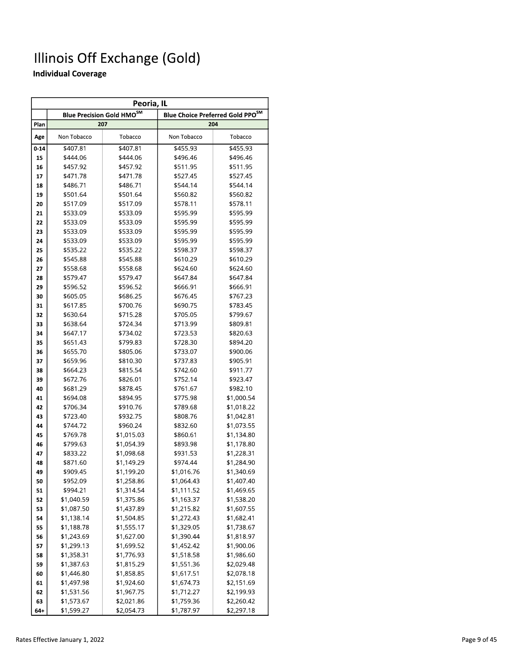|          | Peoria, IL  |                                             |                                         |            |  |  |
|----------|-------------|---------------------------------------------|-----------------------------------------|------------|--|--|
|          |             | <b>Blue Precision Gold HMO<sup>SM</sup></b> | <b>Blue Choice Preferred Gold PPOSM</b> |            |  |  |
| Plan     |             | 207                                         |                                         | 204        |  |  |
| Age      | Non Tobacco | Tobacco                                     | Non Tobacco                             | Tobacco    |  |  |
| $0 - 14$ | \$407.81    | $\frac{1}{407.81}$                          | \$455.93                                | \$455.93   |  |  |
| 15       | \$444.06    | \$444.06                                    | \$496.46                                | \$496.46   |  |  |
| 16       | \$457.92    | \$457.92                                    | \$511.95                                | \$511.95   |  |  |
| 17       | \$471.78    | \$471.78                                    | \$527.45                                | \$527.45   |  |  |
| 18       | \$486.71    | \$486.71                                    | \$544.14                                | \$544.14   |  |  |
| 19       | \$501.64    | \$501.64                                    | \$560.82                                | \$560.82   |  |  |
| 20       | \$517.09    | \$517.09                                    | \$578.11                                | \$578.11   |  |  |
| 21       | \$533.09    | \$533.09                                    | \$595.99                                | \$595.99   |  |  |
| 22       | \$533.09    | \$533.09                                    | \$595.99                                | \$595.99   |  |  |
| 23       | \$533.09    | \$533.09                                    | \$595.99                                | \$595.99   |  |  |
| 24       | \$533.09    | \$533.09                                    | \$595.99                                | \$595.99   |  |  |
| 25       | \$535.22    | \$535.22                                    | \$598.37                                | \$598.37   |  |  |
| 26       | \$545.88    | \$545.88                                    | \$610.29                                | \$610.29   |  |  |
| 27       | \$558.68    | \$558.68                                    | \$624.60                                | \$624.60   |  |  |
| 28       | \$579.47    | \$579.47                                    | \$647.84                                | \$647.84   |  |  |
| 29       | \$596.52    | \$596.52                                    | \$666.91                                | \$666.91   |  |  |
| 30       | \$605.05    | \$686.25                                    | \$676.45                                | \$767.23   |  |  |
| 31       | \$617.85    | \$700.76                                    | \$690.75                                | \$783.45   |  |  |
| 32       | \$630.64    | \$715.28                                    | \$705.05                                | \$799.67   |  |  |
| 33       | \$638.64    | \$724.34                                    | \$713.99                                | \$809.81   |  |  |
| 34       | \$647.17    | \$734.02                                    | \$723.53                                | \$820.63   |  |  |
| 35       | \$651.43    | \$799.83                                    | \$728.30                                | \$894.20   |  |  |
| 36       | \$655.70    | \$805.06                                    | \$733.07                                | \$900.06   |  |  |
| 37       | \$659.96    | \$810.30                                    | \$737.83                                | \$905.91   |  |  |
| 38       | \$664.23    | \$815.54                                    | \$742.60                                | \$911.77   |  |  |
| 39       | \$672.76    | \$826.01                                    | \$752.14                                | \$923.47   |  |  |
| 40       | \$681.29    | \$878.45                                    | \$761.67                                | \$982.10   |  |  |
| 41       | \$694.08    | \$894.95                                    | \$775.98                                | \$1,000.54 |  |  |
| 42       | \$706.34    | \$910.76                                    | \$789.68                                | \$1,018.22 |  |  |
| 43       | \$723.40    | \$932.75                                    | \$808.76                                | \$1,042.81 |  |  |
| 44       | \$744.72    | \$960.24                                    | \$832.60                                | \$1,073.55 |  |  |
| 45       | \$769.78    | \$1,015.03                                  | \$860.61                                | \$1,134.80 |  |  |
| 46       | \$799.63    | \$1,054.39                                  | \$893.98                                | \$1,178.80 |  |  |
| 47       | \$833.22    | \$1,098.68                                  | \$931.53                                | \$1,228.31 |  |  |
| 48       | \$871.60    | \$1,149.29                                  | \$974.44                                | \$1,284.90 |  |  |
| 49       | \$909.45    | \$1,199.20                                  | \$1,016.76                              | \$1,340.69 |  |  |
| 50       | \$952.09    | \$1,258.86                                  | \$1,064.43                              | \$1,407.40 |  |  |
| 51       | \$994.21    | \$1,314.54                                  | \$1,111.52                              | \$1,469.65 |  |  |
| 52       | \$1,040.59  | \$1,375.86                                  | \$1,163.37                              | \$1,538.20 |  |  |
| 53       | \$1,087.50  | \$1,437.89                                  | \$1,215.82                              | \$1,607.55 |  |  |
| 54       | \$1,138.14  | \$1,504.85                                  | \$1,272.43                              | \$1,682.41 |  |  |
| 55       | \$1,188.78  | \$1,555.17                                  | \$1,329.05                              | \$1,738.67 |  |  |
| 56       | \$1,243.69  | \$1,627.00                                  | \$1,390.44                              | \$1,818.97 |  |  |
| 57       | \$1,299.13  | \$1,699.52                                  | \$1,452.42                              | \$1,900.06 |  |  |
| 58       | \$1,358.31  | \$1,776.93                                  | \$1,518.58                              | \$1,986.60 |  |  |
| 59       | \$1,387.63  | \$1,815.29                                  | \$1,551.36                              | \$2,029.48 |  |  |
| 60       | \$1,446.80  | \$1,858.85                                  | \$1,617.51                              | \$2,078.18 |  |  |
| 61       | \$1,497.98  | \$1,924.60                                  | \$1,674.73                              | \$2,151.69 |  |  |
| 62       | \$1,531.56  | \$1,967.75                                  | \$1,712.27                              | \$2,199.93 |  |  |
| 63       | \$1,573.67  | \$2,021.86                                  | \$1,759.36                              | \$2,260.42 |  |  |
| 64+      | \$1,599.27  | \$2,054.73                                  | \$1,787.97                              | \$2,297.18 |  |  |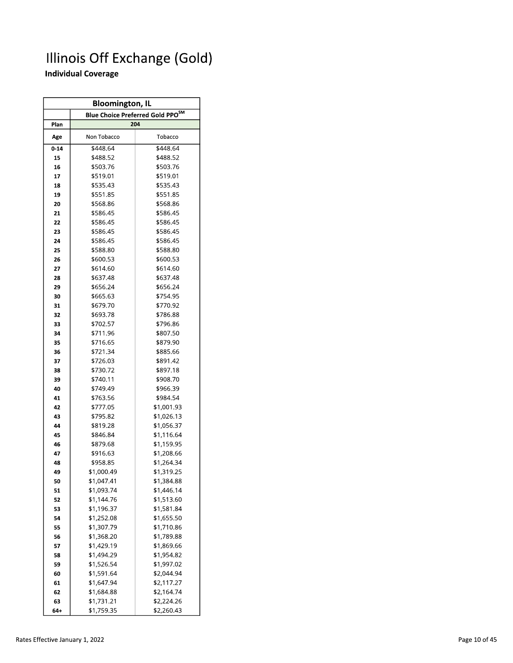| <b>Bloomington, IL</b> |                                              |            |  |  |  |  |
|------------------------|----------------------------------------------|------------|--|--|--|--|
|                        | Blue Choice Preferred Gold PPO <sup>SM</sup> |            |  |  |  |  |
| Plan                   |                                              | 204        |  |  |  |  |
| Age                    | Non Tobacco                                  | Tobacco    |  |  |  |  |
| $0 - 14$               | \$448.64                                     | \$448.64   |  |  |  |  |
| 15                     | \$488.52                                     | \$488.52   |  |  |  |  |
| 16                     | \$503.76                                     | \$503.76   |  |  |  |  |
| 17                     | \$519.01                                     | \$519.01   |  |  |  |  |
| 18                     | \$535.43                                     | \$535.43   |  |  |  |  |
| 19                     | \$551.85                                     | \$551.85   |  |  |  |  |
| 20                     | \$568.86                                     | \$568.86   |  |  |  |  |
| 21                     | \$586.45                                     | \$586.45   |  |  |  |  |
| 22                     | \$586.45                                     | \$586.45   |  |  |  |  |
| 23                     | \$586.45                                     | \$586.45   |  |  |  |  |
| 24                     | \$586.45                                     | \$586.45   |  |  |  |  |
| 25                     | \$588.80                                     | \$588.80   |  |  |  |  |
| 26                     | \$600.53                                     | \$600.53   |  |  |  |  |
| 27                     | \$614.60                                     | \$614.60   |  |  |  |  |
| 28                     | \$637.48                                     | \$637.48   |  |  |  |  |
| 29                     | \$656.24                                     | \$656.24   |  |  |  |  |
| 30                     | \$665.63                                     | \$754.95   |  |  |  |  |
| 31                     | \$679.70                                     | \$770.92   |  |  |  |  |
| 32                     | \$693.78                                     | \$786.88   |  |  |  |  |
| 33                     | \$702.57                                     | \$796.86   |  |  |  |  |
| 34                     | \$711.96                                     | \$807.50   |  |  |  |  |
| 35                     | \$716.65                                     | \$879.90   |  |  |  |  |
| 36                     | \$721.34                                     | \$885.66   |  |  |  |  |
| 37                     | \$726.03                                     | \$891.42   |  |  |  |  |
| 38                     | \$730.72                                     | \$897.18   |  |  |  |  |
| 39                     | \$740.11                                     | \$908.70   |  |  |  |  |
| 40                     | \$749.49                                     | \$966.39   |  |  |  |  |
| 41                     | \$763.56                                     | \$984.54   |  |  |  |  |
| 42                     | \$777.05                                     | \$1,001.93 |  |  |  |  |
| 43                     | \$795.82                                     | \$1,026.13 |  |  |  |  |
| 44                     | \$819.28                                     | \$1,056.37 |  |  |  |  |
| 45                     | \$846.84                                     | \$1,116.64 |  |  |  |  |
| 46                     | \$879.68                                     | \$1,159.95 |  |  |  |  |
| 47                     | \$916.63                                     | \$1,208.66 |  |  |  |  |
| 48                     | \$958.85                                     | \$1,264.34 |  |  |  |  |
| 49                     | \$1,000.49                                   | \$1,319.25 |  |  |  |  |
| 50                     | \$1,047.41                                   | \$1,384.88 |  |  |  |  |
| 51                     | \$1,093.74                                   | \$1,446.14 |  |  |  |  |
| 52                     | \$1,144.76                                   | \$1,513.60 |  |  |  |  |
| 53                     | \$1,196.37                                   | \$1,581.84 |  |  |  |  |
| 54                     | \$1,252.08                                   | \$1,655.50 |  |  |  |  |
| 55                     | \$1,307.79                                   | \$1,710.86 |  |  |  |  |
| 56                     | \$1,368.20                                   | \$1,789.88 |  |  |  |  |
| 57                     | \$1,429.19                                   | \$1,869.66 |  |  |  |  |
| 58                     | \$1,494.29                                   | \$1,954.82 |  |  |  |  |
| 59                     | \$1,526.54                                   | \$1,997.02 |  |  |  |  |
| 60                     | \$1,591.64                                   | \$2,044.94 |  |  |  |  |
| 61                     | \$1,647.94                                   | \$2,117.27 |  |  |  |  |
| 62                     | \$1,684.88                                   | \$2,164.74 |  |  |  |  |
| 63                     | \$1,731.21                                   | \$2,224.26 |  |  |  |  |
| 64+                    | \$1,759.35                                   | \$2,260.43 |  |  |  |  |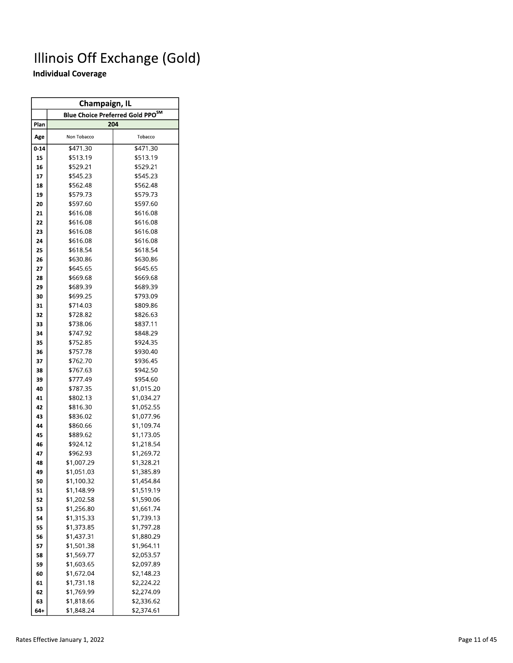| <b>Champaign, IL</b>                     |             |            |  |  |  |
|------------------------------------------|-------------|------------|--|--|--|
| <b>Blue Choice Preferred Gold PPO</b> SM |             |            |  |  |  |
| Plan                                     | 204         |            |  |  |  |
| Age                                      | Non Tobacco | Tobacco    |  |  |  |
| $0 - 14$                                 | \$471.30    | \$471.30   |  |  |  |
| 15                                       | \$513.19    | \$513.19   |  |  |  |
| 16                                       | \$529.21    | \$529.21   |  |  |  |
| 17                                       | \$545.23    | \$545.23   |  |  |  |
| 18                                       | \$562.48    | \$562.48   |  |  |  |
| 19                                       | \$579.73    | \$579.73   |  |  |  |
| 20                                       | \$597.60    | \$597.60   |  |  |  |
| 21                                       | \$616.08    | \$616.08   |  |  |  |
| 22                                       | \$616.08    | \$616.08   |  |  |  |
| 23                                       | \$616.08    | \$616.08   |  |  |  |
| 24                                       | \$616.08    | \$616.08   |  |  |  |
| 25                                       | \$618.54    | \$618.54   |  |  |  |
| 26                                       | \$630.86    | \$630.86   |  |  |  |
| 27                                       | \$645.65    | \$645.65   |  |  |  |
| 28                                       | \$669.68    | \$669.68   |  |  |  |
| 29                                       | \$689.39    | \$689.39   |  |  |  |
| 30                                       | \$699.25    | \$793.09   |  |  |  |
| 31                                       | \$714.03    | \$809.86   |  |  |  |
| 32                                       | \$728.82    | \$826.63   |  |  |  |
| 33                                       | \$738.06    | \$837.11   |  |  |  |
| 34                                       | \$747.92    | \$848.29   |  |  |  |
| 35                                       | \$752.85    | \$924.35   |  |  |  |
| 36                                       | \$757.78    | \$930.40   |  |  |  |
| 37                                       | \$762.70    | \$936.45   |  |  |  |
| 38                                       | \$767.63    | \$942.50   |  |  |  |
| 39                                       | \$777.49    | \$954.60   |  |  |  |
| 40                                       | \$787.35    | \$1,015.20 |  |  |  |
| 41                                       | \$802.13    | \$1,034.27 |  |  |  |
| 42                                       | \$816.30    | \$1,052.55 |  |  |  |
| 43                                       | \$836.02    | \$1,077.96 |  |  |  |
| 44                                       | \$860.66    | \$1,109.74 |  |  |  |
| 45                                       | \$889.62    | \$1,173.05 |  |  |  |
| 46                                       | \$924.12    | \$1,218.54 |  |  |  |
| 47                                       | \$962.93    | \$1,269.72 |  |  |  |
| 48                                       | \$1,007.29  | \$1,328.21 |  |  |  |
| 49                                       | \$1,051.03  | \$1,385.89 |  |  |  |
| 50                                       | \$1,100.32  | \$1,454.84 |  |  |  |
| 51                                       | \$1,148.99  | \$1,519.19 |  |  |  |
| 52                                       | \$1,202.58  | \$1,590.06 |  |  |  |
| 53                                       | \$1,256.80  | \$1,661.74 |  |  |  |
| 54                                       | \$1,315.33  | \$1,739.13 |  |  |  |
| 55                                       | \$1,373.85  | \$1,797.28 |  |  |  |
| 56                                       | \$1,437.31  | \$1,880.29 |  |  |  |
| 57                                       | \$1,501.38  | \$1,964.11 |  |  |  |
| 58                                       | \$1,569.77  | \$2,053.57 |  |  |  |
| 59                                       | \$1,603.65  | \$2,097.89 |  |  |  |
| 60                                       | \$1,672.04  | \$2,148.23 |  |  |  |
| 61                                       | \$1,731.18  | \$2,224.22 |  |  |  |
| 62                                       | \$1,769.99  | \$2,274.09 |  |  |  |
| 63                                       | \$1,818.66  | \$2,336.62 |  |  |  |
| 64+                                      | \$1,848.24  | \$2,374.61 |  |  |  |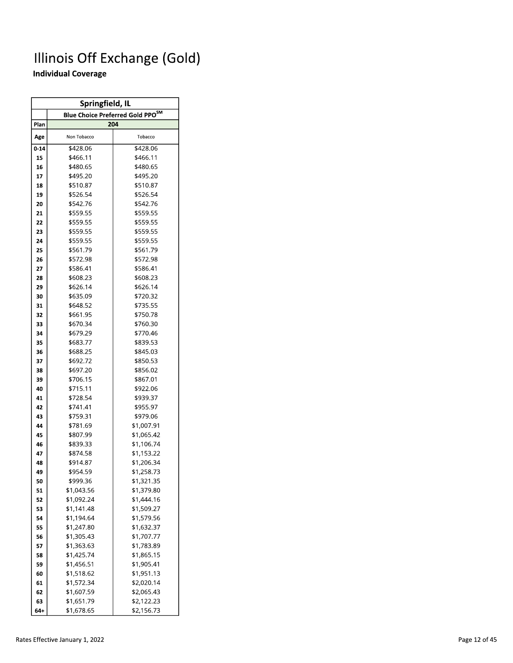| Springfield, IL |             |                                              |  |  |  |  |  |  |
|-----------------|-------------|----------------------------------------------|--|--|--|--|--|--|
|                 |             | Blue Choice Preferred Gold PPO <sup>SM</sup> |  |  |  |  |  |  |
| Plan            |             | 204                                          |  |  |  |  |  |  |
| Age             | Non Tobacco | Tobacco                                      |  |  |  |  |  |  |
| $0 - 14$        | \$428.06    | \$428.06                                     |  |  |  |  |  |  |
| 15              | \$466.11    | \$466.11                                     |  |  |  |  |  |  |
| 16              | \$480.65    | \$480.65                                     |  |  |  |  |  |  |
| 17              | \$495.20    | \$495.20                                     |  |  |  |  |  |  |
| 18              | \$510.87    | \$510.87                                     |  |  |  |  |  |  |
| 19              | \$526.54    | \$526.54                                     |  |  |  |  |  |  |
| 20              | \$542.76    | \$542.76                                     |  |  |  |  |  |  |
| 21              | \$559.55    | \$559.55                                     |  |  |  |  |  |  |
| 22              | \$559.55    | \$559.55                                     |  |  |  |  |  |  |
| 23              | \$559.55    | \$559.55                                     |  |  |  |  |  |  |
| 24              | \$559.55    | \$559.55                                     |  |  |  |  |  |  |
| 25              | \$561.79    | \$561.79                                     |  |  |  |  |  |  |
| 26              | \$572.98    | \$572.98                                     |  |  |  |  |  |  |
| 27              | \$586.41    | \$586.41                                     |  |  |  |  |  |  |
| 28              | \$608.23    | \$608.23                                     |  |  |  |  |  |  |
| 29              | \$626.14    | \$626.14                                     |  |  |  |  |  |  |
| 30              | \$635.09    | \$720.32                                     |  |  |  |  |  |  |
| 31              | \$648.52    | \$735.55                                     |  |  |  |  |  |  |
| 32              | \$661.95    | \$750.78                                     |  |  |  |  |  |  |
| 33              | \$670.34    | \$760.30                                     |  |  |  |  |  |  |
| 34              | \$679.29    | \$770.46                                     |  |  |  |  |  |  |
| 35              | \$683.77    | \$839.53                                     |  |  |  |  |  |  |
| 36              | \$688.25    | \$845.03                                     |  |  |  |  |  |  |
| 37              | \$692.72    | \$850.53                                     |  |  |  |  |  |  |
| 38              | \$697.20    | \$856.02                                     |  |  |  |  |  |  |
| 39              | \$706.15    | \$867.01                                     |  |  |  |  |  |  |
| 40              | \$715.11    | \$922.06                                     |  |  |  |  |  |  |
| 41              | \$728.54    | \$939.37                                     |  |  |  |  |  |  |
| 42              | \$741.41    | \$955.97                                     |  |  |  |  |  |  |
| 43              | \$759.31    | \$979.06                                     |  |  |  |  |  |  |
| 44              | \$781.69    | \$1,007.91                                   |  |  |  |  |  |  |
| 45              | \$807.99    | \$1,065.42                                   |  |  |  |  |  |  |
| 46              | \$839.33    | \$1,106.74                                   |  |  |  |  |  |  |
| 47              | \$874.58    | \$1,153.22                                   |  |  |  |  |  |  |
| 48              | \$914.87    | \$1,206.34                                   |  |  |  |  |  |  |
| 49              | \$954.59    | \$1,258.73                                   |  |  |  |  |  |  |
| 50              | \$999.36    | \$1,321.35                                   |  |  |  |  |  |  |
| 51              | \$1,043.56  | \$1,379.80                                   |  |  |  |  |  |  |
| 52              | \$1,092.24  | \$1,444.16                                   |  |  |  |  |  |  |
| 53              | \$1,141.48  | \$1,509.27                                   |  |  |  |  |  |  |
| 54              | \$1,194.64  | \$1,579.56                                   |  |  |  |  |  |  |
| 55              | \$1,247.80  | \$1,632.37                                   |  |  |  |  |  |  |
| 56              | \$1,305.43  | \$1,707.77                                   |  |  |  |  |  |  |
| 57              | \$1,363.63  | \$1,783.89                                   |  |  |  |  |  |  |
| 58              | \$1,425.74  | \$1,865.15                                   |  |  |  |  |  |  |
| 59              | \$1,456.51  | \$1,905.41                                   |  |  |  |  |  |  |
| 60              | \$1,518.62  | \$1,951.13                                   |  |  |  |  |  |  |
| 61              | \$1,572.34  | \$2,020.14                                   |  |  |  |  |  |  |
| 62              | \$1,607.59  | \$2,065.43                                   |  |  |  |  |  |  |
| 63              | \$1,651.79  | \$2,122.23                                   |  |  |  |  |  |  |
| 64+             | \$1,678.65  | \$2,156.73                                   |  |  |  |  |  |  |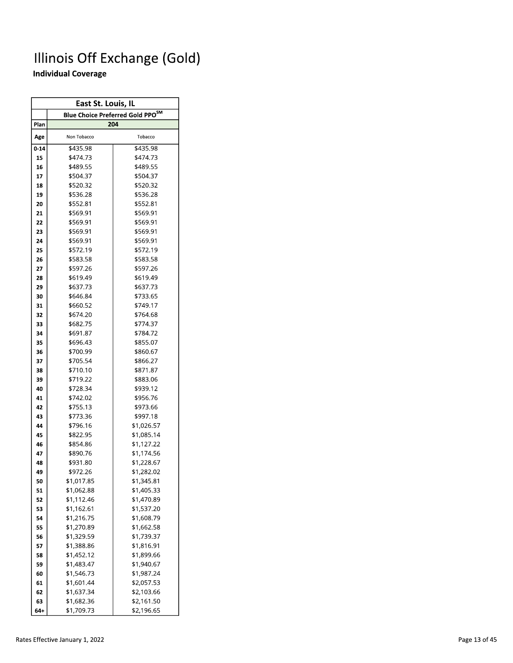| East St. Louis, IL |             |                                              |  |  |  |  |  |  |  |
|--------------------|-------------|----------------------------------------------|--|--|--|--|--|--|--|
|                    |             | Blue Choice Preferred Gold PPO <sup>SM</sup> |  |  |  |  |  |  |  |
| Plan               |             | 204                                          |  |  |  |  |  |  |  |
| Age                | Non Tobacco | Tobacco                                      |  |  |  |  |  |  |  |
| $0 - 14$           | \$435.98    | \$435.98                                     |  |  |  |  |  |  |  |
| 15                 | \$474.73    | \$474.73                                     |  |  |  |  |  |  |  |
| 16                 | \$489.55    | \$489.55                                     |  |  |  |  |  |  |  |
| 17                 | \$504.37    | \$504.37                                     |  |  |  |  |  |  |  |
| 18                 | \$520.32    | \$520.32                                     |  |  |  |  |  |  |  |
| 19                 | \$536.28    | \$536.28                                     |  |  |  |  |  |  |  |
| 20                 | \$552.81    | \$552.81                                     |  |  |  |  |  |  |  |
| 21                 | \$569.91    | \$569.91                                     |  |  |  |  |  |  |  |
| 22                 | \$569.91    | \$569.91                                     |  |  |  |  |  |  |  |
| 23                 | \$569.91    | \$569.91                                     |  |  |  |  |  |  |  |
| 24                 | \$569.91    | \$569.91                                     |  |  |  |  |  |  |  |
| 25                 | \$572.19    | \$572.19                                     |  |  |  |  |  |  |  |
| 26                 | \$583.58    | \$583.58                                     |  |  |  |  |  |  |  |
| 27                 | \$597.26    | \$597.26                                     |  |  |  |  |  |  |  |
| 28                 | \$619.49    | \$619.49                                     |  |  |  |  |  |  |  |
| 29                 | \$637.73    | \$637.73                                     |  |  |  |  |  |  |  |
| 30                 | \$646.84    | \$733.65                                     |  |  |  |  |  |  |  |
| 31                 | \$660.52    | \$749.17                                     |  |  |  |  |  |  |  |
| 32                 | \$674.20    | \$764.68                                     |  |  |  |  |  |  |  |
| 33                 | \$682.75    | \$774.37                                     |  |  |  |  |  |  |  |
| 34                 | \$691.87    | \$784.72                                     |  |  |  |  |  |  |  |
| 35                 | \$696.43    | \$855.07                                     |  |  |  |  |  |  |  |
| 36                 | \$700.99    | \$860.67                                     |  |  |  |  |  |  |  |
| 37                 | \$705.54    | \$866.27                                     |  |  |  |  |  |  |  |
| 38                 | \$710.10    | \$871.87                                     |  |  |  |  |  |  |  |
| 39                 | \$719.22    | \$883.06                                     |  |  |  |  |  |  |  |
| 40                 | \$728.34    | \$939.12                                     |  |  |  |  |  |  |  |
| 41                 | \$742.02    | \$956.76                                     |  |  |  |  |  |  |  |
| 42                 | \$755.13    | \$973.66                                     |  |  |  |  |  |  |  |
| 43                 | \$773.36    | \$997.18                                     |  |  |  |  |  |  |  |
| 44                 | \$796.16    | \$1,026.57                                   |  |  |  |  |  |  |  |
| 45                 | \$822.95    | \$1,085.14                                   |  |  |  |  |  |  |  |
| 46                 | \$854.86    | \$1,127.22                                   |  |  |  |  |  |  |  |
| 47                 | \$890.76    | \$1,174.56                                   |  |  |  |  |  |  |  |
| 48                 | \$931.80    | \$1,228.67                                   |  |  |  |  |  |  |  |
| 49                 | \$972.26    | \$1,282.02                                   |  |  |  |  |  |  |  |
| 50                 | \$1,017.85  | \$1,345.81                                   |  |  |  |  |  |  |  |
| 51                 | \$1,062.88  | \$1,405.33                                   |  |  |  |  |  |  |  |
| 52                 | \$1,112.46  | \$1,470.89                                   |  |  |  |  |  |  |  |
| 53                 | \$1,162.61  | \$1,537.20                                   |  |  |  |  |  |  |  |
| 54                 | \$1,216.75  | \$1,608.79                                   |  |  |  |  |  |  |  |
| 55                 | \$1,270.89  | \$1,662.58                                   |  |  |  |  |  |  |  |
| 56                 | \$1,329.59  | \$1,739.37                                   |  |  |  |  |  |  |  |
| 57                 | \$1,388.86  | \$1,816.91                                   |  |  |  |  |  |  |  |
| 58                 | \$1,452.12  | \$1,899.66                                   |  |  |  |  |  |  |  |
| 59                 | \$1,483.47  | \$1,940.67                                   |  |  |  |  |  |  |  |
| 60                 | \$1,546.73  | \$1,987.24                                   |  |  |  |  |  |  |  |
| 61                 | \$1,601.44  | \$2,057.53                                   |  |  |  |  |  |  |  |
| 62                 | \$1,637.34  | \$2,103.66                                   |  |  |  |  |  |  |  |
| 63                 | \$1,682.36  | \$2,161.50                                   |  |  |  |  |  |  |  |
| 64+                | \$1,709.73  | \$2,196.65                                   |  |  |  |  |  |  |  |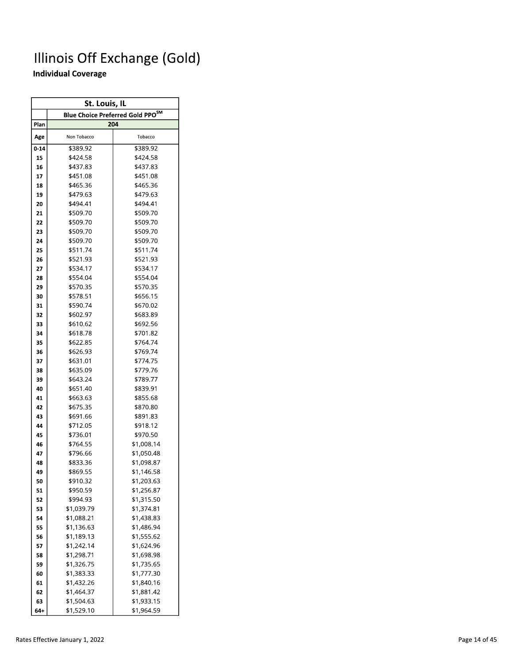| St. Louis, IL |             |                                              |  |  |  |  |  |  |
|---------------|-------------|----------------------------------------------|--|--|--|--|--|--|
|               |             | Blue Choice Preferred Gold PPO <sup>SM</sup> |  |  |  |  |  |  |
| Plan          |             | 204                                          |  |  |  |  |  |  |
| Age           | Non Tobacco | Tobacco                                      |  |  |  |  |  |  |
| $0 - 14$      | \$389.92    | \$389.92                                     |  |  |  |  |  |  |
| 15            | \$424.58    | \$424.58                                     |  |  |  |  |  |  |
| 16            | \$437.83    | \$437.83                                     |  |  |  |  |  |  |
| 17            | \$451.08    | \$451.08                                     |  |  |  |  |  |  |
| 18            | \$465.36    | \$465.36                                     |  |  |  |  |  |  |
| 19            | \$479.63    | \$479.63                                     |  |  |  |  |  |  |
| 20            | \$494.41    | \$494.41                                     |  |  |  |  |  |  |
| 21            | \$509.70    | \$509.70                                     |  |  |  |  |  |  |
| 22            | \$509.70    | \$509.70                                     |  |  |  |  |  |  |
| 23            | \$509.70    | \$509.70                                     |  |  |  |  |  |  |
| 24            | \$509.70    | \$509.70                                     |  |  |  |  |  |  |
| 25            | \$511.74    | \$511.74                                     |  |  |  |  |  |  |
| 26            | \$521.93    | \$521.93                                     |  |  |  |  |  |  |
| 27            | \$534.17    | \$534.17                                     |  |  |  |  |  |  |
| 28            | \$554.04    | \$554.04                                     |  |  |  |  |  |  |
| 29            | \$570.35    | \$570.35                                     |  |  |  |  |  |  |
| 30            | \$578.51    | \$656.15                                     |  |  |  |  |  |  |
| 31            | \$590.74    | \$670.02                                     |  |  |  |  |  |  |
| 32            | \$602.97    | \$683.89                                     |  |  |  |  |  |  |
| 33            | \$610.62    | \$692.56                                     |  |  |  |  |  |  |
| 34            | \$618.78    | \$701.82                                     |  |  |  |  |  |  |
| 35            | \$622.85    | \$764.74                                     |  |  |  |  |  |  |
| 36            | \$626.93    | \$769.74                                     |  |  |  |  |  |  |
| 37            | \$631.01    | \$774.75                                     |  |  |  |  |  |  |
| 38            | \$635.09    | \$779.76                                     |  |  |  |  |  |  |
| 39            | \$643.24    | \$789.77                                     |  |  |  |  |  |  |
| 40            | \$651.40    | \$839.91                                     |  |  |  |  |  |  |
| 41            | \$663.63    | \$855.68                                     |  |  |  |  |  |  |
| 42            | \$675.35    | \$870.80                                     |  |  |  |  |  |  |
| 43            | \$691.66    | \$891.83                                     |  |  |  |  |  |  |
| 44            | \$712.05    | \$918.12                                     |  |  |  |  |  |  |
| 45            | \$736.01    | \$970.50                                     |  |  |  |  |  |  |
| 46            | \$764.55    | \$1,008.14                                   |  |  |  |  |  |  |
| 47            | \$796.66    | \$1,050.48                                   |  |  |  |  |  |  |
| 48            | \$833.36    | \$1,098.87                                   |  |  |  |  |  |  |
| 49            | \$869.55    | \$1,146.58                                   |  |  |  |  |  |  |
| 50            | \$910.32    | \$1,203.63                                   |  |  |  |  |  |  |
| 51            | \$950.59    | \$1,256.87                                   |  |  |  |  |  |  |
| 52            | \$994.93    | \$1,315.50                                   |  |  |  |  |  |  |
| 53            | \$1,039.79  | \$1,374.81                                   |  |  |  |  |  |  |
| 54            | \$1,088.21  | \$1,438.83                                   |  |  |  |  |  |  |
| 55            | \$1,136.63  | \$1,486.94                                   |  |  |  |  |  |  |
| 56            | \$1,189.13  | \$1,555.62                                   |  |  |  |  |  |  |
| 57            | \$1,242.14  | \$1,624.96                                   |  |  |  |  |  |  |
| 58            | \$1,298.71  | \$1,698.98                                   |  |  |  |  |  |  |
| 59            | \$1,326.75  | \$1,735.65                                   |  |  |  |  |  |  |
| 60            | \$1,383.33  | \$1,777.30                                   |  |  |  |  |  |  |
| 61            | \$1,432.26  | \$1,840.16                                   |  |  |  |  |  |  |
| 62            | \$1,464.37  | \$1,881.42                                   |  |  |  |  |  |  |
| 63            | \$1,504.63  | \$1,933.15                                   |  |  |  |  |  |  |
| 64+           | \$1,529.10  | \$1,964.59                                   |  |  |  |  |  |  |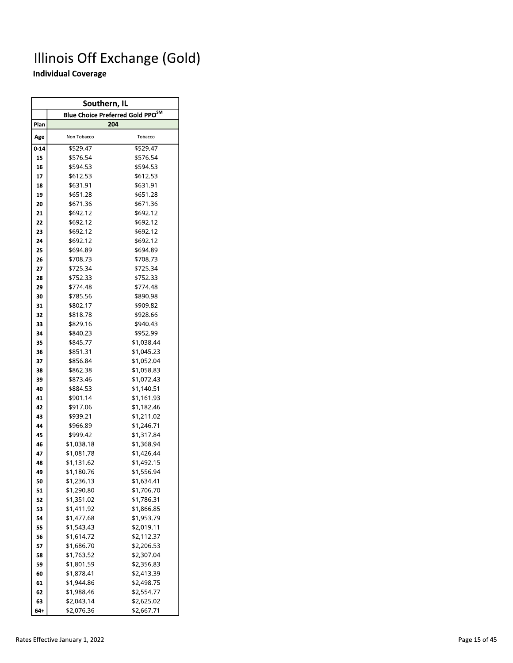| Southern, IL |             |                                              |  |  |  |  |  |  |
|--------------|-------------|----------------------------------------------|--|--|--|--|--|--|
|              |             | Blue Choice Preferred Gold PPO <sup>SM</sup> |  |  |  |  |  |  |
| Plan         |             | 204                                          |  |  |  |  |  |  |
| Age          | Non Tobacco | Tobacco                                      |  |  |  |  |  |  |
| $0 - 14$     | \$529.47    | \$529.47                                     |  |  |  |  |  |  |
| 15           | \$576.54    | \$576.54                                     |  |  |  |  |  |  |
| 16           | \$594.53    | \$594.53                                     |  |  |  |  |  |  |
| 17           | \$612.53    | \$612.53                                     |  |  |  |  |  |  |
| 18           | \$631.91    | \$631.91                                     |  |  |  |  |  |  |
| 19           | \$651.28    | \$651.28                                     |  |  |  |  |  |  |
| 20           | \$671.36    | \$671.36                                     |  |  |  |  |  |  |
| 21           | \$692.12    | \$692.12                                     |  |  |  |  |  |  |
| 22           | \$692.12    | \$692.12                                     |  |  |  |  |  |  |
| 23           | \$692.12    | \$692.12                                     |  |  |  |  |  |  |
| 24           | \$692.12    | \$692.12                                     |  |  |  |  |  |  |
| 25           | \$694.89    | \$694.89                                     |  |  |  |  |  |  |
| 26           | \$708.73    | \$708.73                                     |  |  |  |  |  |  |
| 27           | \$725.34    | \$725.34                                     |  |  |  |  |  |  |
| 28           | \$752.33    | \$752.33                                     |  |  |  |  |  |  |
| 29           | \$774.48    | \$774.48                                     |  |  |  |  |  |  |
| 30           | \$785.56    | \$890.98                                     |  |  |  |  |  |  |
| 31           | \$802.17    | \$909.82                                     |  |  |  |  |  |  |
| 32           | \$818.78    | \$928.66                                     |  |  |  |  |  |  |
| 33           | \$829.16    | \$940.43                                     |  |  |  |  |  |  |
| 34           | \$840.23    | \$952.99                                     |  |  |  |  |  |  |
| 35           | \$845.77    | \$1,038.44                                   |  |  |  |  |  |  |
| 36           | \$851.31    | \$1,045.23                                   |  |  |  |  |  |  |
| 37           | \$856.84    | \$1,052.04                                   |  |  |  |  |  |  |
| 38           | \$862.38    | \$1,058.83                                   |  |  |  |  |  |  |
| 39           | \$873.46    | \$1,072.43                                   |  |  |  |  |  |  |
| 40           | \$884.53    | \$1,140.51                                   |  |  |  |  |  |  |
| 41           | \$901.14    | \$1,161.93                                   |  |  |  |  |  |  |
| 42           | \$917.06    | \$1,182.46                                   |  |  |  |  |  |  |
| 43           | \$939.21    | \$1,211.02                                   |  |  |  |  |  |  |
| 44           | \$966.89    | \$1,246.71                                   |  |  |  |  |  |  |
| 45           | \$999.42    | \$1,317.84                                   |  |  |  |  |  |  |
| 46           | \$1,038.18  | \$1,368.94                                   |  |  |  |  |  |  |
| 47           | \$1,081.78  | \$1,426.44                                   |  |  |  |  |  |  |
| 48           | \$1,131.62  | \$1,492.15                                   |  |  |  |  |  |  |
| 49           | \$1,180.76  | \$1,556.94                                   |  |  |  |  |  |  |
| 50           | \$1,236.13  | \$1,634.41                                   |  |  |  |  |  |  |
| 51           | \$1,290.80  | \$1,706.70                                   |  |  |  |  |  |  |
| 52           | \$1,351.02  | \$1,786.31                                   |  |  |  |  |  |  |
| 53           | \$1,411.92  | \$1,866.85                                   |  |  |  |  |  |  |
| 54           | \$1,477.68  | \$1,953.79                                   |  |  |  |  |  |  |
| 55           | \$1,543.43  | \$2,019.11                                   |  |  |  |  |  |  |
| 56           | \$1,614.72  | \$2,112.37                                   |  |  |  |  |  |  |
| 57           | \$1,686.70  | \$2,206.53                                   |  |  |  |  |  |  |
| 58           | \$1,763.52  | \$2,307.04                                   |  |  |  |  |  |  |
| 59           | \$1,801.59  | \$2,356.83                                   |  |  |  |  |  |  |
| 60           | \$1,878.41  | \$2,413.39                                   |  |  |  |  |  |  |
| 61           | \$1,944.86  | \$2,498.75                                   |  |  |  |  |  |  |
| 62           | \$1,988.46  | \$2,554.77                                   |  |  |  |  |  |  |
| 63           | \$2,043.14  | \$2,625.02                                   |  |  |  |  |  |  |
| 64+          | \$2,076.36  | \$2,667.71                                   |  |  |  |  |  |  |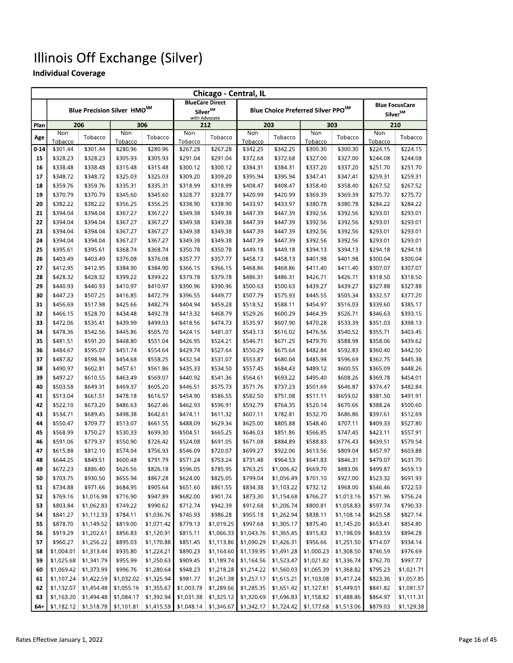|          | Chicago - Central, IL |                      |                                         |                      |                                       |                        |                      |                                                |                      |                      |                      |                       |
|----------|-----------------------|----------------------|-----------------------------------------|----------------------|---------------------------------------|------------------------|----------------------|------------------------------------------------|----------------------|----------------------|----------------------|-----------------------|
|          |                       |                      |                                         |                      |                                       | <b>BlueCare Direct</b> |                      |                                                |                      |                      |                      | <b>Blue FocusCare</b> |
|          |                       |                      | Blue Precision Silver HMO <sup>SM</sup> |                      | Silver <sup>SM</sup><br>with Advocate |                        |                      | Blue Choice Preferred Silver PPO <sup>SM</sup> |                      |                      |                      | Silver <sup>SM</sup>  |
| Plan     | 206                   |                      |                                         | 306                  |                                       | 212                    |                      | 203                                            |                      | 303                  | 210                  |                       |
|          | Non                   |                      | Non                                     |                      | Non                                   |                        | Non                  |                                                | Non                  |                      | Non                  |                       |
| Age      | Tobacco               | Tobacco              | Tobacco                                 | Tobacco              | Tobacco                               | Tobacco                | Tobacco              | Tobacco                                        | Tobacco              | Tobacco              | Tobacco              | Tobacco               |
| $0 - 14$ | \$301.44              | \$301.44             | \$280.96                                | \$280.96             | \$267.28                              | \$267.28               | \$342.25             | \$342.25                                       | \$300.30             | \$300.30             | \$224.15             | \$224.15              |
| 15       | \$328.23              | \$328.23             | \$305.93                                | \$305.93             | \$291.04                              | \$291.04               | \$372.68             | \$372.68                                       | \$327.00             | \$327.00             | \$244.08             | \$244.08              |
| 16       | \$338.48              | \$338.48             | \$315.48                                | \$315.48             | \$300.12                              | \$300.12               | \$384.31             | \$384.31                                       | \$337.20             | \$337.20             | \$251.70             | \$251.70              |
| 17       | \$348.72              | \$348.72             | \$325.03                                | \$325.03             | \$309.20                              | \$309.20               | \$395.94             | \$395.94                                       | \$347.41             | \$347.41             | \$259.31             | \$259.31              |
| 18       | \$359.76              | \$359.76             | \$335.31                                | \$335.31             | \$318.99                              | \$318.99               | \$408.47             | \$408.47                                       | \$358.40             | \$358.40             | \$267.52             | \$267.52              |
| 19       | \$370.79              | \$370.79             | \$345.60                                | \$345.60             | \$328.77                              | \$328.77               | \$420.99             | \$420.99                                       | \$369.39             | \$369.39             | \$275.72             | \$275.72              |
| 20       | \$382.22              | \$382.22             | \$356.25                                | \$356.25             | \$338.90                              | \$338.90               | \$433.97             | \$433.97                                       | \$380.78             | \$380.78             | \$284.22             | \$284.22              |
| 21       | \$394.04              | \$394.04             | \$367.27                                | \$367.27             | \$349.38                              | \$349.38               | \$447.39             | \$447.39                                       | \$392.56             | \$392.56             | \$293.01             | \$293.01              |
| 22       | \$394.04              | \$394.04             | \$367.27                                | \$367.27             | \$349.38                              | \$349.38               | \$447.39             | \$447.39                                       | \$392.56             | \$392.56             | \$293.01             | \$293.01              |
| 23       | \$394.04              | \$394.04             | \$367.27                                | \$367.27             | \$349.38                              | \$349.38               | \$447.39             | \$447.39                                       | \$392.56             | \$392.56             | \$293.01             | \$293.01              |
| 24       | \$394.04              | \$394.04             | \$367.27                                | \$367.27             | \$349.38                              | \$349.38               | \$447.39             | \$447.39                                       | \$392.56             | \$392.56             | \$293.01             | \$293.01              |
| 25       | \$395.61              | \$395.61             | \$368.74                                | \$368.74             | \$350.78                              | \$350.78               | \$449.18             | \$449.18                                       | \$394.13             | \$394.13             | \$294.18             | \$294.18              |
| 26       | \$403.49              | \$403.49             | \$376.08                                | \$376.08             | \$357.77                              | \$357.77               | \$458.13             | \$458.13                                       | \$401.98             | \$401.98             | \$300.04             | \$300.04              |
| 27       | \$412.95              | \$412.95             | \$384.90                                | \$384.90             | \$366.15                              | \$366.15               | \$468.86             | \$468.86                                       | \$411.40             | \$411.40             | \$307.07             | \$307.07              |
| 28       | \$428.32              | \$428.32             | \$399.22                                | \$399.22             | \$379.78                              | \$379.78               | \$486.31             | \$486.31                                       | \$426.71             | \$426.71             | \$318.50             | \$318.50              |
| 29       | \$440.93              | \$440.93             | \$410.97                                | \$410.97             | \$390.96                              | \$390.96               | \$500.63             | \$500.63                                       | \$439.27             | \$439.27             | \$327.88             | \$327.88              |
| 30       | \$447.23              | \$507.25             | \$416.85<br>\$425.66                    | \$472.79             | \$396.55<br>\$404.94                  | \$449.77               | \$507.79             | \$575.93                                       | \$445.55             | \$505.34             | \$332.57             | \$377.20<br>\$385.17  |
| 31<br>32 | \$456.69<br>\$466.15  | \$517.98             | \$434.48                                | \$482.79             |                                       | \$459.28<br>\$468.79   | \$518.52<br>\$529.26 | \$588.11<br>\$600.29                           | \$454.97<br>\$464.39 | \$516.03             | \$339.60<br>\$346.63 | \$393.15              |
| 33       | \$472.06              | \$528.70<br>\$535.41 | \$439.99                                | \$492.78<br>\$499.03 | \$413.32<br>\$418.56                  | \$474.73               | \$535.97             | \$607.90                                       | \$470.28             | \$526.71<br>\$533.39 | \$351.03             | \$398.13              |
| 34       | \$478.36              | \$542.56             | \$445.86                                | \$505.70             | \$424.15                              | \$481.07               | \$543.13             | \$616.02                                       | \$476.56             | \$540.52             | \$355.71             | \$403.45              |
| 35       | \$481.51              | \$591.20             | \$448.80                                | \$551.04             | \$426.95                              | \$524.21               | \$546.71             | \$671.25                                       | \$479.70             | \$588.98             | \$358.06             | \$439.62              |
| 36       | \$484.67              | \$595.07             | \$451.74                                | \$554.64             | \$429.74                              | \$527.64               | \$550.29             | \$675.64                                       | \$482.84             | \$592.83             | \$360.40             | \$442.50              |
| 37       | \$487.82              | \$598.94             | \$454.68                                | \$558.25             | \$432.54                              | \$531.07               | \$553.87             | \$680.04                                       | \$485.98             | \$596.69             | \$362.75             | \$445.38              |
| 38       | \$490.97              | \$602.81             | \$457.61                                | \$561.86             | \$435.33                              | \$534.50               | \$557.45             | \$684.43                                       | \$489.12             | \$600.55             | \$365.09             | \$448.26              |
| 39       | \$497.27              | \$610.55             | \$463.49                                | \$569.07             | \$440.92                              | \$541.36               | \$564.61             | \$693.22                                       | \$495.40             | \$608.26             | \$369.78             | \$454.01              |
| 40       | \$503.58              | \$649.31             | \$469.37                                | \$605.20             | \$446.51                              | \$575.73               | \$571.76             | \$737.23                                       | \$501.69             | \$646.87             | \$374.47             | \$482.84              |
| 41       | \$513.04              | \$661.51             | \$478.18                                | \$616.57             | \$454.90                              | \$586.55               | \$582.50             | \$751.08                                       | \$511.11             | \$659.02             | \$381.50             | \$491.91              |
| 42       | \$522.10              | \$673.20             | \$486.63                                | \$627.46             | \$462.93                              | \$596.91               | \$592.79             | \$764.35                                       | \$520.14             | \$670.66             | \$388.24             | \$500.60              |
| 43       | \$534.71              | \$689.45             | \$498.38                                | \$642.61             | \$474.11                              | \$611.32               | \$607.11             | \$782.81                                       | \$532.70             | \$686.86             | \$397.61             | \$512.69              |
| 44       | \$550.47              | \$709.77             | \$513.07                                | \$661.55             | \$488.09                              | \$629.34               | \$625.00             | \$805.88                                       | \$548.40             | \$707.11             | \$409.33             | \$527.80              |
| 45       | \$568.99              | \$750.27             | \$530.33                                | \$699.30             | \$504.51                              | \$665.25               | \$646.03             | \$851.86                                       | \$566.85             | \$747.45             | \$423.11             | \$557.91              |
| 46       | \$591.06              | \$779.37             | \$550.90                                | \$726.42             | \$524.08                              | \$691.05               | \$671.08             | \$884.89                                       | \$588.83             | \$776.43             | \$439.51             | \$579.54              |
| 47       | \$615.88              | \$812.10             | \$574.04                                | \$756.93             | \$546.09                              | \$720.07               | \$699.27             | \$922.06                                       | \$613.56             | \$809.04             | \$457.97             | \$603.88              |
| 48       | \$644.25              | \$849.51             | \$600.48                                | \$791.79             | \$571.24                              | \$753.24               | \$731.48             | \$964.53                                       | \$641.83             | \$846.31             | \$479.07             | \$631.70              |
| 49       | \$672.23              | \$886.40             | \$626.56                                | \$826.18             | \$596.05                              | \$785.95               | \$763.25             | \$1,006.42                                     | \$669.70             | \$883.06             | \$499.87             | \$659.13              |
| 50       | \$703.75              | \$930.50             | \$655.94                                | \$867.28             | \$624.00                              | \$825.05               | \$799.04             | \$1,056.49                                     | \$701.10             | \$927.00             | \$523.32             | \$691.93              |
| 51       | \$734.88              | \$971.66             | \$684.95                                | \$905.64             | \$651.60                              | \$861.55               | \$834.38             | \$1,103.22                                     | \$732.12             | \$968.00             | \$546.46             | \$722.53              |
| 52       | \$769.16              | \$1,016.98           | \$716.90                                | \$947.89             | \$682.00                              | \$901.74               | \$873.30             | \$1,154.68                                     | \$766.27             | \$1,013.16           | \$571.96             | \$756.24              |
| 53       | \$803.84              | \$1,062.83           | \$749.22                                | \$990.62             | \$712.74                              | \$942.39               | \$912.68             | \$1,206.74                                     | \$800.81             | \$1,058.83           | \$597.74             | \$790.33              |
| 54       | \$841.27              | \$1,112.33           | \$784.11                                | \$1,036.76           | \$745.93                              | \$986.28               | \$955.18             | \$1,262.94                                     | \$838.11             | \$1,108.14           | \$625.58             | \$827.14              |
| 55       | \$878.70              | \$1,149.52           | \$819.00                                | \$1,071.42           | \$779.13                              | \$1,019.25             | \$997.68             | \$1,305.17                                     | \$875.40             | \$1,145.20           | \$653.41             | \$854.80              |
| 56       | \$919.29              | \$1,202.61           | \$856.83                                | \$1,120.91           | \$815.11                              | \$1,066.33             | \$1,043.76           | \$1,365.45                                     | \$915.83             | \$1,198.09           | \$683.59             | \$894.28              |
| 57       | \$960.27              | \$1,256.22           | \$895.03                                | \$1,170.88           | \$851.45                              | \$1,113.86             | \$1,090.29           | \$1,426.31                                     | \$956.66             | \$1,251.50           | \$714.07             | \$934.14              |
| 58       | \$1,004.01            | \$1,313.44           | \$935.80                                | \$1,224.21           | \$890.23                              | \$1,164.60             | \$1,139.95           | \$1,491.28                                     | \$1,000.23           | \$1,308.50           | \$746.59             | \$976.69              |
| 59       | \$1,025.68            | \$1,341.79           | \$955.99                                | \$1,250.63           | \$909.45                              | \$1,189.74             | \$1,164.56           | \$1,523.47                                     | \$1,021.82           | \$1,336.74           | \$762.70             | \$997.77              |
| 60       | \$1,069.42            | \$1,373.99           | \$996.76                                | \$1,280.64           | \$948.23                              | \$1,218.28             | \$1,214.22           | \$1,560.03                                     | \$1,065.39           | \$1,368.82           | \$795.23             | \$1,021.71            |
| 61       | \$1,107.24            | \$1,422.59           | \$1,032.02                              | \$1,325.94           | \$981.77                              | \$1,261.38             | \$1,257.17           | \$1,615.21                                     | \$1,103.08           | \$1,417.24           | \$823.36             | \$1,057.85            |
| 62       | \$1,132.07            | \$1,454.48           | \$1,055.16                              | \$1,355.67           | \$1,003.78                            | \$1,289.66             | \$1,285.35           | \$1,651.42                                     | \$1,127.81           | \$1,449.01           | \$841.82             | \$1,081.57            |
| 63       | \$1,163.20            | \$1,494.48           | \$1,084.17                              | \$1,392.94           | \$1,031.38                            | \$1,325.12             | \$1,320.69           | \$1,696.83                                     | \$1,158.82           | \$1,488.86           | \$864.97             | \$1,111.31            |
| 64+      | \$1,182.12            | \$1,518.78           | \$1,101.81                              | \$1,415.59           | \$1,048.14                            | \$1,346.67             | \$1,342.17           | \$1,724.42                                     | \$1,177.68           | \$1,513.06           | \$879.03             | \$1,129.38            |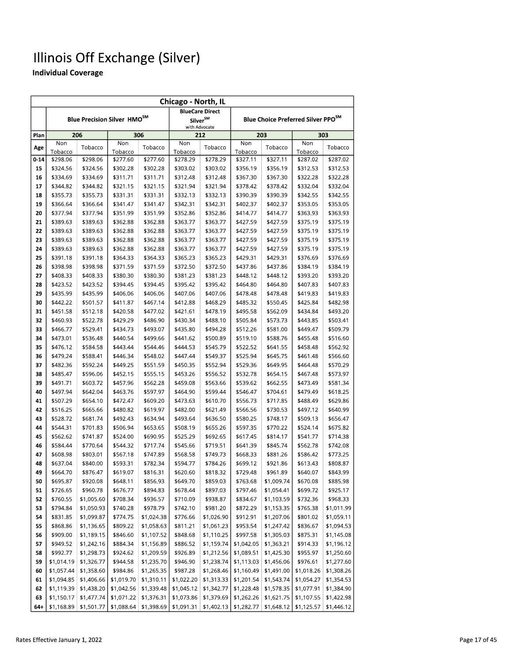|          | Chicago - North, IL  |                      |                                         |                      |                      |                                 |                      |                      |                                                |                      |
|----------|----------------------|----------------------|-----------------------------------------|----------------------|----------------------|---------------------------------|----------------------|----------------------|------------------------------------------------|----------------------|
|          |                      |                      |                                         |                      |                      | <b>BlueCare Direct</b>          |                      |                      |                                                |                      |
|          |                      |                      | Blue Precision Silver HMO <sup>SM</sup> |                      |                      | $\mathsf{Silver}^{\mathsf{SM}}$ |                      |                      | Blue Choice Preferred Silver PPO <sup>SM</sup> |                      |
|          |                      | 206                  |                                         | 306                  | with Advocate<br>212 |                                 |                      | 203                  |                                                | 303                  |
| Plan     | Non                  |                      | Non                                     |                      | Non                  |                                 | Non                  |                      | Non                                            |                      |
| Age      | Tobacco              | Tobacco              | Tobacco                                 | Tobacco              | Tobacco              | Tobacco                         | Tobacco              | Tobacco              | Tobacco                                        | Tobacco              |
| $0 - 14$ | \$298.06             | \$298.06             | \$277.60                                | \$277.60             | \$278.29             | \$278.29                        | \$327.11             | \$327.11             | \$287.02                                       | \$287.02             |
| 15       | \$324.56             | \$324.56             | \$302.28                                | \$302.28             | \$303.02             | \$303.02                        | \$356.19             | \$356.19             | \$312.53                                       | \$312.53             |
| 16       | \$334.69             | \$334.69             | \$311.71                                | \$311.71             | \$312.48             | \$312.48                        | \$367.30             | \$367.30             | \$322.28                                       | \$322.28             |
| 17       | \$344.82             | \$344.82             | \$321.15                                | \$321.15             | \$321.94             | \$321.94                        | \$378.42             | \$378.42             | \$332.04                                       | \$332.04             |
| 18       | \$355.73             | \$355.73             | \$331.31                                | \$331.31             | \$332.13             | \$332.13                        | \$390.39             | \$390.39             | \$342.55                                       | \$342.55             |
| 19       | \$366.64             | \$366.64             | \$341.47                                | \$341.47             | \$342.31             | \$342.31                        | \$402.37             | \$402.37             | \$353.05                                       | \$353.05             |
| 20       | \$377.94             | \$377.94             | \$351.99                                | \$351.99             | \$352.86             | \$352.86                        | \$414.77             | \$414.77             | \$363.93                                       | \$363.93             |
| 21       | \$389.63             | \$389.63             | \$362.88                                | \$362.88             | \$363.77             | \$363.77                        | \$427.59             | \$427.59             | \$375.19                                       | \$375.19             |
| 22       | \$389.63             | \$389.63             | \$362.88                                | \$362.88             | \$363.77             | \$363.77                        | \$427.59             | \$427.59             | \$375.19                                       | \$375.19             |
| 23       | \$389.63             | \$389.63             | \$362.88                                | \$362.88             | \$363.77             | \$363.77                        | \$427.59             | \$427.59             | \$375.19                                       | \$375.19             |
| 24       | \$389.63             | \$389.63             | \$362.88                                | \$362.88             | \$363.77             | \$363.77                        | \$427.59             | \$427.59             | \$375.19                                       | \$375.19             |
| 25       | \$391.18             | \$391.18             | \$364.33                                | \$364.33             | \$365.23             | \$365.23                        | \$429.31             | \$429.31             | \$376.69                                       | \$376.69             |
| 26       | \$398.98             | \$398.98             | \$371.59                                | \$371.59             | \$372.50             | \$372.50                        | \$437.86             | \$437.86             | \$384.19                                       | \$384.19             |
| 27       | \$408.33             | \$408.33             | \$380.30                                | \$380.30             | \$381.23             | \$381.23                        | \$448.12             | \$448.12             | \$393.20                                       | \$393.20             |
| 28       | \$423.52             | \$423.52             | \$394.45                                | \$394.45             | \$395.42             | \$395.42                        | \$464.80             | \$464.80             | \$407.83                                       | \$407.83             |
| 29       | \$435.99             | \$435.99             | \$406.06                                | \$406.06             | \$407.06             | \$407.06                        | \$478.48             | \$478.48             | \$419.83                                       | \$419.83             |
| 30       | \$442.22             | \$501.57             | \$411.87                                | \$467.14             | \$412.88             | \$468.29                        | \$485.32             | \$550.45             | \$425.84                                       | \$482.98             |
| 31       | \$451.58             | \$512.18             | \$420.58                                | \$477.02             | \$421.61             | \$478.19                        | \$495.58             | \$562.09             | \$434.84                                       | \$493.20             |
| 32       | \$460.93             | \$522.78             | \$429.29                                | \$486.90             | \$430.34             | \$488.10                        | \$505.84             | \$573.73             | \$443.85                                       | \$503.41             |
| 33       | \$466.77             | \$529.41             | \$434.73                                | \$493.07             | \$435.80             | \$494.28                        | \$512.26             | \$581.00             | \$449.47                                       | \$509.79             |
| 34       | \$473.01             | \$536.48             | \$440.54                                | \$499.66             | \$441.62             | \$500.89                        | \$519.10             | \$588.76             | \$455.48                                       | \$516.60             |
| 35       | \$476.12             | \$584.58             | \$443.44                                | \$544.46             | \$444.53             | \$545.79                        | \$522.52             | \$641.55             | \$458.48                                       | \$562.92             |
| 36       | \$479.24             | \$588.41             | \$446.34                                | \$548.02             | \$447.44             | \$549.37                        | \$525.94             | \$645.75             | \$461.48                                       | \$566.60             |
| 37       | \$482.36             | \$592.24             | \$449.25                                | \$551.59             | \$450.35             | \$552.94                        | \$529.36             | \$649.95             | \$464.48                                       | \$570.29             |
| 38       | \$485.47             | \$596.06             | \$452.15                                | \$555.15             | \$453.26             | \$556.52                        | \$532.78             | \$654.15             | \$467.48                                       | \$573.97             |
| 39       | \$491.71             | \$603.72             | \$457.96                                | \$562.28             | \$459.08             | \$563.66                        | \$539.62             | \$662.55             | \$473.49                                       | \$581.34             |
| 40       | \$497.94             | \$642.04             | \$463.76                                | \$597.97             | \$464.90             | \$599.44                        | \$546.47             | \$704.61             | \$479.49                                       | \$618.25             |
| 41       | \$507.29             | \$654.10             | \$472.47                                | \$609.20             | \$473.63             | \$610.70                        | \$556.73             | \$717.85             | \$488.49                                       | \$629.86             |
| 42       | \$516.25             | \$665.66             | \$480.82                                | \$619.97             | \$482.00             | \$621.49                        | \$566.56             | \$730.53             | \$497.12                                       | \$640.99             |
| 43       | \$528.72             | \$681.74             | \$492.43                                | \$634.94             | \$493.64             | \$636.50                        | \$580.25             | \$748.17             | \$509.13                                       | \$656.47             |
| 44       | \$544.31             | \$701.83             | \$506.94                                | \$653.65             | \$508.19             | \$655.26                        | \$597.35             | \$770.22             | \$524.14                                       | \$675.82<br>\$714.38 |
| 45<br>46 | \$562.62<br>\$584.44 | \$741.87<br>\$770.64 | \$524.00<br>\$544.32                    | \$690.95<br>\$717.74 | \$525.29<br>\$545.66 | \$692.65<br>\$719.51            | \$617.45             | \$814.17<br>\$845.74 | \$541.77<br>\$562.78                           | \$742.08             |
| 47       | \$608.98             | \$803.01             | \$567.18                                | \$747.89             | \$568.58             | \$749.73                        | \$641.39<br>\$668.33 | \$881.26             | \$586.42                                       | \$773.25             |
| 48       | \$637.04             | \$840.00             | \$593.31                                | \$782.34             | \$594.77             | \$784.26                        | \$699.12             | \$921.86             | \$613.43                                       | \$808.87             |
|          | \$664.70             | \$876.47             |                                         | \$816.31             | \$620.60             | \$818.32                        | \$729.48             | \$961.89             | \$640.07                                       | \$843.99             |
| 49<br>50 | \$695.87             | \$920.08             | \$619.07<br>\$648.11                    | \$856.93             | \$649.70             | \$859.03                        | \$763.68             | \$1,009.74           | \$670.08                                       | \$885.98             |
| 51       | \$726.65             | \$960.78             | \$676.77                                | \$894.83             | \$678.44             | \$897.03                        | \$797.46             | \$1,054.41           | \$699.72                                       | \$925.17             |
| 52       | \$760.55             | \$1,005.60           | \$708.34                                | \$936.57             | \$710.09             | \$938.87                        | \$834.67             | \$1,103.59           | \$732.36                                       | \$968.33             |
| 53       | \$794.84             | \$1,050.93           | \$740.28                                | \$978.79             | \$742.10             | \$981.20                        | \$872.29             | \$1,153.35           | \$765.38                                       | \$1,011.99           |
| 54       | \$831.85             | \$1,099.87           | \$774.75                                | \$1,024.38           | \$776.66             | \$1,026.90                      | \$912.91             | \$1,207.06           | \$801.02                                       | \$1,059.11           |
| 55       | \$868.86             | \$1,136.65           | \$809.22                                | \$1,058.63           | \$811.21             | \$1,061.23                      | \$953.54             | \$1,247.42           | \$836.67                                       | \$1,094.53           |
| 56       | \$909.00             | \$1,189.15           | \$846.60                                | \$1,107.52           | \$848.68             | \$1,110.25                      | \$997.58             | \$1,305.03           | \$875.31                                       | \$1,145.08           |
| 57       | \$949.52             | \$1,242.16           | \$884.34                                | \$1,156.89           | \$886.52             | \$1,159.74                      | \$1,042.05           | \$1,363.21           | \$914.33                                       | \$1,196.12           |
| 58       | \$992.77             | \$1,298.73           | \$924.62                                | \$1,209.59           | \$926.89             | \$1,212.56                      | \$1,089.51           | \$1,425.30           | \$955.97                                       | \$1,250.60           |
| 59       | \$1,014.19           | \$1,326.77           | \$944.58                                | \$1,235.70           | \$946.90             | \$1,238.74                      | \$1,113.03           | \$1,456.06           | \$976.61                                       | \$1,277.60           |
| 60       | \$1,057.44           | \$1,358.60           | \$984.86                                | \$1,265.35           | \$987.28             | \$1,268.46                      | \$1,160.49           | \$1,491.00           | \$1,018.26                                     | \$1,308.26           |
| 61       | \$1,094.85           | \$1,406.66           | \$1,019.70                              | \$1,310.11           | \$1,022.20           | \$1,313.33                      | \$1,201.54           | \$1,543.74           | \$1,054.27                                     | \$1,354.53           |
| 62       | \$1,119.39           | \$1,438.20           | \$1,042.56                              | \$1,339.48           | \$1,045.12           | \$1,342.77                      | \$1,228.48           | \$1,578.35           | \$1,077.91                                     | \$1,384.90           |
| 63       | \$1,150.17           | \$1,477.74           | \$1,071.22                              | \$1,376.31           | \$1,073.86           | \$1,379.69                      | \$1,262.26           | \$1,621.75           | \$1,107.55                                     | \$1,422.98           |
| $64 +$   | \$1,168.89           | \$1,501.77           | \$1,088.64                              | \$1,398.69           | \$1,091.31           | \$1,402.13                      | \$1,282.77           | \$1,648.12           | \$1,125.57                                     | \$1,446.12           |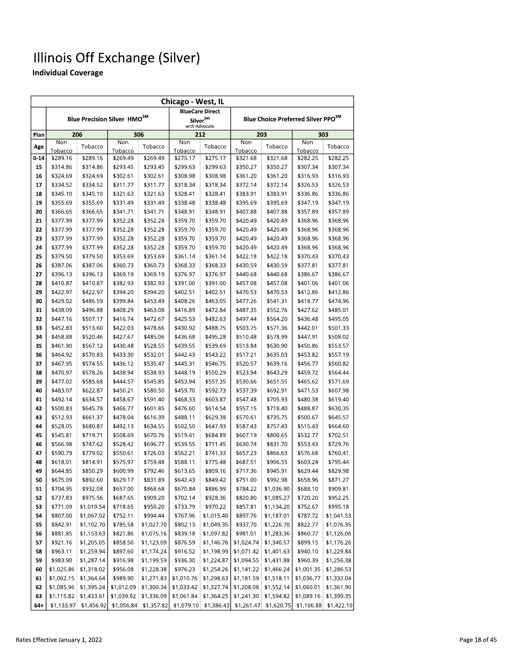|          | Chicago - West, IL   |                          |                                         |                      |                      |                          |                      |                          |                                                |                        |
|----------|----------------------|--------------------------|-----------------------------------------|----------------------|----------------------|--------------------------|----------------------|--------------------------|------------------------------------------------|------------------------|
|          |                      |                          |                                         |                      |                      | <b>BlueCare Direct</b>   |                      |                          |                                                |                        |
|          |                      |                          | Blue Precision Silver HMO <sup>SM</sup> |                      | Silver <sup>SM</sup> |                          |                      |                          | Blue Choice Preferred Silver PPO <sup>SM</sup> |                        |
|          |                      | 206                      |                                         | 306                  |                      | with Advocate            |                      | 203                      |                                                | 303                    |
| Plan     | Non                  |                          | Non                                     |                      | Non                  | 212                      | Non                  |                          | Non                                            |                        |
| Age      | Tobacco              | Tobacco                  | Tobacco                                 | Tobacco              | Tobacco              | Tobacco                  | Tobacco              | Tobacco                  | Tobacco                                        | Tobacco                |
| $0 - 14$ | \$289.16             | \$289.16                 | \$269.49                                | \$269.49             | \$275.17             | \$275.17                 | \$321.68             | \$321.68                 | \$282.25                                       | \$282.25               |
| 15       | \$314.86             | \$314.86                 | \$293.45                                | \$293.45             | \$299.63             | \$299.63                 | \$350.27             | \$350.27                 | \$307.34                                       | \$307.34               |
| 16       | \$324.69             | \$324.69                 | \$302.61                                | \$302.61             | \$308.98             | \$308.98                 | \$361.20             | \$361.20                 | \$316.93                                       | \$316.93               |
| 17       | \$334.52             | \$334.52                 | \$311.77                                | \$311.77             | \$318.34             | \$318.34                 | \$372.14             | \$372.14                 | \$326.53                                       | \$326.53               |
| 18       | \$345.10             | \$345.10                 | \$321.63                                | \$321.63             | \$328.41             | \$328.41                 | \$383.91             | \$383.91                 | \$336.86                                       | \$336.86               |
| 19       | \$355.69             | \$355.69                 | \$331.49                                | \$331.49             | \$338.48             | \$338.48                 | \$395.69             | \$395.69                 | \$347.19                                       | \$347.19               |
| 20       | \$366.65             | \$366.65                 | \$341.71                                | \$341.71             | \$348.91             | \$348.91                 | \$407.88             | \$407.88                 | \$357.89                                       | \$357.89               |
| 21       | \$377.99             | \$377.99                 | \$352.28                                | \$352.28             | \$359.70             | \$359.70                 | \$420.49             | \$420.49                 | \$368.96                                       | \$368.96               |
| 22       | \$377.99             | \$377.99                 | \$352.28                                | \$352.28             | \$359.70             | \$359.70                 | \$420.49             | \$420.49                 | \$368.96                                       | \$368.96               |
| 23       | \$377.99             | \$377.99                 | \$352.28                                | \$352.28             | \$359.70             | \$359.70                 | \$420.49             | \$420.49                 | \$368.96                                       | \$368.96               |
| 24       | \$377.99             | \$377.99                 | \$352.28                                | \$352.28             | \$359.70             | \$359.70                 | \$420.49             | \$420.49                 | \$368.96                                       | \$368.96               |
| 25       | \$379.50             | \$379.50                 | \$353.69                                | \$353.69             | \$361.14             | \$361.14                 | \$422.18             | \$422.18                 | \$370.43                                       | \$370.43               |
| 26       | \$387.06             | \$387.06                 | \$360.73                                | \$360.73             | \$368.33             | \$368.33                 | \$430.59             | \$430.59                 | \$377.81                                       | \$377.81               |
| 27       | \$396.13             | \$396.13                 | \$369.19                                | \$369.19             | \$376.97             | \$376.97                 | \$440.68             | \$440.68                 | \$386.67                                       | \$386.67               |
| 28       | \$410.87             | \$410.87                 | \$382.93                                | \$382.93             | \$391.00             | \$391.00                 | \$457.08             | \$457.08                 | \$401.06                                       | \$401.06               |
| 29       | \$422.97             | \$422.97                 | \$394.20                                | \$394.20             | \$402.51             | \$402.51                 | \$470.53             | \$470.53                 | \$412.86                                       | \$412.86               |
| 30       | \$429.02             | \$486.59                 | \$399.84                                | \$453.49             | \$408.26             | \$463.05                 | \$477.26             | \$541.31                 | \$418.77                                       | \$474.96               |
| 31       | \$438.09             | \$496.88                 | \$408.29                                | \$463.08             | \$416.89             | \$472.84                 | \$487.35             | \$552.76                 | \$427.62                                       | \$485.01               |
| 32       | \$447.16             | \$507.17                 | \$416.74                                | \$472.67             | \$425.53             | \$482.63                 | \$497.44             | \$564.20                 | \$436.48                                       | \$495.05               |
| 33       | \$452.83             | \$513.60                 | \$422.03                                | \$478.66             | \$430.92             | \$488.75                 | \$503.75             | \$571.36                 | \$442.01                                       | \$501.33               |
| 34       | \$458.88             | \$520.46                 | \$427.67                                | \$485.06             | \$436.68             | \$495.28                 | \$510.48             | \$578.99                 | \$447.91                                       | \$508.02               |
| 35       | \$461.90             | \$567.12                 | \$430.48                                | \$528.55             | \$439.55             | \$539.69                 | \$513.84             | \$630.90                 | \$450.86                                       | \$553.57               |
| 36       | \$464.92             | \$570.83                 | \$433.30                                | \$532.01             | \$442.43             | \$543.22                 | \$517.21             | \$635.03                 | \$453.82                                       | \$557.19               |
| 37       | \$467.95             | \$574.55                 | \$436.12                                | \$535.47             | \$445.31             | \$546.75                 | \$520.57             | \$639.16                 | \$456.77                                       | \$560.82               |
| 38       | \$470.97             | \$578.26                 | \$438.94                                | \$538.93             | \$448.19             | \$550.29                 | \$523.94             | \$643.29                 | \$459.72                                       | \$564.44               |
| 39       | \$477.02             | \$585.68                 | \$444.57                                | \$545.85             | \$453.94             | \$557.35                 | \$530.66             | \$651.55                 | \$465.62                                       | \$571.69               |
| 40       | \$483.07             | \$622.87                 | \$450.21                                | \$580.50             | \$459.70             | \$592.73                 | \$537.39             | \$692.91                 | \$471.53                                       | \$607.98               |
| 41       | \$492.14             | \$634.57                 | \$458.67                                | \$591.40             | \$468.33             | \$603.87                 | \$547.48             | \$705.93                 | \$480.38                                       | \$619.40               |
| 42       | \$500.83             | \$645.78                 | \$466.77                                | \$601.85             | \$476.60             | \$614.54                 | \$557.15             | \$718.40                 | \$488.87                                       | \$630.35               |
| 43       | \$512.93             | \$661.37                 | \$478.04                                | \$616.39             | \$488.11             | \$629.38                 | \$570.61             | \$735.75                 | \$500.67                                       | \$645.57               |
| 44       | \$528.05             | \$680.87                 | \$492.13                                | \$634.55             | \$502.50             | \$647.93                 | \$587.43             | \$757.43                 | \$515.43                                       | \$664.60               |
| 45       | \$545.81             | \$719.71                 | \$508.69                                | \$670.76             | \$519.41             | \$684.89                 | \$607.19             | \$800.65                 | \$532.77                                       | \$702.51               |
| 46       | \$566.98             | \$747.62                 | \$528.42                                | \$696.77             | \$539.55             | \$711.45                 | \$630.74             | \$831.70                 | \$553.43                                       | \$729.76               |
| 47       | \$590.79             | \$779.02                 | \$550.61                                | \$726.03             | \$562.21             | \$741.33                 | \$657.23             | \$866.63                 | \$576.68                                       | \$760.41               |
| 48       | \$618.01             | \$814.91                 | \$575.97                                | \$759.48             | \$588.11             | \$775.48                 | \$687.51             | \$906.55                 | \$603.24                                       | \$795.44               |
| 49       | \$644.85             | \$850.29                 | \$600.99                                | \$792.46             | \$613.65             | \$809.16                 | \$717.36             | \$945.91<br>\$992.98     | \$629.44                                       | \$829.98               |
| 50       | \$675.09             | \$892.60                 | \$629.17                                | \$831.89             | \$642.43             | \$849.42                 | \$751.00             |                          | \$658.96                                       | \$871.27               |
| 51       | \$704.95             | \$932.08                 | \$657.00                                | \$868.68             | \$670.84             | \$886.99                 | \$784.22             | \$1,036.90               | \$688.10                                       | \$909.81               |
| 52       | \$737.83             | \$975.56                 | \$687.65<br>\$718.65                    | \$909.20             | \$702.14<br>\$733.79 | \$928.36                 | \$820.80             | \$1,085.27               | \$720.20                                       | \$952.25               |
| 53       | \$771.09<br>\$807.00 | \$1,019.54<br>\$1,067.02 | \$752.11                                | \$950.20<br>\$994.44 | \$767.96             | \$970.22<br>\$1,015.40   | \$857.81<br>\$897.76 | \$1,134.20<br>\$1,187.01 | \$752.67<br>\$787.72                           | \$995.18<br>\$1,041.53 |
| 54       |                      | \$1,102.70               | \$785.58                                | \$1,027.70           | \$802.13             |                          | \$937.70             | \$1,226.70               | \$822.77                                       | \$1,076.35             |
| 55       | \$842.91<br>\$881.85 | \$1,153.63               | \$821.86                                | \$1,075.16           | \$839.18             | \$1,049.35<br>\$1,097.82 | \$981.01             | \$1,283.36               | \$860.77                                       | \$1,126.06             |
| 56<br>57 | \$921.16             | \$1,205.05               | \$858.50                                | \$1,123.09           | \$876.59             | \$1,146.76               | \$1,024.74           | \$1,340.57               | \$899.15                                       | \$1,176.26             |
| 58       | \$963.11             | \$1,259.94               | \$897.60                                | \$1,174.24           | \$916.52             | \$1,198.99               | \$1,071.42           | \$1,401.63               | \$940.10                                       | \$1,229.84             |
| 59       | \$983.90             | \$1,287.14               | \$916.98                                | \$1,199.59           | \$936.30             | \$1,224.87               | \$1,094.55           | \$1,431.88               | \$960.39                                       | \$1,256.38             |
| 60       | \$1,025.86           | \$1,318.02               | \$956.08                                | \$1,228.38           | \$976.23             | \$1,254.26               | \$1,141.22           | \$1,466.24               | \$1,001.35                                     | \$1,286.53             |
| 61       | \$1,062.15           | \$1,364.64               | \$989.90                                | \$1,271.83           | \$1,010.76           | \$1,298.63               | \$1,181.59           | \$1,518.11               | \$1,036.77                                     | \$1,332.04             |
| 62       | \$1,085.96           | \$1,395.24               | \$1,012.09                              | \$1,300.34           | \$1,033.42           | \$1,327.74               | \$1,208.08           | \$1,552.14               | \$1,060.01                                     | \$1,361.90             |
| 63       | \$1,115.82           | \$1,433.61               | \$1,039.92                              | \$1,336.09           | \$1,061.84           | \$1,364.25               | \$1,241.30           | \$1,594.82               | \$1,089.16                                     | \$1,399.35             |
| $64+$    | \$1,133.97           | \$1,456.92               | \$1,056.84                              | \$1,357.82           | \$1,079.10           | \$1,386.43               | \$1,261.47           | \$1,620.75               | \$1,106.88                                     | \$1,422.10             |
|          |                      |                          |                                         |                      |                      |                          |                      |                          |                                                |                        |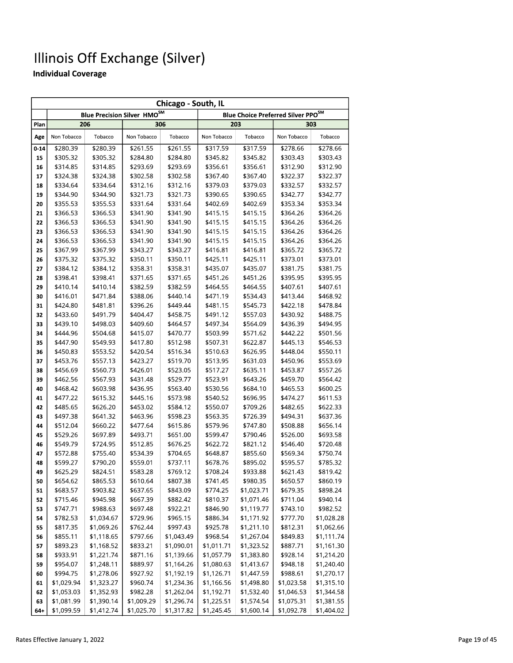|          | Chicago - South, IL  |                          |                                    |                          |                          |                          |                                                |                          |  |
|----------|----------------------|--------------------------|------------------------------------|--------------------------|--------------------------|--------------------------|------------------------------------------------|--------------------------|--|
|          |                      |                          | <b>Blue Precision Silver HMOSM</b> |                          |                          |                          | Blue Choice Preferred Silver PPO <sup>SM</sup> |                          |  |
| Plan     |                      | 206                      | 306                                |                          |                          | 203                      |                                                | 303                      |  |
| Age      | Non Tobacco          | Tobacco                  | Non Tobacco                        | Tobacco                  | Non Tobacco              | Tobacco                  | Non Tobacco                                    | Tobacco                  |  |
| $0 - 14$ | \$280.39             | \$280.39                 | \$261.55                           | \$261.55                 | \$317.59                 | \$317.59                 | \$278.66                                       | \$278.66                 |  |
| 15       | \$305.32             | \$305.32                 | \$284.80                           | \$284.80                 | \$345.82                 | \$345.82                 | \$303.43                                       | \$303.43                 |  |
| 16       | \$314.85             | \$314.85                 | \$293.69                           | \$293.69                 | \$356.61                 | \$356.61                 | \$312.90                                       | \$312.90                 |  |
| 17       | \$324.38             | \$324.38                 | \$302.58                           | \$302.58                 | \$367.40                 | \$367.40                 | \$322.37                                       | \$322.37                 |  |
| 18       | \$334.64             | \$334.64                 | \$312.16                           | \$312.16                 | \$379.03                 | \$379.03                 | \$332.57                                       | \$332.57                 |  |
| 19       | \$344.90             | \$344.90                 | \$321.73                           | \$321.73                 | \$390.65                 | \$390.65                 | \$342.77                                       | \$342.77                 |  |
| 20       | \$355.53             | \$355.53                 | \$331.64                           | \$331.64                 | \$402.69                 | \$402.69                 | \$353.34                                       | \$353.34                 |  |
| 21       | \$366.53             | \$366.53                 | \$341.90                           | \$341.90                 | \$415.15                 | \$415.15                 | \$364.26                                       | \$364.26                 |  |
| 22       | \$366.53             | \$366.53                 | \$341.90                           | \$341.90                 | \$415.15                 | \$415.15                 | \$364.26                                       | \$364.26                 |  |
| 23       | \$366.53             | \$366.53                 | \$341.90                           | \$341.90                 | \$415.15                 | \$415.15                 | \$364.26                                       | \$364.26                 |  |
| 24       | \$366.53             | \$366.53                 | \$341.90                           | \$341.90                 | \$415.15                 | \$415.15                 | \$364.26                                       | \$364.26                 |  |
| 25       | \$367.99             | \$367.99                 | \$343.27                           | \$343.27                 | \$416.81                 | \$416.81                 | \$365.72                                       | \$365.72                 |  |
| 26       | \$375.32             | \$375.32                 | \$350.11                           | \$350.11                 | \$425.11                 | \$425.11                 | \$373.01                                       | \$373.01                 |  |
| 27       | \$384.12             | \$384.12                 | \$358.31                           | \$358.31                 | \$435.07                 | \$435.07                 | \$381.75                                       | \$381.75                 |  |
| 28       | \$398.41             | \$398.41                 | \$371.65                           | \$371.65                 | \$451.26                 | \$451.26                 | \$395.95                                       | \$395.95                 |  |
| 29       | \$410.14             | \$410.14                 | \$382.59                           | \$382.59                 | \$464.55                 | \$464.55                 | \$407.61                                       | \$407.61                 |  |
| 30       | \$416.01             | \$471.84                 | \$388.06                           | \$440.14                 | \$471.19                 | \$534.43                 | \$413.44                                       | \$468.92                 |  |
| 31       | \$424.80             | \$481.81                 | \$396.26                           | \$449.44                 | \$481.15                 | \$545.73                 | \$422.18                                       | \$478.84                 |  |
| 32       | \$433.60             | \$491.79                 | \$404.47                           | \$458.75                 | \$491.12                 | \$557.03                 | \$430.92                                       | \$488.75                 |  |
| 33       | \$439.10             | \$498.03                 | \$409.60                           | \$464.57                 | \$497.34                 | \$564.09                 | \$436.39                                       | \$494.95                 |  |
| 34       | \$444.96             | \$504.68                 | \$415.07                           | \$470.77                 | \$503.99                 | \$571.62                 | \$442.22                                       | \$501.56                 |  |
| 35       | \$447.90             | \$549.93                 | \$417.80                           | \$512.98                 | \$507.31                 | \$622.87                 | \$445.13                                       | \$546.53                 |  |
| 36       | \$450.83             | \$553.52                 | \$420.54                           | \$516.34                 | \$510.63                 | \$626.95                 | \$448.04                                       | \$550.11                 |  |
| 37       | \$453.76             | \$557.13                 | \$423.27                           | \$519.70                 | \$513.95                 | \$631.03                 | \$450.96                                       | \$553.69                 |  |
| 38       | \$456.69             | \$560.73                 | \$426.01                           | \$523.05                 | \$517.27                 | \$635.11                 | \$453.87                                       | \$557.26                 |  |
| 39       | \$462.56             | \$567.93                 | \$431.48                           | \$529.77                 | \$523.91                 | \$643.26                 | \$459.70                                       | \$564.42                 |  |
| 40       | \$468.42             | \$603.98                 | \$436.95                           | \$563.40                 | \$530.56                 | \$684.10                 | \$465.53                                       | \$600.25                 |  |
| 41       | \$477.22             | \$615.32                 | \$445.16                           | \$573.98                 | \$540.52                 | \$696.95                 | \$474.27                                       | \$611.53                 |  |
| 42       | \$485.65             | \$626.20                 | \$453.02                           | \$584.12                 | \$550.07                 | \$709.26                 | \$482.65                                       | \$622.33                 |  |
| 43       | \$497.38             | \$641.32                 | \$463.96                           | \$598.23                 | \$563.35                 | \$726.39                 | \$494.31                                       | \$637.36                 |  |
| 44       | \$512.04             | \$660.22                 | \$477.64                           | \$615.86                 | \$579.96                 | \$747.80                 | \$508.88                                       | \$656.14                 |  |
| 45       | \$529.26             | \$697.89                 | \$493.71                           | \$651.00                 | \$599.47                 | \$790.46                 | \$526.00                                       | \$693.58                 |  |
| 46       | \$549.79             | \$724.95                 | \$512.85                           | \$676.25                 | \$622.72                 | \$821.12                 | \$546.40                                       | \$720.48                 |  |
| 47       | \$572.88             | \$755.40                 | \$534.39                           | \$704.65                 | \$648.87                 | \$855.60                 | \$569.34                                       | \$750.74                 |  |
| 48       | \$599.27             | \$790.20                 | \$559.01                           | \$737.11                 | \$678.76                 | \$895.02                 | \$595.57                                       | \$785.32                 |  |
| 49       | \$625.29             | \$824.51                 | \$583.28                           | \$769.12                 | \$708.24                 | \$933.88                 | \$621.43                                       | \$819.42                 |  |
| 50       | \$654.62             | \$865.53                 | \$610.64                           | \$807.38                 | \$741.45                 | \$980.35                 | \$650.57                                       | \$860.19                 |  |
| 51       | \$683.57             | \$903.82                 | \$637.65                           | \$843.09                 | \$774.25                 | \$1,023.71               | \$679.35                                       | \$898.24                 |  |
| 52       | \$715.46             | \$945.98                 | \$667.39                           | \$882.42                 | \$810.37                 | \$1,071.46               | \$711.04                                       | \$940.14                 |  |
| 53       | \$747.71             | \$988.63                 | \$697.48                           | \$922.21                 | \$846.90                 | \$1,119.77               | \$743.10                                       | \$982.52                 |  |
| 54       | \$782.53             | \$1,034.67               | \$729.96                           | \$965.15                 | \$886.34<br>\$925.78     | \$1,171.92               | \$777.70                                       | \$1,028.28               |  |
| 55       | \$817.35             | \$1,069.26               | \$762.44<br>\$797.66               | \$997.43                 | \$968.54                 | \$1,211.10<br>\$1,267.04 | \$812.31                                       | \$1,062.66               |  |
| 56       | \$855.11<br>\$893.23 | \$1,118.65               |                                    | \$1,043.49               |                          |                          | \$849.83                                       | \$1,111.74<br>\$1,161.30 |  |
| 57       |                      | \$1,168.52               | \$833.21                           | \$1,090.01               | \$1,011.71               | \$1,323.52               | \$887.71                                       |                          |  |
| 58       | \$933.91             | \$1,221.74               | \$871.16                           | \$1,139.66               | \$1,057.79               | \$1,383.80               | \$928.14                                       | \$1,214.20               |  |
| 59       | \$954.07<br>\$994.75 | \$1,248.11               | \$889.97                           | \$1,164.26               | \$1,080.63               | \$1,413.67               | \$948.18                                       | \$1,240.40               |  |
| 60       | \$1,029.94           | \$1,278.06               | \$927.92<br>\$960.74               | \$1,192.19<br>\$1,234.36 | \$1,126.71<br>\$1,166.56 | \$1,447.59<br>\$1,498.80 | \$988.61<br>\$1,023.58                         | \$1,270.17<br>\$1,315.10 |  |
| 61       | \$1,053.03           | \$1,323.27               | \$982.28                           | \$1,262.04               |                          |                          |                                                |                          |  |
| 62<br>63 | \$1,081.99           | \$1,352.93               | \$1,009.29                         | \$1,296.74               | \$1,192.71               | \$1,532.40<br>\$1,574.54 | \$1,046.53                                     | \$1,344.58<br>\$1,381.55 |  |
| $64 +$   | \$1,099.59           | \$1,390.14<br>\$1,412.74 | \$1,025.70                         | \$1,317.82               | \$1,225.51<br>\$1,245.45 | \$1,600.14               | \$1,075.31<br>\$1,092.78                       | \$1,404.02               |  |
|          |                      |                          |                                    |                          |                          |                          |                                                |                          |  |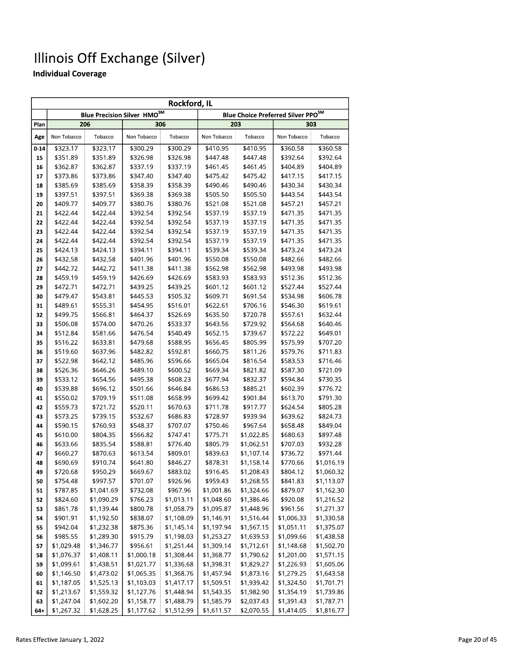|          | Rockford, IL         |                      |                                    |                      |                                                |                      |                      |                      |  |
|----------|----------------------|----------------------|------------------------------------|----------------------|------------------------------------------------|----------------------|----------------------|----------------------|--|
|          |                      |                      | <b>Blue Precision Silver HMOSM</b> |                      | Blue Choice Preferred Silver PPO <sup>SM</sup> |                      |                      |                      |  |
| Plan     |                      | 206                  |                                    | 306                  |                                                | 203                  |                      | 303                  |  |
| Age      | Non Tobacco          | Tobacco              | Non Tobacco                        | Tobacco              | Non Tobacco                                    | Tobacco              | Non Tobacco          | Tobacco              |  |
| $0 - 14$ | \$323.17             | \$323.17             | \$300.29                           | \$300.29             | \$410.95                                       | \$410.95             | \$360.58             | \$360.58             |  |
| 15       | \$351.89             | \$351.89             | \$326.98                           | \$326.98             | \$447.48                                       | \$447.48             | \$392.64             | \$392.64             |  |
| 16       | \$362.87             | \$362.87             | \$337.19                           | \$337.19             | \$461.45                                       | \$461.45             | \$404.89             | \$404.89             |  |
| 17       | \$373.86             | \$373.86             | \$347.40                           | \$347.40             | \$475.42                                       | \$475.42             | \$417.15             | \$417.15             |  |
| 18       | \$385.69             | \$385.69             | \$358.39                           | \$358.39             | \$490.46                                       | \$490.46             | \$430.34             | \$430.34             |  |
| 19       | \$397.51             | \$397.51             | \$369.38                           | \$369.38             | \$505.50                                       | \$505.50             | \$443.54             | \$443.54             |  |
| 20       | \$409.77             | \$409.77             | \$380.76                           | \$380.76             | \$521.08                                       | \$521.08             | \$457.21             | \$457.21             |  |
| 21       | \$422.44             | \$422.44             | \$392.54                           | \$392.54             | \$537.19                                       | \$537.19             | \$471.35             | \$471.35             |  |
| 22       | \$422.44             | \$422.44             | \$392.54                           | \$392.54             | \$537.19                                       | \$537.19             | \$471.35             | \$471.35             |  |
| 23       | \$422.44             | \$422.44             | \$392.54                           | \$392.54             | \$537.19                                       | \$537.19             | \$471.35             | \$471.35             |  |
| 24       | \$422.44             | \$422.44             | \$392.54                           | \$392.54             | \$537.19                                       | \$537.19             | \$471.35             | \$471.35             |  |
| 25       | \$424.13             | \$424.13             | \$394.11                           | \$394.11             | \$539.34                                       | \$539.34             | \$473.24             | \$473.24             |  |
| 26       | \$432.58             | \$432.58             | \$401.96                           | \$401.96             | \$550.08                                       | \$550.08             | \$482.66             | \$482.66             |  |
| 27       | \$442.72             | \$442.72             | \$411.38                           | \$411.38             | \$562.98                                       | \$562.98             | \$493.98             | \$493.98             |  |
| 28       | \$459.19             | \$459.19             | \$426.69                           | \$426.69             | \$583.93                                       | \$583.93             | \$512.36             | \$512.36             |  |
| 29       | \$472.71             | \$472.71             | \$439.25                           | \$439.25             | \$601.12                                       | \$601.12             | \$527.44             | \$527.44             |  |
| 30       | \$479.47             | \$543.81             | \$445.53                           | \$505.32             | \$609.71                                       | \$691.54             | \$534.98             | \$606.78             |  |
| 31       | \$489.61             | \$555.31             | \$454.95                           | \$516.01             | \$622.61                                       | \$706.16             | \$546.30             | \$619.61             |  |
| 32       | \$499.75             | \$566.81             | \$464.37                           | \$526.69             | \$635.50                                       | \$720.78             | \$557.61             | \$632.44             |  |
| 33       | \$506.08             | \$574.00             | \$470.26                           | \$533.37             | \$643.56                                       | \$729.92             | \$564.68             | \$640.46             |  |
| 34       | \$512.84             | \$581.66             | \$476.54                           | \$540.49             | \$652.15                                       | \$739.67             | \$572.22             | \$649.01             |  |
| 35       | \$516.22<br>\$519.60 | \$633.81<br>\$637.96 | \$479.68<br>\$482.82               | \$588.95<br>\$592.81 | \$656.45<br>\$660.75                           | \$805.99<br>\$811.26 | \$575.99<br>\$579.76 | \$707.20<br>\$711.83 |  |
| 36       | \$522.98             | \$642.12             | \$485.96                           | \$596.66             | \$665.04                                       | \$816.54             | \$583.53             | \$716.46             |  |
| 37<br>38 | \$526.36             | \$646.26             | \$489.10                           | \$600.52             | \$669.34                                       | \$821.82             | \$587.30             | \$721.09             |  |
| 39       | \$533.12             | \$654.56             | \$495.38                           | \$608.23             | \$677.94                                       | \$832.37             | \$594.84             | \$730.35             |  |
| 40       | \$539.88             | \$696.12             | \$501.66                           | \$646.84             | \$686.53                                       | \$885.21             | \$602.39             | \$776.72             |  |
| 41       | \$550.02             | \$709.19             | \$511.08                           | \$658.99             | \$699.42                                       | \$901.84             | \$613.70             | \$791.30             |  |
| 42       | \$559.73             | \$721.72             | \$520.11                           | \$670.63             | \$711.78                                       | \$917.77             | \$624.54             | \$805.28             |  |
| 43       | \$573.25             | \$739.15             | \$532.67                           | \$686.83             | \$728.97                                       | \$939.94             | \$639.62             | \$824.73             |  |
| 44       | \$590.15             | \$760.93             | \$548.37                           | \$707.07             | \$750.46                                       | \$967.64             | \$658.48             | \$849.04             |  |
| 45       | \$610.00             | \$804.35             | \$566.82                           | \$747.41             | \$775.71                                       | \$1,022.85           | \$680.63             | \$897.48             |  |
| 46       | \$633.66             | \$835.54             | \$588.81                           | \$776.40             | \$805.79                                       | \$1,062.51           | \$707.03             | \$932.28             |  |
| 47       | \$660.27             | \$870.63             | \$613.54                           | \$809.01             | \$839.63                                       | \$1,107.14           | \$736.72             | \$971.44             |  |
| 48       | \$690.69             | \$910.74             | \$641.80                           | \$846.27             | \$878.31                                       | \$1,158.14           | \$770.66             | \$1,016.19           |  |
| 49       | \$720.68             | \$950.29             | \$669.67                           | \$883.02             | \$916.45                                       | \$1,208.43           | \$804.12             | \$1,060.32           |  |
| 50       | \$754.48             | \$997.57             | \$701.07                           | \$926.96             | \$959.43                                       | \$1,268.55           | \$841.83             | \$1,113.07           |  |
| 51       | \$787.85             | \$1,041.69           | \$732.08                           | \$967.96             | \$1,001.86                                     | \$1,324.66           | \$879.07             | \$1,162.30           |  |
| 52       | \$824.60             | \$1,090.29           | \$766.23                           | \$1,013.11           | \$1,048.60                                     | \$1,386.46           | \$920.08             | \$1,216.52           |  |
| 53       | \$861.78             | \$1,139.44           | \$800.78                           | \$1,058.79           | \$1,095.87                                     | \$1,448.96           | \$961.56             | \$1,271.37           |  |
| 54       | \$901.91             | \$1,192.50           | \$838.07                           | \$1,108.09           | \$1,146.91                                     | \$1,516.44           | \$1,006.33           | \$1,330.58           |  |
| 55       | \$942.04             | \$1,232.38           | \$875.36                           | \$1,145.14           | \$1,197.94                                     | \$1,567.15           | \$1,051.11           | \$1,375.07           |  |
| 56       | \$985.55             | \$1,289.30           | \$915.79                           | \$1,198.03           | \$1,253.27                                     | \$1,639.53           | \$1,099.66           | \$1,438.58           |  |
| 57       | \$1,029.48           | \$1,346.77           | \$956.61                           | \$1,251.44           | \$1,309.14                                     | \$1,712.61           | \$1,148.68           | \$1,502.70           |  |
| 58       | \$1,076.37           | \$1,408.11           | \$1,000.18                         | \$1,308.44           | \$1,368.77                                     | \$1,790.62           | \$1,201.00           | \$1,571.15           |  |
| 59       | \$1,099.61           | \$1,438.51           | \$1,021.77                         | \$1,336.68           | \$1,398.31                                     | \$1,829.27           | \$1,226.93           | \$1,605.06           |  |
| 60       | \$1,146.50           | \$1,473.02           | \$1,065.35                         | \$1,368.76           | \$1,457.94                                     | \$1,873.16           | \$1,279.25           | \$1,643.58           |  |
| 61       | \$1,187.05           | \$1,525.13           | \$1,103.03                         | \$1,417.17           | \$1,509.51                                     | \$1,939.42           | \$1,324.50           | \$1,701.71           |  |
| 62       | \$1,213.67           | \$1,559.32           | \$1,127.76                         | \$1,448.94           | \$1,543.35                                     | \$1,982.90           | \$1,354.19           | \$1,739.86           |  |
| 63       | \$1,247.04           | \$1,602.20           | \$1,158.77                         | \$1,488.79           | \$1,585.79                                     | \$2,037.43           | \$1,391.43           | \$1,787.71           |  |
| $64+$    | \$1,267.32           | \$1,628.25           | \$1,177.62                         | \$1,512.99           | \$1,611.57                                     | \$2,070.55           | \$1,414.05           | \$1,816.77           |  |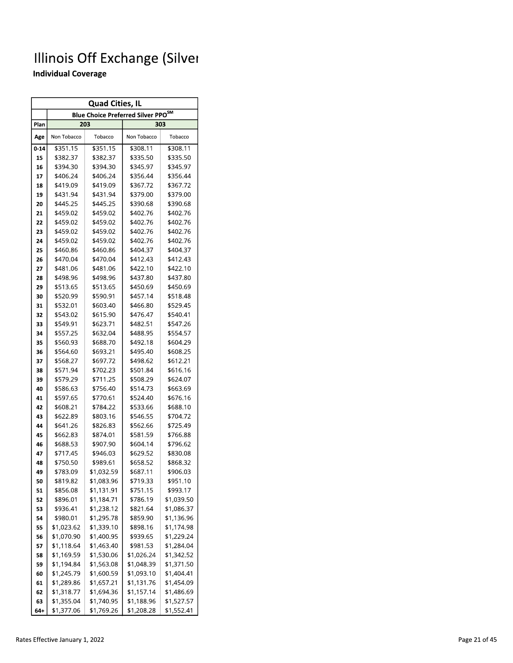| <b>Quad Cities, IL</b> |                      |                          |                                                |                          |  |  |  |  |  |  |
|------------------------|----------------------|--------------------------|------------------------------------------------|--------------------------|--|--|--|--|--|--|
|                        |                      |                          | Blue Choice Preferred Silver PPO <sup>SM</sup> |                          |  |  |  |  |  |  |
| Plan                   |                      | 203                      |                                                | 303                      |  |  |  |  |  |  |
| Age                    | Non Tobacco          | Tobacco                  | Non Tobacco                                    | Tobacco                  |  |  |  |  |  |  |
| $0 - 14$               | \$351.15             | \$351.15                 | \$308.11                                       | \$308.11                 |  |  |  |  |  |  |
| 15                     | \$382.37             | \$382.37                 | \$335.50                                       | \$335.50                 |  |  |  |  |  |  |
| 16                     | \$394.30             | \$394.30                 | \$345.97                                       | \$345.97                 |  |  |  |  |  |  |
| 17                     | \$406.24             | \$406.24                 | \$356.44                                       | \$356.44                 |  |  |  |  |  |  |
| 18                     | \$419.09             | \$419.09                 | \$367.72                                       | \$367.72                 |  |  |  |  |  |  |
| 19                     | \$431.94             | \$431.94                 | \$379.00                                       | \$379.00                 |  |  |  |  |  |  |
| 20                     | \$445.25             | \$445.25                 | \$390.68                                       | \$390.68                 |  |  |  |  |  |  |
| 21                     | \$459.02             | \$459.02                 | \$402.76                                       | \$402.76                 |  |  |  |  |  |  |
| 22                     | \$459.02             | \$459.02                 | \$402.76                                       | \$402.76                 |  |  |  |  |  |  |
| 23                     | \$459.02             | \$459.02                 | \$402.76                                       | \$402.76                 |  |  |  |  |  |  |
| 24                     | \$459.02             | \$459.02                 | \$402.76                                       | \$402.76                 |  |  |  |  |  |  |
| 25                     | \$460.86             | \$460.86                 | \$404.37                                       | \$404.37                 |  |  |  |  |  |  |
| 26                     | \$470.04             | \$470.04                 | \$412.43                                       | \$412.43                 |  |  |  |  |  |  |
| 27                     | \$481.06             | \$481.06                 | \$422.10                                       | \$422.10                 |  |  |  |  |  |  |
| 28                     | \$498.96             | \$498.96                 | \$437.80                                       | \$437.80                 |  |  |  |  |  |  |
| 29                     | \$513.65             | \$513.65                 | \$450.69                                       | \$450.69                 |  |  |  |  |  |  |
| 30                     | \$520.99             | \$590.91                 | \$457.14                                       | \$518.48                 |  |  |  |  |  |  |
| 31                     | \$532.01             | \$603.40                 | \$466.80                                       | \$529.45                 |  |  |  |  |  |  |
| 32                     | \$543.02             | \$615.90                 | \$476.47                                       | \$540.41                 |  |  |  |  |  |  |
| 33                     | \$549.91             | \$623.71                 | \$482.51                                       | \$547.26                 |  |  |  |  |  |  |
| 34                     | \$557.25             | \$632.04                 | \$488.95                                       | \$554.57                 |  |  |  |  |  |  |
| 35                     | \$560.93             | \$688.70                 | \$492.18                                       | \$604.29                 |  |  |  |  |  |  |
| 36                     | \$564.60             | \$693.21                 | \$495.40                                       | \$608.25                 |  |  |  |  |  |  |
| 37                     | \$568.27             | \$697.72                 | \$498.62                                       | \$612.21                 |  |  |  |  |  |  |
| 38                     | \$571.94             | \$702.23                 | \$501.84                                       | \$616.16                 |  |  |  |  |  |  |
| 39                     | \$579.29             | \$711.25                 | \$508.29                                       | \$624.07                 |  |  |  |  |  |  |
| 40                     | \$586.63             | \$756.40                 | \$514.73                                       | \$663.69                 |  |  |  |  |  |  |
| 41                     | \$597.65             | \$770.61                 | \$524.40                                       | \$676.16                 |  |  |  |  |  |  |
| 42                     | \$608.21             | \$784.22                 | \$533.66                                       | \$688.10                 |  |  |  |  |  |  |
| 43                     | \$622.89             | \$803.16                 | \$546.55                                       | \$704.72                 |  |  |  |  |  |  |
| 44                     | \$641.26             | \$826.83                 | \$562.66                                       | \$725.49                 |  |  |  |  |  |  |
| 45                     | \$662.83             | \$874.01                 | \$581.59                                       | \$766.88                 |  |  |  |  |  |  |
| 46                     | \$688.53             | \$907.90                 | \$604.14                                       | \$796.62                 |  |  |  |  |  |  |
| 47                     | \$717.45             | \$946.03                 | \$629.52                                       | \$830.08                 |  |  |  |  |  |  |
| 48                     | \$750.50             | \$989.61                 | \$658.52                                       | \$868.32                 |  |  |  |  |  |  |
| 49                     | \$783.09             | \$1,032.59               | \$687.11                                       | \$906.03                 |  |  |  |  |  |  |
| 50                     | \$819.82             | \$1,083.96<br>\$1,131.91 | \$719.33<br>\$751.15                           | \$951.10<br>\$993.17     |  |  |  |  |  |  |
| 51                     | \$856.08<br>\$896.01 | \$1,184.71               | \$786.19                                       |                          |  |  |  |  |  |  |
| 52                     | \$936.41             | \$1,238.12               | \$821.64                                       | \$1,039.50<br>\$1,086.37 |  |  |  |  |  |  |
| 53<br>54               | \$980.01             | \$1,295.78               | \$859.90                                       | \$1,136.96               |  |  |  |  |  |  |
| 55                     | \$1,023.62           | \$1,339.10               | \$898.16                                       | \$1,174.98               |  |  |  |  |  |  |
| 56                     | \$1,070.90           | \$1,400.95               | \$939.65                                       | \$1,229.24               |  |  |  |  |  |  |
| 57                     | \$1,118.64           | \$1,463.40               | \$981.53                                       | \$1,284.04               |  |  |  |  |  |  |
| 58                     | \$1,169.59           | \$1,530.06               | \$1,026.24                                     | \$1,342.52               |  |  |  |  |  |  |
| 59                     | \$1,194.84           | \$1,563.08               | \$1,048.39                                     | \$1,371.50               |  |  |  |  |  |  |
| 60                     | \$1,245.79           | \$1,600.59               | \$1,093.10                                     | \$1,404.41               |  |  |  |  |  |  |
| 61                     | \$1,289.86           | \$1,657.21               | \$1,131.76                                     | \$1,454.09               |  |  |  |  |  |  |
| 62                     | \$1,318.77           | \$1,694.36               | \$1,157.14                                     | \$1,486.69               |  |  |  |  |  |  |
| 63                     | \$1,355.04           | \$1,740.95               | \$1,188.96                                     | \$1,527.57               |  |  |  |  |  |  |
| 64+                    | \$1,377.06           | \$1,769.26               | \$1,208.28                                     | \$1,552.41               |  |  |  |  |  |  |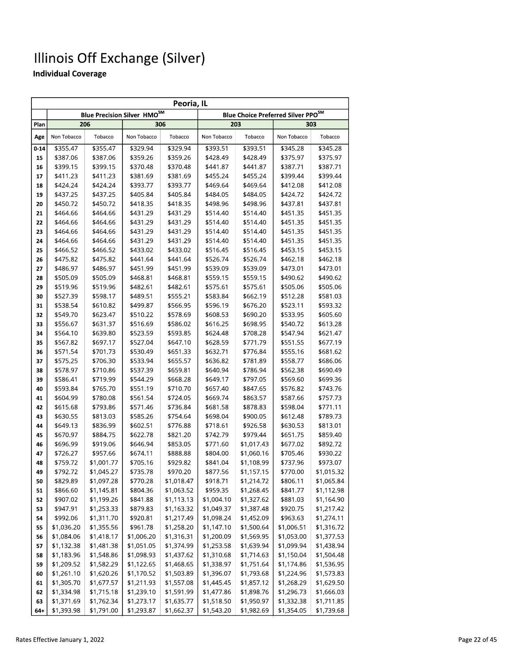|          | Peoria, IL           |                      |                                    |                      |                                                |                      |                      |                      |  |
|----------|----------------------|----------------------|------------------------------------|----------------------|------------------------------------------------|----------------------|----------------------|----------------------|--|
|          |                      |                      | <b>Blue Precision Silver HMOSM</b> |                      | Blue Choice Preferred Silver PPO <sup>SM</sup> |                      |                      |                      |  |
| Plan     |                      | 206                  | 306                                |                      |                                                | 203                  |                      | 303                  |  |
| Age      | Non Tobacco          | Tobacco              | Non Tobacco                        | Tobacco              | Non Tobacco                                    | Tobacco              | Non Tobacco          | Tobacco              |  |
| $0 - 14$ | \$355.47             | \$355.47             | \$329.94                           | \$329.94             | \$393.51                                       | \$393.51             | \$345.28             | \$345.28             |  |
| 15       | \$387.06             | \$387.06             | \$359.26                           | \$359.26             | \$428.49                                       | \$428.49             | \$375.97             | \$375.97             |  |
| 16       | \$399.15             | \$399.15             | \$370.48                           | \$370.48             | \$441.87                                       | \$441.87             | \$387.71             | \$387.71             |  |
| 17       | \$411.23             | \$411.23             | \$381.69                           | \$381.69             | \$455.24                                       | \$455.24             | \$399.44             | \$399.44             |  |
| 18       | \$424.24             | \$424.24             | \$393.77                           | \$393.77             | \$469.64                                       | \$469.64             | \$412.08             | \$412.08             |  |
| 19       | \$437.25             | \$437.25             | \$405.84                           | \$405.84             | \$484.05                                       | \$484.05             | \$424.72             | \$424.72             |  |
| 20       | \$450.72             | \$450.72             | \$418.35                           | \$418.35             | \$498.96                                       | \$498.96             | \$437.81             | \$437.81             |  |
| 21       | \$464.66             | \$464.66             | \$431.29                           | \$431.29             | \$514.40                                       | \$514.40             | \$451.35             | \$451.35             |  |
| 22       | \$464.66             | \$464.66             | \$431.29                           | \$431.29             | \$514.40                                       | \$514.40             | \$451.35             | \$451.35             |  |
| 23       | \$464.66             | \$464.66             | \$431.29                           | \$431.29             | \$514.40                                       | \$514.40             | \$451.35             | \$451.35             |  |
| 24       | \$464.66             | \$464.66             | \$431.29                           | \$431.29             | \$514.40                                       | \$514.40             | \$451.35             | \$451.35             |  |
| 25       | \$466.52             | \$466.52             | \$433.02                           | \$433.02             | \$516.45                                       | \$516.45             | \$453.15             | \$453.15             |  |
| 26       | \$475.82             | \$475.82             | \$441.64                           | \$441.64             | \$526.74                                       | \$526.74             | \$462.18             | \$462.18             |  |
| 27       | \$486.97             | \$486.97             | \$451.99                           | \$451.99             | \$539.09                                       | \$539.09             | \$473.01             | \$473.01             |  |
| 28       | \$505.09             | \$505.09             | \$468.81                           | \$468.81             | \$559.15                                       | \$559.15             | \$490.62             | \$490.62             |  |
| 29       | \$519.96             | \$519.96             | \$482.61                           | \$482.61             | \$575.61                                       | \$575.61             | \$505.06             | \$505.06             |  |
| 30       | \$527.39             | \$598.17             | \$489.51                           | \$555.21             | \$583.84                                       | \$662.19             | \$512.28             | \$581.03             |  |
| 31       | \$538.54             | \$610.82             | \$499.87                           | \$566.95             | \$596.19                                       | \$676.20             | \$523.11             | \$593.32             |  |
| 32       | \$549.70             | \$623.47             | \$510.22                           | \$578.69             | \$608.53                                       | \$690.20             | \$533.95             | \$605.60             |  |
| 33       | \$556.67             | \$631.37             | \$516.69                           | \$586.02             | \$616.25                                       | \$698.95             | \$540.72             | \$613.28             |  |
| 34       | \$564.10             | \$639.80             | \$523.59                           | \$593.85             | \$624.48                                       | \$708.28             | \$547.94             | \$621.47             |  |
| 35       | \$567.82             | \$697.17             | \$527.04                           | \$647.10             | \$628.59                                       | \$771.79             | \$551.55             | \$677.19             |  |
| 36       | \$571.54             | \$701.73             | \$530.49                           | \$651.33             | \$632.71                                       | \$776.84             | \$555.16             | \$681.62             |  |
| 37       | \$575.25             | \$706.30             | \$533.94                           | \$655.57             | \$636.82                                       | \$781.89             | \$558.77             | \$686.06             |  |
| 38       | \$578.97             | \$710.86             | \$537.39                           | \$659.81             | \$640.94                                       | \$786.94             | \$562.38             | \$690.49             |  |
| 39       | \$586.41             | \$719.99             | \$544.29                           | \$668.28             | \$649.17                                       | \$797.05             | \$569.60             | \$699.36             |  |
| 40       | \$593.84             | \$765.70             | \$551.19                           | \$710.70             | \$657.40                                       | \$847.65             | \$576.82             | \$743.76             |  |
| 41       | \$604.99             | \$780.08             | \$561.54                           | \$724.05             | \$669.74                                       | \$863.57             | \$587.66             | \$757.73             |  |
| 42       | \$615.68<br>\$630.55 | \$793.86<br>\$813.03 | \$571.46<br>\$585.26               | \$736.84<br>\$754.64 | \$681.58<br>\$698.04                           | \$878.83<br>\$900.05 | \$598.04<br>\$612.48 | \$771.11<br>\$789.73 |  |
| 43<br>44 | \$649.13             | \$836.99             | \$602.51                           | \$776.88             | \$718.61                                       | \$926.58             | \$630.53             | \$813.01             |  |
| 45       | \$670.97             | \$884.75             | \$622.78                           | \$821.20             | \$742.79                                       | \$979.44             | \$651.75             | \$859.40             |  |
| 46       | \$696.99             | \$919.06             | \$646.94                           | \$853.05             | \$771.60                                       | \$1,017.43           | \$677.02             | \$892.72             |  |
| 47       | \$726.27             | \$957.66             | \$674.11                           | \$888.88             | \$804.00                                       | \$1,060.16           | \$705.46             | \$930.22             |  |
| 48       | \$759.72             | \$1,001.77           | \$705.16                           | \$929.82             | \$841.04                                       | \$1,108.99           | \$737.96             | \$973.07             |  |
| 49       | \$792.72             | \$1,045.27           | \$735.78                           | \$970.20             | \$877.56                                       | \$1,157.15           | \$770.00             | \$1,015.32           |  |
| 50       | \$829.89             | \$1,097.28           | \$770.28                           | \$1,018.47           | \$918.71                                       | \$1,214.72           | \$806.11             | \$1,065.84           |  |
| 51       | \$866.60             | \$1,145.81           | \$804.36                           | \$1,063.52           | \$959.35                                       | \$1,268.45           | \$841.77             | \$1,112.98           |  |
| 52       | \$907.02             | \$1,199.26           | \$841.88                           | \$1,113.13           | \$1,004.10                                     | \$1,327.62           | \$881.03             | \$1,164.90           |  |
| 53       | \$947.91             | \$1,253.33           | \$879.83                           | \$1,163.32           | \$1,049.37                                     | \$1,387.48           | \$920.75             | \$1,217.42           |  |
| 54       | \$992.06             | \$1,311.70           | \$920.81                           | \$1,217.49           | \$1,098.24                                     | \$1,452.09           | \$963.63             | \$1,274.11           |  |
| 55       | \$1,036.20           | \$1,355.56           | \$961.78                           | \$1,258.20           | \$1,147.10                                     | \$1,500.64           | \$1,006.51           | \$1,316.72           |  |
| 56       | \$1,084.06           | \$1,418.17           | \$1,006.20                         | \$1,316.31           | \$1,200.09                                     | \$1,569.95           | \$1,053.00           | \$1,377.53           |  |
| 57       | \$1,132.38           | \$1,481.38           | \$1,051.05                         | \$1,374.99           | \$1,253.58                                     | \$1,639.94           | \$1,099.94           | \$1,438.94           |  |
| 58       | \$1,183.96           | \$1,548.86           | \$1,098.93                         | \$1,437.62           | \$1,310.68                                     | \$1,714.63           | \$1,150.04           | \$1,504.48           |  |
| 59       | \$1,209.52           | \$1,582.29           | \$1,122.65                         | \$1,468.65           | \$1,338.97                                     | \$1,751.64           | \$1,174.86           | \$1,536.95           |  |
| 60       | \$1,261.10           | \$1,620.26           | \$1,170.52                         | \$1,503.89           | \$1,396.07                                     | \$1,793.68           | \$1,224.96           | \$1,573.83           |  |
| 61       | \$1,305.70           | \$1,677.57           | \$1,211.93                         | \$1,557.08           | \$1,445.45                                     | \$1,857.12           | \$1,268.29           | \$1,629.50           |  |
| 62       | \$1,334.98           | \$1,715.18           | \$1,239.10                         | \$1,591.99           | \$1,477.86                                     | \$1,898.76           | \$1,296.73           | \$1,666.03           |  |
| 63       | \$1,371.69           | \$1,762.34           | \$1,273.17                         | \$1,635.77           | \$1,518.50                                     | \$1,950.97           | \$1,332.38           | \$1,711.85           |  |
| $64 +$   | \$1,393.98           | \$1,791.00           | \$1,293.87                         | \$1,662.37           | \$1,543.20                                     | \$1,982.69           | \$1,354.05           | \$1,739.68           |  |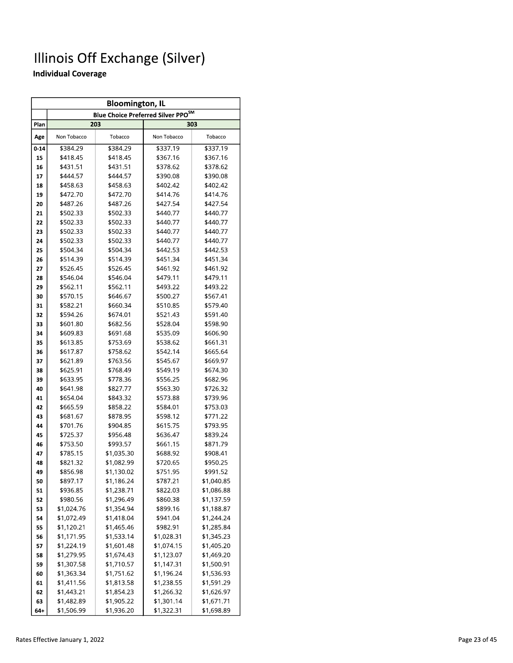|          | <b>Bloomington, IL</b>   |                          |                                                |                          |  |  |  |  |  |  |
|----------|--------------------------|--------------------------|------------------------------------------------|--------------------------|--|--|--|--|--|--|
|          |                          |                          | Blue Choice Preferred Silver PPO <sup>SM</sup> |                          |  |  |  |  |  |  |
| Plan     |                          | 203                      |                                                | 303                      |  |  |  |  |  |  |
| Age      | Non Tobacco              | Tobacco                  | Non Tobacco                                    | Tobacco                  |  |  |  |  |  |  |
| $0 - 14$ | \$384.29                 | \$384.29                 | \$337.19                                       | \$337.19                 |  |  |  |  |  |  |
| 15       | \$418.45                 | \$418.45                 | \$367.16                                       | \$367.16                 |  |  |  |  |  |  |
| 16       | \$431.51                 | \$431.51                 | \$378.62                                       | \$378.62                 |  |  |  |  |  |  |
| 17       | \$444.57                 | \$444.57                 | \$390.08                                       | \$390.08                 |  |  |  |  |  |  |
| 18       | \$458.63                 | \$458.63                 | \$402.42                                       | \$402.42                 |  |  |  |  |  |  |
| 19       | \$472.70                 | \$472.70                 | \$414.76                                       | \$414.76                 |  |  |  |  |  |  |
| 20       | \$487.26                 | \$487.26                 | \$427.54                                       | \$427.54                 |  |  |  |  |  |  |
| 21       | \$502.33                 | \$502.33                 | \$440.77                                       | \$440.77                 |  |  |  |  |  |  |
| 22       | \$502.33                 | \$502.33                 | \$440.77                                       | \$440.77                 |  |  |  |  |  |  |
| 23       | \$502.33                 | \$502.33                 | \$440.77                                       | \$440.77                 |  |  |  |  |  |  |
| 24       | \$502.33                 | \$502.33                 | \$440.77                                       | \$440.77                 |  |  |  |  |  |  |
| 25       | \$504.34                 | \$504.34                 | \$442.53                                       | \$442.53                 |  |  |  |  |  |  |
| 26       | \$514.39                 | \$514.39                 | \$451.34                                       | \$451.34                 |  |  |  |  |  |  |
| 27       | \$526.45                 | \$526.45                 | \$461.92                                       | \$461.92                 |  |  |  |  |  |  |
| 28       | \$546.04                 | \$546.04                 | \$479.11                                       | \$479.11                 |  |  |  |  |  |  |
| 29       | \$562.11                 | \$562.11                 | \$493.22                                       | \$493.22                 |  |  |  |  |  |  |
| 30       | \$570.15                 | \$646.67                 | \$500.27                                       | \$567.41                 |  |  |  |  |  |  |
| 31       | \$582.21                 | \$660.34                 | \$510.85                                       | \$579.40                 |  |  |  |  |  |  |
| 32       | \$594.26                 | \$674.01                 | \$521.43                                       | \$591.40                 |  |  |  |  |  |  |
| 33       | \$601.80                 | \$682.56                 | \$528.04                                       | \$598.90                 |  |  |  |  |  |  |
| 34       | \$609.83                 | \$691.68                 | \$535.09                                       | \$606.90                 |  |  |  |  |  |  |
| 35       | \$613.85                 | \$753.69                 | \$538.62                                       | \$661.31                 |  |  |  |  |  |  |
| 36       | \$617.87                 | \$758.62                 | \$542.14                                       | \$665.64                 |  |  |  |  |  |  |
| 37       | \$621.89                 | \$763.56                 | \$545.67                                       | \$669.97                 |  |  |  |  |  |  |
| 38       | \$625.91                 | \$768.49                 | \$549.19                                       | \$674.30                 |  |  |  |  |  |  |
| 39       | \$633.95                 | \$778.36                 | \$556.25                                       | \$682.96                 |  |  |  |  |  |  |
| 40       | \$641.98                 | \$827.77                 | \$563.30                                       | \$726.32                 |  |  |  |  |  |  |
| 41       | \$654.04                 | \$843.32                 | \$573.88                                       | \$739.96                 |  |  |  |  |  |  |
| 42       | \$665.59                 | \$858.22                 | \$584.01                                       | \$753.03                 |  |  |  |  |  |  |
| 43       | \$681.67                 | \$878.95                 | \$598.12                                       | \$771.22                 |  |  |  |  |  |  |
| 44       | \$701.76                 | \$904.85                 | \$615.75                                       | \$793.95                 |  |  |  |  |  |  |
| 45       | \$725.37                 | \$956.48                 | \$636.47                                       | \$839.24                 |  |  |  |  |  |  |
| 46       | \$753.50                 | \$993.57                 | \$661.15                                       | \$871.79                 |  |  |  |  |  |  |
| 47       | \$785.15                 | \$1,035.30               | \$688.92                                       | \$908.41                 |  |  |  |  |  |  |
| 48       | \$821.32                 | \$1,082.99               | \$720.65                                       | \$950.25                 |  |  |  |  |  |  |
| 49       | \$856.98                 | \$1,130.02               | \$751.95                                       | \$991.52                 |  |  |  |  |  |  |
| 50       | \$897.17                 | \$1,186.24               | \$787.21                                       | \$1,040.85               |  |  |  |  |  |  |
| 51       | \$936.85                 | \$1,238.71               | \$822.03                                       | \$1,086.88               |  |  |  |  |  |  |
| 52       | \$980.56                 | \$1,296.49               | \$860.38                                       | \$1,137.59               |  |  |  |  |  |  |
| 53       | \$1,024.76               | \$1,354.94               | \$899.16                                       | \$1,188.87               |  |  |  |  |  |  |
| 54       | \$1,072.49               | \$1,418.04               | \$941.04                                       | \$1,244.24               |  |  |  |  |  |  |
| 55       | \$1,120.21               | \$1,465.46               | \$982.91<br>\$1,028.31                         | \$1,285.84               |  |  |  |  |  |  |
| 56       | \$1,171.95<br>\$1,224.19 | \$1,533.14               |                                                | \$1,345.23               |  |  |  |  |  |  |
| 57<br>58 | \$1,279.95               | \$1,601.48<br>\$1,674.43 | \$1,074.15<br>\$1,123.07                       | \$1,405.20<br>\$1,469.20 |  |  |  |  |  |  |
| 59       | \$1,307.58               | \$1,710.57               | \$1,147.31                                     | \$1,500.91               |  |  |  |  |  |  |
| 60       | \$1,363.34               | \$1,751.62               | \$1,196.24                                     | \$1,536.93               |  |  |  |  |  |  |
| 61       | \$1,411.56               | \$1,813.58               | \$1,238.55                                     | \$1,591.29               |  |  |  |  |  |  |
| 62       | \$1,443.21               | \$1,854.23               | \$1,266.32                                     | \$1,626.97               |  |  |  |  |  |  |
| 63       | \$1,482.89               | \$1,905.22               | \$1,301.14                                     | \$1,671.71               |  |  |  |  |  |  |
| 64+      | \$1,506.99               | \$1,936.20               | \$1,322.31                                     | \$1,698.89               |  |  |  |  |  |  |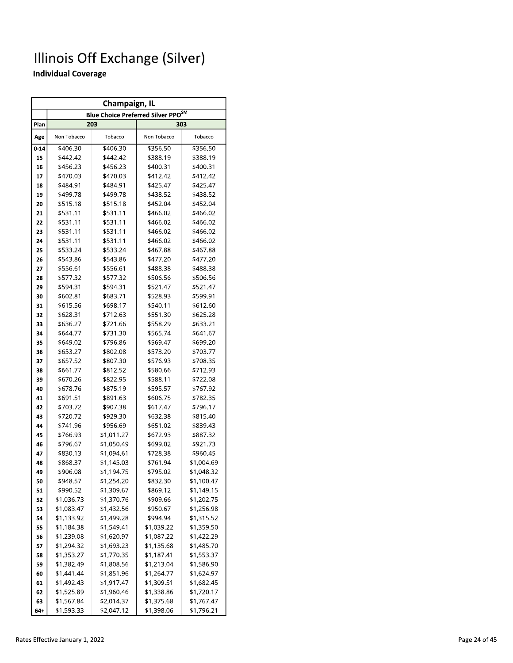|          | Champaign, IL<br>Blue Choice Preferred Silver PPO <sup>SM</sup> |                          |                      |                          |  |  |  |  |  |  |  |  |  |
|----------|-----------------------------------------------------------------|--------------------------|----------------------|--------------------------|--|--|--|--|--|--|--|--|--|
|          |                                                                 |                          |                      |                          |  |  |  |  |  |  |  |  |  |
| Plan     |                                                                 | 203                      |                      | 303                      |  |  |  |  |  |  |  |  |  |
| Age      | Non Tobacco                                                     | Tobacco                  | Non Tobacco          | Tobacco                  |  |  |  |  |  |  |  |  |  |
| $0 - 14$ | \$406.30                                                        | \$406.30                 | \$356.50             | \$356.50                 |  |  |  |  |  |  |  |  |  |
| 15       | \$442.42                                                        | \$442.42                 | \$388.19             | \$388.19                 |  |  |  |  |  |  |  |  |  |
| 16       | \$456.23                                                        | \$456.23                 | \$400.31             | \$400.31                 |  |  |  |  |  |  |  |  |  |
| 17       | \$470.03                                                        | \$470.03                 | \$412.42             | \$412.42                 |  |  |  |  |  |  |  |  |  |
| 18       | \$484.91                                                        | \$484.91                 | \$425.47             | \$425.47                 |  |  |  |  |  |  |  |  |  |
| 19       | \$499.78                                                        | \$499.78                 | \$438.52             | \$438.52                 |  |  |  |  |  |  |  |  |  |
| 20       | \$515.18                                                        | \$515.18                 | \$452.04             | \$452.04                 |  |  |  |  |  |  |  |  |  |
| 21       | \$531.11                                                        | \$531.11                 | \$466.02             | \$466.02                 |  |  |  |  |  |  |  |  |  |
| 22       | \$531.11                                                        | \$531.11                 | \$466.02             | \$466.02                 |  |  |  |  |  |  |  |  |  |
| 23       | \$531.11                                                        | \$531.11                 | \$466.02             | \$466.02                 |  |  |  |  |  |  |  |  |  |
| 24       | \$531.11                                                        | \$531.11                 | \$466.02             | \$466.02                 |  |  |  |  |  |  |  |  |  |
| 25       | \$533.24                                                        | \$533.24                 | \$467.88             | \$467.88                 |  |  |  |  |  |  |  |  |  |
| 26       | \$543.86                                                        | \$543.86                 | \$477.20             | \$477.20                 |  |  |  |  |  |  |  |  |  |
| 27       | \$556.61                                                        | \$556.61                 | \$488.38             | \$488.38                 |  |  |  |  |  |  |  |  |  |
| 28       | \$577.32                                                        | \$577.32                 | \$506.56             | \$506.56                 |  |  |  |  |  |  |  |  |  |
| 29       | \$594.31                                                        | \$594.31                 | \$521.47             | \$521.47                 |  |  |  |  |  |  |  |  |  |
| 30       | \$602.81                                                        | \$683.71                 | \$528.93             | \$599.91                 |  |  |  |  |  |  |  |  |  |
| 31       | \$615.56                                                        | \$698.17                 | \$540.11             | \$612.60                 |  |  |  |  |  |  |  |  |  |
| 32       | \$628.31                                                        | \$712.63                 | \$551.30             | \$625.28                 |  |  |  |  |  |  |  |  |  |
| 33       | \$636.27                                                        | \$721.66                 | \$558.29             | \$633.21                 |  |  |  |  |  |  |  |  |  |
| 34       | \$644.77                                                        | \$731.30                 | \$565.74             | \$641.67                 |  |  |  |  |  |  |  |  |  |
| 35       | \$649.02                                                        | \$796.86                 | \$569.47             | \$699.20                 |  |  |  |  |  |  |  |  |  |
| 36       | \$653.27                                                        | \$802.08                 | \$573.20             | \$703.77                 |  |  |  |  |  |  |  |  |  |
| 37       | \$657.52                                                        | \$807.30                 | \$576.93             | \$708.35                 |  |  |  |  |  |  |  |  |  |
| 38       | \$661.77                                                        | \$812.52                 | \$580.66             | \$712.93                 |  |  |  |  |  |  |  |  |  |
| 39       | \$670.26                                                        | \$822.95                 | \$588.11             | \$722.08                 |  |  |  |  |  |  |  |  |  |
| 40       | \$678.76                                                        | \$875.19                 | \$595.57             | \$767.92                 |  |  |  |  |  |  |  |  |  |
| 41       | \$691.51                                                        | \$891.63                 | \$606.75             | \$782.35                 |  |  |  |  |  |  |  |  |  |
| 42       | \$703.72                                                        | \$907.38                 | \$617.47             | \$796.17                 |  |  |  |  |  |  |  |  |  |
| 43       | \$720.72                                                        | \$929.30                 | \$632.38             | \$815.40                 |  |  |  |  |  |  |  |  |  |
| 44       | \$741.96                                                        | \$956.69                 | \$651.02             | \$839.43                 |  |  |  |  |  |  |  |  |  |
| 45       | \$766.93                                                        | \$1,011.27               | \$672.93             | \$887.32                 |  |  |  |  |  |  |  |  |  |
| 46       | \$796.67                                                        | \$1,050.49               | \$699.02             | \$921.73                 |  |  |  |  |  |  |  |  |  |
| 47       | \$830.13                                                        | \$1,094.61               | \$728.38             | \$960.45<br>\$1,004.69   |  |  |  |  |  |  |  |  |  |
| 48       | \$868.37                                                        | \$1,145.03<br>\$1,194.75 | \$761.94             |                          |  |  |  |  |  |  |  |  |  |
| 49       | \$906.08                                                        |                          | \$795.02             | \$1,048.32               |  |  |  |  |  |  |  |  |  |
| 50       | \$948.57                                                        | \$1,254.20               | \$832.30             | \$1,100.47               |  |  |  |  |  |  |  |  |  |
| 51       | \$990.52<br>\$1,036.73                                          | \$1,309.67<br>\$1,370.76 | \$869.12<br>\$909.66 | \$1,149.15<br>\$1,202.75 |  |  |  |  |  |  |  |  |  |
| 52<br>53 | \$1,083.47                                                      | \$1,432.56               | \$950.67             | \$1,256.98               |  |  |  |  |  |  |  |  |  |
| 54       | \$1,133.92                                                      | \$1,499.28               | \$994.94             | \$1,315.52               |  |  |  |  |  |  |  |  |  |
| 55       | \$1,184.38                                                      | \$1,549.41               | \$1,039.22           | \$1,359.50               |  |  |  |  |  |  |  |  |  |
| 56       | \$1,239.08                                                      | \$1,620.97               | \$1,087.22           | \$1,422.29               |  |  |  |  |  |  |  |  |  |
| 57       | \$1,294.32                                                      | \$1,693.23               | \$1,135.68           | \$1,485.70               |  |  |  |  |  |  |  |  |  |
| 58       | \$1,353.27                                                      | \$1,770.35               | \$1,187.41           | \$1,553.37               |  |  |  |  |  |  |  |  |  |
| 59       | \$1,382.49                                                      | \$1,808.56               | \$1,213.04           | \$1,586.90               |  |  |  |  |  |  |  |  |  |
| 60       | \$1,441.44                                                      | \$1,851.96               | \$1,264.77           | \$1,624.97               |  |  |  |  |  |  |  |  |  |
| 61       | \$1,492.43                                                      | \$1,917.47               | \$1,309.51           | \$1,682.45               |  |  |  |  |  |  |  |  |  |
| 62       | \$1,525.89                                                      | \$1,960.46               | \$1,338.86           | \$1,720.17               |  |  |  |  |  |  |  |  |  |
| 63       | \$1,567.84                                                      | \$2,014.37               | \$1,375.68           | \$1,767.47               |  |  |  |  |  |  |  |  |  |
| 64+      | \$1,593.33                                                      | \$2,047.12               | \$1,398.06           | \$1,796.21               |  |  |  |  |  |  |  |  |  |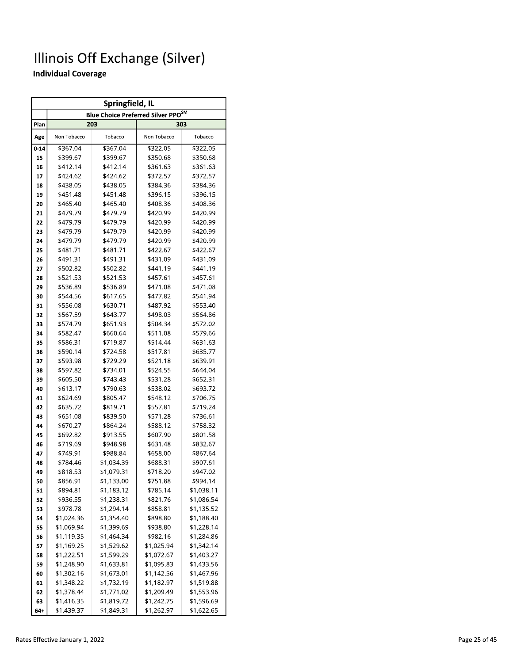|          | Springfield, IL<br><b>Blue Choice Preferred Silver PPO<sup>SM</sup></b> |            |             |            |  |  |  |  |  |  |  |  |  |
|----------|-------------------------------------------------------------------------|------------|-------------|------------|--|--|--|--|--|--|--|--|--|
|          |                                                                         |            |             |            |  |  |  |  |  |  |  |  |  |
| Plan     |                                                                         | 203        |             | 303        |  |  |  |  |  |  |  |  |  |
| Age      | Non Tobacco                                                             | Tobacco    | Non Tobacco | Tobacco    |  |  |  |  |  |  |  |  |  |
| $0 - 14$ | \$367.04                                                                | \$367.04   | \$322.05    | \$322.05   |  |  |  |  |  |  |  |  |  |
| 15       | \$399.67                                                                | \$399.67   | \$350.68    | \$350.68   |  |  |  |  |  |  |  |  |  |
| 16       | \$412.14                                                                | \$412.14   | \$361.63    | \$361.63   |  |  |  |  |  |  |  |  |  |
| 17       | \$424.62                                                                | \$424.62   | \$372.57    | \$372.57   |  |  |  |  |  |  |  |  |  |
| 18       | \$438.05                                                                | \$438.05   | \$384.36    | \$384.36   |  |  |  |  |  |  |  |  |  |
| 19       | \$451.48                                                                | \$451.48   | \$396.15    | \$396.15   |  |  |  |  |  |  |  |  |  |
| 20       | \$465.40                                                                | \$465.40   | \$408.36    | \$408.36   |  |  |  |  |  |  |  |  |  |
| 21       | \$479.79                                                                | \$479.79   | \$420.99    | \$420.99   |  |  |  |  |  |  |  |  |  |
| 22       | \$479.79                                                                | \$479.79   | \$420.99    | \$420.99   |  |  |  |  |  |  |  |  |  |
| 23       | \$479.79                                                                | \$479.79   | \$420.99    | \$420.99   |  |  |  |  |  |  |  |  |  |
| 24       | \$479.79                                                                | \$479.79   | \$420.99    | \$420.99   |  |  |  |  |  |  |  |  |  |
| 25       | \$481.71                                                                | \$481.71   | \$422.67    | \$422.67   |  |  |  |  |  |  |  |  |  |
| 26       | \$491.31                                                                | \$491.31   | \$431.09    | \$431.09   |  |  |  |  |  |  |  |  |  |
| 27       | \$502.82                                                                | \$502.82   | \$441.19    | \$441.19   |  |  |  |  |  |  |  |  |  |
| 28       | \$521.53                                                                | \$521.53   | \$457.61    | \$457.61   |  |  |  |  |  |  |  |  |  |
| 29       | \$536.89                                                                | \$536.89   | \$471.08    | \$471.08   |  |  |  |  |  |  |  |  |  |
| 30       | \$544.56                                                                | \$617.65   | \$477.82    | \$541.94   |  |  |  |  |  |  |  |  |  |
| 31       | \$556.08                                                                | \$630.71   | \$487.92    | \$553.40   |  |  |  |  |  |  |  |  |  |
| 32       | \$567.59<br>\$643.77                                                    |            | \$498.03    | \$564.86   |  |  |  |  |  |  |  |  |  |
| 33       | \$574.79                                                                | \$651.93   | \$504.34    | \$572.02   |  |  |  |  |  |  |  |  |  |
| 34       | \$582.47                                                                | \$660.64   | \$511.08    | \$579.66   |  |  |  |  |  |  |  |  |  |
| 35       | \$586.31                                                                | \$719.87   | \$514.44    | \$631.63   |  |  |  |  |  |  |  |  |  |
| 36       | \$590.14                                                                | \$724.58   | \$517.81    | \$635.77   |  |  |  |  |  |  |  |  |  |
| 37       | \$593.98                                                                | \$729.29   | \$521.18    | \$639.91   |  |  |  |  |  |  |  |  |  |
| 38       | \$597.82                                                                | \$734.01   | \$524.55    | \$644.04   |  |  |  |  |  |  |  |  |  |
| 39       | \$605.50                                                                | \$743.43   | \$531.28    | \$652.31   |  |  |  |  |  |  |  |  |  |
| 40       | \$613.17                                                                | \$790.63   | \$538.02    | \$693.72   |  |  |  |  |  |  |  |  |  |
| 41       | \$624.69                                                                | \$805.47   | \$548.12    | \$706.75   |  |  |  |  |  |  |  |  |  |
| 42       | \$635.72                                                                | \$819.71   | \$557.81    | \$719.24   |  |  |  |  |  |  |  |  |  |
| 43       | \$651.08                                                                | \$839.50   | \$571.28    | \$736.61   |  |  |  |  |  |  |  |  |  |
| 44       | \$670.27                                                                | \$864.24   | \$588.12    | \$758.32   |  |  |  |  |  |  |  |  |  |
| 45       | \$692.82                                                                | \$913.55   | \$607.90    | \$801.58   |  |  |  |  |  |  |  |  |  |
| 46       | \$719.69                                                                | \$948.98   | \$631.48    | \$832.67   |  |  |  |  |  |  |  |  |  |
| 47       | \$749.91                                                                | \$988.84   | \$658.00    | \$867.64   |  |  |  |  |  |  |  |  |  |
| 48       | \$784.46                                                                | \$1,034.39 | \$688.31    | \$907.61   |  |  |  |  |  |  |  |  |  |
| 49       | \$818.53                                                                | \$1,079.31 | \$718.20    | \$947.02   |  |  |  |  |  |  |  |  |  |
| 50       | \$856.91                                                                | \$1,133.00 | \$751.88    | \$994.14   |  |  |  |  |  |  |  |  |  |
| 51       | \$894.81                                                                | \$1,183.12 | \$785.14    | \$1,038.11 |  |  |  |  |  |  |  |  |  |
| 52       | \$936.55                                                                | \$1,238.31 | \$821.76    | \$1,086.54 |  |  |  |  |  |  |  |  |  |
| 53       | \$978.78                                                                | \$1,294.14 | \$858.81    | \$1,135.52 |  |  |  |  |  |  |  |  |  |
| 54       | \$1,024.36                                                              | \$1,354.40 | \$898.80    | \$1,188.40 |  |  |  |  |  |  |  |  |  |
| 55       | \$1,069.94                                                              | \$1,399.69 | \$938.80    | \$1,228.14 |  |  |  |  |  |  |  |  |  |
| 56       | \$1,119.35                                                              | \$1,464.34 | \$982.16    | \$1,284.86 |  |  |  |  |  |  |  |  |  |
| 57       | \$1,169.25                                                              | \$1,529.62 | \$1,025.94  | \$1,342.14 |  |  |  |  |  |  |  |  |  |
| 58       | \$1,222.51                                                              | \$1,599.29 | \$1,072.67  | \$1,403.27 |  |  |  |  |  |  |  |  |  |
| 59       | \$1,248.90                                                              | \$1,633.81 | \$1,095.83  | \$1,433.56 |  |  |  |  |  |  |  |  |  |
| 60       | \$1,302.16                                                              | \$1,673.01 | \$1,142.56  | \$1,467.96 |  |  |  |  |  |  |  |  |  |
| 61       | \$1,348.22                                                              | \$1,732.19 | \$1,182.97  | \$1,519.88 |  |  |  |  |  |  |  |  |  |
| 62       | \$1,378.44                                                              | \$1,771.02 | \$1,209.49  | \$1,553.96 |  |  |  |  |  |  |  |  |  |
| 63       | \$1,416.35                                                              | \$1,819.72 | \$1,242.75  | \$1,596.69 |  |  |  |  |  |  |  |  |  |
| 64+      | \$1,439.37                                                              | \$1,849.31 | \$1,262.97  | \$1,622.65 |  |  |  |  |  |  |  |  |  |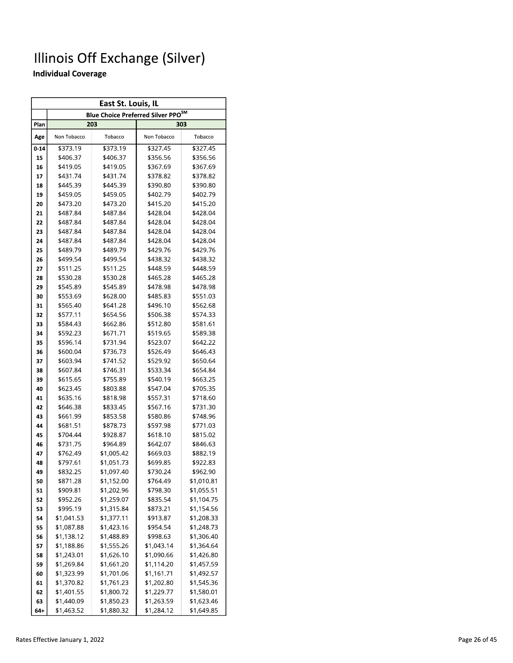|          | East St. Louis, IL<br>Blue Choice Preferred Silver PPO <sup>SM</sup> |                      |                      |                      |  |  |  |  |  |  |  |  |  |
|----------|----------------------------------------------------------------------|----------------------|----------------------|----------------------|--|--|--|--|--|--|--|--|--|
|          |                                                                      |                      |                      |                      |  |  |  |  |  |  |  |  |  |
| Plan     |                                                                      | 203                  |                      | 303                  |  |  |  |  |  |  |  |  |  |
| Age      | Non Tobacco                                                          | Tobacco              | Non Tobacco          | Tobacco              |  |  |  |  |  |  |  |  |  |
| $0 - 14$ | \$373.19                                                             | \$373.19             | \$327.45             | \$327.45             |  |  |  |  |  |  |  |  |  |
| 15       | \$406.37                                                             | \$406.37             | \$356.56             | \$356.56             |  |  |  |  |  |  |  |  |  |
| 16       | \$419.05                                                             | \$419.05             | \$367.69             | \$367.69             |  |  |  |  |  |  |  |  |  |
| 17       | \$431.74                                                             | \$431.74             | \$378.82             | \$378.82             |  |  |  |  |  |  |  |  |  |
| 18       | \$445.39                                                             | \$445.39             | \$390.80             | \$390.80             |  |  |  |  |  |  |  |  |  |
| 19       | \$459.05                                                             | \$459.05             | \$402.79             | \$402.79             |  |  |  |  |  |  |  |  |  |
| 20       | \$473.20                                                             | \$473.20             | \$415.20             | \$415.20             |  |  |  |  |  |  |  |  |  |
| 21       | \$487.84                                                             | \$487.84             | \$428.04             | \$428.04             |  |  |  |  |  |  |  |  |  |
| 22       | \$487.84                                                             | \$487.84             | \$428.04             | \$428.04             |  |  |  |  |  |  |  |  |  |
| 23       | \$487.84                                                             | \$487.84             | \$428.04             | \$428.04             |  |  |  |  |  |  |  |  |  |
| 24       | \$487.84                                                             | \$487.84             | \$428.04             | \$428.04             |  |  |  |  |  |  |  |  |  |
| 25       | \$489.79                                                             | \$489.79             | \$429.76             | \$429.76             |  |  |  |  |  |  |  |  |  |
| 26       | \$499.54                                                             | \$499.54             | \$438.32             | \$438.32             |  |  |  |  |  |  |  |  |  |
| 27       | \$511.25                                                             | \$511.25             | \$448.59             | \$448.59             |  |  |  |  |  |  |  |  |  |
| 28       | \$530.28                                                             | \$530.28             | \$465.28             | \$465.28             |  |  |  |  |  |  |  |  |  |
| 29       | \$545.89                                                             | \$545.89             | \$478.98             | \$478.98             |  |  |  |  |  |  |  |  |  |
| 30       | \$553.69                                                             | \$628.00             | \$485.83             | \$551.03             |  |  |  |  |  |  |  |  |  |
| 31       | \$565.40                                                             | \$641.28             | \$496.10             | \$562.68             |  |  |  |  |  |  |  |  |  |
| 32       | \$577.11                                                             | \$654.56             | \$506.38             | \$574.33             |  |  |  |  |  |  |  |  |  |
| 33       | \$584.43                                                             | \$662.86             | \$512.80             | \$581.61             |  |  |  |  |  |  |  |  |  |
| 34       | \$592.23                                                             | \$671.71             | \$519.65             | \$589.38             |  |  |  |  |  |  |  |  |  |
| 35       | \$596.14                                                             | \$731.94             | \$523.07             | \$642.22             |  |  |  |  |  |  |  |  |  |
| 36       | \$600.04                                                             | \$736.73             | \$526.49             | \$646.43             |  |  |  |  |  |  |  |  |  |
| 37       | \$603.94                                                             | \$741.52             | \$529.92             | \$650.64             |  |  |  |  |  |  |  |  |  |
| 38       | \$607.84                                                             | \$746.31             | \$533.34             | \$654.84             |  |  |  |  |  |  |  |  |  |
| 39       | \$615.65                                                             | \$755.89             | \$540.19             | \$663.25             |  |  |  |  |  |  |  |  |  |
| 40<br>41 | \$623.45<br>\$635.16                                                 | \$803.88<br>\$818.98 | \$547.04<br>\$557.31 | \$705.35<br>\$718.60 |  |  |  |  |  |  |  |  |  |
| 42       | \$646.38                                                             | \$833.45             | \$567.16             | \$731.30             |  |  |  |  |  |  |  |  |  |
| 43       | \$661.99                                                             | \$853.58             | \$580.86             | \$748.96             |  |  |  |  |  |  |  |  |  |
| 44       | \$681.51                                                             | \$878.73             | \$597.98             | \$771.03             |  |  |  |  |  |  |  |  |  |
| 45       | \$704.44                                                             | \$928.87             | \$618.10             | \$815.02             |  |  |  |  |  |  |  |  |  |
| 46       | \$731.75                                                             | \$964.89             | \$642.07             | \$846.63             |  |  |  |  |  |  |  |  |  |
| 47       | \$762.49                                                             | \$1,005.42           | \$669.03             | \$882.19             |  |  |  |  |  |  |  |  |  |
| 48       | \$797.61                                                             | \$1,051.73           | \$699.85             | \$922.83             |  |  |  |  |  |  |  |  |  |
| 49       | \$832.25                                                             | \$1,097.40           | \$730.24             | \$962.90             |  |  |  |  |  |  |  |  |  |
| 50       | \$871.28                                                             | \$1,152.00           | \$764.49             | \$1,010.81           |  |  |  |  |  |  |  |  |  |
| 51       | \$909.81                                                             | \$1,202.96           | \$798.30             | \$1,055.51           |  |  |  |  |  |  |  |  |  |
| 52       | \$952.26                                                             | \$1,259.07           | \$835.54             | \$1,104.75           |  |  |  |  |  |  |  |  |  |
| 53       | \$995.19                                                             | \$1,315.84           | \$873.21             | \$1,154.56           |  |  |  |  |  |  |  |  |  |
| 54       | \$1,041.53                                                           | \$1,377.11           | \$913.87             | \$1,208.33           |  |  |  |  |  |  |  |  |  |
| 55       | \$1,087.88                                                           | \$1,423.16           | \$954.54             | \$1,248.73           |  |  |  |  |  |  |  |  |  |
| 56       | \$1,138.12                                                           | \$1,488.89           | \$998.63             | \$1,306.40           |  |  |  |  |  |  |  |  |  |
| 57       | \$1,188.86                                                           | \$1,555.26           | \$1,043.14           | \$1,364.64           |  |  |  |  |  |  |  |  |  |
| 58       | \$1,243.01                                                           | \$1,626.10           | \$1,090.66           | \$1,426.80           |  |  |  |  |  |  |  |  |  |
| 59       | \$1,269.84                                                           | \$1,661.20           | \$1,114.20           | \$1,457.59           |  |  |  |  |  |  |  |  |  |
| 60       | \$1,323.99                                                           | \$1,701.06           | \$1,161.71           | \$1,492.57           |  |  |  |  |  |  |  |  |  |
| 61       | \$1,370.82                                                           | \$1,761.23           | \$1,202.80           | \$1,545.36           |  |  |  |  |  |  |  |  |  |
| 62       | \$1,401.55                                                           | \$1,800.72           | \$1,229.77           | \$1,580.01           |  |  |  |  |  |  |  |  |  |
| 63       | \$1,440.09                                                           | \$1,850.23           | \$1,263.59           | \$1,623.46           |  |  |  |  |  |  |  |  |  |
| 64+      | \$1,463.52                                                           | \$1,880.32           | \$1,284.12           | \$1,649.85           |  |  |  |  |  |  |  |  |  |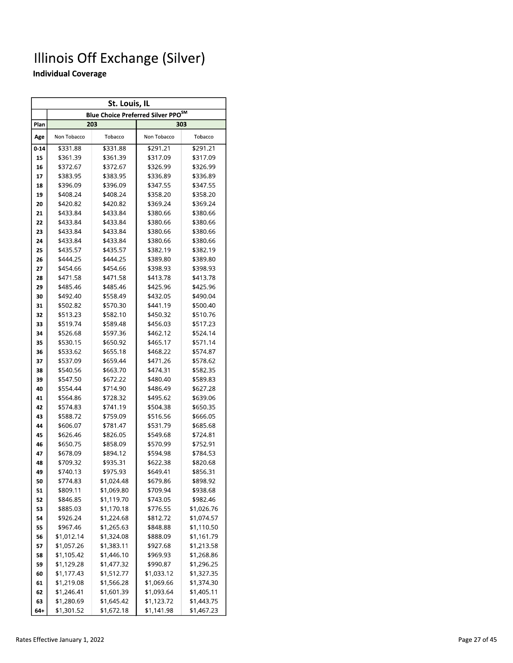|          | St. Louis, IL<br><b>Blue Choice Preferred Silver PPO<sup>SM</sup></b> |                      |                      |                      |  |  |  |  |  |  |  |  |  |
|----------|-----------------------------------------------------------------------|----------------------|----------------------|----------------------|--|--|--|--|--|--|--|--|--|
|          |                                                                       |                      |                      |                      |  |  |  |  |  |  |  |  |  |
| Plan     |                                                                       | 203                  |                      | 303                  |  |  |  |  |  |  |  |  |  |
| Age      | Non Tobacco                                                           | Tobacco              | Non Tobacco          | Tobacco              |  |  |  |  |  |  |  |  |  |
| $0 - 14$ | \$331.88                                                              | \$331.88             | \$291.21             | \$291.21             |  |  |  |  |  |  |  |  |  |
| 15       | \$361.39                                                              | \$361.39             | \$317.09             | \$317.09             |  |  |  |  |  |  |  |  |  |
| 16       | \$372.67                                                              | \$372.67             | \$326.99             | \$326.99             |  |  |  |  |  |  |  |  |  |
| 17       | \$383.95                                                              | \$383.95             | \$336.89             | \$336.89             |  |  |  |  |  |  |  |  |  |
| 18       | \$396.09                                                              | \$396.09             | \$347.55             | \$347.55             |  |  |  |  |  |  |  |  |  |
| 19       | \$408.24                                                              | \$408.24             | \$358.20             | \$358.20             |  |  |  |  |  |  |  |  |  |
| 20       | \$420.82                                                              | \$420.82             | \$369.24             | \$369.24             |  |  |  |  |  |  |  |  |  |
| 21       | \$433.84                                                              | \$433.84             | \$380.66             | \$380.66             |  |  |  |  |  |  |  |  |  |
| 22       | \$433.84                                                              | \$433.84             | \$380.66             | \$380.66             |  |  |  |  |  |  |  |  |  |
| 23       | \$433.84                                                              | \$433.84             | \$380.66             | \$380.66             |  |  |  |  |  |  |  |  |  |
| 24       | \$433.84                                                              | \$433.84             | \$380.66             | \$380.66             |  |  |  |  |  |  |  |  |  |
| 25       | \$435.57                                                              | \$435.57             | \$382.19             | \$382.19             |  |  |  |  |  |  |  |  |  |
| 26       | \$444.25                                                              | \$444.25             | \$389.80             | \$389.80             |  |  |  |  |  |  |  |  |  |
| 27       | \$454.66                                                              | \$454.66             | \$398.93             | \$398.93             |  |  |  |  |  |  |  |  |  |
| 28       | \$471.58                                                              | \$471.58             | \$413.78             | \$413.78             |  |  |  |  |  |  |  |  |  |
| 29       | \$485.46                                                              | \$485.46             | \$425.96             | \$425.96             |  |  |  |  |  |  |  |  |  |
| 30       | \$492.40                                                              | \$558.49             | \$432.05             | \$490.04             |  |  |  |  |  |  |  |  |  |
| 31       | \$502.82                                                              | \$570.30             | \$441.19             | \$500.40             |  |  |  |  |  |  |  |  |  |
| 32       | \$513.23                                                              | \$582.10             | \$450.32             | \$510.76             |  |  |  |  |  |  |  |  |  |
| 33       | \$519.74                                                              | \$589.48             | \$456.03             | \$517.23             |  |  |  |  |  |  |  |  |  |
| 34       | \$526.68                                                              | \$597.36             | \$462.12             | \$524.14             |  |  |  |  |  |  |  |  |  |
| 35       | \$530.15                                                              | \$650.92             | \$465.17             | \$571.14             |  |  |  |  |  |  |  |  |  |
| 36       | \$533.62                                                              | \$655.18             | \$468.22             | \$574.87             |  |  |  |  |  |  |  |  |  |
| 37       | \$537.09                                                              | \$659.44             | \$471.26             | \$578.62             |  |  |  |  |  |  |  |  |  |
| 38       | \$540.56                                                              | \$663.70             | \$474.31             | \$582.35             |  |  |  |  |  |  |  |  |  |
| 39       | \$547.50                                                              | \$672.22             | \$480.40             | \$589.83             |  |  |  |  |  |  |  |  |  |
| 40       | \$554.44                                                              | \$714.90             | \$486.49             | \$627.28             |  |  |  |  |  |  |  |  |  |
| 41       | \$564.86<br>\$574.83                                                  | \$728.32<br>\$741.19 | \$495.62<br>\$504.38 | \$639.06<br>\$650.35 |  |  |  |  |  |  |  |  |  |
| 42<br>43 | \$588.72                                                              | \$759.09             | \$516.56             | \$666.05             |  |  |  |  |  |  |  |  |  |
| 44       | \$606.07                                                              | \$781.47             | \$531.79             | \$685.68             |  |  |  |  |  |  |  |  |  |
| 45       | \$626.46                                                              | \$826.05             | \$549.68             | \$724.81             |  |  |  |  |  |  |  |  |  |
| 46       | \$650.75                                                              | \$858.09             | \$570.99             | \$752.91             |  |  |  |  |  |  |  |  |  |
| 47       | \$678.09                                                              | \$894.12             | \$594.98             | \$784.53             |  |  |  |  |  |  |  |  |  |
| 48       | \$709.32                                                              | \$935.31             | \$622.38             | \$820.68             |  |  |  |  |  |  |  |  |  |
| 49       | \$740.13                                                              | \$975.93             | \$649.41             | \$856.31             |  |  |  |  |  |  |  |  |  |
| 50       | \$774.83                                                              | \$1,024.48           | \$679.86             | \$898.92             |  |  |  |  |  |  |  |  |  |
| 51       | \$809.11                                                              | \$1,069.80           | \$709.94             | \$938.68             |  |  |  |  |  |  |  |  |  |
| 52       | \$846.85                                                              | \$1,119.70           | \$743.05             | \$982.46             |  |  |  |  |  |  |  |  |  |
| 53       | \$885.03                                                              | \$1,170.18           | \$776.55             | \$1,026.76           |  |  |  |  |  |  |  |  |  |
| 54       | \$926.24                                                              | \$1,224.68           | \$812.72             | \$1,074.57           |  |  |  |  |  |  |  |  |  |
| 55       | \$967.46                                                              | \$1,265.63           | \$848.88             | \$1,110.50           |  |  |  |  |  |  |  |  |  |
| 56       | \$1,012.14                                                            | \$1,324.08           | \$888.09             | \$1,161.79           |  |  |  |  |  |  |  |  |  |
| 57       | \$1,057.26                                                            | \$1,383.11           | \$927.68             | \$1,213.58           |  |  |  |  |  |  |  |  |  |
| 58       | \$1,105.42                                                            | \$1,446.10           | \$969.93             | \$1,268.86           |  |  |  |  |  |  |  |  |  |
| 59       | \$1,129.28                                                            | \$1,477.32           | \$990.87             | \$1,296.25           |  |  |  |  |  |  |  |  |  |
| 60       | \$1,177.43                                                            | \$1,512.77           | \$1,033.12           | \$1,327.35           |  |  |  |  |  |  |  |  |  |
| 61       | \$1,219.08                                                            | \$1,566.28           | \$1,069.66           | \$1,374.30           |  |  |  |  |  |  |  |  |  |
| 62       | \$1,246.41                                                            | \$1,601.39           | \$1,093.64           | \$1,405.11           |  |  |  |  |  |  |  |  |  |
| 63       | \$1,280.69                                                            | \$1,645.42           | \$1,123.72           | \$1,443.75           |  |  |  |  |  |  |  |  |  |
| 64+      | \$1,301.52                                                            | \$1,672.18           | \$1,141.98           | \$1,467.23           |  |  |  |  |  |  |  |  |  |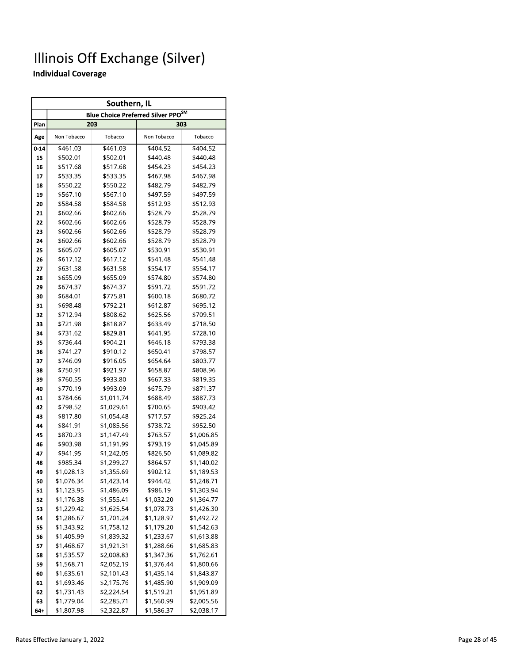|          | Southern, IL         |                          |                                                |                      |  |  |  |  |  |  |  |  |
|----------|----------------------|--------------------------|------------------------------------------------|----------------------|--|--|--|--|--|--|--|--|
|          |                      |                          | Blue Choice Preferred Silver PPO <sup>SM</sup> |                      |  |  |  |  |  |  |  |  |
| Plan     |                      | 203                      |                                                | 303                  |  |  |  |  |  |  |  |  |
| Age      | Non Tobacco          | Tobacco                  | Non Tobacco                                    | Tobacco              |  |  |  |  |  |  |  |  |
| $0 - 14$ | \$461.03             | \$461.03                 | \$404.52                                       | \$404.52             |  |  |  |  |  |  |  |  |
| 15       | \$502.01             | \$502.01                 | \$440.48                                       | \$440.48             |  |  |  |  |  |  |  |  |
| 16       | \$517.68             | \$517.68                 | \$454.23                                       | \$454.23             |  |  |  |  |  |  |  |  |
| 17       | \$533.35             | \$533.35                 | \$467.98                                       | \$467.98             |  |  |  |  |  |  |  |  |
| 18       | \$550.22             | \$550.22                 | \$482.79                                       | \$482.79             |  |  |  |  |  |  |  |  |
| 19       | \$567.10             | \$567.10                 | \$497.59                                       | \$497.59             |  |  |  |  |  |  |  |  |
| 20       | \$584.58             | \$584.58                 | \$512.93                                       | \$512.93             |  |  |  |  |  |  |  |  |
| 21       | \$602.66             | \$602.66                 | \$528.79                                       | \$528.79             |  |  |  |  |  |  |  |  |
| 22       | \$602.66             | \$602.66                 | \$528.79                                       | \$528.79             |  |  |  |  |  |  |  |  |
| 23       | \$602.66             | \$602.66                 | \$528.79                                       | \$528.79             |  |  |  |  |  |  |  |  |
| 24       | \$602.66             | \$602.66                 | \$528.79                                       | \$528.79             |  |  |  |  |  |  |  |  |
| 25       | \$605.07             | \$605.07                 | \$530.91                                       | \$530.91             |  |  |  |  |  |  |  |  |
| 26       | \$617.12             | \$617.12                 | \$541.48                                       | \$541.48             |  |  |  |  |  |  |  |  |
| 27       | \$631.58             | \$631.58                 | \$554.17                                       | \$554.17             |  |  |  |  |  |  |  |  |
| 28       | \$655.09             | \$655.09                 | \$574.80                                       | \$574.80             |  |  |  |  |  |  |  |  |
| 29       | \$674.37             | \$674.37                 | \$591.72                                       | \$591.72             |  |  |  |  |  |  |  |  |
| 30       | \$684.01             | \$775.81                 | \$600.18                                       | \$680.72             |  |  |  |  |  |  |  |  |
| 31       | \$698.48             | \$792.21                 | \$612.87                                       | \$695.12             |  |  |  |  |  |  |  |  |
| 32       | \$712.94             | \$808.62                 | \$625.56                                       | \$709.51             |  |  |  |  |  |  |  |  |
| 33       | \$721.98             | \$818.87                 | \$633.49                                       | \$718.50             |  |  |  |  |  |  |  |  |
| 34       | \$731.62             | \$829.81                 | \$641.95                                       | \$728.10             |  |  |  |  |  |  |  |  |
| 35       | \$736.44             | \$904.21                 | \$646.18                                       | \$793.38             |  |  |  |  |  |  |  |  |
| 36       | \$741.27             | \$910.12                 | \$650.41                                       | \$798.57             |  |  |  |  |  |  |  |  |
| 37       | \$746.09             | \$916.05                 | \$654.64                                       | \$803.77             |  |  |  |  |  |  |  |  |
| 38       | \$750.91             | \$921.97                 | \$658.87                                       | \$808.96             |  |  |  |  |  |  |  |  |
| 39       | \$760.55             | \$933.80                 | \$667.33                                       | \$819.35             |  |  |  |  |  |  |  |  |
| 40       | \$770.19             | \$993.09                 | \$675.79                                       | \$871.37             |  |  |  |  |  |  |  |  |
| 41       | \$784.66<br>\$798.52 | \$1,011.74<br>\$1,029.61 | \$688.49<br>\$700.65                           | \$887.73<br>\$903.42 |  |  |  |  |  |  |  |  |
| 42<br>43 | \$817.80             | \$1,054.48               | \$717.57                                       | \$925.24             |  |  |  |  |  |  |  |  |
| 44       | \$841.91             | \$1,085.56               | \$738.72                                       | \$952.50             |  |  |  |  |  |  |  |  |
| 45       | \$870.23             | \$1,147.49               | \$763.57                                       | \$1,006.85           |  |  |  |  |  |  |  |  |
| 46       | \$903.98             | \$1,191.99               | \$793.19                                       | \$1,045.89           |  |  |  |  |  |  |  |  |
| 47       | \$941.95             | \$1,242.05               | \$826.50                                       | \$1,089.82           |  |  |  |  |  |  |  |  |
| 48       | \$985.34             | \$1,299.27               | \$864.57                                       | \$1,140.02           |  |  |  |  |  |  |  |  |
| 49       | \$1,028.13           | \$1,355.69               | \$902.12                                       | \$1,189.53           |  |  |  |  |  |  |  |  |
| 50       | \$1,076.34           | \$1,423.14               | \$944.42                                       | \$1,248.71           |  |  |  |  |  |  |  |  |
| 51       | \$1,123.95           | \$1,486.09               | \$986.19                                       | \$1,303.94           |  |  |  |  |  |  |  |  |
| 52       | \$1,176.38           | \$1,555.41               | \$1,032.20                                     | \$1,364.77           |  |  |  |  |  |  |  |  |
| 53       | \$1,229.42           | \$1,625.54               | \$1,078.73                                     | \$1,426.30           |  |  |  |  |  |  |  |  |
| 54       | \$1,286.67           | \$1,701.24               | \$1,128.97                                     | \$1,492.72           |  |  |  |  |  |  |  |  |
| 55       | \$1,343.92           | \$1,758.12               | \$1,179.20                                     | \$1,542.63           |  |  |  |  |  |  |  |  |
| 56       | \$1,405.99           | \$1,839.32               | \$1,233.67                                     | \$1,613.88           |  |  |  |  |  |  |  |  |
| 57       | \$1,468.67           | \$1,921.31               | \$1,288.66                                     | \$1,685.83           |  |  |  |  |  |  |  |  |
| 58       | \$1,535.57           | \$2,008.83               | \$1,347.36                                     | \$1,762.61           |  |  |  |  |  |  |  |  |
| 59       | \$1,568.71           | \$2,052.19               | \$1,376.44                                     | \$1,800.66           |  |  |  |  |  |  |  |  |
| 60       | \$1,635.61           | \$2,101.43               | \$1,435.14                                     | \$1,843.87           |  |  |  |  |  |  |  |  |
| 61       | \$1,693.46           | \$2,175.76               | \$1,485.90                                     | \$1,909.09           |  |  |  |  |  |  |  |  |
| 62       | \$1,731.43           | \$2,224.54               | \$1,519.21                                     | \$1,951.89           |  |  |  |  |  |  |  |  |
| 63       | \$1,779.04           | \$2,285.71               | \$1,560.99                                     | \$2,005.56           |  |  |  |  |  |  |  |  |
| 64+      | \$1,807.98           | \$2,322.87               | \$1,586.37                                     | \$2,038.17           |  |  |  |  |  |  |  |  |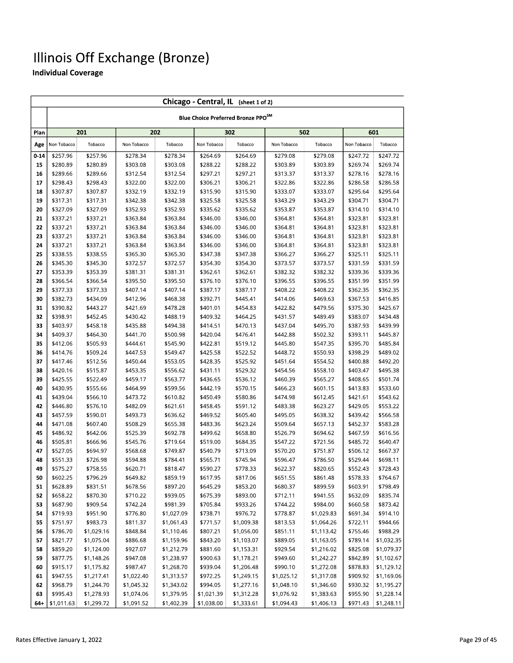|          | Chicago - Central, IL (sheet 1 of 2) |                      |                      |            |                      |                                                |                      |            |             |            |  |  |  |
|----------|--------------------------------------|----------------------|----------------------|------------|----------------------|------------------------------------------------|----------------------|------------|-------------|------------|--|--|--|
|          |                                      |                      |                      |            |                      | Blue Choice Preferred Bronze PPO <sup>SM</sup> |                      |            |             |            |  |  |  |
| Plan     |                                      | 201                  |                      | 202        |                      | 302                                            |                      | 502        |             | 601        |  |  |  |
| Age      | Non Tobacco                          | Tobacco              | Non Tobacco          | Tobacco    | Non Tobacco          | Tobacco                                        | Non Tobacco          | Tobacco    | Non Tobacco | Tobacco    |  |  |  |
| $0 - 14$ | \$257.96                             | \$257.96             | \$278.34             | \$278.34   | \$264.69             | \$264.69                                       | \$279.08             | \$279.08   | \$247.72    | \$247.72   |  |  |  |
| 15       | \$280.89                             | \$280.89             | \$303.08             | \$303.08   | \$288.22             | \$288.22                                       | \$303.89             | \$303.89   | \$269.74    | \$269.74   |  |  |  |
| 16       | \$289.66                             | \$289.66             | \$312.54             | \$312.54   | \$297.21             | \$297.21                                       | \$313.37             | \$313.37   | \$278.16    | \$278.16   |  |  |  |
| 17       | \$298.43                             | \$298.43             | \$322.00             | \$322.00   | \$306.21             | \$306.21                                       | \$322.86             | \$322.86   | \$286.58    | \$286.58   |  |  |  |
| 18       | \$307.87                             | \$307.87             | \$332.19             | \$332.19   | \$315.90<br>\$315.90 |                                                | \$333.07<br>\$333.07 |            | \$295.64    | \$295.64   |  |  |  |
| 19       | \$317.31                             | \$317.31             | \$342.38             | \$342.38   | \$325.58             | \$325.58                                       | \$343.29<br>\$343.29 |            | \$304.71    | \$304.71   |  |  |  |
| 20       | \$327.09                             | \$327.09             | \$352.93<br>\$352.93 |            | \$335.62<br>\$335.62 |                                                | \$353.87             | \$353.87   | \$314.10    | \$314.10   |  |  |  |
| 21       | \$337.21                             | \$337.21             | \$363.84<br>\$363.84 |            | \$346.00             | \$346.00                                       | \$364.81             | \$364.81   | \$323.81    | \$323.81   |  |  |  |
| 22       | \$337.21                             | \$337.21             | \$363.84<br>\$363.84 |            | \$346.00             | \$346.00                                       | \$364.81             | \$364.81   | \$323.81    | \$323.81   |  |  |  |
| 23       | \$337.21                             | \$337.21             | \$363.84             | \$363.84   | \$346.00             | \$346.00                                       | \$364.81             | \$364.81   | \$323.81    | \$323.81   |  |  |  |
| 24       | \$337.21                             | \$337.21             | \$363.84<br>\$363.84 |            | \$346.00             | \$346.00                                       | \$364.81             | \$364.81   | \$323.81    | \$323.81   |  |  |  |
| 25       | \$338.55                             | \$338.55             | \$365.30<br>\$365.30 |            | \$347.38             | \$347.38                                       | \$366.27             | \$366.27   | \$325.11    | \$325.11   |  |  |  |
| 26       | \$345.30                             | \$345.30<br>\$372.57 |                      | \$372.57   | \$354.30             | \$354.30                                       | \$373.57             | \$373.57   | \$331.59    | \$331.59   |  |  |  |
| 27       | \$353.39                             | \$353.39<br>\$381.31 |                      | \$381.31   | \$362.61             | \$362.61                                       | \$382.32             | \$382.32   | \$339.36    | \$339.36   |  |  |  |
| 28       | \$366.54                             | \$366.54<br>\$395.50 |                      | \$395.50   | \$376.10             | \$376.10                                       | \$396.55             | \$396.55   | \$351.99    | \$351.99   |  |  |  |
| 29       | \$377.33                             | \$377.33             | \$407.14             | \$407.14   | \$387.17             | \$387.17                                       | \$408.22             | \$408.22   | \$362.35    | \$362.35   |  |  |  |
| 30       | \$382.73                             | \$434.09             | \$412.96             | \$468.38   | \$392.71             | \$445.41                                       | \$414.06             | \$469.63   | \$367.53    | \$416.85   |  |  |  |
| 31       | \$390.82                             | \$443.27             | \$421.69             | \$478.28   | \$401.01             | \$454.83                                       | \$422.82             | \$479.56   | \$375.30    | \$425.67   |  |  |  |
| 32       | \$398.91                             | \$452.45             | \$430.42             | \$488.19   | \$409.32             | \$464.25                                       | \$431.57             | \$489.49   | \$383.07    | \$434.48   |  |  |  |
| 33       | \$403.97                             | \$458.18             | \$435.88             | \$494.38   | \$414.51             | \$470.13                                       | \$437.04             | \$495.70   | \$387.93    | \$439.99   |  |  |  |
| 34       | \$409.37                             | \$464.30             | \$441.70             | \$500.98   | \$420.04<br>\$476.41 |                                                | \$442.88             | \$502.32   | \$393.11    | \$445.87   |  |  |  |
| 35       | \$412.06                             | \$505.93             | \$444.61             | \$545.90   | \$422.81<br>\$519.12 |                                                | \$445.80             | \$547.35   | \$395.70    | \$485.84   |  |  |  |
| 36       | \$414.76                             | \$509.24             | \$447.53             | \$549.47   | \$425.58<br>\$522.52 |                                                | \$448.72             | \$550.93   | \$398.29    | \$489.02   |  |  |  |
| 37       | \$417.46                             | \$512.56             | \$450.44             | \$553.05   | \$428.35             | \$525.92                                       | \$451.64             | \$554.52   | \$400.88    | \$492.20   |  |  |  |
| 38       | \$420.16                             | \$515.87             | \$453.35             | \$556.62   | \$431.11             | \$529.32                                       | \$454.56             | \$558.10   | \$403.47    | \$495.38   |  |  |  |
| 39       | \$425.55                             | \$522.49             | \$459.17             | \$563.77   | \$436.65             | \$536.12                                       | \$460.39             | \$565.27   | \$408.65    | \$501.74   |  |  |  |
| 40       | \$430.95                             | \$555.66             | \$464.99             | \$599.56   | \$442.19             | \$570.15                                       | \$466.23             | \$601.15   | \$413.83    | \$533.60   |  |  |  |
| 41       | \$439.04                             | \$566.10             | \$473.72             | \$610.82   | \$450.49             | \$580.86                                       | \$474.98             | \$612.45   | \$421.61    | \$543.62   |  |  |  |
| 42       | \$446.80                             | \$576.10             | \$482.09             | \$621.61   | \$458.45             | \$591.12                                       | \$483.38             | \$623.27   | \$429.05    | \$553.22   |  |  |  |
| 43       | \$457.59                             | \$590.01             | \$493.73             | \$636.62   | \$469.52             | \$605.40                                       | \$495.05             | \$638.32   | \$439.42    | \$566.58   |  |  |  |
| 44       | \$471.08                             | \$607.40             | \$508.29             | \$655.38   | \$483.36             | \$623.24                                       | \$509.64             | \$657.13   | \$452.37    | \$583.28   |  |  |  |
| 45       | \$486.92                             | \$642.06             | \$525.39             | \$692.78   | \$499.62             | \$658.80                                       | \$526.79             | \$694.62   | \$467.59    | \$616.56   |  |  |  |
| 46       | \$505.81                             | \$666.96             | \$545.76             | \$719.64   | \$519.00             | \$684.35                                       | \$547.22             | \$721.56   | \$485.72    | \$640.47   |  |  |  |
| 47       | \$527.05                             | \$694.97             | \$568.68             | \$749.87   | \$540.79             | \$713.09                                       | \$570.20             | \$751.87   | \$506.12    | \$667.37   |  |  |  |
| 48       | \$551.33                             | \$726.98             | \$594.88             | \$784.41   | \$565.71             | \$745.94                                       | \$596.47             | \$786.50   | \$529.44    | \$698.11   |  |  |  |
| 49       | \$575.27                             | \$758.55             | \$620.71             | \$818.47   | \$590.27             | \$778.33                                       | \$622.37             | \$820.65   | \$552.43    | \$728.43   |  |  |  |
| 50       | \$602.25                             | \$796.29             | \$649.82             | \$859.19   | \$617.95             | \$817.06                                       | \$651.55             | \$861.48   | \$578.33    | \$764.67   |  |  |  |
| 51       | \$628.89                             | \$831.51             | \$678.56             | \$897.20   | \$645.29             | \$853.20                                       | \$680.37             | \$899.59   | \$603.91    | \$798.49   |  |  |  |
| 52       | \$658.22                             | \$870.30             | \$710.22             | \$939.05   | \$675.39             | \$893.00                                       | \$712.11             | \$941.55   | \$632.09    | \$835.74   |  |  |  |
| 53       | \$687.90                             | \$909.54             | \$742.24             | \$981.39   | \$705.84             | \$933.26                                       | \$744.22             | \$984.00   | \$660.58    | \$873.42   |  |  |  |
| 54       | \$719.93                             | \$951.90             | \$776.80             | \$1,027.09 | \$738.71             | \$976.72                                       | \$778.87             | \$1,029.83 | \$691.34    | \$914.10   |  |  |  |
| 55       | \$751.97                             | \$983.73             | \$811.37             | \$1,061.43 | \$771.57             | \$1,009.38                                     | \$813.53             | \$1,064.26 | \$722.11    | \$944.66   |  |  |  |
| 56       | \$786.70                             | \$1,029.16           | \$848.84             | \$1,110.46 | \$807.21             | \$1,056.00                                     | \$851.11             | \$1,113.42 | \$755.46    | \$988.29   |  |  |  |
| 57       | \$821.77                             | \$1,075.04           | \$886.68             | \$1,159.96 | \$843.20             | \$1,103.07                                     | \$889.05             | \$1,163.05 | \$789.14    | \$1,032.35 |  |  |  |
| 58       | \$859.20                             | \$1,124.00           | \$927.07             | \$1,212.79 | \$881.60             | \$1,153.31                                     | \$929.54             | \$1,216.02 | \$825.08    | \$1,079.37 |  |  |  |
| 59       | \$877.75                             | \$1,148.26           | \$947.08             | \$1,238.97 | \$900.63             | \$1,178.21                                     | \$949.60             | \$1,242.27 | \$842.89    | \$1,102.67 |  |  |  |
| 60       | \$915.17                             | \$1,175.82           | \$987.47             | \$1,268.70 | \$939.04             | \$1,206.48                                     | \$990.10             | \$1,272.08 | \$878.83    | \$1,129.12 |  |  |  |
| 61       | \$947.55                             | \$1,217.41           | \$1,022.40           | \$1,313.57 | \$972.25             | \$1,249.15                                     | \$1,025.12           | \$1,317.08 | \$909.92    | \$1,169.06 |  |  |  |
| 62       | \$968.79                             | \$1,244.70           | \$1,045.32           | \$1,343.02 | \$994.05             | \$1,277.16                                     | \$1,048.10           | \$1,346.60 | \$930.32    | \$1,195.27 |  |  |  |
| 63       | \$995.43                             | \$1,278.93           | \$1,074.06           | \$1,379.95 | \$1,021.39           | \$1,312.28                                     | \$1,076.92           | \$1,383.63 | \$955.90    | \$1,228.14 |  |  |  |
| 64+      | \$1,011.63                           | \$1,299.72           | \$1,091.52           | \$1,402.39 | \$1,038.00           | \$1,333.61                                     | \$1,094.43           | \$1,406.13 | \$971.43    | \$1,248.11 |  |  |  |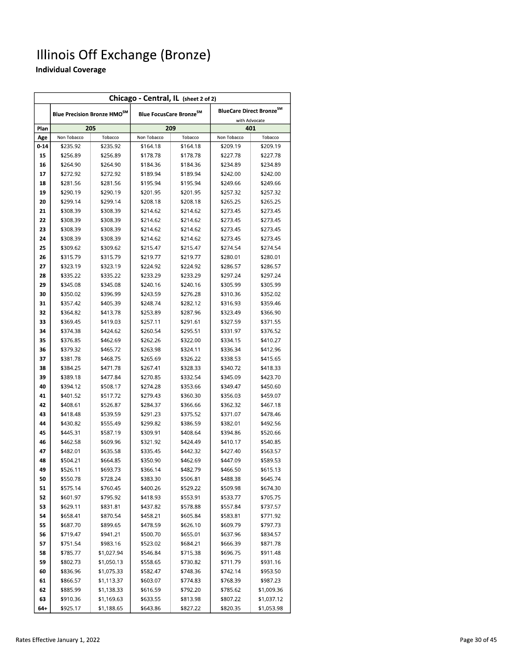| Chicago - Central, IL (sheet 2 of 2) |                      |                                         |                      |                                     |                      |                                                       |  |  |  |  |  |
|--------------------------------------|----------------------|-----------------------------------------|----------------------|-------------------------------------|----------------------|-------------------------------------------------------|--|--|--|--|--|
|                                      |                      | Blue Precision Bronze HMO <sup>SM</sup> |                      | Blue FocusCare Bronze <sup>SM</sup> |                      | BlueCare Direct Bronze <sup>SM</sup><br>with Advocate |  |  |  |  |  |
| Plan                                 |                      | 205                                     |                      | 209                                 |                      | 401                                                   |  |  |  |  |  |
| Age                                  | Non Tobacco          | Tobacco                                 | Non Tobacco          | Tobacco                             | Non Tobacco          | Tobacco                                               |  |  |  |  |  |
| $0 - 14$                             | \$235.92             | \$235.92                                | \$164.18             | \$164.18                            | \$209.19             | \$209.19                                              |  |  |  |  |  |
| 15                                   | \$256.89             | \$256.89                                | \$178.78             | \$178.78                            | \$227.78             | \$227.78                                              |  |  |  |  |  |
| 16                                   | \$264.90             | \$264.90                                | \$184.36             | \$184.36                            | \$234.89             | \$234.89                                              |  |  |  |  |  |
| 17                                   | \$272.92             | \$272.92                                | \$189.94             | \$189.94                            | \$242.00             | \$242.00                                              |  |  |  |  |  |
| 18                                   | \$281.56             | \$281.56                                | \$195.94             | \$195.94                            | \$249.66             | \$249.66                                              |  |  |  |  |  |
| 19                                   | \$290.19             | \$290.19                                | \$201.95             | \$201.95                            | \$257.32             | \$257.32                                              |  |  |  |  |  |
| 20                                   | \$299.14             | \$299.14                                | \$208.18             | \$208.18                            | \$265.25             | \$265.25                                              |  |  |  |  |  |
| 21                                   | \$308.39             | \$308.39                                | \$214.62             | \$214.62                            | \$273.45             | \$273.45                                              |  |  |  |  |  |
| 22                                   | \$308.39<br>\$308.39 |                                         | \$214.62             | \$214.62                            | \$273.45             | \$273.45                                              |  |  |  |  |  |
| 23                                   | \$308.39             | \$308.39                                | \$214.62             | \$214.62                            | \$273.45             | \$273.45                                              |  |  |  |  |  |
| 24                                   | \$308.39             | \$308.39                                | \$214.62             | \$214.62                            | \$273.45             | \$273.45                                              |  |  |  |  |  |
| 25                                   | \$309.62             | \$309.62                                | \$215.47             | \$215.47                            | \$274.54             | \$274.54                                              |  |  |  |  |  |
| 26                                   | \$315.79             | \$315.79                                | \$219.77             | \$219.77                            | \$280.01             | \$280.01                                              |  |  |  |  |  |
| 27                                   | \$323.19             | \$323.19                                | \$224.92             | \$224.92                            | \$286.57             | \$286.57                                              |  |  |  |  |  |
| 28                                   | \$335.22             | \$335.22                                | \$233.29             | \$233.29                            | \$297.24             | \$297.24                                              |  |  |  |  |  |
| 29                                   | \$345.08             | \$345.08                                | \$240.16             | \$240.16                            | \$305.99             | \$305.99                                              |  |  |  |  |  |
| 30                                   | \$350.02             | \$396.99                                | \$243.59             | \$276.28                            | \$310.36             | \$352.02                                              |  |  |  |  |  |
| 31                                   | \$357.42             | \$405.39                                | \$248.74             | \$282.12                            | \$316.93             | \$359.46                                              |  |  |  |  |  |
| 32                                   | \$364.82             | \$413.78                                | \$253.89             | \$287.96                            | \$323.49             | \$366.90                                              |  |  |  |  |  |
| 33                                   | \$369.45             | \$419.03                                | \$257.11             | \$291.61                            | \$327.59             | \$371.55                                              |  |  |  |  |  |
| 34                                   | \$374.38             | \$424.62                                | \$260.54             | \$295.51                            | \$331.97             | \$376.52                                              |  |  |  |  |  |
| 35                                   | \$376.85             | \$462.69                                | \$262.26             | \$322.00                            | \$334.15             | \$410.27                                              |  |  |  |  |  |
| 36                                   | \$379.32             | \$465.72                                | \$263.98             | \$324.11                            | \$336.34             | \$412.96                                              |  |  |  |  |  |
| 37                                   | \$381.78             | \$468.75                                | \$265.69             | \$326.22                            | \$338.53             | \$415.65                                              |  |  |  |  |  |
| 38                                   | \$384.25             | \$471.78                                | \$267.41<br>\$328.33 |                                     | \$340.72             | \$418.33                                              |  |  |  |  |  |
| 39                                   | \$389.18             | \$477.84                                | \$270.85             | \$332.54                            | \$345.09             | \$423.70                                              |  |  |  |  |  |
| 40                                   | \$394.12             | \$508.17                                | \$274.28             | \$353.66                            | \$349.47             | \$450.60                                              |  |  |  |  |  |
| 41                                   | \$401.52             | \$517.72                                | \$279.43             | \$360.30                            | \$356.03<br>\$459.07 |                                                       |  |  |  |  |  |
| 42                                   | \$408.61             | \$526.87                                | \$284.37             | \$366.66                            | \$362.32             | \$467.18                                              |  |  |  |  |  |
| 43                                   | \$418.48             | \$539.59                                | \$291.23             | \$375.52                            | \$371.07             | \$478.46                                              |  |  |  |  |  |
| 44                                   | \$430.82             | \$555.49                                | \$299.82             | \$386.59                            | \$382.01             | \$492.56                                              |  |  |  |  |  |
| 45                                   | \$445.31             | \$587.19                                | \$309.91             | \$408.64                            | \$394.86             | \$520.66                                              |  |  |  |  |  |
| 46                                   | \$462.58             | \$609.96                                | \$321.92             | \$424.49                            | \$410.17             | \$540.85                                              |  |  |  |  |  |
| 47                                   | \$482.01             | \$635.58                                | \$335.45             | \$442.32                            | \$427.40             | \$563.57                                              |  |  |  |  |  |
| 48                                   | \$504.21             | \$664.85                                | \$350.90             | \$462.69                            | \$447.09             | \$589.53                                              |  |  |  |  |  |
| 49                                   | \$526.11             | \$693.73                                | \$366.14             | \$482.79                            | \$466.50             | \$615.13                                              |  |  |  |  |  |
| 50                                   | \$550.78             | \$728.24                                | \$383.30             | \$506.81                            | \$488.38             | \$645.74                                              |  |  |  |  |  |
| 51                                   | \$575.14             | \$760.45                                | \$400.26             | \$529.22                            | \$509.98             | \$674.30                                              |  |  |  |  |  |
| 52                                   | \$601.97             | \$795.92                                | \$418.93             | \$553.91                            | \$533.77             | \$705.75                                              |  |  |  |  |  |
| 53                                   | \$629.11             | \$831.81                                | \$437.82             | \$578.88                            | \$557.84             | \$737.57                                              |  |  |  |  |  |
| 54                                   | \$658.41             | \$870.54                                | \$458.21             | \$605.84                            | \$583.81             | \$771.92                                              |  |  |  |  |  |
| 55                                   | \$687.70             | \$899.65                                | \$478.59             | \$626.10                            | \$609.79             | \$797.73                                              |  |  |  |  |  |
| 56                                   | \$719.47             | \$941.21                                | \$500.70             | \$655.01                            | \$637.96             | \$834.57                                              |  |  |  |  |  |
| 57                                   | \$751.54             | \$983.16                                | \$523.02             | \$684.21                            | \$666.39             | \$871.78                                              |  |  |  |  |  |
| 58                                   | \$785.77             | \$1,027.94                              | \$546.84             | \$715.38                            | \$696.75             | \$911.48                                              |  |  |  |  |  |
| 59                                   | \$802.73             | \$1,050.13                              | \$558.65             | \$730.82                            | \$711.79             | \$931.16                                              |  |  |  |  |  |
| 60                                   | \$836.96             | \$1,075.33                              | \$582.47             | \$748.36                            | \$742.14             | \$953.50                                              |  |  |  |  |  |
| 61                                   | \$866.57             | \$1,113.37                              | \$603.07             | \$774.83                            | \$768.39             | \$987.23                                              |  |  |  |  |  |
| 62                                   | \$885.99             | \$1,138.33                              | \$616.59             | \$792.20                            | \$785.62             | \$1,009.36                                            |  |  |  |  |  |
| 63                                   | \$910.36             | \$1,169.63                              | \$633.55             | \$813.98                            | \$807.22             | \$1,037.12                                            |  |  |  |  |  |
| 64+                                  | \$925.17             | \$1.188.65                              | \$643.86             | \$827.22                            | \$820.35             | \$1.053.98                                            |  |  |  |  |  |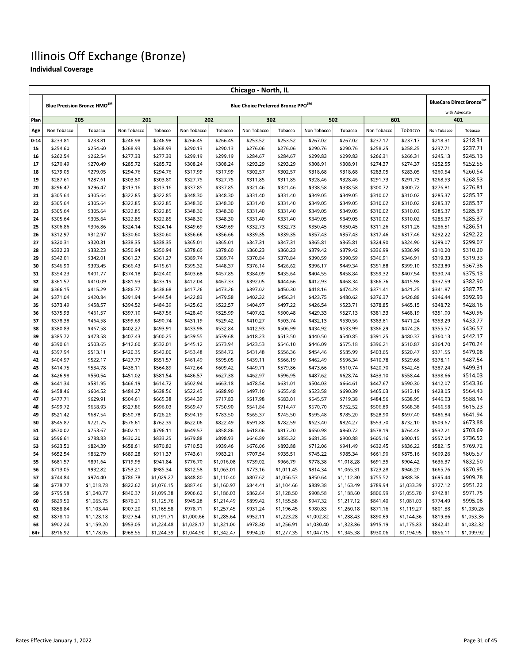|          | <b>Chicago - North, IL</b> |                                         |                      |                          |                      |                          |                                                |                          |                      |                          |                      |                          |                      |                                                       |
|----------|----------------------------|-----------------------------------------|----------------------|--------------------------|----------------------|--------------------------|------------------------------------------------|--------------------------|----------------------|--------------------------|----------------------|--------------------------|----------------------|-------------------------------------------------------|
|          |                            | Blue Precision Bronze HMO <sup>SM</sup> |                      |                          |                      |                          | Blue Choice Preferred Bronze PPO <sup>SM</sup> |                          |                      |                          |                      |                          |                      | BlueCare Direct Bronze <sup>SM</sup><br>with Advocate |
| Plan     |                            | 205                                     |                      | 201                      | 202                  |                          | 302                                            |                          |                      | 502                      |                      | 601                      |                      | 401                                                   |
| Age      | Non Tobacco                | Tobacco                                 | Non Tobacco          | Tobacco                  | Non Tobacco          | Tobacco                  | Non Tobacco                                    | Tobacco                  | Non Tobacco          | Tobacco                  | Non Tobacco          | Tobacco                  | Non Tobacco          | Tobacco                                               |
| $0 - 14$ | \$233.81                   | \$233.81                                | \$246.98             | \$246.98                 | \$266.45             | \$266.45                 | \$253.52                                       | \$253.52                 | \$267.02             | \$267.02                 | \$237.17             | \$237.17                 | \$218.31             | \$218.31                                              |
| 15       | \$254.60                   | \$254.60                                | \$268.93             | \$268.93                 | \$290.13             | \$290.13                 | \$276.06                                       | \$276.06                 | \$290.76             | \$290.76                 | \$258.25             | \$258.25                 | \$237.71             | \$237.71                                              |
| 16       | \$262.54                   | \$262.54                                | \$277.33             | \$277.33                 | \$299.19             | \$299.19                 | \$284.67                                       | \$284.67                 | \$299.83             | \$299.83                 | \$266.31             | \$266.31                 | \$245.13             | \$245.13                                              |
| 17       | \$270.49                   | \$270.49                                | \$285.72             | \$285.72                 | \$308.24             | \$308.24                 | \$293.29                                       | \$293.29                 | \$308.91             | \$308.91                 | \$274.37             | \$274.37                 | \$252.55             | \$252.55                                              |
| 18       | \$279.05                   | \$279.05                                | \$294.76             | \$294.76                 | \$317.99             | \$317.99                 | \$302.57                                       | \$302.57                 | \$318.68             | \$318.68                 | \$283.05             | \$283.05                 | \$260.54             | \$260.54                                              |
| 19       | \$287.61                   | \$287.61                                | \$303.80             | \$303.80                 | \$327.75             | \$327.75                 | \$311.85                                       | \$311.85                 | \$328.46             | \$328.46                 | \$291.73             | \$291.73                 | \$268.53             | \$268.53                                              |
| 20       | \$296.47                   | \$296.47                                | \$313.16             | \$313.16                 | \$337.85             | \$337.85                 | \$321.46                                       | \$321.46                 | \$338.58             | \$338.58                 | \$300.72             | \$300.72                 | \$276.81             | \$276.81                                              |
| 21       | \$305.64                   | \$305.64                                | \$322.85             | \$322.85                 | \$348.30             | \$348.30                 | \$331.40                                       | \$331.40                 | \$349.05             | \$349.05                 | \$310.02             | \$310.02                 | \$285.37             | \$285.37                                              |
| 22       | \$305.64                   | \$305.64                                | \$322.85             | \$322.85                 | \$348.30             | \$348.30                 | \$331.40                                       | \$331.40                 | \$349.05             | \$349.05                 | \$310.02             | \$310.02                 | \$285.37             | \$285.37                                              |
| 23       | \$305.64                   | \$305.64                                | \$322.85             | \$322.85                 | \$348.30             | \$348.30                 | \$331.40                                       | \$331.40                 | \$349.05             | \$349.05                 | \$310.02             | \$310.02                 | \$285.37             | \$285.37                                              |
| 24       | \$305.64                   | \$305.64                                | \$322.85             | \$322.85                 | \$348.30             | \$348.30                 | \$331.40                                       | \$331.40                 | \$349.05             | \$349.05                 | \$310.02             | \$310.02                 | \$285.37             | \$285.37                                              |
| 25       | \$306.86                   | \$306.86                                | \$324.14             | \$324.14                 | \$349.69             | \$349.69                 | \$332.73                                       | \$332.73                 | \$350.45             | \$350.45                 | \$311.26             | \$311.26                 | \$286.51             | \$286.51                                              |
| 26       | \$312.97                   | \$312.97                                | \$330.60             | \$330.60                 | \$356.66             | \$356.66                 | \$339.35                                       | \$339.35                 | \$357.43             | \$357.43                 | \$317.46             | \$317.46                 | \$292.22             | \$292.22                                              |
| 27       | \$320.31                   | \$320.31                                | \$338.35             | \$338.35                 | \$365.01             | \$365.01                 | \$347.31                                       | \$347.31                 | \$365.81             | \$365.81                 | \$324.90             | \$324.90                 | \$299.07             | \$299.07                                              |
| 28       | \$332.23                   | \$332.23                                | \$350.94             | \$350.94                 | \$378.60             | \$378.60                 | \$360.23                                       | \$360.23                 | \$379.42             | \$379.42                 | \$336.99             | \$336.99                 | \$310.20             | \$310.20                                              |
| 29       | \$342.01                   | \$342.01                                | \$361.27             | \$361.27                 | \$389.74             | \$389.74                 | \$370.84                                       | \$370.84                 | \$390.59             | \$390.59                 | \$346.91             | \$346.91                 | \$319.33             | \$319.33                                              |
| 30       | \$346.90                   | \$393.45                                | \$366.43             | \$415.61                 | \$395.32             | \$448.37                 | \$376.14                                       | \$426.62                 | \$396.17             | \$449.34                 | \$351.88             | \$399.10                 | \$323.89             | \$367.36                                              |
| 31       | \$354.23                   | \$401.77                                | \$374.18             | \$424.40                 | \$403.68             | \$457.85                 | \$384.09                                       | \$435.64                 | \$404.55             | \$458.84                 | \$359.32             | \$407.54                 | \$330.74             | \$375.13                                              |
| 32       | \$361.57                   | \$410.09                                | \$381.93             | \$433.19                 | \$412.04             | \$467.33                 | \$392.05                                       | \$444.66                 | \$412.93             | \$468.34                 | \$366.76             | \$415.98                 | \$337.59             | \$382.90                                              |
| 33       | \$366.15                   | \$415.29                                | \$386.77             | \$438.68                 | \$417.26             | \$473.26                 | \$397.02                                       | \$450.30                 | \$418.16             | \$474.28                 | \$371.41             | \$421.25                 | \$341.87             | \$387.75                                              |
| 34       | \$371.04                   | \$420.84                                | \$391.94             | \$444.54                 | \$422.83             | \$479.58                 | \$402.32                                       | \$456.31                 | \$423.75             | \$480.62                 | \$376.37             | \$426.88                 | \$346.44<br>\$348.72 | \$392.93<br>\$428.16                                  |
| 35<br>36 | \$373.49<br>\$375.93       | \$458.57<br>\$461.57                    | \$394.52<br>\$397.10 | \$484.39<br>\$487.56     | \$425.62<br>\$428.40 | \$522.57<br>\$525.99     | \$404.97<br>\$407.62                           | \$497.22<br>\$500.48     | \$426.54<br>\$429.33 | \$523.71<br>\$527.13     | \$378.85<br>\$381.33 | \$465.15<br>\$468.19     | \$351.00             | \$430.96                                              |
| 37       | \$378.38                   | \$464.58                                | \$399.69             | \$490.74                 | \$431.19             | \$529.42                 | \$410.27                                       | \$503.74                 | \$432.13             | \$530.56                 | \$383.81             | \$471.24                 | \$353.29             | \$433.77                                              |
| 38       | \$380.83                   | \$467.58                                | \$402.27             | \$493.91                 | \$433.98             | \$532.84                 | \$412.93                                       | \$506.99                 | \$434.92             | \$533.99                 | \$386.29             | \$474.28                 | \$355.57             | \$436.57                                              |
| 39       | \$385.72                   | \$473.58                                | \$407.43             | \$500.25                 | \$439.55             | \$539.68                 | \$418.23                                       | \$513.50                 | \$440.50             | \$540.85                 | \$391.25             | \$480.37                 | \$360.13             | \$442.17                                              |
| 40       | \$390.61                   | \$503.65                                | \$412.60             | \$532.01                 | \$445.12             | \$573.94                 | \$423.53                                       | \$546.10                 | \$446.09             | \$575.18                 | \$396.21             | \$510.87                 | \$364.70             | \$470.24                                              |
| 41       | \$397.94                   | \$513.11                                | \$420.35             | \$542.00                 | \$453.48             | \$584.72                 | \$431.48                                       | \$556.36                 | \$454.46             | \$585.99                 | \$403.65             | \$520.47                 | \$371.55             | \$479.08                                              |
| 42       | \$404.97                   | \$522.17                                | \$427.77             | \$551.57                 | \$461.49             | \$595.05                 | \$439.11                                       | \$566.19                 | \$462.49             | \$596.34                 | \$410.78             | \$529.66                 | \$378.11             | \$487.54                                              |
| 43       | \$414.75                   | \$534.78                                | \$438.11             | \$564.89                 | \$472.64             | \$609.42                 | \$449.71                                       | \$579.86                 | \$473.66             | \$610.74                 | \$420.70             | \$542.45                 | \$387.24             | \$499.31                                              |
| 44       | \$426.98                   | \$550.54                                | \$451.02             | \$581.54                 | \$486.57             | \$627.38                 | \$462.97                                       | \$596.95                 | \$487.62             | \$628.74                 | \$433.10             | \$558.44                 | \$398.66             | \$514.03                                              |
| 45       | \$441.34                   | \$581.95                                | \$466.19             | \$614.72                 | \$502.94             | \$663.18                 | \$478.54                                       | \$631.01                 | \$504.03             | \$664.61                 | \$447.67             | \$590.30                 | \$412.07             | \$543.36                                              |
| 46       | \$458.46                   | \$604.52                                | \$484.27             | \$638.56                 | \$522.45             | \$688.90                 | \$497.10                                       | \$655.48                 | \$523.58             | \$690.39                 | \$465.03             | \$613.19                 | \$428.05             | \$564.43                                              |
| 47       | \$477.71                   | \$629.91                                | \$504.61             | \$665.38                 | \$544.39             | \$717.83                 | \$517.98                                       | \$683.01                 | \$545.57             | \$719.38                 | \$484.56             | \$638.95                 | \$446.03             | \$588.14                                              |
| 48       | \$499.72                   | \$658.93                                | \$527.86             | \$696.03                 | \$569.47             | \$750.90                 | \$541.84                                       | \$714.47                 | \$570.70             | \$752.52                 | \$506.89             | \$668.38                 | \$466.58             | \$615.23                                              |
| 49       | \$521.42                   | \$687.54                                | \$550.78             | \$726.26                 | \$594.19             | \$783.50                 | \$565.37                                       | \$745.50                 | \$595.48             | \$785.20                 | \$528.90             | \$697.40                 | \$486.84             | \$641.94                                              |
| 50       | \$545.87                   | \$721.75                                | \$576.61             | \$762.39                 | \$622.06             | \$822.49                 | \$591.88                                       | \$782.59                 | \$623.40             | \$824.27                 | \$553.70             | \$732.10                 | \$509.67             | \$673.88                                              |
| 51       | \$570.02                   | \$753.67                                | \$602.11             | \$796.11                 | \$649.57             | \$858.86                 | \$618.06                                       | \$817.20                 | \$650.98             | \$860.72                 | \$578.19             | \$764.48                 | \$532.21             | \$703.69                                              |
| 52       | \$596.61                   | \$788.83                                | \$630.20             | \$833.25                 | \$679.88             | \$898.93                 | \$646.89                                       | \$855.32                 | \$681.35             | \$900.88                 | \$605.16             | \$800.15                 | \$557.04             | \$736.52                                              |
| 53       | \$623.50                   | \$824.39                                | \$658.61             | \$870.82                 | \$710.53             | \$939.46                 | \$676.06                                       | \$893.88                 | \$712.06             | \$941.49                 | \$632.45             | \$836.22                 | \$582.15             | \$769.72                                              |
| 54       | \$652.54                   | \$862.79                                | \$689.28             | \$911.37                 | \$743.61             | \$983.21                 | \$707.54                                       | \$935.51                 | \$745.22             | \$985.34                 | \$661.90             | \$875.16                 | \$609.26             | \$805.57                                              |
| 55       | \$681.57                   | \$891.64                                | \$719.95             | \$941.84                 | \$776.70             | \$1,016.08               | \$739.02                                       | \$966.79                 | \$778.38             | \$1,018.28               | \$691.35             | \$904.42                 | \$636.37             | \$832.50                                              |
| 56       | \$713.05                   | \$932.82                                | \$753.21             | \$985.34                 | \$812.58             | \$1,063.01               | \$773.16                                       | \$1,011.45               | \$814.34             | \$1,065.31               | \$723.28             | \$946.20                 | \$665.76             | \$870.95                                              |
| 57       | \$744.84<br>\$778.77       | \$974.40                                | \$786.78             | \$1,029.27               | \$848.80             | \$1,110.40               | \$807.62                                       | \$1,056.53               | \$850.64             | \$1,112.80               | \$755.52             | \$988.38                 | \$695.44             | \$909.78<br>\$951.22                                  |
| 58<br>59 | \$795.58                   | \$1,018.78<br>\$1,040.77                | \$822.62<br>\$840.37 | \$1,076.15<br>\$1,099.38 | \$887.46<br>\$906.62 | \$1,160.97<br>\$1,186.03 | \$844.41<br>\$862.64                           | \$1,104.66<br>\$1,128.50 | \$889.38<br>\$908.58 | \$1,163.49<br>\$1,188.60 | \$789.94<br>\$806.99 | \$1,033.39<br>\$1,055.70 | \$727.12<br>\$742.81 | \$971.75                                              |
| 60       | \$829.50                   | \$1,065.75                              | \$876.21             | \$1,125.76               | \$945.28             | \$1,214.49               | \$899.42                                       | \$1,155.58               | \$947.32             | \$1,217.12               | \$841.40             | \$1,081.03               | \$774.49             | \$995.06                                              |
| 61       | \$858.84                   | \$1,103.44                              | \$907.20             | \$1,165.58               | \$978.71             | \$1,257.45               | \$931.24                                       | \$1,196.45               | \$980.83             | \$1,260.18               | \$871.16             | \$1,119.27               | \$801.88             | \$1,030.26                                            |
| 62       | \$878.10                   | \$1,128.18                              | \$927.54             | \$1,191.71               | \$1,000.66           | \$1,285.64               | \$952.11                                       | \$1,223.28               | \$1,002.82           | \$1,288.43               | \$890.69             | \$1,144.36               | \$819.86             | \$1,053.36                                            |
| 63       | \$902.24                   | \$1,159.20                              | \$953.05             | \$1,224.48               | \$1,028.17           | \$1,321.00               | \$978.30                                       | \$1,256.91               | \$1,030.40           | \$1,323.86               | \$915.19             | \$1,175.83               | \$842.41             | \$1,082.32                                            |
| 64+      | \$916.92                   | \$1,178.05                              | \$968.55             | \$1,244.39               | \$1,044.90           | \$1,342.47               | \$994.20                                       | \$1,277.35               | \$1,047.15           | \$1,345.38               | \$930.06             | \$1,194.95               | \$856.11             | \$1,099.92                                            |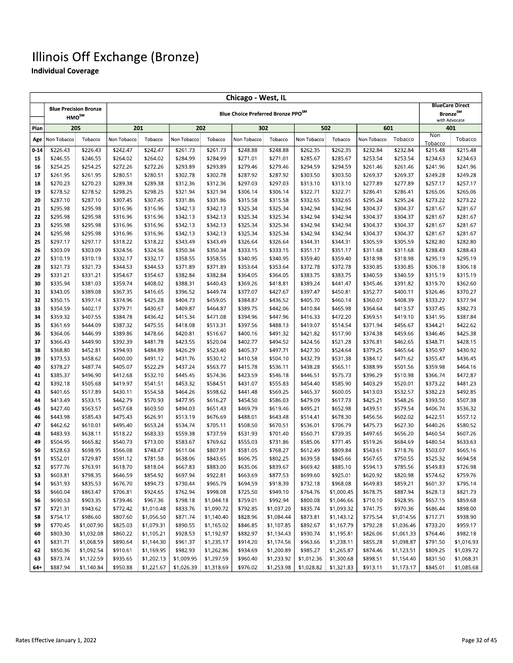|          | Chicago - West, IL           |                      |                      |                      |                      |                        |                                                |                      |                      |                          |                      |                      |                                              |                        |
|----------|------------------------------|----------------------|----------------------|----------------------|----------------------|------------------------|------------------------------------------------|----------------------|----------------------|--------------------------|----------------------|----------------------|----------------------------------------------|------------------------|
|          | <b>Blue Precision Bronze</b> |                      |                      |                      |                      |                        |                                                |                      |                      |                          |                      |                      |                                              | <b>BlueCare Direct</b> |
|          | HMO <sup>SM</sup>            |                      |                      |                      |                      |                        | Blue Choice Preferred Bronze PPO <sup>SM</sup> |                      |                      |                          |                      |                      | <b>Bronze</b> <sup>SM</sup><br>with Advocate |                        |
| Plan     | 205                          |                      | 201                  |                      |                      | 202                    |                                                | 302                  | 502                  |                          | 601                  |                      |                                              | 401                    |
| Age      | Non Tobacco                  | Tobacco              | Non Tobacco          | Tobacco              | Non Tobacco          | Tobacco                | Non Tobacco                                    | Tobacco              | Non Tobacco          | Tobacco                  | Non Tobacco          | Tobacco              | Non                                          | Tobacco                |
| $0 - 14$ | \$226.43                     | \$226.43             | \$242.47             | \$242.47             | \$261.73             | \$261.73               | \$248.88                                       | \$248.88             | \$262.35             | \$262.35                 | \$232.84             | \$232.84             | Tobacco<br>\$215.48                          | \$215.48               |
| 15       | \$246.55                     | \$246.55             | \$264.02             | \$264.02             | \$284.99             | \$284.99               | \$271.01                                       | \$271.01             | \$285.67             | \$285.67                 | \$253.54             | \$253.54             | \$234.63                                     | \$234.63               |
| 16       | \$254.25                     | \$254.25             | \$272.26             | \$272.26             | \$293.89             | \$293.89               | \$279.46                                       | \$279.46             | \$294.59             | \$294.59                 | \$261.46             | \$261.46             | \$241.96                                     | \$241.96               |
| 17       | \$261.95                     | \$261.95             | \$280.51             | \$280.51             | \$302.78             | \$302.78               | \$287.92                                       | \$287.92             | \$303.50             | \$303.50                 | \$269.37             | \$269.37             | \$249.28                                     | \$249.28               |
| 18       | \$270.23                     | \$270.23             | \$289.38             | \$289.38             | \$312.36             | \$312.36               | \$297.03                                       | \$297.03             | \$313.10             | \$313.10                 | \$277.89             | \$277.89             | \$257.17                                     | \$257.17               |
| 19       | \$278.52                     | \$278.52             | \$298.25             | \$298.25             | \$321.94             | \$321.94               | \$306.14                                       | \$306.14             | \$322.71             | \$322.71                 | \$286.41             | \$286.41             | \$265.06                                     | \$265.06               |
| 20       | \$287.10                     | \$287.10             | \$307.45             | \$307.45             | \$331.86             | \$331.86               | \$315.58                                       | \$315.58             | \$332.65             | \$332.65                 | \$295.24             | \$295.24             | \$273.22                                     | \$273.22               |
| 21       | \$295.98                     | \$295.98             | \$316.96             | \$316.96             | \$342.13             | \$342.13               | \$325.34                                       | \$325.34             | \$342.94             | \$342.94                 | \$304.37             | \$304.37             | \$281.67                                     | \$281.67               |
| 22       | \$295.98                     | \$295.98             | \$316.96             | \$316.96             | \$342.13             | \$342.13               | \$325.34                                       | \$325.34             | \$342.94             | \$342.94                 | \$304.37             | \$304.37             | \$281.67                                     | \$281.67               |
| 23       | \$295.98                     | \$295.98             | \$316.96             | \$316.96             | \$342.13             | \$342.13               | \$325.34                                       | \$325.34             | \$342.94             | \$342.94                 | \$304.37             | \$304.37             | \$281.67                                     | \$281.67               |
| 24       | \$295.98                     | \$295.98             | \$316.96             | \$316.96             | \$342.13             | \$342.13               | \$325.34                                       | \$325.34             | \$342.94             | \$342.94                 | \$304.37             | \$304.37             | \$281.67                                     | \$281.67               |
| 25       | \$297.17                     | \$297.17             | \$318.22             | \$318.22             | \$343.49             | \$343.49               | \$326.64                                       | \$326.64             | \$344.31             | \$344.31                 | \$305.59             | \$305.59             | \$282.80                                     | \$282.80               |
| 26       | \$303.09                     | \$303.09             | \$324.56             | \$324.56             | \$350.34             | \$350.34               | \$333.15                                       | \$333.15             | \$351.17             | \$351.17                 | \$311.68             | \$311.68             | \$288.43                                     | \$288.43               |
| 27       | \$310.19                     | \$310.19             | \$332.17             | \$332.17             | \$358.55             | \$358.55               | \$340.95                                       | \$340.95             | \$359.40             | \$359.40                 | \$318.98             | \$318.98             | \$295.19                                     | \$295.19               |
| 28       | \$321.73                     | \$321.73             | \$344.53             | \$344.53             | \$371.89             | \$371.89               | \$353.64                                       | \$353.64             | \$372.78             | \$372.78                 | \$330.85             | \$330.85             | \$306.18                                     | \$306.18               |
| 29       | \$331.21                     | \$331.21             | \$354.67             | \$354.67             | \$382.84             | \$382.84               | \$364.05                                       | \$364.05             | \$383.75             | \$383.75                 | \$340.59             | \$340.59             | \$315.19                                     | \$315.19               |
| 30       | \$335.94                     | \$381.03             | \$359.74             | \$408.02             | \$388.31             | \$440.43               | \$369.26                                       | \$418.81             | \$389.24             | \$441.47                 | \$345.46             | \$391.82             | \$319.70                                     | \$362.60               |
| 31       | \$343.05                     | \$389.08             | \$367.35             | \$416.65             | \$396.52             | \$449.74               | \$377.07                                       | \$427.67             | \$397.47             | \$450.81                 | \$352.77             | \$400.11             | \$326.46                                     | \$370.27               |
| 32       | \$350.15                     | \$397.14             | \$374.96             | \$425.28             | \$404.73             | \$459.05               | \$384.87                                       | \$436.52             | \$405.70             | \$460.14                 | \$360.07             | \$408.39             | \$333.22                                     | \$377.94               |
| 33       | \$354.59                     | \$402.17             | \$379.71             | \$430.67             | \$409.87             | \$464.87               | \$389.75                                       | \$442.06             | \$410.84             | \$465.98                 | \$364.64             | \$413.57             | \$337.45                                     | \$382.73               |
| 34       | \$359.32                     | \$407.55             | \$384.78             | \$436.42             | \$415.34             | \$471.08               | \$394.96                                       | \$447.96             | \$416.33             | \$472.20<br>\$514.54     | \$369.51             | \$419.10             | \$341.95                                     | \$387.84               |
| 35<br>36 | \$361.69<br>\$364.06         | \$444.09<br>\$446.99 | \$387.32<br>\$389.86 | \$475.55<br>\$478.66 | \$418.08<br>\$420.81 | \$513.31<br>\$516.67   | \$397.56<br>\$400.16                           | \$488.13<br>\$491.32 | \$419.07<br>\$421.82 | \$517.90                 | \$371.94<br>\$374.38 | \$456.67<br>\$459.66 | \$344.21<br>\$346.46                         | \$422.62<br>\$425.38   |
| 37       | \$366.43                     | \$449.90             | \$392.39             | \$481.78             | \$423.55             | \$520.04               | \$402.77                                       | \$494.52             | \$424.56             | \$521.28                 | \$376.81             | \$462.65             | \$348.71                                     | \$428.15               |
| 38       | \$368.80                     | \$452.81             | \$394.93             | \$484.89             | \$426.29             | \$523.40               | \$405.37                                       | \$497.71             | \$427.30             | \$524.64                 | \$379.25             | \$465.64             | \$350.97                                     | \$430.92               |
| 39       | \$373.53                     | \$458.62             | \$400.00             | \$491.12             | \$431.76             | \$530.12               | \$410.58                                       | \$504.10             | \$432.79             | \$531.38                 | \$384.12             | \$471.62             | \$355.47                                     | \$436.45               |
| 40       | \$378.27                     | \$487.74             | \$405.07             | \$522.29             | \$437.24             | \$563.77               | \$415.78                                       | \$536.11             | \$438.28             | \$565.11                 | \$388.99             | \$501.56             | \$359.98                                     | \$464.16               |
| 41       | \$385.37                     | \$496.90             | \$412.68             | \$532.10             | \$445.45             | \$574.36               | \$423.59                                       | \$546.18             | \$446.51             | \$575.73                 | \$396.29             | \$510.98             | \$366.74                                     | \$472.87               |
| 42       | \$392.18                     | \$505.68             | \$419.97             | \$541.51             | \$453.32             | \$584.51               | \$431.07                                       | \$555.83             | \$454.40             | \$585.90                 | \$403.29             | \$520.01             | \$373.22                                     | \$481.23               |
| 43       | \$401.65                     | \$517.89             | \$430.11             | \$554.58             | \$464.26             | \$598.62               | \$441.48                                       | \$569.25             | \$465.37             | \$600.05                 | \$413.03             | \$532.57             | \$382.23                                     | \$492.85               |
| 44       | \$413.49                     | \$533.15             | \$442.79             | \$570.93             | \$477.95             | \$616.27               | \$454.50                                       | \$586.03             | \$479.09             | \$617.73                 | \$425.21             | \$548.26             | \$393.50                                     | \$507.38               |
| 45       | \$427.40                     | \$563.57             | \$457.68             | \$603.50             | \$494.03             | \$651.43               | \$469.79                                       | \$619.46             | \$495.21             | \$652.98                 | \$439.51             | \$579.54             | \$406.74                                     | \$536.32               |
| 46       | \$443.98                     | \$585.43             | \$475.43             | \$626.91             | \$513.19             | \$676.69               | \$488.01                                       | \$643.48             | \$514.41             | \$678.30                 | \$456.56             | \$602.02             | \$422.51                                     | \$557.12               |
| 47       | \$462.62                     | \$610.01             | \$495.40             | \$653.24             | \$534.74             | \$705.11               | \$508.50                                       | \$670.51             | \$536.01             | \$706.79                 | \$475.73             | \$627.30             | \$440.26                                     | \$580.52               |
| 48       | \$483.93                     | \$638.11             | \$518.22             | \$683.33             | \$559.38             | \$737.59               | \$531.93                                       | \$701.40             | \$560.71             | \$739.35                 | \$497.65             | \$656.20             | \$460.54                                     | \$607.26               |
| 49       | \$504.95                     | \$665.82             | \$540.73             | \$713.00             | \$583.67             | \$769.62               | \$555.03                                       | \$731.86             | \$585.06             | \$771.45                 | \$519.26             | \$684.69             | \$480.54                                     | \$633.63               |
| 50       | \$528.63                     | \$698.95             | \$566.08             | \$748.47             | \$611.04             | \$807.91               | \$581.05                                       | \$768.27             | \$612.49             | \$809.84                 | \$543.61             | \$718.76             | \$503.07                                     | \$665.16               |
| 51       | \$552.01                     | \$729.87             | \$591.12             | \$781.58             | \$638.06             | \$843.65               | \$606.75                                       | \$802.25             | \$639.58             | \$845.66                 | \$567.65             | \$750.55             | \$525.32                                     | \$694.58               |
| 52       | \$577.76                     | \$763.91             | \$618.70             | \$818.04             | \$667.83             | \$883.00               | \$635.06                                       | \$839.67             | \$669.42             | \$885.10                 | \$594.13             | \$785.56             | \$549.83                                     | \$726.98               |
| 53       | \$603.81                     | \$798.35             | \$646.59             | \$854.92             | \$697.94             | \$922.81               | \$663.69                                       | \$877.53             | \$699.60             | \$925.01                 | \$620.92             | \$820.98             | \$574.62                                     | \$759.76               |
| 54       | \$631.93                     | \$835.53             | \$676.70             | \$894.73             | \$730.44             | \$965.79               | \$694.59                                       | \$918.39             | \$732.18             | \$968.08                 | \$649.83             | \$859.21             | \$601.37                                     | \$795.14               |
| 55       | \$660.04<br>\$690.53         | \$863.47<br>\$903.35 | \$706.81<br>\$739.46 | \$924.65<br>\$967.36 | \$762.94<br>\$798.18 | \$998.08<br>\$1,044.18 | \$725.50<br>\$759.01                           | \$949.10<br>\$992.94 | \$764.76<br>\$800.08 | \$1,000.45<br>\$1,046.66 | \$678.75<br>\$710.10 | \$887.94<br>\$928.95 | \$628.13<br>\$657.15                         | \$821.73<br>\$859.68   |
| 56<br>57 | \$721.31                     | \$943.62             | \$772.42             | \$1,010.48           | \$833.76             | \$1,090.72             | \$792.85                                       | \$1,037.20           | \$835.74             | \$1,093.32               | \$741.75             | \$970.36             | \$686.44                                     | \$898.00               |
| 58       | \$754.17                     | \$986.60             | \$807.60             | \$1,056.50           | \$871.74             | \$1,140.40             | \$828.96                                       | \$1,084.44           | \$873.81             | \$1,143.12               | \$775.54             | \$1,014.56           | \$717.71                                     | \$938.90               |
| 59       | \$770.45                     | \$1,007.90           | \$825.03             | \$1,079.31           | \$890.55             | \$1,165.02             | \$846.85                                       | \$1,107.85           | \$892.67             | \$1,167.79               | \$792.28             | \$1,036.46           | \$733.20                                     | \$959.17               |
| 60       | \$803.30                     | \$1,032.08           | \$860.22             | \$1,105.21           | \$928.53             | \$1,192.97             | \$882.97                                       | \$1,134.43           | \$930.74             | \$1,195.81               | \$826.06             | \$1,061.33           | \$764.46                                     | \$982.18               |
| 61       | \$831.71                     | \$1,068.59           | \$890.64             | \$1,144.30           | \$961.37             | \$1,235.17             | \$914.20                                       | \$1,174.56           | \$963.66             | \$1,238.11               | \$855.28             | \$1,098.87           | \$791.50                                     | \$1,016.93             |
| 62       | \$850.36                     | \$1,092.54           | \$910.61             | \$1,169.95           | \$982.93             | \$1,262.86             | \$934.69                                       | \$1,200.89           | \$985.27             | \$1,265.87               | \$874.46             | \$1,123.51           | \$809.25                                     | \$1,039.72             |
| 63       | \$873.74                     | \$1,122.59           | \$935.65             | \$1,202.13           | \$1,009.95           | \$1,297.59             | \$960.40                                       | \$1,233.92           | \$1,012.36           | \$1,300.68               | \$898.51             | \$1,154.40           | \$831.50                                     | \$1,068.31             |
| 64+      | \$887.94                     | \$1,140.84           | \$950.88             | \$1,221.67           | \$1,026.39           | \$1,318.69             | \$976.02                                       | \$1,253.98           | \$1,028.82           | \$1,321.83               | \$913.11             | \$1,173.17           | \$845.01                                     | \$1,085.68             |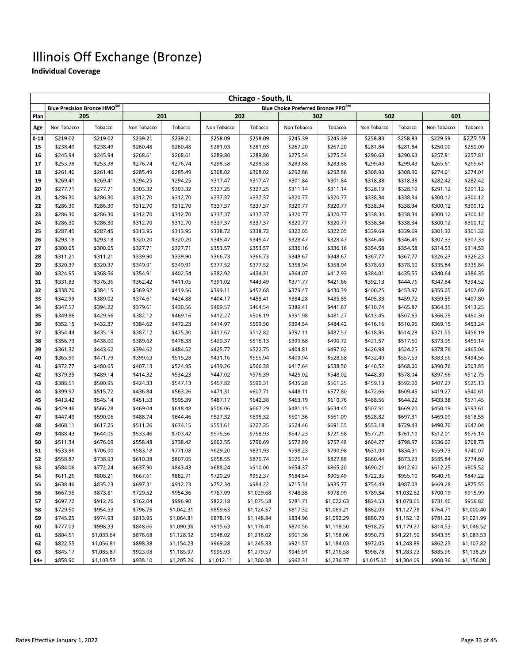|          | Chicago - South, IL         |                      |                      |                      |                      |                      |                      |                                                |                      |                      |                      |                      |  |  |
|----------|-----------------------------|----------------------|----------------------|----------------------|----------------------|----------------------|----------------------|------------------------------------------------|----------------------|----------------------|----------------------|----------------------|--|--|
|          | Blue Precision Bronze HMOSM |                      |                      |                      |                      |                      |                      | Blue Choice Preferred Bronze PPO <sup>SM</sup> |                      |                      |                      |                      |  |  |
| Plan     | 205                         |                      | 201                  |                      |                      | 202                  | 302                  |                                                | 502                  |                      | 601                  |                      |  |  |
| Age      | Non Tobacco                 | Tobacco              | Non Tobacco          | Tobacco              | Non Tobacco          | Tobacco              | Non Tobacco          | Tobacco                                        | Non Tobacco          | Tobacco              | Non Tobacco          | Tobacco              |  |  |
| $0 - 14$ | \$219.02                    | \$219.02             | \$239.21             | \$239.21             | \$258.09             | \$258.09             | \$245.39             | \$245.39                                       | \$258.83             | \$258.83             | \$229.59             | \$229.59             |  |  |
| 15       | \$238.49                    | \$238.49             | \$260.48             | \$260.48             | \$281.03             | \$281.03             | \$267.20             | \$267.20                                       | \$281.84             | \$281.84             | \$250.00             | \$250.00             |  |  |
| 16       | \$245.94                    | \$245.94             | \$268.61             | \$268.61             | \$289.80             | \$289.80             | \$275.54             | \$275.54                                       | \$290.63             | \$290.63             | \$257.81             | \$257.81             |  |  |
| 17       | \$253.38                    | \$253.38             | \$276.74             | \$276.74             | \$298.58             | \$298.58             | \$283.88             | \$283.88                                       | \$299.43             | \$299.43             | \$265.61             | \$265.61             |  |  |
| 18       | \$261.40                    | \$261.40             | \$285.49             | \$285.49             | \$308.02             | \$308.02             | \$292.86             | \$292.86                                       | \$308.90             | \$308.90             | \$274.01             | \$274.01             |  |  |
| 19       | \$269.41                    | \$269.41             | \$294.25             | \$294.25             | \$317.47             | \$317.47             | \$301.84             | \$301.84                                       | \$318.38             | \$318.38             | \$282.42             | \$282.42             |  |  |
| 20       | \$277.71                    | \$277.71             | \$303.32             | \$303.32             | \$327.25             | \$327.25             | \$311.14             | \$311.14                                       | \$328.19             | \$328.19             | \$291.12             | \$291.12             |  |  |
| 21       | \$286.30                    | \$286.30             | \$312.70             | \$312.70             | \$337.37             | \$337.37             | \$320.77             | \$320.77                                       | \$338.34             | \$338.34             | \$300.12             | \$300.12             |  |  |
| 22       | \$286.30                    | \$286.30             | \$312.70             | \$312.70             | \$337.37             | \$337.37             | \$320.77             | \$320.77                                       | \$338.34             | \$338.34             | \$300.12             | \$300.12             |  |  |
| 23       | \$286.30                    | \$286.30             | \$312.70             | \$312.70             | \$337.37             | \$337.37             | \$320.77             | \$320.77                                       | \$338.34             | \$338.34             | \$300.12             | \$300.12             |  |  |
| 24       | \$286.30                    | \$286.30             | \$312.70             | \$312.70             | \$337.37             | \$337.37             | \$320.77             | \$320.77                                       | \$338.34             | \$338.34             | \$300.12             | \$300.12             |  |  |
| 25       | \$287.45                    | \$287.45             | \$313.95             | \$313.95             | \$338.72             | \$338.72             | \$322.05             | \$322.05                                       | \$339.69             | \$339.69             | \$301.32             | \$301.32             |  |  |
| 26       | \$293.18                    | \$293.18             | \$320.20             | \$320.20             | \$345.47             | \$345.47             | \$328.47             | \$328.47                                       | \$346.46             | \$346.46             | \$307.33             | \$307.33             |  |  |
| 27       | \$300.05                    | \$300.05             | \$327.71             | \$327.71             | \$353.57             | \$353.57             | \$336.16             | \$336.16                                       | \$354.58             | \$354.58             | \$314.53             | \$314.53             |  |  |
| 28       | \$311.21                    | \$311.21             | \$339.90             | \$339.90             | \$366.73             | \$366.73             | \$348.67             | \$348.67                                       | \$367.77             | \$367.77             | \$326.23             | \$326.23             |  |  |
| 29       | \$320.37                    | \$320.37             | \$349.91             | \$349.91             | \$377.52             | \$377.52             | \$358.94             | \$358.94                                       | \$378.60             | \$378.60             | \$335.84             | \$335.84             |  |  |
| 30       | \$324.95                    | \$368.56             | \$354.91             | \$402.54             | \$382.92             | \$434.31             | \$364.07             | \$412.93                                       | \$384.01             | \$435.55             | \$340.64             | \$386.35             |  |  |
| 31       | \$331.83                    | \$376.36             | \$362.42             | \$411.05             | \$391.02             | \$443.49             | \$371.77             | \$421.66                                       | \$392.13             | \$444.76             | \$347.84             | \$394.52             |  |  |
| 32       | \$338.70                    | \$384.15<br>\$389.02 | \$369.92             | \$419.56             | \$399.11             | \$452.68             | \$379.47             | \$430.39                                       | \$400.25             | \$453.97             | \$355.05             | \$402.69             |  |  |
| 33       | \$342.99<br>\$347.57        |                      | \$374.61             | \$424.88             | \$404.17             | \$458.41             | \$384.28             | \$435.85                                       | \$405.33             | \$459.72<br>\$465.87 | \$359.55             | \$407.80<br>\$413.25 |  |  |
| 34<br>35 | \$349.86                    | \$394.22<br>\$429.56 | \$379.61<br>\$382.12 | \$430.56<br>\$469.16 | \$409.57<br>\$412.27 | \$464.54<br>\$506.19 | \$389.41<br>\$391.98 | \$441.67<br>\$481.27                           | \$410.74<br>\$413.45 | \$507.63             | \$364.35<br>\$366.75 | \$450.30             |  |  |
| 36       | \$352.15                    | \$432.37             | \$384.62             | \$472.23             | \$414.97             | \$509.50             | \$394.54             | \$484.42                                       | \$416.16             | \$510.96             | \$369.15             | \$453.24             |  |  |
| 37       | \$354.44                    | \$435.19             | \$387.12             | \$475.30             | \$417.67             | \$512.82             | \$397.11             | \$487.57                                       | \$418.86             | \$514.28             | \$371.55             | \$456.19             |  |  |
| 38       | \$356.73                    | \$438.00             | \$389.62             | \$478.38             | \$420.37             | \$516.13             | \$399.68             | \$490.72                                       | \$421.57             | \$517.60             | \$373.95             | \$459.14             |  |  |
| 39       | \$361.32                    | \$443.62             | \$394.62             | \$484.52             | \$425.77             | \$522.75             | \$404.81             | \$497.02                                       | \$426.98             | \$524.25             | \$378.76             | \$465.04             |  |  |
| 40       | \$365.90                    | \$471.79             | \$399.63             | \$515.28             | \$431.16             | \$555.94             | \$409.94             | \$528.58                                       | \$432.40             | \$557.53             | \$383.56             | \$494.56             |  |  |
| 41       | \$372.77                    | \$480.65             | \$407.13             | \$524.95             | \$439.26             | \$566.38             | \$417.64             | \$538.50                                       | \$440.52             | \$568.00             | \$390.76             | \$503.85             |  |  |
| 42       | \$379.35                    | \$489.14             | \$414.32             | \$534.23             | \$447.02             | \$576.39             | \$425.02             | \$548.02                                       | \$448.30             | \$578.04             | \$397.66             | \$512.75             |  |  |
| 43       | \$388.51                    | \$500.95             | \$424.33             | \$547.13             | \$457.82             | \$590.31             | \$435.28             | \$561.25                                       | \$459.13             | \$592.00             | \$407.27             | \$525.13             |  |  |
| 44       | \$399.97                    | \$515.72             | \$436.84             | \$563.26             | \$471.31             | \$607.71             | \$448.11             | \$577.80                                       | \$472.66             | \$609.45             | \$419.27             | \$540.61             |  |  |
| 45       | \$413.42                    | \$545.14             | \$451.53             | \$595.39             | \$487.17             | \$642.38             | \$463.19             | \$610.76                                       | \$488.56             | \$644.22             | \$433.38             | \$571.45             |  |  |
| 46       | \$429.46                    | \$566.28             | \$469.04             | \$618.48             | \$506.06             | \$667.29             | \$481.15             | \$634.45                                       | \$507.51             | \$669.20             | \$450.19             | \$593.61             |  |  |
| 47       | \$447.49                    | \$590.06             | \$488.74             | \$644.46             | \$527.32             | \$695.32             | \$501.36             | \$661.09                                       | \$528.82             | \$697.31             | \$469.09             | \$618.55             |  |  |
| 48       | \$468.11                    | \$617.25             | \$511.26             | \$674.15             | \$551.61             | \$727.35             | \$524.46             | \$691.55                                       | \$553.18             | \$729.43             | \$490.70             | \$647.04             |  |  |
| 49       | \$488.43                    | \$644.05             | \$533.46             | \$703.42             | \$575.56             | \$758.93             | \$547.23             | \$721.58                                       | \$577.21             | \$761.10             | \$512.01             | \$675.14             |  |  |
| 50       | \$511.34                    | \$676.09             | \$558.48             | \$738.42             | \$602.55             | \$796.69             | \$572.89             | \$757.48                                       | \$604.27             | \$798.97             | \$536.02             | \$708.73             |  |  |
| 51       | \$533.96                    | \$706.00             | \$583.18             | \$771.08             | \$629.20             | \$831.93             | \$598.23             | \$790.98                                       | \$631.00             | \$834.31             | \$559.73             | \$740.07             |  |  |
| 52       | \$558.87                    | \$738.93             | \$610.38             | \$807.05             | \$658.55             | \$870.74             | \$626.14             | \$827.88                                       | \$660.44             | \$873.23             | \$585.84             | \$774.60             |  |  |
| 53       | \$584.06                    | \$772.24             | \$637.90             | \$843.43             | \$688.24             | \$910.00             | \$654.37             | \$865.20                                       | \$690.21             | \$912.60             | \$612.25             | \$809.52             |  |  |
| 54       | \$611.26                    | \$808.21             | \$667.61             | \$882.71             | \$720.29             | \$952.37             | \$684.84             | \$905.49                                       | \$722.35             | \$955.10             | \$640.76             | \$847.22             |  |  |
| 55       | \$638.46                    | \$835.23             | \$697.31             | \$912.23             | \$752.34             | \$984.22             | \$715.31             | \$935.77                                       | \$754.49             | \$987.03             | \$669.28             | \$875.55             |  |  |
| 56       | \$667.95                    | \$873.81             | \$729.52             | \$954.36             | \$787.09             | \$1,029.68           | \$748.35             | \$978.99                                       | \$789.34             | \$1,032.62           | \$700.19             | \$915.99             |  |  |
| 57       | \$697.72                    | \$912.76             | \$762.04             | \$996.90             | \$822.18             | \$1,075.58           | \$781.71             | \$1,022.63                                     | \$824.53             | \$1,078.65           | \$731.40             | \$956.82             |  |  |
| 58       | \$729.50                    | \$954.33             | \$796.75             | \$1,042.31           | \$859.63             | \$1,124.57           | \$817.32             | \$1,069.21                                     | \$862.09             | \$1,127.78           | \$764.71             | \$1,000.40           |  |  |
| 59       | \$745.25                    | \$974.93             | \$813.95             | \$1,064.81           | \$878.19             | \$1,148.84           | \$834.96             | \$1,092.29                                     | \$880.70             | \$1,152.12           | \$781.22             | \$1,021.99           |  |  |
| 60       | \$777.03                    | \$998.33             | \$848.66             | \$1,090.36           | \$915.63             | \$1,176.41           | \$870.56             | \$1,118.50                                     | \$918.25             | \$1,179.77           | \$814.53             | \$1,046.52           |  |  |
| 61       | \$804.51                    | \$1,033.64           | \$878.68             | \$1,128.92           | \$948.02             | \$1,218.02           | \$901.36             | \$1,158.06                                     | \$950.73             | \$1,221.50           | \$843.35             | \$1,083.53           |  |  |
| 62       | \$822.55                    | \$1,056.81           | \$898.38             | \$1,154.23           | \$969.28<br>\$995.93 | \$1,245.33           | \$921.57             | \$1,184.03                                     | \$972.05<br>\$998.78 | \$1,248.89           | \$862.25             | \$1,107.82           |  |  |
| 63       | \$845.17                    | \$1,085.87           | \$923.08             | \$1,185.97           |                      | \$1,279.57           | \$946.91             | \$1,216.58                                     |                      | \$1,283.23           | \$885.96             | \$1,138.29           |  |  |
| 64+      | \$858.90                    | \$1,103.53           | \$938.10             | \$1,205.26           | \$1,012.11           | \$1,300.38           | \$962.31             | \$1,236.37                                     | \$1,015.02           | \$1,304.09           | \$900.36             | \$1,156.80           |  |  |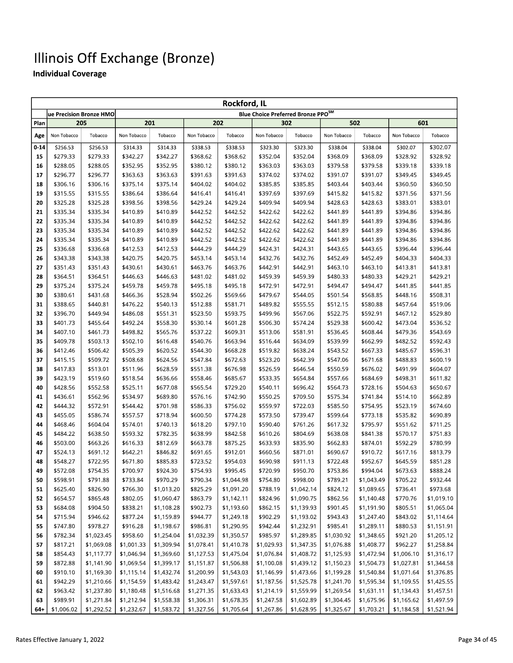|           |             | ue Precision Bronze HMO  |             |            |             |            | <b>Blue Choice Preferred Bronze PPO<sup>SM</sup></b> |            |             |            |             |            |
|-----------|-------------|--------------------------|-------------|------------|-------------|------------|------------------------------------------------------|------------|-------------|------------|-------------|------------|
| Plan      |             | 205                      | 201         |            |             | 202        |                                                      | 302        |             | 502        |             | 601        |
| Age       | Non Tobacco | Tobacco                  | Non Tobacco | Tobacco    | Non Tobacco | Tobacco    | Non Tobacco                                          | Tobacco    | Non Tobacco | Tobacco    | Non Tobacco | Tobacco    |
| $0 - 14$  | \$256.53    | \$256.53                 | \$314.33    | \$314.33   | \$338.53    | \$338.53   | \$323.30                                             | \$323.30   | \$338.04    | \$338.04   | \$302.07    | \$302.07   |
| 15        | \$279.33    | \$279.33                 | \$342.27    | \$342.27   | \$368.62    | \$368.62   | \$352.04                                             | \$352.04   | \$368.09    | \$368.09   | \$328.92    | \$328.92   |
| 16        | \$288.05    | \$288.05                 | \$352.95    | \$352.95   | \$380.12    | \$380.12   | \$363.03                                             | \$363.03   | \$379.58    | \$379.58   | \$339.18    | \$339.18   |
| 17        | \$296.77    | \$296.77                 | \$363.63    | \$363.63   | \$391.63    | \$391.63   | \$374.02                                             | \$374.02   | \$391.07    | \$391.07   | \$349.45    | \$349.45   |
| 18        | \$306.16    | \$306.16                 | \$375.14    | \$375.14   | \$404.02    | \$404.02   | \$385.85                                             | \$385.85   | \$403.44    | \$403.44   | \$360.50    | \$360.50   |
| 19        | \$315.55    | \$315.55                 | \$386.64    | \$386.64   | \$416.41    | \$416.41   | \$397.69                                             | \$397.69   | \$415.82    | \$415.82   | \$371.56    | \$371.56   |
| 20        | \$325.28    | \$325.28                 | \$398.56    | \$398.56   | \$429.24    | \$429.24   | \$409.94                                             | \$409.94   | \$428.63    | \$428.63   | \$383.01    | \$383.01   |
| 21        | \$335.34    | \$335.34                 | \$410.89    | \$410.89   | \$442.52    | \$442.52   | \$422.62                                             | \$422.62   | \$441.89    | \$441.89   | \$394.86    | \$394.86   |
| 22        | \$335.34    | \$335.34                 | \$410.89    | \$410.89   | \$442.52    | \$442.52   | \$422.62                                             | \$422.62   | \$441.89    | \$441.89   | \$394.86    | \$394.86   |
| 23        | \$335.34    | \$335.34                 | \$410.89    | \$410.89   | \$442.52    | \$442.52   | \$422.62                                             | \$422.62   | \$441.89    | \$441.89   | \$394.86    | \$394.86   |
| 24        | \$335.34    | \$335.34                 | \$410.89    | \$410.89   | \$442.52    | \$442.52   | \$422.62                                             | \$422.62   | \$441.89    | \$441.89   | \$394.86    | \$394.86   |
| 25        | \$336.68    | \$336.68                 | \$412.53    | \$412.53   | \$444.29    | \$444.29   | \$424.31                                             | \$424.31   | \$443.65    | \$443.65   | \$396.44    | \$396.44   |
| 26        | \$343.38    | \$343.38                 | \$420.75    | \$420.75   | \$453.14    | \$453.14   | \$432.76                                             | \$432.76   | \$452.49    | \$452.49   | \$404.33    | \$404.33   |
| 27        | \$351.43    | \$351.43                 | \$430.61    | \$430.61   | \$463.76    | \$463.76   | \$442.91                                             | \$442.91   | \$463.10    | \$463.10   | \$413.81    | \$413.81   |
| 28        | \$364.51    | \$364.51                 | \$446.63    | \$446.63   | \$481.02    | \$481.02   | \$459.39                                             | \$459.39   | \$480.33    | \$480.33   | \$429.21    | \$429.21   |
| 29        | \$375.24    | \$375.24                 | \$459.78    | \$459.78   | \$495.18    | \$495.18   | \$472.91                                             | \$472.91   | \$494.47    | \$494.47   | \$441.85    | \$441.85   |
| 30        | \$380.61    | \$431.68                 | \$466.36    | \$528.94   | \$502.26    | \$569.66   | \$479.67                                             | \$544.05   | \$501.54    | \$568.85   | \$448.16    | \$508.31   |
| 31        | \$388.65    | \$440.81                 | \$476.22    | \$540.13   | \$512.88    | \$581.71   | \$489.82                                             | \$555.55   | \$512.15    | \$580.88   | \$457.64    | \$519.06   |
| 32        | \$396.70    | \$449.94                 | \$486.08    | \$551.31   | \$523.50    | \$593.75   | \$499.96                                             | \$567.06   | \$522.75    | \$592.91   | \$467.12    | \$529.80   |
| 33        | \$401.73    | \$455.64                 | \$492.24    | \$558.30   | \$530.14    | \$601.28   | \$506.30                                             | \$574.24   | \$529.38    | \$600.42   | \$473.04    | \$536.52   |
| 34        | \$407.10    | \$461.73                 | \$498.82    | \$565.76   | \$537.22    | \$609.31   | \$513.06                                             | \$581.91   | \$536.45    | \$608.44   | \$479.36    | \$543.69   |
| 35        | \$409.78    | \$503.13                 | \$502.10    | \$616.48   | \$540.76    | \$663.94   | \$516.44                                             | \$634.09   | \$539.99    | \$662.99   | \$482.52    | \$592.43   |
| 36        | \$412.46    | \$506.42                 | \$505.39    | \$620.52   | \$544.30    | \$668.28   | \$519.82                                             | \$638.24   | \$543.52    | \$667.33   | \$485.67    | \$596.31   |
| 37        | \$415.15    | \$509.72                 | \$508.68    | \$624.56   | \$547.84    | \$672.63   | \$523.20                                             | \$642.39   | \$547.06    | \$671.68   | \$488.83    | \$600.19   |
| 38        | \$417.83    | \$513.01                 | \$511.96    | \$628.59   | \$551.38    | \$676.98   | \$526.59                                             | \$646.54   | \$550.59    | \$676.02   | \$491.99    | \$604.07   |
| 39        | \$423.19    | \$519.60                 | \$518.54    | \$636.66   | \$558.46    | \$685.67   | \$533.35                                             | \$654.84   | \$557.66    | \$684.69   | \$498.31    | \$611.82   |
| 40        | \$428.56    | \$552.58                 | \$525.11    | \$677.08   | \$565.54    | \$729.20   | \$540.11                                             | \$696.42   | \$564.73    | \$728.16   | \$504.63    | \$650.67   |
| 41        | \$436.61    | \$562.96                 | \$534.97    | \$689.80   | \$576.16    | \$742.90   | \$550.25                                             | \$709.50   | \$575.34    | \$741.84   | \$514.10    | \$662.89   |
| 42        | \$444.32    | \$572.91                 | \$544.42    | \$701.98   | \$586.33    | \$756.02   | \$559.97                                             | \$722.03   | \$585.50    | \$754.95   | \$523.19    | \$674.60   |
| 43        | \$455.05    | \$586.74                 | \$557.57    | \$718.94   | \$600.50    | \$774.28   | \$573.50                                             | \$739.47   | \$599.64    | \$773.18   | \$535.82    | \$690.89   |
| 44        | \$468.46    | \$604.04                 | \$574.01    | \$740.13   | \$618.20    | \$797.10   | \$590.40                                             | \$761.26   | \$617.32    | \$795.97   | \$551.62    | \$711.25   |
| 45        | \$484.22    | \$638.50                 | \$593.32    | \$782.35   | \$638.99    | \$842.58   | \$610.26                                             | \$804.69   | \$638.08    | \$841.38   | \$570.17    | \$751.83   |
| 46        | \$503.00    | \$663.26                 | \$616.33    | \$812.69   | \$663.78    | \$875.25   | \$633.93                                             | \$835.90   | \$662.83    | \$874.01   | \$592.29    | \$780.99   |
| 47        | \$524.13    | \$691.12                 | \$642.21    | \$846.82   | \$691.65    | \$912.01   | \$660.56                                             | \$871.01   | \$690.67    | \$910.72   | \$617.16    | \$813.79   |
| 48        | \$548.27    | \$722.95                 | \$671.80    | \$885.83   | \$723.52    | \$954.03   | \$690.98                                             | \$911.13   | \$722.48    | \$952.67   | \$645.59    | \$851.28   |
| 49        | \$572.08    | \$754.35                 | \$700.97    | \$924.30   | \$754.93    | \$995.45   | \$720.99                                             | \$950.70   | \$753.86    | \$994.04   | \$673.63    | \$888.24   |
| 50        | \$598.91    | \$791.88                 | \$733.84    | \$970.29   | \$790.34    | \$1,044.98 | \$754.80                                             | \$998.00   | \$789.21    | \$1,043.49 | \$705.22    | \$932.44   |
| 51        | \$625.40    | \$826.90                 | \$766.30    | \$1,013.20 | \$825.29    | \$1,091.20 | \$788.19                                             | \$1,042.14 | \$824.12    | \$1,089.65 | \$736.41    | \$973.68   |
| 52        | \$654.57    | \$865.48                 | \$802.05    | \$1,060.47 | \$863.79    | \$1,142.11 | \$824.96                                             | \$1,090.75 | \$862.56    | \$1,140.48 | \$770.76    | \$1,019.10 |
| 53        | \$684.08    | \$904.50                 | \$838.21    | \$1,108.28 | \$902.73    | \$1,193.60 | \$862.15                                             | \$1,139.93 | \$901.45    | \$1,191.90 | \$805.51    | \$1,065.04 |
| 54        | \$715.94    | \$946.62                 | \$877.24    | \$1,159.89 | \$944.77    | \$1,249.18 | \$902.29                                             | \$1,193.02 | \$943.43    | \$1,247.40 | \$843.02    | \$1,114.64 |
| 55        | \$747.80    | \$978.27                 | \$916.28    | \$1,198.67 | \$986.81    | \$1,290.95 | \$942.44                                             | \$1,232.91 | \$985.41    | \$1,289.11 | \$880.53    | \$1,151.91 |
| 56        | \$782.34    | \$1,023.45               | \$958.60    | \$1,254.04 | \$1,032.39  | \$1,350.57 | \$985.97                                             | \$1,289.85 | \$1,030.92  | \$1,348.65 | \$921.20    | \$1,205.12 |
| 57        | \$817.21    | \$1,069.08               | \$1,001.33  | \$1,309.94 | \$1,078.41  | \$1,410.78 | \$1,029.93                                           | \$1,347.35 | \$1,076.88  | \$1,408.77 | \$962.27    | \$1,258.84 |
| 58        | \$854.43    | \$1,117.77               | \$1,046.94  | \$1,369.60 | \$1,127.53  | \$1,475.04 | \$1,076.84                                           | \$1,408.72 | \$1,125.93  | \$1,472.94 | \$1,006.10  | \$1,316.17 |
| 59        | \$872.88    | \$1,141.90               | \$1,069.54  | \$1,399.17 | \$1,151.87  | \$1,506.88 | \$1,100.08                                           | \$1,439.12 | \$1,150.23  | \$1,504.73 | \$1,027.81  | \$1,344.58 |
| 60        | \$910.10    | \$1,169.30               | \$1,115.14  | \$1,432.74 | \$1,200.99  | \$1,543.03 | \$1,146.99                                           | \$1,473.66 | \$1,199.28  | \$1,540.84 | \$1,071.64  | \$1,376.85 |
| 61        | \$942.29    | \$1,210.66               | \$1,154.59  | \$1,483.42 | \$1,243.47  | \$1,597.61 | \$1,187.56                                           | \$1,525.78 | \$1,241.70  | \$1,595.34 | \$1,109.55  | \$1,425.55 |
|           | \$963.42    | \$1,237.80               | \$1,180.48  | \$1,516.68 | \$1,271.35  | \$1,633.43 | \$1,214.19                                           | \$1,559.99 | \$1,269.54  | \$1,631.11 | \$1,134.43  | \$1,457.51 |
| 62        | \$989.91    | \$1,271.84<br>\$1,292.52 | \$1,212.94  | \$1,558.38 | \$1,306.31  | \$1,678.35 | \$1,247.58                                           | \$1,602.89 | \$1,304.45  | \$1,675.96 | \$1,165.62  | \$1,497.59 |
| 63<br>64+ | \$1,006.02  |                          | \$1,232.67  | \$1,583.72 | \$1,327.56  | \$1,705.64 | \$1,267.86                                           | \$1,628.95 | \$1,325.67  | \$1,703.21 | \$1,184.58  | \$1,521.94 |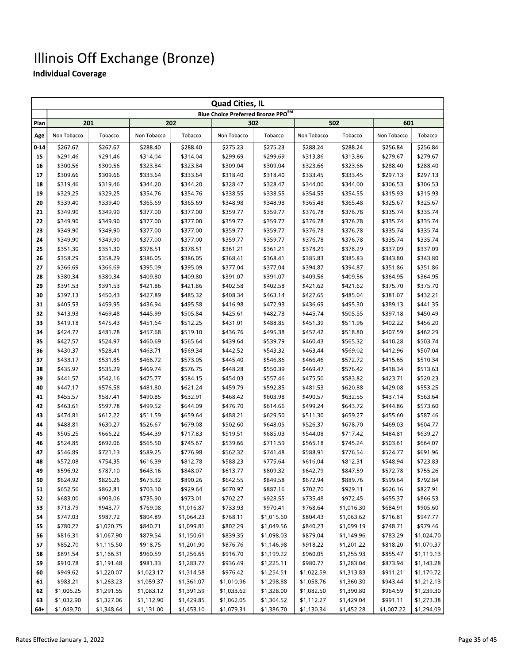|          | <b>Quad Cities, IL</b> |            |             |            |                                    |            |             |            |             |            |  |  |  |
|----------|------------------------|------------|-------------|------------|------------------------------------|------------|-------------|------------|-------------|------------|--|--|--|
|          |                        |            |             |            | Blue Choice Preferred Bronze PPOSM |            |             |            |             |            |  |  |  |
| Plan     |                        | 201        |             | 202        |                                    | 302        |             | 502        | 601         |            |  |  |  |
| Age      | Non Tobacco            | Tobacco    | Non Tobacco | Tobacco    | Non Tobacco                        | Tobacco    | Non Tobacco | Tobacco    | Non Tobacco | Tobacco    |  |  |  |
| $0 - 14$ | \$267.67               | \$267.67   | \$288.40    | \$288.40   | \$275.23                           | \$275.23   | \$288.24    | \$288.24   | \$256.84    | \$256.84   |  |  |  |
| 15       | \$291.46               | \$291.46   | \$314.04    | \$314.04   | \$299.69                           | \$299.69   | \$313.86    | \$313.86   | \$279.67    | \$279.67   |  |  |  |
| 16       | \$300.56               | \$300.56   | \$323.84    | \$323.84   | \$309.04                           | \$309.04   | \$323.66    | \$323.66   | \$288.40    | \$288.40   |  |  |  |
| 17       | \$309.66               | \$309.66   | \$333.64    | \$333.64   | \$318.40                           | \$318.40   | \$333.45    | \$333.45   | \$297.13    | \$297.13   |  |  |  |
| 18       | \$319.46               | \$319.46   | \$344.20    | \$344.20   | \$328.47                           | \$328.47   | \$344.00    | \$344.00   | \$306.53    | \$306.53   |  |  |  |
| 19       | \$329.25               | \$329.25   | \$354.76    | \$354.76   | \$338.55                           | \$338.55   | \$354.55    | \$354.55   | \$315.93    | \$315.93   |  |  |  |
| 20       | \$339.40               | \$339.40   | \$365.69    | \$365.69   | \$348.98                           | \$348.98   | \$365.48    | \$365.48   | \$325.67    | \$325.67   |  |  |  |
| 21       | \$349.90               | \$349.90   | \$377.00    | \$377.00   | \$359.77                           | \$359.77   | \$376.78    | \$376.78   | \$335.74    | \$335.74   |  |  |  |
| 22       | \$349.90               | \$349.90   | \$377.00    | \$377.00   | \$359.77                           | \$359.77   | \$376.78    | \$376.78   | \$335.74    | \$335.74   |  |  |  |
| 23       | \$349.90               | \$349.90   | \$377.00    | \$377.00   | \$359.77                           | \$359.77   | \$376.78    | \$376.78   | \$335.74    | \$335.74   |  |  |  |
| 24       | \$349.90               | \$349.90   | \$377.00    | \$377.00   | \$359.77                           | \$359.77   | \$376.78    | \$376.78   | \$335.74    | \$335.74   |  |  |  |
| 25       | \$351.30               | \$351.30   | \$378.51    | \$378.51   | \$361.21                           | \$361.21   | \$378.29    | \$378.29   | \$337.09    | \$337.09   |  |  |  |
| 26       | \$358.29               | \$358.29   | \$386.05    | \$386.05   | \$368.41                           | \$368.41   | \$385.83    | \$385.83   | \$343.80    | \$343.80   |  |  |  |
| 27       | \$366.69               | \$366.69   | \$395.09    | \$395.09   | \$377.04                           | \$377.04   | \$394.87    | \$394.87   | \$351.86    | \$351.86   |  |  |  |
| 28       | \$380.34               | \$380.34   | \$409.80    | \$409.80   | \$391.07                           | \$391.07   | \$409.56    | \$409.56   | \$364.95    | \$364.95   |  |  |  |
| 29       | \$391.53               | \$391.53   | \$421.86    | \$421.86   | \$402.58                           | \$402.58   | \$421.62    | \$421.62   | \$375.70    | \$375.70   |  |  |  |
| 30       | \$397.13               | \$450.43   | \$427.89    | \$485.32   | \$408.34                           | \$463.14   | \$427.65    | \$485.04   | \$381.07    | \$432.21   |  |  |  |
| 31       | \$405.53               | \$459.95   | \$436.94    | \$495.58   | \$416.98                           | \$472.93   | \$436.69    | \$495.30   | \$389.13    | \$441.35   |  |  |  |
| 32       | \$413.93               | \$469.48   | \$445.99    | \$505.84   | \$425.61                           | \$482.73   | \$445.74    | \$505.55   | \$397.18    | \$450.49   |  |  |  |
| 33       | \$419.18               | \$475.43   | \$451.64    | \$512.25   | \$431.01                           | \$488.85   | \$451.39    | \$511.96   | \$402.22    | \$456.20   |  |  |  |
| 34       | \$424.77               | \$481.78   | \$457.68    | \$519.10   | \$436.76                           | \$495.38   | \$457.42    | \$518.80   | \$407.59    | \$462.29   |  |  |  |
| 35       | \$427.57               | \$524.97   | \$460.69    | \$565.64   | \$439.64                           | \$539.79   | \$460.43    | \$565.32   | \$410.28    | \$503.74   |  |  |  |
| 36       | \$430.37               | \$528.41   | \$463.71    | \$569.34   | \$442.52                           | \$543.32   | \$463.44    | \$569.02   | \$412.96    | \$507.04   |  |  |  |
| 37       | \$433.17               | \$531.85   | \$466.72    | \$573.05   | \$445.40                           | \$546.86   | \$466.46    | \$572.72   | \$415.65    | \$510.34   |  |  |  |
| 38       | \$435.97               | \$535.29   | \$469.74    | \$576.75   | \$448.28                           | \$550.39   | \$469.47    | \$576.42   | \$418.34    | \$513.63   |  |  |  |
| 39       | \$441.57               | \$542.16   | \$475.77    | \$584.15   | \$454.03                           | \$557.46   | \$475.50    | \$583.82   | \$423.71    | \$520.23   |  |  |  |
| 40       | \$447.17               | \$576.58   | \$481.80    | \$621.24   | \$459.79                           | \$592.85   | \$481.53    | \$620.88   | \$429.08    | \$553.25   |  |  |  |
| 41       | \$455.57               | \$587.41   | \$490.85    | \$632.91   | \$468.42                           | \$603.98   | \$490.57    | \$632.55   | \$437.14    | \$563.64   |  |  |  |
| 42       | \$463.61               | \$597.78   | \$499.52    | \$644.09   | \$476.70                           | \$614.66   | \$499.24    | \$643.72   | \$444.86    | \$573.60   |  |  |  |
| 43       | \$474.81               | \$612.22   | \$511.59    | \$659.64   | \$488.21                           | \$629.50   | \$511.30    | \$659.27   | \$455.60    | \$587.46   |  |  |  |
| 44       | \$488.81               | \$630.27   | \$526.67    | \$679.08   | \$502.60                           | \$648.05   | \$526.37    | \$678.70   | \$469.03    | \$604.77   |  |  |  |
| 45       | \$505.25               | \$666.22   | \$544.39    | \$717.83   | \$519.51                           | \$685.03   | \$544.08    | \$717.42   | \$484.81    | \$639.27   |  |  |  |
| 46       | \$524.85               | \$692.06   | \$565.50    | \$745.67   | \$539.66                           | \$711.59   | \$565.18    | \$745.24   | \$503.61    | \$664.07   |  |  |  |
| 47       | \$546.89               | \$721.13   | \$589.25    | \$776.98   | \$562.32                           | \$741.48   | \$588.91    | \$776.54   | \$524.77    | \$691.96   |  |  |  |
| 48       | \$572.08               | \$754.35   | \$616.39    | \$812.78   | \$588.23                           | \$775.64   | \$616.04    | \$812.31   | \$548.94    | \$723.83   |  |  |  |
| 49       | \$596.92               | \$787.10   | \$643.16    | \$848.07   | \$613.77                           | \$809.32   | \$642.79    | \$847.59   | \$572.78    | \$755.26   |  |  |  |
| 50       | \$624.92               | \$826.26   | \$673.32    | \$890.26   | \$642.55                           | \$849.58   | \$672.94    | \$889.76   | \$599.64    | \$792.84   |  |  |  |
| 51       | \$652.56               | \$862.81   | \$703.10    | \$929.64   | \$670.97                           | \$887.16   | \$702.70    | \$929.11   | \$626.16    | \$827.91   |  |  |  |
| 52       | \$683.00               | \$903.06   | \$735.90    | \$973.01   | \$702.27                           | \$928.55   | \$735.48    | \$972.45   | \$655.37    | \$866.53   |  |  |  |
| 53       | \$713.79               | \$943.77   | \$769.08    | \$1,016.87 | \$733.93                           | \$970.41   | \$768.64    | \$1,016.30 | \$684.91    | \$905.60   |  |  |  |
| 54       | \$747.03               | \$987.72   | \$804.89    | \$1,064.23 | \$768.11                           | \$1,015.60 | \$804.43    | \$1,063.62 | \$716.81    | \$947.77   |  |  |  |
| 55       | \$780.27               | \$1,020.75 | \$840.71    | \$1,099.81 | \$802.29                           | \$1,049.56 | \$840.23    | \$1,099.19 | \$748.71    | \$979.46   |  |  |  |
| 56       | \$816.31               | \$1,067.90 | \$879.54    | \$1,150.61 | \$839.35                           | \$1,098.03 | \$879.04    | \$1,149.96 | \$783.29    | \$1,024.70 |  |  |  |
| 57       | \$852.70               | \$1,115.50 | \$918.75    | \$1,201.90 | \$876.76                           | \$1,146.98 | \$918.22    | \$1,201.22 | \$818.20    | \$1,070.37 |  |  |  |
| 58       | \$891.54               | \$1,166.31 | \$960.59    | \$1,256.65 | \$916.70                           | \$1,199.22 | \$960.05    | \$1,255.93 | \$855.47    | \$1,119.13 |  |  |  |
| 59       | \$910.78               | \$1,191.48 | \$981.33    | \$1,283.77 | \$936.49                           | \$1,225.11 | \$980.77    | \$1,283.04 | \$873.94    | \$1,143.28 |  |  |  |
| 60       | \$949.62               | \$1,220.07 | \$1,023.17  | \$1,314.58 | \$976.42                           | \$1,254.51 | \$1,022.59  | \$1,313.83 | \$911.21    | \$1,170.72 |  |  |  |
| 61       | \$983.21               | \$1,263.23 | \$1,059.37  | \$1,361.07 | \$1,010.96                         | \$1,298.88 | \$1,058.76  | \$1,360.30 | \$943.44    | \$1,212.13 |  |  |  |
| 62       | \$1,005.25             | \$1,291.55 | \$1,083.12  | \$1,391.59 | \$1,033.62                         | \$1,328.00 | \$1,082.50  | \$1,390.80 | \$964.59    | \$1,239.30 |  |  |  |
| 63       | \$1,032.90             | \$1,327.06 | \$1,112.90  | \$1,429.85 | \$1,062.05                         | \$1,364.52 | \$1,112.27  | \$1,429.04 | \$991.11    | \$1,273.38 |  |  |  |
| 64+      | \$1,049.70             | \$1,348.64 | \$1,131.00  | \$1,453.10 | \$1,079.31                         | \$1,386.70 | \$1,130.34  | \$1,452.28 | \$1,007.22  | \$1,294.09 |  |  |  |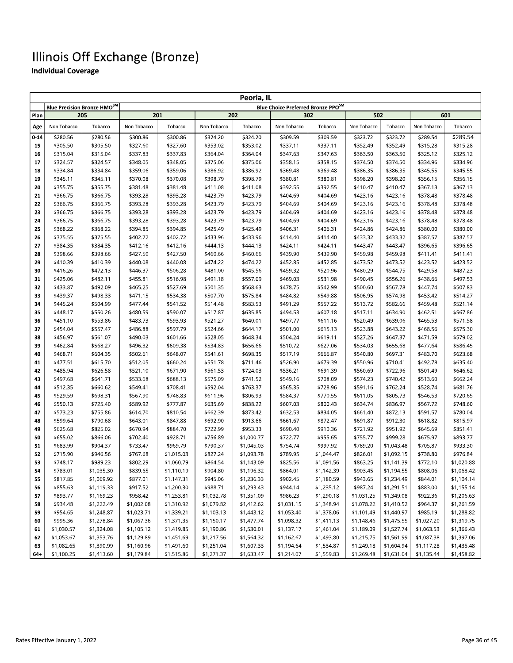|          | Peoria, IL                  |                          |                          |                          |                          |                          |                                    |                          |                          |                          |                      |                          |  |
|----------|-----------------------------|--------------------------|--------------------------|--------------------------|--------------------------|--------------------------|------------------------------------|--------------------------|--------------------------|--------------------------|----------------------|--------------------------|--|
|          | Blue Precision Bronze HMOSM |                          |                          |                          |                          |                          | Blue Choice Preferred Bronze PPOSM |                          |                          |                          |                      |                          |  |
| Plan     | 205                         |                          |                          | 201                      |                          | 202                      |                                    | 302                      | 502                      |                          | 601                  |                          |  |
| Age      | Non Tobacco                 | Tobacco                  | Non Tobacco              | Tobacco                  | Non Tobacco              | Tobacco                  | Non Tobacco                        | Tobacco                  | Non Tobacco              | Tobacco                  | Non Tobacco          | Tobacco                  |  |
| $0 - 14$ | \$280.56                    | \$280.56                 | \$300.86                 | \$300.86                 | \$324.20                 | \$324.20                 | \$309.59                           | \$309.59                 | \$323.72                 | \$323.72                 | \$289.54             | \$289.54                 |  |
| 15       | \$305.50                    | \$305.50                 | \$327.60                 | \$327.60                 | \$353.02                 | \$353.02                 | \$337.11                           | \$337.11                 | \$352.49                 | \$352.49                 | \$315.28             | \$315.28                 |  |
| 16       | \$315.04                    | \$315.04                 | \$337.83                 | \$337.83                 | \$364.04                 | \$364.04                 | \$347.63                           | \$347.63                 | \$363.50                 | \$363.50                 | \$325.12             | \$325.12                 |  |
| 17       | \$324.57                    | \$324.57                 | \$348.05                 | \$348.05                 | \$375.06                 | \$375.06                 | \$358.15                           | \$358.15                 | \$374.50                 | \$374.50                 | \$334.96             | \$334.96                 |  |
| 18       | \$334.84                    | \$334.84                 | \$359.06                 | \$359.06                 | \$386.92                 | \$386.92                 | \$369.48                           | \$369.48                 | \$386.35                 | \$386.35                 | \$345.55             | \$345.55                 |  |
| 19       | \$345.11                    | \$345.11                 | \$370.08                 | \$370.08                 | \$398.79                 | \$398.79                 | \$380.81                           | \$380.81                 | \$398.20                 | \$398.20                 | \$356.15             | \$356.15                 |  |
| 20       | \$355.75                    | \$355.75                 | \$381.48                 | \$381.48                 | \$411.08                 | \$411.08                 | \$392.55                           | \$392.55                 | \$410.47                 | \$410.47                 | \$367.13             | \$367.13                 |  |
| 21       | \$366.75                    | \$366.75                 | \$393.28                 | \$393.28                 | \$423.79                 | \$423.79                 | \$404.69                           | \$404.69                 | \$423.16                 | \$423.16                 | \$378.48             | \$378.48                 |  |
| 22       | \$366.75                    | \$366.75                 | \$393.28                 | \$393.28                 | \$423.79                 | \$423.79                 | \$404.69                           | \$404.69                 | \$423.16                 | \$423.16                 | \$378.48             | \$378.48                 |  |
| 23       | \$366.75                    | \$366.75                 | \$393.28                 | \$393.28                 | \$423.79                 | \$423.79                 | \$404.69                           | \$404.69                 | \$423.16                 | \$423.16                 | \$378.48             | \$378.48                 |  |
| 24       | \$366.75                    | \$366.75                 | \$393.28                 | \$393.28                 | \$423.79                 | \$423.79                 | \$404.69                           | \$404.69                 | \$423.16                 | \$423.16                 | \$378.48             | \$378.48                 |  |
| 25       | \$368.22                    | \$368.22                 | \$394.85                 | \$394.85                 | \$425.49                 | \$425.49                 | \$406.31                           | \$406.31                 | \$424.86                 | \$424.86                 | \$380.00             | \$380.00                 |  |
| 26       | \$375.55                    | \$375.55                 | \$402.72                 | \$402.72                 | \$433.96                 | \$433.96                 | \$414.40                           | \$414.40                 | \$433.32                 | \$433.32                 | \$387.57             | \$387.57                 |  |
| 27       | \$384.35                    | \$384.35                 | \$412.16                 | \$412.16                 | \$444.13                 | \$444.13                 | \$424.11                           | \$424.11                 | \$443.47                 | \$443.47                 | \$396.65             | \$396.65                 |  |
| 28       | \$398.66                    | \$398.66                 | \$427.50                 | \$427.50                 | \$460.66                 | \$460.66                 | \$439.90                           | \$439.90                 | \$459.98                 | \$459.98                 | \$411.41             | \$411.41                 |  |
| 29       | \$410.39                    | \$410.39                 | \$440.08                 | \$440.08                 | \$474.22                 | \$474.22                 | \$452.85                           | \$452.85                 | \$473.52                 | \$473.52                 | \$423.52             | \$423.52                 |  |
| 30       | \$416.26                    | \$472.13                 | \$446.37                 | \$506.28                 | \$481.00                 | \$545.56                 | \$459.32                           | \$520.96                 | \$480.29                 | \$544.75                 | \$429.58             | \$487.23                 |  |
| 31       | \$425.06                    | \$482.11                 | \$455.81                 | \$516.98                 | \$491.18                 | \$557.09                 | \$469.03                           | \$531.98                 | \$490.45                 | \$556.26                 | \$438.66             | \$497.53                 |  |
| 32       | \$433.87                    | \$492.09                 | \$465.25                 | \$527.69                 | \$501.35                 | \$568.63                 | \$478.75                           | \$542.99                 | \$500.60                 | \$567.78                 | \$447.74             | \$507.83                 |  |
| 33<br>34 | \$439.37<br>\$445.24        | \$498.33<br>\$504.99     | \$471.15<br>\$477.44     | \$534.38<br>\$541.52     | \$507.70<br>\$514.48     | \$575.84<br>\$583.53     | \$484.82<br>\$491.29               | \$549.88<br>\$557.22     | \$506.95<br>\$513.72     | \$574.98<br>\$582.66     | \$453.42<br>\$459.48 | \$514.27<br>\$521.14     |  |
| 35       | \$448.17                    | \$550.26                 | \$480.59                 | \$590.07                 | \$517.87                 | \$635.85                 | \$494.53                           | \$607.18                 | \$517.11                 | \$634.90                 | \$462.51             | \$567.86                 |  |
| 36       | \$451.10                    | \$553.86                 | \$483.73                 | \$593.93                 | \$521.27                 | \$640.01                 | \$497.77                           | \$611.16                 | \$520.49                 | \$639.06                 | \$465.53             | \$571.58                 |  |
| 37       | \$454.04                    | \$557.47                 | \$486.88                 | \$597.79                 | \$524.66                 | \$644.17                 | \$501.00                           | \$615.13                 | \$523.88                 | \$643.22                 | \$468.56             | \$575.30                 |  |
| 38       | \$456.97                    | \$561.07                 | \$490.03                 | \$601.66                 | \$528.05                 | \$648.34                 | \$504.24                           | \$619.11                 | \$527.26                 | \$647.37                 | \$471.59             | \$579.02                 |  |
| 39       | \$462.84                    | \$568.27                 | \$496.32                 | \$609.38                 | \$534.83                 | \$656.66                 | \$510.72                           | \$627.06                 | \$534.03                 | \$655.68                 | \$477.64             | \$586.45                 |  |
| 40       | \$468.71                    | \$604.35                 | \$502.61                 | \$648.07                 | \$541.61                 | \$698.35                 | \$517.19                           | \$666.87                 | \$540.80                 | \$697.31                 | \$483.70             | \$623.68                 |  |
| 41       | \$477.51                    | \$615.70                 | \$512.05                 | \$660.24                 | \$551.78                 | \$711.46                 | \$526.90                           | \$679.39                 | \$550.96                 | \$710.41                 | \$492.78             | \$635.40                 |  |
| 42       | \$485.94                    | \$626.58                 | \$521.10                 | \$671.90                 | \$561.53                 | \$724.03                 | \$536.21                           | \$691.39                 | \$560.69                 | \$722.96                 | \$501.49             | \$646.62                 |  |
| 43       | \$497.68                    | \$641.71                 | \$533.68                 | \$688.13                 | \$575.09                 | \$741.52                 | \$549.16                           | \$708.09                 | \$574.23                 | \$740.42                 | \$513.60             | \$662.24                 |  |
| 44       | \$512.35                    | \$660.62                 | \$549.41                 | \$708.41                 | \$592.04                 | \$763.37                 | \$565.35                           | \$728.96                 | \$591.16                 | \$762.24                 | \$528.74             | \$681.76                 |  |
| 45       | \$529.59                    | \$698.31                 | \$567.90                 | \$748.83                 | \$611.96                 | \$806.93                 | \$584.37                           | \$770.55                 | \$611.05                 | \$805.73                 | \$546.53             | \$720.65                 |  |
| 46       | \$550.13                    | \$725.40                 | \$589.92                 | \$777.87                 | \$635.69                 | \$838.22                 | \$607.03                           | \$800.43                 | \$634.74                 | \$836.97                 | \$567.72             | \$748.60                 |  |
| 47       | \$573.23                    | \$755.86                 | \$614.70                 | \$810.54                 | \$662.39                 | \$873.42                 | \$632.53                           | \$834.05                 | \$661.40                 | \$872.13                 | \$591.57             | \$780.04                 |  |
| 48       | \$599.64                    | \$790.68                 | \$643.01                 | \$847.88                 | \$692.90                 | \$913.66                 | \$661.67                           | \$872.47                 | \$691.87                 | \$912.30                 | \$618.82             | \$815.97                 |  |
| 49       | \$625.68                    | \$825.02                 | \$670.94                 | \$884.70                 | \$722.99                 | \$953.33                 | \$690.40                           | \$910.36                 | \$721.92                 | \$951.92                 | \$645.69             | \$851.41                 |  |
| 50       | \$655.02                    | \$866.06                 | \$702.40                 | \$928.71                 | \$756.89                 | \$1,000.77               | \$722.77                           | \$955.65                 | \$755.77                 | \$999.28                 | \$675.97             | \$893.77                 |  |
| 51       | \$683.99                    | \$904.37                 | \$733.47                 | \$969.79                 | \$790.37                 | \$1,045.03               | \$754.74                           | \$997.92                 | \$789.20                 | \$1,043.48               | \$705.87             | \$933.30                 |  |
| 52       | \$715.90                    | \$946.56                 | \$767.68                 | \$1,015.03               | \$827.24                 | \$1,093.78               | \$789.95                           | \$1,044.47               | \$826.01                 | \$1,092.15               | \$738.80             | \$976.84                 |  |
| 53       | \$748.17                    | \$989.23                 | \$802.29                 | \$1,060.79               | \$864.54                 | \$1,143.09               | \$825.56                           | \$1,091.56               | \$863.25                 | \$1,141.39               | \$772.10             | \$1,020.88               |  |
| 54       | \$783.01                    | \$1,035.30               | \$839.65                 | \$1,110.19               | \$904.80                 | \$1,196.32               | \$864.01                           | \$1,142.39               | \$903.45                 | \$1,194.55               | \$808.06             | \$1,068.42               |  |
| 55       | \$817.85                    | \$1,069.92               | \$877.01                 | \$1,147.31               | \$945.06                 | \$1,236.33               | \$902.45                           | \$1,180.59               | \$943.65                 | \$1,234.49               | \$844.01             | \$1,104.14               |  |
| 56       | \$855.63                    | \$1,119.33               | \$917.52                 | \$1,200.30               | \$988.71                 | \$1,293.43               | \$944.14                           | \$1,235.12               | \$987.24                 | \$1,291.51               | \$883.00             | \$1,155.14               |  |
| 57       | \$893.77                    | \$1,169.23               | \$958.42                 | \$1,253.81               | \$1,032.78               | \$1,351.09               | \$986.23                           | \$1,290.18               | \$1,031.25               | \$1,349.08               | \$922.36             | \$1,206.63               |  |
| 58<br>59 | \$934.48<br>\$954.65        | \$1,222.49<br>\$1,248.87 | \$1,002.08<br>\$1,023.71 | \$1,310.92<br>\$1,339.21 | \$1,079.82               | \$1,412.62<br>\$1,443.12 | \$1,031.15<br>\$1,053.40           | \$1,348.94<br>\$1,378.06 | \$1,078.22               | \$1,410.52<br>\$1,440.97 | \$964.37<br>\$985.19 | \$1,261.59<br>\$1,288.82 |  |
| 60       | \$995.36                    | \$1,278.84               | \$1,067.36               | \$1,371.35               | \$1,103.13<br>\$1,150.17 | \$1,477.74               | \$1,098.32                         | \$1,411.13               | \$1,101.49<br>\$1,148.46 | \$1,475.55               | \$1,027.20           | \$1,319.75               |  |
| 61       | \$1,030.57                  | \$1,324.08               | \$1,105.12               | \$1,419.85               | \$1,190.86               | \$1,530.01               | \$1,137.17                         | \$1,461.04               | \$1,189.09               | \$1,527.74               | \$1,063.53           | \$1,366.43               |  |
| 62       | \$1,053.67                  | \$1,353.76               | \$1,129.89               | \$1,451.69               | \$1,217.56               | \$1,564.32               | \$1,162.67                         | \$1,493.80               | \$1,215.75               | \$1,561.99               | \$1,087.38           | \$1,397.06               |  |
| 63       | \$1,082.65                  | \$1,390.99               | \$1,160.96               | \$1,491.60               | \$1,251.04               | \$1,607.33               | \$1,194.64                         | \$1,534.87               | \$1,249.18               | \$1,604.94               | \$1,117.28           | \$1,435.48               |  |
| 64+      | \$1,100.25                  | \$1,413.60               | \$1,179.84               | \$1,515.86               | \$1,271.37               | \$1,633.47               | \$1,214.07                         | \$1,559.83               | \$1,269.48               | \$1,631.04               | \$1,135.44           | \$1,458.82               |  |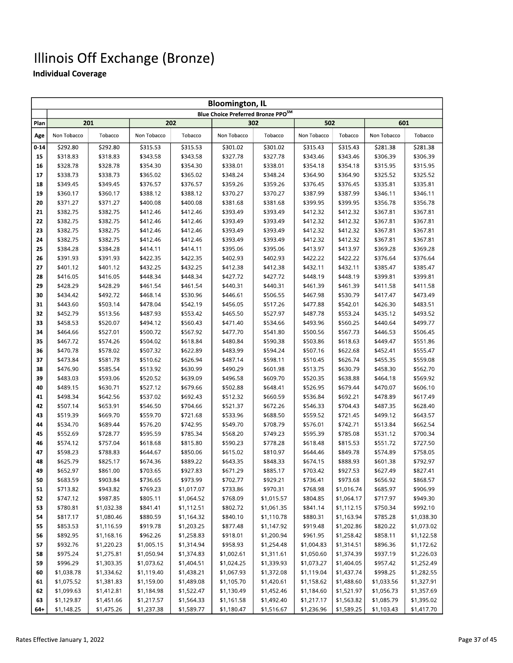|          | <b>Bloomington, IL</b> |            |             |            |                                                |            |             |            |             |            |  |  |
|----------|------------------------|------------|-------------|------------|------------------------------------------------|------------|-------------|------------|-------------|------------|--|--|
|          |                        |            |             |            | Blue Choice Preferred Bronze PPO <sup>SM</sup> |            |             |            |             |            |  |  |
| Plan     | 201                    |            |             | 202        |                                                | 302        | 502         |            | 601         |            |  |  |
| Age      | Non Tobacco            | Tobacco    | Non Tobacco | Tobacco    | Non Tobacco                                    | Tobacco    | Non Tobacco | Tobacco    | Non Tobacco | Tobacco    |  |  |
| $0 - 14$ | \$292.80               | \$292.80   | \$315.53    | \$315.53   | \$301.02                                       | \$301.02   | \$315.43    | \$315.43   | \$281.38    | \$281.38   |  |  |
| 15       | \$318.83               | \$318.83   | \$343.58    | \$343.58   | \$327.78                                       | \$327.78   | \$343.46    | \$343.46   | \$306.39    | \$306.39   |  |  |
| 16       | \$328.78               | \$328.78   | \$354.30    | \$354.30   | \$338.01                                       | \$338.01   | \$354.18    | \$354.18   | \$315.95    | \$315.95   |  |  |
| 17       | \$338.73               | \$338.73   | \$365.02    | \$365.02   | \$348.24                                       | \$348.24   | \$364.90    | \$364.90   | \$325.52    | \$325.52   |  |  |
| 18       | \$349.45               | \$349.45   | \$376.57    | \$376.57   | \$359.26                                       | \$359.26   | \$376.45    | \$376.45   | \$335.81    | \$335.81   |  |  |
| 19       | \$360.17               | \$360.17   | \$388.12    | \$388.12   | \$370.27                                       | \$370.27   | \$387.99    | \$387.99   | \$346.11    | \$346.11   |  |  |
| 20       | \$371.27               | \$371.27   | \$400.08    | \$400.08   | \$381.68                                       | \$381.68   | \$399.95    | \$399.95   | \$356.78    | \$356.78   |  |  |
| 21       | \$382.75               | \$382.75   | \$412.46    | \$412.46   | \$393.49                                       | \$393.49   | \$412.32    | \$412.32   | \$367.81    | \$367.81   |  |  |
| 22       | \$382.75               | \$382.75   | \$412.46    | \$412.46   | \$393.49                                       | \$393.49   | \$412.32    | \$412.32   | \$367.81    | \$367.81   |  |  |
| 23       | \$382.75               | \$382.75   | \$412.46    | \$412.46   | \$393.49                                       | \$393.49   | \$412.32    | \$412.32   | \$367.81    | \$367.81   |  |  |
| 24       | \$382.75               | \$382.75   | \$412.46    | \$412.46   | \$393.49                                       | \$393.49   | \$412.32    | \$412.32   | \$367.81    | \$367.81   |  |  |
| 25       | \$384.28               | \$384.28   | \$414.11    | \$414.11   | \$395.06                                       | \$395.06   | \$413.97    | \$413.97   | \$369.28    | \$369.28   |  |  |
| 26       | \$391.93               | \$391.93   | \$422.35    | \$422.35   | \$402.93                                       | \$402.93   | \$422.22    | \$422.22   | \$376.64    | \$376.64   |  |  |
| 27       | \$401.12               | \$401.12   | \$432.25    | \$432.25   | \$412.38                                       | \$412.38   | \$432.11    | \$432.11   | \$385.47    | \$385.47   |  |  |
| 28       | \$416.05               | \$416.05   | \$448.34    | \$448.34   | \$427.72                                       | \$427.72   | \$448.19    | \$448.19   | \$399.81    | \$399.81   |  |  |
| 29       | \$428.29               | \$428.29   | \$461.54    | \$461.54   | \$440.31                                       | \$440.31   | \$461.39    | \$461.39   | \$411.58    | \$411.58   |  |  |
| 30       | \$434.42               | \$492.72   | \$468.14    | \$530.96   | \$446.61                                       | \$506.55   | \$467.98    | \$530.79   | \$417.47    | \$473.49   |  |  |
| 31       | \$443.60               | \$503.14   | \$478.04    | \$542.19   | \$456.05                                       | \$517.26   | \$477.88    | \$542.01   | \$426.30    | \$483.51   |  |  |
| 32       | \$452.79               | \$513.56   | \$487.93    | \$553.42   | \$465.50                                       | \$527.97   | \$487.78    | \$553.24   | \$435.12    | \$493.52   |  |  |
| 33       | \$458.53               | \$520.07   | \$494.12    | \$560.43   | \$471.40                                       | \$534.66   | \$493.96    | \$560.25   | \$440.64    | \$499.77   |  |  |
| 34       | \$464.66               | \$527.01   | \$500.72    | \$567.92   | \$477.70                                       | \$541.80   | \$500.56    | \$567.73   | \$446.53    | \$506.45   |  |  |
| 35       | \$467.72               | \$574.26   | \$504.02    | \$618.84   | \$480.84                                       | \$590.38   | \$503.86    | \$618.63   | \$449.47    | \$551.86   |  |  |
| 36       | \$470.78               | \$578.02   | \$507.32    | \$622.89   | \$483.99                                       | \$594.24   | \$507.16    | \$622.68   | \$452.41    | \$555.47   |  |  |
| 37       | \$473.84               | \$581.78   | \$510.62    | \$626.94   | \$487.14                                       | \$598.11   | \$510.45    | \$626.74   | \$455.35    | \$559.08   |  |  |
| 38       | \$476.90               | \$585.54   | \$513.92    | \$630.99   | \$490.29                                       | \$601.98   | \$513.75    | \$630.79   | \$458.30    | \$562.70   |  |  |
| 39       | \$483.03               | \$593.06   | \$520.52    | \$639.09   | \$496.58                                       | \$609.70   | \$520.35    | \$638.88   | \$464.18    | \$569.92   |  |  |
| 40       | \$489.15               | \$630.71   | \$527.12    | \$679.66   | \$502.88                                       | \$648.41   | \$526.95    | \$679.44   | \$470.07    | \$606.10   |  |  |
| 41       | \$498.34               | \$642.56   | \$537.02    | \$692.43   | \$512.32                                       | \$660.59   | \$536.84    | \$692.21   | \$478.89    | \$617.49   |  |  |
| 42       | \$507.14               | \$653.91   | \$546.50    | \$704.66   | \$521.37                                       | \$672.26   | \$546.33    | \$704.43   | \$487.35    | \$628.40   |  |  |
| 43       | \$519.39               | \$669.70   | \$559.70    | \$721.68   | \$533.96                                       | \$688.50   | \$559.52    | \$721.45   | \$499.12    | \$643.57   |  |  |
| 44       | \$534.70               | \$689.44   | \$576.20    | \$742.95   | \$549.70                                       | \$708.79   | \$576.01    | \$742.71   | \$513.84    | \$662.54   |  |  |
| 45       | \$552.69               | \$728.77   | \$595.59    | \$785.34   | \$568.20                                       | \$749.23   | \$595.39    | \$785.08   | \$531.12    | \$700.34   |  |  |
| 46       | \$574.12               | \$757.04   | \$618.68    | \$815.80   | \$590.23                                       | \$778.28   | \$618.48    | \$815.53   | \$551.72    | \$727.50   |  |  |
| 47       | \$598.23               | \$788.83   | \$644.67    | \$850.06   | \$615.02                                       | \$810.97   | \$644.46    | \$849.78   | \$574.89    | \$758.05   |  |  |
| 48       | \$625.79               | \$825.17   | \$674.36    | \$889.22   | \$643.35                                       | \$848.33   | \$674.15    | \$888.93   | \$601.38    | \$792.97   |  |  |
| 49       | \$652.97               | \$861.00   | \$703.65    | \$927.83   | \$671.29                                       | \$885.17   | \$703.42    | \$927.53   | \$627.49    | \$827.41   |  |  |
| 50       | \$683.59               | \$903.84   | \$736.65    | \$973.99   | \$702.77                                       | \$929.21   | \$736.41    | \$973.68   | \$656.92    | \$868.57   |  |  |
| 51       | \$713.82               | \$943.82   | \$769.23    | \$1,017.07 | \$733.86                                       | \$970.31   | \$768.98    | \$1,016.74 | \$685.97    | \$906.99   |  |  |
| 52       | \$747.12               | \$987.85   | \$805.11    | \$1,064.52 | \$768.09                                       | \$1,015.57 | \$804.85    | \$1,064.17 | \$717.97    | \$949.30   |  |  |
| 53       | \$780.81               | \$1,032.38 | \$841.41    | \$1,112.51 | \$802.72                                       | \$1,061.35 | \$841.14    | \$1,112.15 | \$750.34    | \$992.10   |  |  |
| 54       | \$817.17               | \$1,080.46 | \$880.59    | \$1,164.32 | \$840.10                                       | \$1,110.78 | \$880.31    | \$1,163.94 | \$785.28    | \$1,038.30 |  |  |
| 55       | \$853.53               | \$1,116.59 | \$919.78    | \$1,203.25 | \$877.48                                       | \$1,147.92 | \$919.48    | \$1,202.86 | \$820.22    | \$1,073.02 |  |  |
| 56       | \$892.95               | \$1,168.16 | \$962.26    | \$1,258.83 | \$918.01                                       | \$1,200.94 | \$961.95    | \$1,258.42 | \$858.11    | \$1,122.58 |  |  |
| 57       | \$932.76               | \$1,220.23 | \$1,005.15  | \$1,314.94 | \$958.93                                       | \$1,254.48 | \$1,004.83  | \$1,314.51 | \$896.36    | \$1,172.62 |  |  |
| 58       | \$975.24               | \$1,275.81 | \$1,050.94  | \$1,374.83 | \$1,002.61                                     | \$1,311.61 | \$1,050.60  | \$1,374.39 | \$937.19    | \$1,226.03 |  |  |
| 59       | \$996.29               | \$1,303.35 | \$1,073.62  | \$1,404.51 | \$1,024.25                                     | \$1,339.93 | \$1,073.27  | \$1,404.05 | \$957.42    | \$1,252.49 |  |  |
| 60       | \$1,038.78             | \$1,334.62 | \$1,119.40  | \$1,438.21 | \$1,067.93                                     | \$1,372.08 | \$1,119.04  | \$1,437.74 | \$998.25    | \$1,282.55 |  |  |
| 61       | \$1,075.52             | \$1,381.83 | \$1,159.00  | \$1,489.08 | \$1,105.70                                     | \$1,420.61 | \$1,158.62  | \$1,488.60 | \$1,033.56  | \$1,327.91 |  |  |
| 62       | \$1,099.63             | \$1,412.81 | \$1,184.98  | \$1,522.47 | \$1,130.49                                     | \$1,452.46 | \$1,184.60  | \$1,521.97 | \$1,056.73  | \$1,357.69 |  |  |
| 63       | \$1,129.87             | \$1,451.66 | \$1,217.57  | \$1,564.33 | \$1,161.58                                     | \$1,492.40 | \$1,217.17  | \$1,563.82 | \$1,085.79  | \$1,395.02 |  |  |
| 64+      | \$1,148.25             | \$1,475.26 | \$1,237.38  | \$1,589.77 | \$1,180.47                                     | \$1,516.67 | \$1,236.96  | \$1,589.25 | \$1,103.43  | \$1,417.70 |  |  |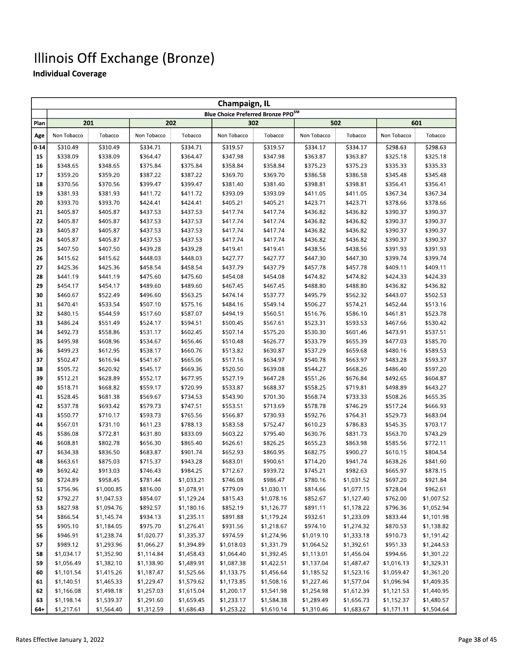|          | Champaign, IL            |                          |                          |                          |                                                |                          |                          |                          |                      |                          |  |  |
|----------|--------------------------|--------------------------|--------------------------|--------------------------|------------------------------------------------|--------------------------|--------------------------|--------------------------|----------------------|--------------------------|--|--|
|          |                          |                          |                          |                          | Blue Choice Preferred Bronze PPO <sup>SM</sup> |                          |                          |                          |                      |                          |  |  |
| Plan     | 201                      |                          |                          | 202                      |                                                | 302                      |                          | 502                      |                      | 601                      |  |  |
| Age      | Non Tobacco              | Tobacco                  | Non Tobacco              | Tobacco                  | Non Tobacco                                    | Tobacco                  | Non Tobacco              | Tobacco                  | Non Tobacco          | Tobacco                  |  |  |
| $0 - 14$ | \$310.49                 | \$310.49                 | \$334.71                 | \$334.71                 | \$319.57                                       | \$319.57                 | \$334.17                 | \$334.17                 | \$298.63             | \$298.63                 |  |  |
| 15       | \$338.09                 | \$338.09                 | \$364.47                 | \$364.47                 | \$347.98                                       | \$347.98                 | \$363.87                 | \$363.87                 | \$325.18             | \$325.18                 |  |  |
| 16       | \$348.65                 | \$348.65                 | \$375.84                 | \$375.84                 | \$358.84                                       | \$358.84                 | \$375.23                 | \$375.23                 | \$335.33             | \$335.33                 |  |  |
| 17       | \$359.20                 | \$359.20                 | \$387.22                 | \$387.22                 | \$369.70                                       | \$369.70                 | \$386.58                 | \$386.58                 | \$345.48             | \$345.48                 |  |  |
| 18       | \$370.56                 | \$370.56                 | \$399.47                 | \$399.47                 | \$381.40                                       | \$381.40                 | \$398.81                 | \$398.81                 | \$356.41             | \$356.41                 |  |  |
| 19       | \$381.93                 | \$381.93                 | \$411.72                 | \$411.72                 | \$393.09                                       | \$393.09                 | \$411.05                 | \$411.05                 | \$367.34             | \$367.34                 |  |  |
| 20       | \$393.70                 | \$393.70                 | \$424.41                 | \$424.41                 | \$405.21                                       | \$405.21                 | \$423.71                 | \$423.71                 | \$378.66             | \$378.66                 |  |  |
| 21       | \$405.87                 | \$405.87                 | \$437.53                 | \$437.53                 | \$417.74                                       | \$417.74                 | \$436.82                 | \$436.82                 | \$390.37             | \$390.37                 |  |  |
| 22       | \$405.87                 | \$405.87                 | \$437.53                 | \$437.53                 | \$417.74                                       | \$417.74                 | \$436.82                 | \$436.82                 | \$390.37             | \$390.37                 |  |  |
| 23       | \$405.87                 | \$405.87                 | \$437.53                 | \$437.53                 | \$417.74                                       | \$417.74                 | \$436.82                 | \$436.82                 | \$390.37             | \$390.37                 |  |  |
| 24       | \$405.87                 | \$405.87                 | \$437.53                 | \$437.53                 | \$417.74                                       | \$417.74                 | \$436.82                 | \$436.82                 | \$390.37             | \$390.37                 |  |  |
| 25       | \$407.50                 | \$407.50                 | \$439.28                 | \$439.28                 | \$419.41                                       | \$419.41                 | \$438.56                 | \$438.56                 | \$391.93             | \$391.93                 |  |  |
| 26       | \$415.62                 | \$415.62                 | \$448.03                 | \$448.03                 | \$427.77                                       | \$427.77                 | \$447.30                 | \$447.30                 | \$399.74             | \$399.74                 |  |  |
| 27       | \$425.36                 | \$425.36                 | \$458.54                 | \$458.54                 | \$437.79                                       | \$437.79                 | \$457.78                 | \$457.78                 | \$409.11             | \$409.11                 |  |  |
| 28       | \$441.19                 | \$441.19                 | \$475.60                 | \$475.60                 | \$454.08                                       | \$454.08                 | \$474.82                 | \$474.82                 | \$424.33             | \$424.33                 |  |  |
| 29       | \$454.17                 | \$454.17                 | \$489.60                 | \$489.60                 | \$467.45                                       | \$467.45                 | \$488.80                 | \$488.80                 | \$436.82             | \$436.82                 |  |  |
| 30       | \$460.67                 | \$522.49                 | \$496.60                 | \$563.25                 | \$474.14                                       | \$537.77                 | \$495.79                 | \$562.32                 | \$443.07             | \$502.53                 |  |  |
| 31       | \$470.41                 | \$533.54                 | \$507.10                 | \$575.16                 | \$484.16                                       | \$549.14                 | \$506.27                 | \$574.21                 | \$452.44             | \$513.16                 |  |  |
| 32       | \$480.15                 | \$544.59                 | \$517.60                 | \$587.07                 | \$494.19                                       | \$560.51                 | \$516.76                 | \$586.10                 | \$461.81             | \$523.78                 |  |  |
| 33       | \$486.24                 | \$551.49                 | \$524.17                 | \$594.51                 | \$500.45                                       | \$567.61                 | \$523.31                 | \$593.53                 | \$467.66             | \$530.42                 |  |  |
| 34       | \$492.73                 | \$558.86                 | \$531.17                 | \$602.45                 | \$507.14                                       | \$575.20                 | \$530.30                 | \$601.46                 | \$473.91             | \$537.51                 |  |  |
| 35       | \$495.98                 | \$608.96                 | \$534.67                 | \$656.46                 | \$510.48                                       | \$626.77                 | \$533.79                 | \$655.39                 | \$477.03             | \$585.70                 |  |  |
| 36       | \$499.23                 | \$612.95                 | \$538.17                 | \$660.76                 | \$513.82                                       | \$630.87                 | \$537.29                 | \$659.68                 | \$480.16             | \$589.53                 |  |  |
| 37       | \$502.47                 | \$616.94                 | \$541.67                 | \$665.06                 | \$517.16                                       | \$634.97                 | \$540.78                 | \$663.97                 | \$483.28             | \$593.37                 |  |  |
| 38       | \$505.72                 | \$620.92                 | \$545.17                 | \$669.36                 | \$520.50                                       | \$639.08                 | \$544.27                 | \$668.26                 | \$486.40             | \$597.20                 |  |  |
| 39       | \$512.21                 | \$628.89                 | \$552.17                 | \$677.95                 | \$527.19                                       | \$647.28                 | \$551.26                 | \$676.84                 | \$492.65             | \$604.87                 |  |  |
| 40       | \$518.71                 | \$668.82                 | \$559.17                 | \$720.99                 | \$533.87                                       | \$688.37                 | \$558.25                 | \$719.81                 | \$498.89             | \$643.27                 |  |  |
| 41       | \$528.45                 | \$681.38                 | \$569.67                 | \$734.53                 | \$543.90                                       | \$701.30                 | \$568.74                 | \$733.33                 | \$508.26             | \$655.35                 |  |  |
| 42       | \$537.78                 | \$693.42                 | \$579.73                 | \$747.51                 | \$553.51                                       | \$713.69                 | \$578.78                 | \$746.29                 | \$517.24             | \$666.93                 |  |  |
| 43       | \$550.77                 | \$710.17                 | \$593.73                 | \$765.56                 | \$566.87                                       | \$730.93                 | \$592.76                 | \$764.31                 | \$529.73             | \$683.04                 |  |  |
| 44       | \$567.01                 | \$731.10                 | \$611.23                 | \$788.13                 | \$583.58                                       | \$752.47                 | \$610.23                 | \$786.83                 | \$545.35             | \$703.17                 |  |  |
| 45       | \$586.08                 | \$772.81                 | \$631.80                 | \$833.09                 | \$603.22                                       | \$795.40                 | \$630.76                 | \$831.73                 | \$563.70             | \$743.29                 |  |  |
| 46       | \$608.81                 | \$802.78                 | \$656.30                 | \$865.40                 | \$626.61                                       | \$826.25                 | \$655.23                 | \$863.98                 | \$585.56             | \$772.11                 |  |  |
| 47       | \$634.38                 | \$836.50                 | \$683.87                 | \$901.74                 | \$652.93                                       | \$860.95                 | \$682.75                 | \$900.27                 | \$610.15             | \$804.54                 |  |  |
| 48       | \$663.61                 | \$875.03                 | \$715.37                 | \$943.28                 | \$683.01                                       | \$900.61                 | \$714.20                 | \$941.74                 | \$638.26             | \$841.60                 |  |  |
| 49       | \$692.42                 | \$913.03                 | \$746.43                 | \$984.25                 | \$712.67                                       | \$939.72                 | \$745.21                 | \$982.63                 | \$665.97             | \$878.15                 |  |  |
| 50       | \$724.89                 | \$958.45                 | \$781.44                 | \$1,033.21               | \$746.08                                       | \$986.47                 | \$780.16                 | \$1,031.52               | \$697.20             | \$921.84                 |  |  |
| 51       | \$756.96                 | \$1,000.85               | \$816.00                 | \$1,078.91               | \$779.09                                       | \$1,030.11               | \$814.66                 | \$1,077.15               | \$728.04             | \$962.61                 |  |  |
| 52       | \$792.27                 | \$1,047.53               | \$854.07                 | \$1,129.24               | \$815.43                                       | \$1,078.16               | \$852.67                 | \$1,127.40               | \$762.00             | \$1,007.52               |  |  |
| 53       | \$827.98                 | \$1,094.76               | \$892.57                 | \$1,180.16               | \$852.19                                       | \$1,126.77               | \$891.11                 | \$1,178.22               | \$796.36             | \$1,052.94               |  |  |
| 54       | \$866.54                 | \$1,145.74               | \$934.13                 | \$1,235.11               | \$891.88                                       | \$1,179.24               | \$932.61                 | \$1,233.09               | \$833.44             | \$1,101.98               |  |  |
| 55       | \$905.10                 | \$1,184.05               | \$975.70                 | \$1,276.41               | \$931.56                                       | \$1,218.67               | \$974.10                 | \$1,274.32               | \$870.53             | \$1,138.82               |  |  |
| 56<br>57 | \$946.91                 | \$1,238.74               | \$1,020.77               | \$1,335.37               | \$974.59                                       | \$1,274.96               | \$1,019.10               | \$1,333.18               | \$910.73             | \$1,191.42               |  |  |
| 58       | \$989.12                 | \$1,293.96               | \$1,066.27               | \$1,394.89<br>\$1,458.43 | \$1,018.03<br>\$1,064.40                       | \$1,331.79               | \$1,064.52<br>\$1,113.01 | \$1,392.61               | \$951.33<br>\$994.66 | \$1,244.53               |  |  |
| 59       | \$1,034.17<br>\$1,056.49 | \$1,352.90<br>\$1,382.10 | \$1,114.84<br>\$1,138.90 | \$1,489.91               | \$1,087.38                                     | \$1,392.45<br>\$1,422.51 | \$1,137.04               | \$1,456.04<br>\$1,487.47 | \$1,016.13           | \$1,301.22<br>\$1,329.31 |  |  |
| 60       | \$1,101.54               | \$1,415.26               | \$1,187.47               | \$1,525.66               | \$1,133.75                                     | \$1,456.64               | \$1,185.52               | \$1,523.16               | \$1,059.47           | \$1,361.20               |  |  |
| 61       | \$1,140.51               | \$1,465.33               | \$1,229.47               | \$1,579.62               | \$1,173.85                                     | \$1,508.16               | \$1,227.46               | \$1,577.04               | \$1,096.94           | \$1,409.35               |  |  |
| 62       | \$1,166.08               | \$1,498.18               | \$1,257.03               | \$1,615.04               | \$1,200.17                                     | \$1,541.98               | \$1,254.98               | \$1,612.39               | \$1,121.53           | \$1,440.95               |  |  |
| 63       | \$1,198.14               | \$1,539.37               | \$1,291.60               | \$1,659.45               | \$1,233.17                                     | \$1,584.38               | \$1,289.49               | \$1,656.73               | \$1,152.37           | \$1,480.57               |  |  |
| 64+      | \$1,217.61               | \$1,564.40               | \$1,312.59               | \$1,686.43               | \$1,253.22                                     | \$1,610.14               | \$1,310.46               | \$1,683.67               | \$1,171,11           | \$1,504.64               |  |  |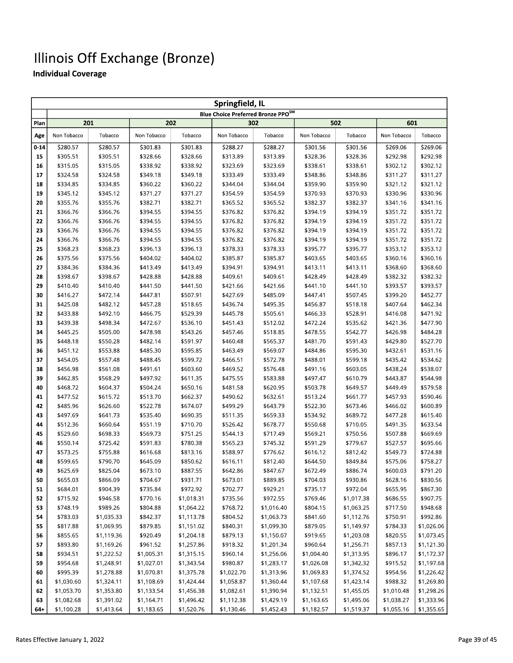|          | Springfield, IL      |                      |                      |                      |                                    |                      |                      |                      |                      |                      |  |  |
|----------|----------------------|----------------------|----------------------|----------------------|------------------------------------|----------------------|----------------------|----------------------|----------------------|----------------------|--|--|
|          |                      |                      |                      |                      | Blue Choice Preferred Bronze PPOSM |                      |                      |                      |                      |                      |  |  |
| Plan     |                      | 201                  |                      | 202                  |                                    | 302                  |                      | 502                  | 601                  |                      |  |  |
| Age      | Non Tobacco          | Tobacco              | Non Tobacco          | Tobacco              | Non Tobacco                        | Tobacco              | Non Tobacco          | Tobacco              | Non Tobacco          | Tobacco              |  |  |
| $0 - 14$ | \$280.57             | \$280.57             | \$301.83             | \$301.83             | \$288.27                           | \$288.27             | \$301.56             | \$301.56             | \$269.06             | \$269.06             |  |  |
| 15       | \$305.51             | \$305.51             | \$328.66             | \$328.66             | \$313.89                           | \$313.89             | \$328.36             | \$328.36             | \$292.98             | \$292.98             |  |  |
| 16       | \$315.05             | \$315.05             | \$338.92             | \$338.92             | \$323.69                           | \$323.69             | \$338.61             | \$338.61             | \$302.12             | \$302.12             |  |  |
| 17       | \$324.58             | \$324.58             | \$349.18             | \$349.18             | \$333.49                           | \$333.49             | \$348.86             | \$348.86             | \$311.27             | \$311.27             |  |  |
| 18       | \$334.85             | \$334.85             | \$360.22             | \$360.22             | \$344.04                           | \$344.04             | \$359.90             | \$359.90             | \$321.12             | \$321.12             |  |  |
| 19       | \$345.12             | \$345.12             | \$371.27             | \$371.27             | \$354.59                           | \$354.59             | \$370.93             | \$370.93             | \$330.96             | \$330.96             |  |  |
| 20       | \$355.76             | \$355.76             | \$382.71             | \$382.71             | \$365.52                           | \$365.52             | \$382.37             | \$382.37             | \$341.16             | \$341.16             |  |  |
| 21       | \$366.76             | \$366.76             | \$394.55             | \$394.55             | \$376.82                           | \$376.82             | \$394.19             | \$394.19             | \$351.72             | \$351.72             |  |  |
| 22       | \$366.76             | \$366.76             | \$394.55             | \$394.55             | \$376.82                           | \$376.82             | \$394.19             | \$394.19             | \$351.72             | \$351.72             |  |  |
| 23       | \$366.76             | \$366.76             | \$394.55             | \$394.55             | \$376.82                           | \$376.82             | \$394.19             | \$394.19             | \$351.72             | \$351.72             |  |  |
| 24       | \$366.76             | \$366.76             | \$394.55             | \$394.55             | \$376.82                           | \$376.82             | \$394.19             | \$394.19             | \$351.72             | \$351.72             |  |  |
| 25       | \$368.23             | \$368.23             | \$396.13             | \$396.13             | \$378.33                           | \$378.33             | \$395.77             | \$395.77             | \$353.12             | \$353.12             |  |  |
| 26       | \$375.56             | \$375.56             | \$404.02             | \$404.02             | \$385.87                           | \$385.87             | \$403.65             | \$403.65             | \$360.16             | \$360.16             |  |  |
| 27       | \$384.36             | \$384.36             | \$413.49             | \$413.49             | \$394.91                           | \$394.91             | \$413.11             | \$413.11             | \$368.60             | \$368.60             |  |  |
| 28       | \$398.67             | \$398.67             | \$428.88             | \$428.88             | \$409.61                           | \$409.61             | \$428.49             | \$428.49             | \$382.32             | \$382.32             |  |  |
| 29       | \$410.40             | \$410.40             | \$441.50             | \$441.50             | \$421.66                           | \$421.66             | \$441.10             | \$441.10             | \$393.57             | \$393.57             |  |  |
| 30       | \$416.27             | \$472.14             | \$447.81             | \$507.91             | \$427.69                           | \$485.09             | \$447.41             | \$507.45             | \$399.20             | \$452.77             |  |  |
| 31       | \$425.08             | \$482.12             | \$457.28             | \$518.65             | \$436.74                           | \$495.35             | \$456.87             | \$518.18             | \$407.64             | \$462.34             |  |  |
| 32       | \$433.88             | \$492.10             | \$466.75             | \$529.39             | \$445.78                           | \$505.61             | \$466.33             | \$528.91             | \$416.08             | \$471.92             |  |  |
| 33       | \$439.38             | \$498.34             | \$472.67             | \$536.10             | \$451.43                           | \$512.02             | \$472.24             | \$535.62             | \$421.36             | \$477.90             |  |  |
| 34       | \$445.25             | \$505.00             | \$478.98             | \$543.26             | \$457.46                           | \$518.85             | \$478.55             | \$542.77             | \$426.98             | \$484.28             |  |  |
| 35       | \$448.18             | \$550.28             | \$482.14             | \$591.97             | \$460.48                           | \$565.37             | \$481.70             | \$591.43             | \$429.80             | \$527.70             |  |  |
| 36       | \$451.12             | \$553.88             | \$485.30             | \$595.85             | \$463.49                           | \$569.07             | \$484.86             | \$595.30             | \$432.61             | \$531.16             |  |  |
| 37       | \$454.05             | \$557.48             | \$488.45             | \$599.72             | \$466.51                           | \$572.78             | \$488.01             | \$599.18             | \$435.42             | \$534.62             |  |  |
| 38       | \$456.98             | \$561.08             | \$491.61             | \$603.60             | \$469.52                           | \$576.48             | \$491.16             | \$603.05             | \$438.24             | \$538.07             |  |  |
| 39       | \$462.85             | \$568.29             | \$497.92             | \$611.35             | \$475.55                           | \$583.88             | \$497.47             | \$610.79             | \$443.87             | \$544.98             |  |  |
| 40       | \$468.72             | \$604.37             | \$504.24             | \$650.16             | \$481.58                           | \$620.95             | \$503.78             | \$649.57             | \$449.49             | \$579.58             |  |  |
| 41       | \$477.52             | \$615.72             | \$513.70             | \$662.37             | \$490.62                           | \$632.61             | \$513.24             | \$661.77             | \$457.93             | \$590.46             |  |  |
| 42       | \$485.96             | \$626.60             | \$522.78             | \$674.07             | \$499.29                           | \$643.79             | \$522.30             | \$673.46             | \$466.02             | \$600.89             |  |  |
| 43       | \$497.69             | \$641.73             | \$535.40             | \$690.35             | \$511.35                           | \$659.33             | \$534.92             | \$689.72             | \$477.28             | \$615.40             |  |  |
| 44       | \$512.36             | \$660.64             | \$551.19             | \$710.70             | \$526.42                           | \$678.77             | \$550.68             | \$710.05             | \$491.35             | \$633.54<br>\$669.69 |  |  |
| 45       | \$529.60             | \$698.33             | \$569.73             | \$751.25             | \$544.13<br>\$565.23               | \$717.49<br>\$745.32 | \$569.21             | \$750.56             | \$507.88             | \$695.66             |  |  |
| 46<br>47 | \$550.14<br>\$573.25 | \$725.42<br>\$755.88 | \$591.83<br>\$616.68 | \$780.38<br>\$813.16 | \$588.97                           | \$776.62             | \$591.29<br>\$616.12 | \$779.67<br>\$812.42 | \$527.57<br>\$549.73 | \$724.88             |  |  |
| 48       | \$599.65             | \$790.70             | \$645.09             | \$850.62             | \$616.11                           | \$812.40             | \$644.50             | \$849.84             | \$575.06             | \$758.27             |  |  |
| 49       | \$625.69             | \$825.04             | \$673.10             | \$887.55             | \$642.86                           | \$847.67             | \$672.49             | \$886.74             | \$600.03             | \$791.20             |  |  |
| 50       | \$655.03             | \$866.09             | \$704.67             | \$931.71             | \$673.01                           | \$889.85             | \$704.03             | \$930.86             | \$628.16             | \$830.56             |  |  |
| 51       | \$684.01             | \$904.39             | \$735.84             | \$972.92             | \$702.77                           | \$929.21             | \$735.17             | \$972.04             | \$655.95             | \$867.30             |  |  |
| 52       | \$715.92             | \$946.58             | \$770.16             | \$1,018.31           | \$735.56                           | \$972.55             | \$769.46             | \$1,017.38           | \$686.55             | \$907.75             |  |  |
| 53       | \$748.19             | \$989.26             | \$804.88             | \$1,064.22           | \$768.72                           | \$1,016.40           | \$804.15             | \$1,063.25           | \$717.50             | \$948.68             |  |  |
| 54       | \$783.03             | \$1,035.33           | \$842.37             | \$1,113.78           | \$804.52                           | \$1,063.73           | \$841.60             | \$1,112.76           | \$750.91             | \$992.86             |  |  |
| 55       | \$817.88             | \$1,069.95           | \$879.85             | \$1,151.02           | \$840.31                           | \$1,099.30           | \$879.05             | \$1,149.97           | \$784.33             | \$1,026.06           |  |  |
| 56       | \$855.65             | \$1,119.36           | \$920.49             | \$1,204.18           | \$879.13                           | \$1,150.07           | \$919.65             | \$1,203.08           | \$820.55             | \$1,073.45           |  |  |
| 57       | \$893.80             | \$1,169.26           | \$961.52             | \$1,257.86           | \$918.32                           | \$1,201.34           | \$960.64             | \$1,256.71           | \$857.13             | \$1,121.30           |  |  |
| 58       | \$934.51             | \$1,222.52           | \$1,005.31           | \$1,315.15           | \$960.14                           | \$1,256.06           | \$1,004.40           | \$1,313.95           | \$896.17             | \$1,172.37           |  |  |
| 59       | \$954.68             | \$1,248.91           | \$1,027.01           | \$1,343.54           | \$980.87                           | \$1,283.17           | \$1,026.08           | \$1,342.32           | \$915.52             | \$1,197.68           |  |  |
| 60       | \$995.39             | \$1,278.88           | \$1,070.81           | \$1,375.78           | \$1,022.70                         | \$1,313.96           | \$1,069.83           | \$1,374.52           | \$954.56             | \$1,226.42           |  |  |
| 61       | \$1,030.60           | \$1,324.11           | \$1,108.69           | \$1,424.44           | \$1,058.87                         | \$1,360.44           | \$1,107.68           | \$1,423.14           | \$988.32             | \$1,269.80           |  |  |
| 62       | \$1,053.70           | \$1,353.80           | \$1,133.54           | \$1,456.38           | \$1,082.61                         | \$1,390.94           | \$1,132.51           | \$1,455.05           | \$1,010.48           | \$1,298.26           |  |  |
| 63       | \$1,082.68           | \$1,391.02           | \$1,164.71           | \$1,496.42           | \$1,112.38                         | \$1,429.19           | \$1,163.65           | \$1,495.06           | \$1,038.27           | \$1,333.96           |  |  |
| $64+$    | \$1,100.28           | \$1,413.64           | \$1,183.65           | \$1,520.76           | \$1,130.46                         | \$1,452.43           | \$1,182.57           | \$1,519.37           | \$1,055.16           | \$1,355.65           |  |  |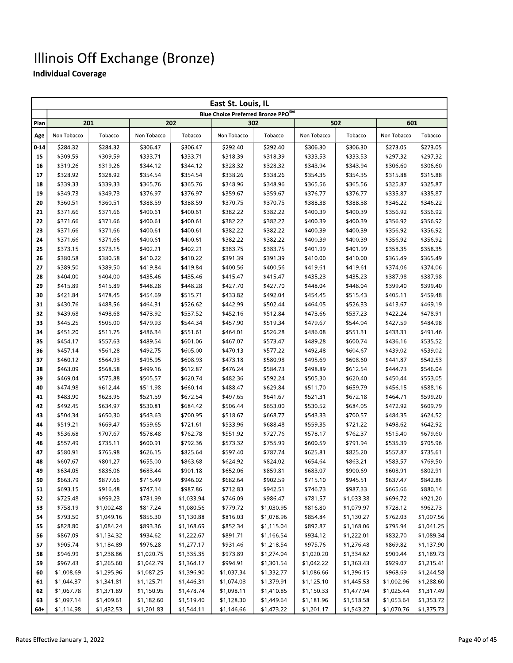|          | East St. Louis, IL       |                          |                          |                          |                                    |                          |                          |                          |                          |                          |  |  |
|----------|--------------------------|--------------------------|--------------------------|--------------------------|------------------------------------|--------------------------|--------------------------|--------------------------|--------------------------|--------------------------|--|--|
|          |                          |                          |                          |                          | Blue Choice Preferred Bronze PPOSM |                          |                          |                          |                          |                          |  |  |
| Plan     | 201                      |                          |                          | 202                      |                                    | 302                      |                          | 502                      | 601                      |                          |  |  |
| Age      | Non Tobacco              | Tobacco                  | Non Tobacco              | Tobacco                  | Non Tobacco                        | Tobacco                  | Non Tobacco              | Tobacco                  | Non Tobacco              | Tobacco                  |  |  |
| $0 - 14$ | \$284.32                 | \$284.32                 | \$306.47                 | \$306.47                 | \$292.40                           | \$292.40                 | \$306.30                 | \$306.30                 | \$273.05                 | \$273.05                 |  |  |
| 15       | \$309.59                 | \$309.59                 | \$333.71                 | \$333.71                 | \$318.39                           | \$318.39                 | \$333.53                 | \$333.53                 | \$297.32                 | \$297.32                 |  |  |
| 16       | \$319.26                 | \$319.26                 | \$344.12                 | \$344.12                 | \$328.32                           | \$328.32                 | \$343.94                 | \$343.94                 | \$306.60                 | \$306.60                 |  |  |
| 17       | \$328.92                 | \$328.92                 | \$354.54                 | \$354.54                 | \$338.26                           | \$338.26                 | \$354.35                 | \$354.35                 | \$315.88                 | \$315.88                 |  |  |
| 18       | \$339.33                 | \$339.33                 | \$365.76                 | \$365.76                 | \$348.96                           | \$348.96                 | \$365.56                 | \$365.56                 | \$325.87                 | \$325.87                 |  |  |
| 19       | \$349.73                 | \$349.73                 | \$376.97                 | \$376.97                 | \$359.67                           | \$359.67                 | \$376.77                 | \$376.77                 | \$335.87                 | \$335.87                 |  |  |
| 20       | \$360.51                 | \$360.51                 | \$388.59                 | \$388.59                 | \$370.75                           | \$370.75                 | \$388.38                 | \$388.38                 | \$346.22                 | \$346.22                 |  |  |
| 21       | \$371.66                 | \$371.66                 | \$400.61                 | \$400.61                 | \$382.22                           | \$382.22                 | \$400.39                 | \$400.39                 | \$356.92                 | \$356.92                 |  |  |
| 22       | \$371.66                 | \$371.66                 | \$400.61                 | \$400.61                 | \$382.22                           | \$382.22                 | \$400.39                 | \$400.39                 | \$356.92                 | \$356.92                 |  |  |
| 23       | \$371.66                 | \$371.66                 | \$400.61                 | \$400.61                 | \$382.22                           | \$382.22                 | \$400.39                 | \$400.39                 | \$356.92                 | \$356.92                 |  |  |
| 24       | \$371.66                 | \$371.66                 | \$400.61                 | \$400.61                 | \$382.22                           | \$382.22                 | \$400.39                 | \$400.39                 | \$356.92                 | \$356.92                 |  |  |
| 25       | \$373.15                 | \$373.15                 | \$402.21                 | \$402.21                 | \$383.75                           | \$383.75                 | \$401.99                 | \$401.99                 | \$358.35                 | \$358.35                 |  |  |
| 26       | \$380.58                 | \$380.58                 | \$410.22                 | \$410.22                 | \$391.39                           | \$391.39                 | \$410.00                 | \$410.00                 | \$365.49                 | \$365.49                 |  |  |
| 27       | \$389.50                 | \$389.50                 | \$419.84                 | \$419.84                 | \$400.56                           | \$400.56                 | \$419.61                 | \$419.61                 | \$374.06                 | \$374.06                 |  |  |
| 28       | \$404.00                 | \$404.00                 | \$435.46                 | \$435.46                 | \$415.47                           | \$415.47                 | \$435.23                 | \$435.23                 | \$387.98                 | \$387.98                 |  |  |
| 29       | \$415.89                 | \$415.89                 | \$448.28                 | \$448.28                 | \$427.70                           | \$427.70                 | \$448.04                 | \$448.04                 | \$399.40                 | \$399.40                 |  |  |
| 30       | \$421.84                 | \$478.45                 | \$454.69                 | \$515.71                 | \$433.82                           | \$492.04                 | \$454.45                 | \$515.43                 | \$405.11                 | \$459.48                 |  |  |
| 31       | \$430.76                 | \$488.56                 | \$464.31                 | \$526.62                 | \$442.99                           | \$502.44                 | \$464.05                 | \$526.33                 | \$413.67                 | \$469.19                 |  |  |
| 32       | \$439.68                 | \$498.68                 | \$473.92                 | \$537.52                 | \$452.16                           | \$512.84                 | \$473.66                 | \$537.23                 | \$422.24                 | \$478.91                 |  |  |
| 33       | \$445.25                 | \$505.00                 | \$479.93                 | \$544.34                 | \$457.90                           | \$519.34                 | \$479.67                 | \$544.04                 | \$427.59                 | \$484.98                 |  |  |
| 34       | \$451.20                 | \$511.75                 | \$486.34                 | \$551.61                 | \$464.01                           | \$526.28                 | \$486.08                 | \$551.31                 | \$433.31                 | \$491.46                 |  |  |
| 35       | \$454.17                 | \$557.63                 | \$489.54                 | \$601.06                 | \$467.07                           | \$573.47                 | \$489.28                 | \$600.74                 | \$436.16                 | \$535.52                 |  |  |
| 36       | \$457.14                 | \$561.28                 | \$492.75                 | \$605.00                 | \$470.13                           | \$577.22                 | \$492.48                 | \$604.67                 | \$439.02                 | \$539.02                 |  |  |
| 37       | \$460.12                 | \$564.93                 | \$495.95                 | \$608.93                 | \$473.18                           | \$580.98                 | \$495.69                 | \$608.60                 | \$441.87                 | \$542.53                 |  |  |
| 38       | \$463.09                 | \$568.58                 | \$499.16                 | \$612.87                 | \$476.24                           | \$584.73                 | \$498.89                 | \$612.54                 | \$444.73                 | \$546.04                 |  |  |
| 39       | \$469.04                 | \$575.88                 | \$505.57                 | \$620.74                 | \$482.36                           | \$592.24                 | \$505.30                 | \$620.40                 | \$450.44                 | \$553.05                 |  |  |
| 40       | \$474.98                 | \$612.44                 | \$511.98                 | \$660.14                 | \$488.47                           | \$629.84                 | \$511.70                 | \$659.79                 | \$456.15                 | \$588.16                 |  |  |
| 41       | \$483.90                 | \$623.95                 | \$521.59                 | \$672.54                 | \$497.65                           | \$641.67                 | \$521.31                 | \$672.18                 | \$464.71                 | \$599.20                 |  |  |
| 42       | \$492.45                 | \$634.97                 | \$530.81                 | \$684.42                 | \$506.44                           | \$653.00                 | \$530.52                 | \$684.05                 | \$472.92                 | \$609.79                 |  |  |
| 43       | \$504.34                 | \$650.30                 | \$543.63                 | \$700.95                 | \$518.67                           | \$668.77                 | \$543.33                 | \$700.57                 | \$484.35                 | \$624.52                 |  |  |
| 44       | \$519.21                 | \$669.47                 | \$559.65                 | \$721.61                 | \$533.96                           | \$688.48                 | \$559.35                 | \$721.22                 | \$498.62                 | \$642.92                 |  |  |
| 45       | \$536.68                 | \$707.67                 | \$578.48                 | \$762.78                 | \$551.92                           | \$727.76                 | \$578.17                 | \$762.37                 | \$515.40                 | \$679.60                 |  |  |
| 46       | \$557.49                 | \$735.11                 | \$600.91                 | \$792.36                 | \$573.32                           | \$755.99                 | \$600.59                 | \$791.94                 | \$535.39                 | \$705.96                 |  |  |
| 47       | \$580.91                 | \$765.98                 | \$626.15                 | \$825.64                 | \$597.40                           | \$787.74                 | \$625.81                 | \$825.20                 | \$557.87                 | \$735.61                 |  |  |
| 48       | \$607.67                 | \$801.27                 | \$655.00                 | \$863.68                 | \$624.92                           | \$824.02                 | \$654.64                 | \$863.21                 | \$583.57                 | \$769.50                 |  |  |
| 49       | \$634.05                 | \$836.06                 | \$683.44                 | \$901.18                 | \$652.06                           | \$859.81                 | \$683.07                 | \$900.69                 | \$608.91                 | \$802.91                 |  |  |
| 50       | \$663.79                 | \$877.66                 | \$715.49                 | \$946.02                 | \$682.64                           | \$902.59                 | \$715.10                 | \$945.51                 | \$637.47                 | \$842.86                 |  |  |
| 51       | \$693.15                 | \$916.48                 | \$747.14                 | \$987.86                 | \$712.83                           | \$942.51                 | \$746.73                 | \$987.33                 | \$665.66                 | \$880.14                 |  |  |
| 52       | \$725.48                 | \$959.23                 | \$781.99                 | \$1,033.94               | \$746.09                           | \$986.47                 | \$781.57                 | \$1,033.38               | \$696.72                 | \$921.20                 |  |  |
| 53       | \$758.19                 | \$1,002.48               | \$817.24                 | \$1,080.56               | \$779.72                           | \$1,030.95               | \$816.80                 | \$1,079.97               | \$728.12                 | \$962.73                 |  |  |
| 54       | \$793.50                 | \$1,049.16               | \$855.30                 | \$1,130.88               | \$816.03                           | \$1,078.96               | \$854.84                 | \$1,130.27               | \$762.03                 | \$1,007.56               |  |  |
| 55       | \$828.80                 | \$1,084.24               | \$893.36                 | \$1,168.69               | \$852.34                           | \$1,115.04               | \$892.87                 | \$1,168.06               | \$795.94                 | \$1,041.25               |  |  |
| 56       | \$867.09                 | \$1,134.32               | \$934.62                 | \$1,222.67               | \$891.71                           | \$1,166.54               | \$934.12                 | \$1,222.01               | \$832.70                 | \$1,089.34               |  |  |
| 57       | \$905.74                 | \$1,184.89               | \$976.28                 | \$1,277.17               | \$931.46                           | \$1,218.54               | \$975.76                 | \$1,276.48               | \$869.82                 | \$1,137.90               |  |  |
| 58       | \$946.99                 | \$1,238.86               | \$1,020.75               | \$1,335.35               | \$973.89                           | \$1,274.04               | \$1,020.20               | \$1,334.62               | \$909.44                 | \$1,189.73               |  |  |
| 59       | \$967.43                 | \$1,265.60               | \$1,042.79<br>\$1,087.25 | \$1,364.17               | \$994.91                           | \$1,301.54<br>\$1,332.77 | \$1,042.22               | \$1,363.43               | \$929.07<br>\$968.69     | \$1,215.41               |  |  |
| 60       | \$1,008.69               | \$1,295.96               |                          | \$1,396.90               | \$1,037.34                         |                          | \$1,086.66               | \$1,396.15               |                          | \$1,244.58               |  |  |
| 61       | \$1,044.37               | \$1,341.81               | \$1,125.71               | \$1,446.31               | \$1,074.03                         | \$1,379.91               | \$1,125.10               | \$1,445.53               | \$1,002.96               | \$1,288.60               |  |  |
| 62<br>63 | \$1,067.78<br>\$1,097.14 | \$1,371.89               | \$1,150.95               | \$1,478.74               | \$1,098.11                         | \$1,410.85               | \$1,150.33               | \$1,477.94               | \$1,025.44<br>\$1,053.64 | \$1,317.49               |  |  |
| $64+$    | \$1,114.98               | \$1,409.61<br>\$1,432.53 | \$1,182.60<br>\$1,201.83 | \$1,519.40<br>\$1,544.11 | \$1,128.30<br>\$1,146.66           | \$1,449.64<br>\$1,473.22 | \$1,181.96<br>\$1,201.17 | \$1,518.58<br>\$1,543.27 | \$1,070.76               | \$1,353.72<br>\$1,375.73 |  |  |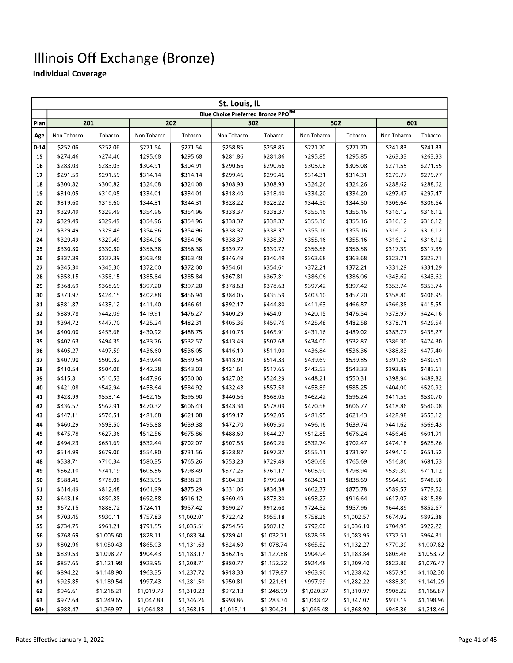|          |                      |                      |                      |                      | St. Louis, IL                      |                      |                      |                      |                      |                      |
|----------|----------------------|----------------------|----------------------|----------------------|------------------------------------|----------------------|----------------------|----------------------|----------------------|----------------------|
|          |                      |                      |                      |                      | Blue Choice Preferred Bronze PPOSM |                      |                      |                      |                      |                      |
| Plan     | 201                  |                      |                      | 202                  |                                    | 302                  |                      | 502                  | 601                  |                      |
| Age      | Non Tobacco          | Tobacco              | Non Tobacco          | Tobacco              | Non Tobacco                        | Tobacco              | Non Tobacco          | Tobacco              | Non Tobacco          | Tobacco              |
| $0 - 14$ | \$252.06             | \$252.06             | \$271.54             | \$271.54             | \$258.85                           | \$258.85             | \$271.70             | \$271.70             | \$241.83             | \$241.83             |
| 15       | \$274.46             | \$274.46             | \$295.68             | \$295.68             | \$281.86                           | \$281.86             | \$295.85             | \$295.85             | \$263.33             | \$263.33             |
| 16       | \$283.03             | \$283.03             | \$304.91             | \$304.91             | \$290.66                           | \$290.66             | \$305.08             | \$305.08             | \$271.55             | \$271.55             |
| 17       | \$291.59<br>\$300.82 | \$291.59<br>\$300.82 | \$314.14<br>\$324.08 | \$314.14<br>\$324.08 | \$299.46<br>\$308.93               | \$299.46<br>\$308.93 | \$314.31<br>\$324.26 | \$314.31<br>\$324.26 | \$279.77<br>\$288.62 | \$279.77<br>\$288.62 |
| 18<br>19 | \$310.05             | \$310.05             | \$334.01             | \$334.01             | \$318.40                           | \$318.40             | \$334.20             | \$334.20             | \$297.47             | \$297.47             |
| 20       | \$319.60             | \$319.60             | \$344.31             | \$344.31             | \$328.22                           | \$328.22             | \$344.50             | \$344.50             | \$306.64             | \$306.64             |
| 21       | \$329.49             | \$329.49             | \$354.96             | \$354.96             | \$338.37                           | \$338.37             | \$355.16             | \$355.16             | \$316.12             | \$316.12             |
| 22       | \$329.49             | \$329.49             | \$354.96             | \$354.96             | \$338.37                           | \$338.37             | \$355.16             | \$355.16             | \$316.12             | \$316.12             |
| 23       | \$329.49             | \$329.49             | \$354.96             | \$354.96             | \$338.37                           | \$338.37             | \$355.16             | \$355.16             | \$316.12             | \$316.12             |
| 24       | \$329.49             | \$329.49             | \$354.96             | \$354.96             | \$338.37                           | \$338.37             | \$355.16             | \$355.16             | \$316.12             | \$316.12             |
| 25       | \$330.80             | \$330.80             | \$356.38             | \$356.38             | \$339.72                           | \$339.72             | \$356.58             | \$356.58             | \$317.39             | \$317.39             |
| 26       | \$337.39             | \$337.39             | \$363.48             | \$363.48             | \$346.49                           | \$346.49             | \$363.68             | \$363.68             | \$323.71             | \$323.71             |
| 27       | \$345.30             | \$345.30             | \$372.00             | \$372.00             | \$354.61                           | \$354.61             | \$372.21             | \$372.21             | \$331.29             | \$331.29             |
| 28       | \$358.15             | \$358.15             | \$385.84             | \$385.84             | \$367.81                           | \$367.81             | \$386.06             | \$386.06             | \$343.62             | \$343.62             |
| 29       | \$368.69             | \$368.69             | \$397.20             | \$397.20             | \$378.63                           | \$378.63             | \$397.42             | \$397.42             | \$353.74             | \$353.74             |
| 30       | \$373.97             | \$424.15             | \$402.88             | \$456.94             | \$384.05                           | \$435.59             | \$403.10             | \$457.20             | \$358.80             | \$406.95             |
| 31       | \$381.87             | \$433.12             | \$411.40             | \$466.61             | \$392.17                           | \$444.80             | \$411.63             | \$466.87             | \$366.38             | \$415.55             |
| 32       | \$389.78             | \$442.09             | \$419.91             | \$476.27             | \$400.29                           | \$454.01             | \$420.15             | \$476.54             | \$373.97             | \$424.16             |
| 33       | \$394.72             | \$447.70             | \$425.24             | \$482.31             | \$405.36                           | \$459.76             | \$425.48             | \$482.58             | \$378.71             | \$429.54             |
| 34       | \$400.00             | \$453.68             | \$430.92             | \$488.75             | \$410.78                           | \$465.91             | \$431.16             | \$489.02             | \$383.77             | \$435.27             |
| 35       | \$402.63             | \$494.35             | \$433.76             | \$532.57             | \$413.49                           | \$507.68             | \$434.00             | \$532.87             | \$386.30             | \$474.30             |
| 36       | \$405.27             | \$497.59             | \$436.60             | \$536.05             | \$416.19                           | \$511.00             | \$436.84             | \$536.36             | \$388.83             | \$477.40             |
| 37       | \$407.90             | \$500.82             | \$439.44             | \$539.54             | \$418.90                           | \$514.33             | \$439.69             | \$539.85             | \$391.36             | \$480.51             |
| 38       | \$410.54             | \$504.06             | \$442.28             | \$543.03             | \$421.61                           | \$517.65             | \$442.53             | \$543.33             | \$393.89             | \$483.61             |
| 39       | \$415.81             | \$510.53             | \$447.96             | \$550.00             | \$427.02                           | \$524.29             | \$448.21             | \$550.31             | \$398.94             | \$489.82             |
| 40       | \$421.08             | \$542.94             | \$453.64             | \$584.92             | \$432.43                           | \$557.58             | \$453.89             | \$585.25             | \$404.00             | \$520.92             |
| 41       | \$428.99             | \$553.14             | \$462.15             | \$595.90             | \$440.56                           | \$568.05             | \$462.42             | \$596.24             | \$411.59             | \$530.70             |
| 42       | \$436.57             | \$562.91             | \$470.32             | \$606.43             | \$448.34                           | \$578.09             | \$470.58             | \$606.77             | \$418.86             | \$540.08             |
| 43       | \$447.11             | \$576.51             | \$481.68             | \$621.08             | \$459.17                           | \$592.05             | \$481.95             | \$621.43             | \$428.98             | \$553.12             |
| 44       | \$460.29             | \$593.50             | \$495.88             | \$639.38             | \$472.70                           | \$609.50             | \$496.16             | \$639.74             | \$441.62             | \$569.43             |
| 45       | \$475.78             | \$627.36             | \$512.56             | \$675.86             | \$488.60                           | \$644.27             | \$512.85             | \$676.24             | \$456.48             | \$601.91             |
| 46       | \$494.23             | \$651.69             | \$532.44             | \$702.07             | \$507.55                           | \$669.26             | \$532.74             | \$702.47             | \$474.18             | \$625.26<br>\$651.52 |
| 47<br>48 | \$514.99<br>\$538.71 | \$679.06<br>\$710.34 | \$554.80<br>\$580.35 | \$731.56<br>\$765.26 | \$528.87<br>\$553.23               | \$697.37<br>\$729.49 | \$555.11<br>\$580.68 | \$731.97<br>\$765.69 | \$494.10<br>\$516.86 | \$681.53             |
| 49       | \$562.10             | \$741.19             | \$605.56             | \$798.49             | \$577.26                           | \$761.17             | \$605.90             | \$798.94             | \$539.30             | \$711.12             |
| 50       | \$588.46             | \$778.06             | \$633.95             | \$838.21             | \$604.33                           | \$799.04             | \$634.31             | \$838.69             | \$564.59             | \$746.50             |
| 51       | \$614.49             | \$812.48             | \$661.99             | \$875.29             | \$631.06                           | \$834.38             | \$662.37             | \$875.78             | \$589.57             | \$779.52             |
| 52       | \$643.16             | \$850.38             | \$692.88             | \$916.12             | \$660.49                           | \$873.30             | \$693.27             | \$916.64             | \$617.07             | \$815.89             |
| 53       | \$672.15             | \$888.72             | \$724.11             | \$957.42             | \$690.27                           | \$912.68             | \$724.52             | \$957.96             | \$644.89             | \$852.67             |
| 54       | \$703.45             | \$930.11             | \$757.83             | \$1,002.01           | \$722.42                           | \$955.18             | \$758.26             | \$1,002.57           | \$674.92             | \$892.38             |
| 55       | \$734.75             | \$961.21             | \$791.55             | \$1,035.51           | \$754.56                           | \$987.12             | \$792.00             | \$1,036.10           | \$704.95             | \$922.22             |
| 56       | \$768.69             | \$1,005.60           | \$828.11             | \$1,083.34           | \$789.41                           | \$1,032.71           | \$828.58             | \$1,083.95           | \$737.51             | \$964.81             |
| 57       | \$802.96             | \$1,050.43           | \$865.03             | \$1,131.63           | \$824.60                           | \$1,078.74           | \$865.52             | \$1,132.27           | \$770.39             | \$1,007.82           |
| 58       | \$839.53             | \$1,098.27           | \$904.43             | \$1,183.17           | \$862.16                           | \$1,127.88           | \$904.94             | \$1,183.84           | \$805.48             | \$1,053.72           |
| 59       | \$857.65             | \$1,121.98           | \$923.95             | \$1,208.71           | \$880.77                           | \$1,152.22           | \$924.48             | \$1,209.40           | \$822.86             | \$1,076.47           |
| 60       | \$894.22             | \$1,148.90           | \$963.35             | \$1,237.72           | \$918.33                           | \$1,179.87           | \$963.90             | \$1,238.42           | \$857.95             | \$1,102.30           |
| 61       | \$925.85             | \$1,189.54           | \$997.43             | \$1,281.50           | \$950.81                           | \$1,221.61           | \$997.99             | \$1,282.22           | \$888.30             | \$1,141.29           |
| 62       | \$946.61             | \$1,216.21           | \$1,019.79           | \$1,310.23           | \$972.13                           | \$1,248.99           | \$1,020.37           | \$1,310.97           | \$908.22             | \$1,166.87           |
| 63       | \$972.64             | \$1,249.65           | \$1,047.83           | \$1,346.26           | \$998.86                           | \$1,283.34           | \$1,048.42           | \$1,347.02           | \$933.19             | \$1,198.96           |
| 64+      | \$988.47             | \$1,269.97           | \$1,064.88           | \$1,368.15           | \$1,015.11                         | \$1,304.21           | \$1,065.48           | \$1,368.92           | \$948.36             | \$1,218.46           |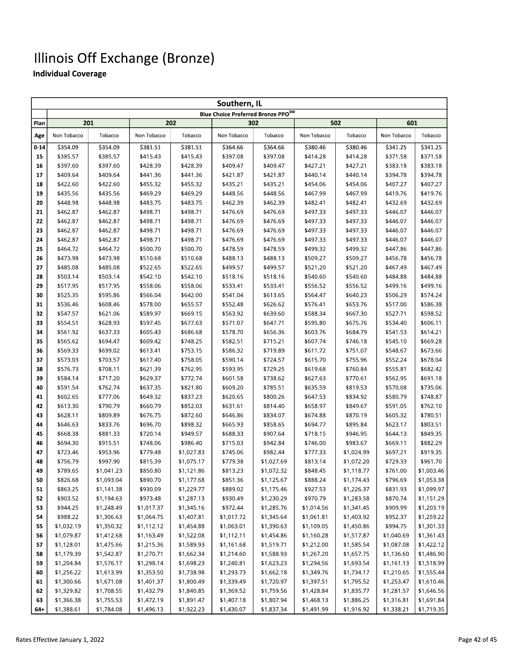|          | Southern, IL         |                      |                      |                        |                                    |                      |                      |                        |                      |                      |  |  |
|----------|----------------------|----------------------|----------------------|------------------------|------------------------------------|----------------------|----------------------|------------------------|----------------------|----------------------|--|--|
|          |                      |                      |                      |                        | Blue Choice Preferred Bronze PPOSM |                      |                      |                        |                      |                      |  |  |
| Plan     | 201                  |                      |                      | 202                    |                                    | 302                  |                      | 502                    | 601                  |                      |  |  |
| Age      | Non Tobacco          | Tobacco              | Non Tobacco          | Tobacco                | Non Tobacco                        | Tobacco              | Non Tobacco          | Tobacco                | Non Tobacco          | Tobacco              |  |  |
| $0 - 14$ | \$354.09             | \$354.09             | \$381.51             | \$381.51               | \$364.66                           | \$364.66             | \$380.46             | \$380.46               | \$341.25             | \$341.25             |  |  |
| 15       | \$385.57             | \$385.57             | \$415.43             | \$415.43               | \$397.08                           | \$397.08             | \$414.28             | \$414.28               | \$371.58             | \$371.58             |  |  |
| 16       | \$397.60             | \$397.60             | \$428.39             | \$428.39               | \$409.47                           | \$409.47             | \$427.21             | \$427.21               | \$383.18             | \$383.18             |  |  |
| 17       | \$409.64             | \$409.64             | \$441.36             | \$441.36               | \$421.87                           | \$421.87             | \$440.14             | \$440.14               | \$394.78             | \$394.78             |  |  |
| 18       | \$422.60             | \$422.60             | \$455.32             | \$455.32               | \$435.21                           | \$435.21             | \$454.06             | \$454.06               | \$407.27             | \$407.27             |  |  |
| 19       | \$435.56             | \$435.56             | \$469.29             | \$469.29               | \$448.56                           | \$448.56             | \$467.99             | \$467.99               | \$419.76             | \$419.76             |  |  |
| 20       | \$448.98             | \$448.98             | \$483.75             | \$483.75               | \$462.39                           | \$462.39             | \$482.41             | \$482.41               | \$432.69             | \$432.69             |  |  |
| 21       | \$462.87             | \$462.87             | \$498.71             | \$498.71               | \$476.69                           | \$476.69             | \$497.33             | \$497.33               | \$446.07             | \$446.07             |  |  |
| 22       | \$462.87             | \$462.87             | \$498.71             | \$498.71               | \$476.69                           | \$476.69             | \$497.33             | \$497.33               | \$446.07             | \$446.07             |  |  |
| 23       | \$462.87             | \$462.87             | \$498.71             | \$498.71               | \$476.69                           | \$476.69             | \$497.33             | \$497.33               | \$446.07             | \$446.07             |  |  |
| 24       | \$462.87             | \$462.87             | \$498.71             | \$498.71               | \$476.69                           | \$476.69             | \$497.33             | \$497.33               | \$446.07             | \$446.07             |  |  |
| 25       | \$464.72             | \$464.72             | \$500.70             | \$500.70               | \$478.59                           | \$478.59             | \$499.32             | \$499.32               | \$447.86             | \$447.86             |  |  |
| 26       | \$473.98             | \$473.98             | \$510.68             | \$510.68               | \$488.13                           | \$488.13             | \$509.27             | \$509.27               | \$456.78             | \$456.78             |  |  |
| 27       | \$485.08             | \$485.08             | \$522.65             | \$522.65               | \$499.57                           | \$499.57             | \$521.20             | \$521.20               | \$467.49             | \$467.49             |  |  |
| 28       | \$503.14             | \$503.14             | \$542.10             | \$542.10               | \$518.16                           | \$518.16             | \$540.60             | \$540.60               | \$484.88             | \$484.88             |  |  |
| 29       | \$517.95             | \$517.95             | \$558.06             | \$558.06               | \$533.41                           | \$533.41             | \$556.52             | \$556.52               | \$499.16             | \$499.16             |  |  |
| 30       | \$525.35             | \$595.86             | \$566.04             | \$642.00               | \$541.04                           | \$613.65             | \$564.47             | \$640.23               | \$506.29             | \$574.24             |  |  |
| 31       | \$536.46             | \$608.46             | \$578.00             | \$655.57               | \$552.48                           | \$626.62             | \$576.41             | \$653.76               | \$517.00             | \$586.38             |  |  |
| 32       | \$547.57             | \$621.06             | \$589.97             | \$669.15               | \$563.92                           | \$639.60             | \$588.34             | \$667.30               | \$527.71             | \$598.52             |  |  |
| 33       | \$554.51             | \$628.93             | \$597.45             | \$677.63               | \$571.07                           | \$647.71             | \$595.80             | \$675.76               | \$534.40             | \$606.11             |  |  |
| 34       | \$561.92             | \$637.33             | \$605.43             | \$686.68               | \$578.70                           | \$656.36             | \$603.76             | \$684.79               | \$541.53             | \$614.21             |  |  |
| 35       | \$565.62             | \$694.47             | \$609.42             | \$748.25               | \$582.51                           | \$715.21             | \$607.74             | \$746.18               | \$545.10             | \$669.28             |  |  |
| 36       | \$569.33             | \$699.02             | \$613.41             | \$753.15               | \$586.32                           | \$719.89             | \$611.72             | \$751.07               | \$548.67             | \$673.66             |  |  |
| 37       | \$573.03             | \$703.57             | \$617.40             | \$758.05               | \$590.14                           | \$724.57             | \$615.70             | \$755.96               | \$552.24             | \$678.04             |  |  |
| 38       | \$576.73             | \$708.11             | \$621.39             | \$762.95               | \$593.95                           | \$729.25             | \$619.68             | \$760.84               | \$555.81             | \$682.42             |  |  |
| 39       | \$584.14             | \$717.20             | \$629.37             | \$772.74               | \$601.58                           | \$738.62             | \$627.63             | \$770.61               | \$562.95             | \$691.18             |  |  |
| 40       | \$591.54             | \$762.74             | \$637.35             | \$821.80               | \$609.20                           | \$785.51             | \$635.59             | \$819.53               | \$570.08             | \$735.06             |  |  |
| 41       | \$602.65             | \$777.06             | \$649.32             | \$837.23               | \$620.65                           | \$800.26             | \$647.53             | \$834.92               | \$580.79             | \$748.87             |  |  |
| 42       | \$613.30             | \$790.79             | \$660.79             | \$852.03               | \$631.61                           | \$814.40             | \$658.97             | \$849.67               | \$591.05             | \$762.10             |  |  |
| 43       | \$628.11             | \$809.89             | \$676.75             | \$872.60               | \$646.86                           | \$834.07             | \$674.88             | \$870.19               | \$605.32             | \$780.51             |  |  |
| 44       | \$646.63             | \$833.76             | \$696.70             | \$898.32<br>\$949.57   | \$665.93                           | \$858.65             | \$694.77             | \$895.84               | \$623.17             | \$803.51             |  |  |
| 45       | \$668.38             | \$881.33             | \$720.14             |                        | \$688.33                           | \$907.64             | \$718.15             | \$946.95               | \$644.13             | \$849.35<br>\$882.29 |  |  |
| 46<br>47 | \$694.30<br>\$723.46 | \$915.51<br>\$953.96 | \$748.06<br>\$779.48 | \$986.40<br>\$1,027.83 | \$715.03<br>\$745.06               | \$942.84<br>\$982.44 | \$746.00<br>\$777.33 | \$983.67<br>\$1,024.99 | \$669.11<br>\$697.21 | \$919.35             |  |  |
| 48       | \$756.79             | \$997.90             | \$815.39             | \$1,075.17             | \$779.38                           | \$1,027.69           | \$813.14             | \$1,072.20             | \$729.33             | \$961.70             |  |  |
| 49       | \$789.65             | \$1,041.23           | \$850.80             | \$1,121.86             | \$813.23                           | \$1,072.32           | \$848.45             | \$1,118.77             | \$761.00             | \$1,003.46           |  |  |
| 50       | \$826.68             | \$1,093.04           | \$890.70             | \$1,177.68             | \$851.36                           | \$1,125.67           | \$888.24             | \$1,174.43             | \$796.69             | \$1,053.38           |  |  |
| 51       | \$863.25             | \$1,141.38           | \$930.09             | \$1,229.77             | \$889.02                           | \$1,175.46           | \$927.53             | \$1,226.37             | \$831.93             | \$1,099.97           |  |  |
| 52       | \$903.52             | \$1,194.63           | \$973.48             | \$1,287.13             | \$930.49                           | \$1,230.29           | \$970.79             | \$1,283.58             | \$870.74             | \$1,151.29           |  |  |
| 53       | \$944.25             | \$1,248.49           | \$1,017.37           | \$1,345.16             | \$972.44                           | \$1,285.76           | \$1,014.56           | \$1,341.45             | \$909.99             | \$1,203.19           |  |  |
| 54       | \$988.22             | \$1,306.63           | \$1,064.75           | \$1,407.81             | \$1,017.72                         | \$1,345.64           | \$1,061.81           | \$1,403.92             | \$952.37             | \$1,259.22           |  |  |
| 55       | \$1,032.19           | \$1,350.32           | \$1,112.12           | \$1,454.88             | \$1,063.01                         | \$1,390.63           | \$1,109.05           | \$1,450.86             | \$994.75             | \$1,301.33           |  |  |
| 56       | \$1,079.87           | \$1,412.68           | \$1,163.49           | \$1,522.08             | \$1,112.11                         | \$1,454.86           | \$1,160.28           | \$1,517.87             | \$1,040.69           | \$1,361.43           |  |  |
| 57       | \$1,128.01           | \$1,475.66           | \$1,215.36           | \$1,589.93             | \$1,161.68                         | \$1,519.71           | \$1,212.00           | \$1,585.54             | \$1,087.08           | \$1,422.12           |  |  |
| 58       | \$1,179.39           | \$1,542.87           | \$1,270.71           | \$1,662.34             | \$1,214.60                         | \$1,588.93           | \$1,267.20           | \$1,657.75             | \$1,136.60           | \$1,486.90           |  |  |
| 59       | \$1,204.84           | \$1,576.17           | \$1,298.14           | \$1,698.23             | \$1,240.81                         | \$1,623.23           | \$1,294.56           | \$1,693.54             | \$1,161.13           | \$1,518.99           |  |  |
| 60       | \$1,256.22           | \$1,613.99           | \$1,353.50           | \$1,738.98             | \$1,293.73                         | \$1,662.18           | \$1,349.76           | \$1,734.17             | \$1,210.65           | \$1,555.44           |  |  |
| 61       | \$1,300.66           | \$1,671.08           | \$1,401.37           | \$1,800.49             | \$1,339.49                         | \$1,720.97           | \$1,397.51           | \$1,795.52             | \$1,253.47           | \$1,610.46           |  |  |
| 62       | \$1,329.82           | \$1,708.55           | \$1,432.79           | \$1,840.85             | \$1,369.52                         | \$1,759.56           | \$1,428.84           | \$1,835.77             | \$1,281.57           | \$1,646.56           |  |  |
| 63       | \$1,366.38           | \$1,755.53           | \$1,472.19           | \$1,891.47             | \$1,407.18                         | \$1,807.94           | \$1,468.13           | \$1,886.25             | \$1,316.81           | \$1,691.84           |  |  |
| $64 +$   | \$1.388.61           | \$1,784.08           | \$1.496.13           | \$1.922.23             | \$1.430.07                         | \$1.837.34           | \$1.491.99           | \$1.916.92             | \$1.338.21           | \$1.719.35           |  |  |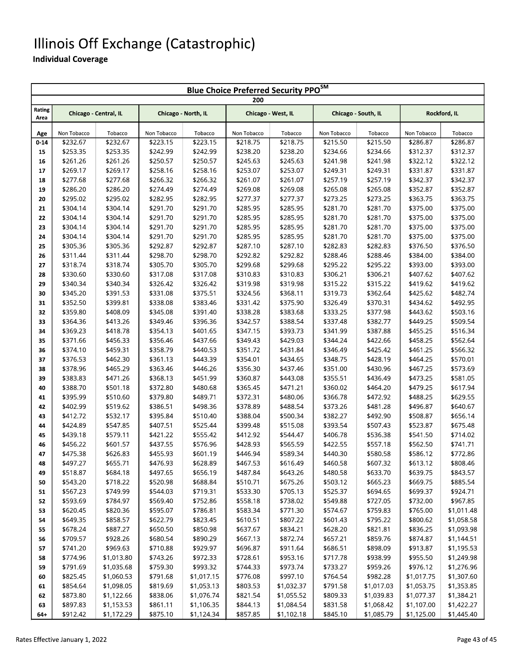#### Illinois Off Exchange (Catastrophic)

|          | <b>Blue Choice Preferred Security PPO<sup>SM</sup></b><br>200 |            |                     |            |             |                    |             |                     |             |              |  |  |  |
|----------|---------------------------------------------------------------|------------|---------------------|------------|-------------|--------------------|-------------|---------------------|-------------|--------------|--|--|--|
| Rating   | Chicago - Central, IL                                         |            | Chicago - North, IL |            |             | Chicago - West, IL |             | Chicago - South, IL |             | Rockford, IL |  |  |  |
| Area     |                                                               |            |                     |            |             |                    |             |                     |             |              |  |  |  |
| Age      | Non Tobacco                                                   | Tobacco    | Non Tobacco         | Tobacco    | Non Tobacco | Tobacco            | Non Tobacco | Tobacco             | Non Tobacco | Tobacco      |  |  |  |
| $0 - 14$ | \$232.67                                                      | \$232.67   | \$223.15            | \$223.15   | \$218.75    | \$218.75           | \$215.50    | \$215.50            | \$286.87    | \$286.87     |  |  |  |
| 15       | \$253.35                                                      | \$253.35   | \$242.99            | \$242.99   | \$238.20    | \$238.20           | \$234.66    | \$234.66            | \$312.37    | \$312.37     |  |  |  |
| 16       | \$261.26                                                      | \$261.26   | \$250.57            | \$250.57   | \$245.63    | \$245.63           | \$241.98    | \$241.98            | \$322.12    | \$322.12     |  |  |  |
| 17       | \$269.17                                                      | \$269.17   | \$258.16            | \$258.16   | \$253.07    | \$253.07           | \$249.31    | \$249.31            | \$331.87    | \$331.87     |  |  |  |
| 18       | \$277.68                                                      | \$277.68   | \$266.32            | \$266.32   | \$261.07    | \$261.07           | \$257.19    | \$257.19            | \$342.37    | \$342.37     |  |  |  |
| 19       | \$286.20                                                      | \$286.20   | \$274.49            | \$274.49   | \$269.08    | \$269.08           | \$265.08    | \$265.08            | \$352.87    | \$352.87     |  |  |  |
| 20       | \$295.02                                                      | \$295.02   | \$282.95            | \$282.95   | \$277.37    | \$277.37           | \$273.25    | \$273.25            | \$363.75    | \$363.75     |  |  |  |
| 21       | \$304.14                                                      | \$304.14   | \$291.70            | \$291.70   | \$285.95    | \$285.95           | \$281.70    | \$281.70            | \$375.00    | \$375.00     |  |  |  |
| 22       | \$304.14                                                      | \$304.14   | \$291.70            | \$291.70   | \$285.95    | \$285.95           | \$281.70    | \$281.70            | \$375.00    | \$375.00     |  |  |  |
| 23       | \$304.14                                                      | \$304.14   | \$291.70            | \$291.70   | \$285.95    | \$285.95           | \$281.70    | \$281.70            | \$375.00    | \$375.00     |  |  |  |
| 24       | \$304.14                                                      | \$304.14   | \$291.70            | \$291.70   | \$285.95    | \$285.95           | \$281.70    | \$281.70            | \$375.00    | \$375.00     |  |  |  |
| 25       | \$305.36                                                      | \$305.36   | \$292.87            | \$292.87   | \$287.10    | \$287.10           | \$282.83    | \$282.83            | \$376.50    | \$376.50     |  |  |  |
| 26       | \$311.44                                                      | \$311.44   | \$298.70            | \$298.70   | \$292.82    | \$292.82           | \$288.46    | \$288.46            | \$384.00    | \$384.00     |  |  |  |
| 27       | \$318.74                                                      | \$318.74   | \$305.70            | \$305.70   | \$299.68    | \$299.68           | \$295.22    | \$295.22            | \$393.00    | \$393.00     |  |  |  |
| 28       | \$330.60                                                      | \$330.60   | \$317.08            | \$317.08   | \$310.83    | \$310.83           | \$306.21    | \$306.21            | \$407.62    | \$407.62     |  |  |  |
| 29       | \$340.34                                                      | \$340.34   | \$326.42            | \$326.42   | \$319.98    | \$319.98           | \$315.22    | \$315.22            | \$419.62    | \$419.62     |  |  |  |
| 30       | \$345.20                                                      | \$391.53   | \$331.08            | \$375.51   | \$324.56    | \$368.11           | \$319.73    | \$362.64            | \$425.62    | \$482.74     |  |  |  |
| 31       | \$352.50                                                      | \$399.81   | \$338.08            | \$383.46   | \$331.42    | \$375.90           | \$326.49    | \$370.31            | \$434.62    | \$492.95     |  |  |  |
| 32       | \$359.80                                                      | \$408.09   | \$345.08            | \$391.40   | \$338.28    | \$383.68           | \$333.25    | \$377.98            | \$443.62    | \$503.16     |  |  |  |
| 33       | \$364.36                                                      | \$413.26   | \$349.46            | \$396.36   | \$342.57    | \$388.54           | \$337.48    | \$382.77            | \$449.25    | \$509.54     |  |  |  |
| 34       | \$369.23                                                      | \$418.78   | \$354.13            | \$401.65   | \$347.15    | \$393.73           | \$341.99    | \$387.88            | \$455.25    | \$516.34     |  |  |  |
| 35       | \$371.66                                                      | \$456.33   | \$356.46            | \$437.66   | \$349.43    | \$429.03           | \$344.24    | \$422.66            | \$458.25    | \$562.64     |  |  |  |
| 36       | \$374.10                                                      | \$459.31   | \$358.79            | \$440.53   | \$351.72    | \$431.84           | \$346.49    | \$425.42            | \$461.25    | \$566.32     |  |  |  |
| 37       | \$376.53                                                      | \$462.30   | \$361.13            | \$443.39   | \$354.01    | \$434.65           | \$348.75    | \$428.19            | \$464.25    | \$570.01     |  |  |  |
| 38       | \$378.96                                                      | \$465.29   | \$363.46            | \$446.26   | \$356.30    | \$437.46           | \$351.00    | \$430.96            | \$467.25    | \$573.69     |  |  |  |
| 39       | \$383.83                                                      | \$471.26   | \$368.13            | \$451.99   | \$360.87    | \$443.08           | \$355.51    | \$436.49            | \$473.25    | \$581.05     |  |  |  |
| 40       | \$388.70                                                      | \$501.18   | \$372.80            | \$480.68   | \$365.45    | \$471.21           | \$360.02    | \$464.20            | \$479.25    | \$617.94     |  |  |  |
| 41       | \$395.99                                                      | \$510.60   | \$379.80            | \$489.71   | \$372.31    | \$480.06           | \$366.78    | \$472.92            | \$488.25    | \$629.55     |  |  |  |
| 42       | \$402.99                                                      | \$519.62   | \$386.51            | \$498.36   | \$378.89    | \$488.54           | \$373.26    | \$481.28            | \$496.87    | \$640.67     |  |  |  |
| 43       | \$412.72                                                      | \$532.17   | \$395.84            | \$510.40   | \$388.04    | \$500.34           | \$382.27    | \$492.90            | \$508.87    | \$656.14     |  |  |  |
| 44       | \$424.89                                                      | \$547.85   | \$407.51            | \$525.44   | \$399.48    | \$515.08           | \$393.54    | \$507.43            | \$523.87    | \$675.48     |  |  |  |
| 45       | \$439.18                                                      | \$579.11   | \$421.22            | \$555.42   | \$412.92    | \$544.47           | \$406.78    | \$536.38            | \$541.50    | \$714.02     |  |  |  |
| 46       | \$456.22                                                      | \$601.57   | \$437.55            | \$576.96   | \$428.93    | \$565.59           | \$422.55    | \$557.18            | \$562.50    | \$741.71     |  |  |  |
| 47       | \$475.38                                                      | \$626.83   | \$455.93            | \$601.19   | \$446.94    | \$589.34           | \$440.30    | \$580.58            | \$586.12    | \$772.86     |  |  |  |
| 48       | \$497.27                                                      | \$655.71   | \$476.93            | \$628.89   | \$467.53    | \$616.49           | \$460.58    | \$607.32            | \$613.12    | \$808.46     |  |  |  |
| 49       | \$518.87                                                      | \$684.18   | \$497.65            | \$656.19   | \$487.84    | \$643.26           | \$480.58    | \$633.70            | \$639.75    | \$843.57     |  |  |  |
| 50       | \$543.20                                                      | \$718.22   | \$520.98            | \$688.84   | \$510.71    | \$675.26           | \$503.12    | \$665.23            | \$669.75    | \$885.54     |  |  |  |
| 51       | \$567.23                                                      | \$749.99   | \$544.03            | \$719.31   | \$533.30    | \$705.13           | \$525.37    | \$694.65            | \$699.37    | \$924.71     |  |  |  |
| 52       | \$593.69                                                      | \$784.97   | \$569.40            | \$752.86   | \$558.18    | \$738.02           | \$549.88    | \$727.05            | \$732.00    | \$967.85     |  |  |  |
| 53       | \$620.45                                                      | \$820.36   | \$595.07            | \$786.81   | \$583.34    | \$771.30           | \$574.67    | \$759.83            | \$765.00    | \$1,011.48   |  |  |  |
| 54       | \$649.35                                                      | \$858.57   | \$622.79            | \$823.45   | \$610.51    | \$807.22           | \$601.43    | \$795.22            | \$800.62    | \$1,058.58   |  |  |  |
| 55       | \$678.24                                                      | \$887.27   | \$650.50            | \$850.98   | \$637.67    | \$834.21           | \$628.20    | \$821.81            | \$836.25    | \$1,093.98   |  |  |  |
| 56       | \$709.57                                                      | \$928.26   | \$680.54            | \$890.29   | \$667.13    | \$872.74           | \$657.21    | \$859.76            | \$874.87    | \$1,144.51   |  |  |  |
| 57       | \$741.20                                                      | \$969.63   | \$710.88            | \$929.97   | \$696.87    | \$911.64           | \$686.51    | \$898.09            | \$913.87    | \$1,195.53   |  |  |  |
| 58       | \$774.96                                                      | \$1,013.80 | \$743.26            | \$972.33   | \$728.61    | \$953.16           | \$717.78    | \$938.99            | \$955.50    | \$1,249.98   |  |  |  |
| 59       | \$791.69                                                      | \$1,035.68 | \$759.30            | \$993.32   | \$744.33    | \$973.74           | \$733.27    | \$959.26            | \$976.12    | \$1,276.96   |  |  |  |
| 60       | \$825.45                                                      | \$1,060.53 | \$791.68            | \$1,017.15 | \$776.08    | \$997.10           | \$764.54    | \$982.28            | \$1,017.75  | \$1,307.60   |  |  |  |
| 61       | \$854.64                                                      | \$1,098.05 | \$819.69            | \$1,053.13 | \$803.53    | \$1,032.37         | \$791.58    | \$1,017.03          | \$1,053.75  | \$1,353.85   |  |  |  |
| 62       | \$873.80                                                      | \$1,122.66 | \$838.06            | \$1,076.74 | \$821.54    | \$1,055.52         | \$809.33    | \$1,039.83          | \$1,077.37  | \$1,384.21   |  |  |  |
| 63       | \$897.83                                                      | \$1,153.53 | \$861.11            | \$1,106.35 | \$844.13    | \$1,084.54         | \$831.58    | \$1,068.42          | \$1,107.00  | \$1,422.27   |  |  |  |
| 64+      | \$912.42                                                      | \$1,172.29 | \$875.10            | \$1,124.34 | \$857.85    | \$1,102.18         | \$845.10    | \$1,085.79          | \$1,125.00  | \$1,445.40   |  |  |  |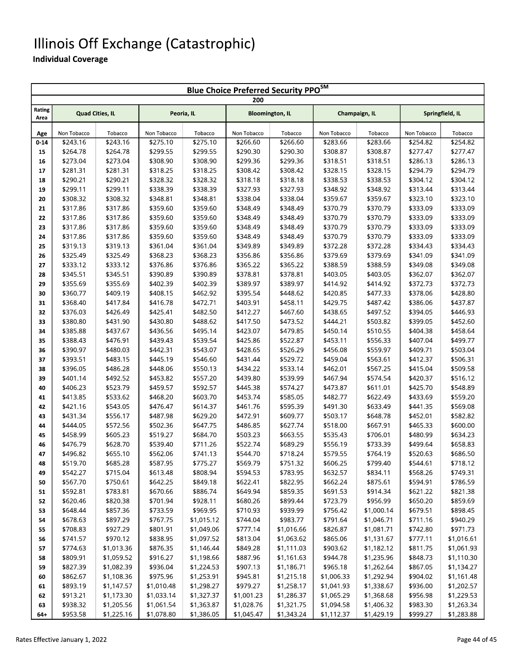#### Illinois Off Exchange (Catastrophic)

|                | <b>Blue Choice Preferred Security PPO<sup>SM</sup></b> |                      |                      |                      |                        |                      |                      |                      |                      |                      |  |  |  |
|----------------|--------------------------------------------------------|----------------------|----------------------|----------------------|------------------------|----------------------|----------------------|----------------------|----------------------|----------------------|--|--|--|
|                |                                                        |                      |                      |                      | 200                    |                      |                      |                      |                      |                      |  |  |  |
| Rating<br>Area | <b>Quad Cities, IL</b>                                 |                      | Peoria, IL           |                      | <b>Bloomington, IL</b> |                      | Champaign, IL        |                      |                      | Springfield, IL      |  |  |  |
|                |                                                        |                      |                      |                      |                        |                      |                      |                      |                      |                      |  |  |  |
| Age            | Non Tobacco                                            | Tobacco              | Non Tobacco          | Tobacco              | Non Tobacco            | Tobacco              | Non Tobacco          | Tobacco              | Non Tobacco          | Tobacco              |  |  |  |
| $0 - 14$       | \$243.16                                               | \$243.16             | \$275.10             | \$275.10             | \$266.60               | \$266.60             | \$283.66             | \$283.66             | \$254.82             | \$254.82             |  |  |  |
| 15             | \$264.78                                               | \$264.78             | \$299.55             | \$299.55<br>\$308.90 | \$290.30               | \$290.30             | \$308.87             | \$308.87             | \$277.47             | \$277.47             |  |  |  |
| 16             | \$273.04<br>\$281.31                                   | \$273.04<br>\$281.31 | \$308.90<br>\$318.25 | \$318.25             | \$299.36<br>\$308.42   | \$299.36<br>\$308.42 | \$318.51<br>\$328.15 | \$318.51<br>\$328.15 | \$286.13<br>\$294.79 | \$286.13<br>\$294.79 |  |  |  |
| 17             | \$290.21                                               | \$290.21             | \$328.32             | \$328.32             | \$318.18               |                      | \$338.53             | \$338.53             | \$304.12             | \$304.12             |  |  |  |
| 18             | \$299.11                                               | \$299.11             | \$338.39             |                      | \$327.93               | \$318.18<br>\$327.93 |                      |                      | \$313.44             | \$313.44             |  |  |  |
| 19             | \$308.32                                               |                      |                      | \$338.39             |                        | \$338.04             | \$348.92             | \$348.92             | \$323.10             | \$323.10             |  |  |  |
| 20             |                                                        | \$308.32             | \$348.81             | \$348.81             | \$338.04               |                      | \$359.67             | \$359.67             |                      |                      |  |  |  |
| 21             | \$317.86                                               | \$317.86             | \$359.60             | \$359.60             | \$348.49               | \$348.49<br>\$348.49 | \$370.79<br>\$370.79 | \$370.79             | \$333.09<br>\$333.09 | \$333.09             |  |  |  |
| 22             | \$317.86                                               | \$317.86             | \$359.60             | \$359.60             | \$348.49               |                      |                      | \$370.79             |                      | \$333.09             |  |  |  |
| 23             | \$317.86<br>\$317.86                                   | \$317.86<br>\$317.86 | \$359.60<br>\$359.60 | \$359.60<br>\$359.60 | \$348.49<br>\$348.49   | \$348.49<br>\$348.49 | \$370.79<br>\$370.79 | \$370.79<br>\$370.79 | \$333.09<br>\$333.09 | \$333.09<br>\$333.09 |  |  |  |
| 24             | \$319.13                                               | \$319.13             | \$361.04             | \$361.04             | \$349.89               | \$349.89             | \$372.28             | \$372.28             | \$334.43             | \$334.43             |  |  |  |
| 25             | \$325.49                                               | \$325.49             | \$368.23             | \$368.23             | \$356.86               | \$356.86             | \$379.69             | \$379.69             | \$341.09             | \$341.09             |  |  |  |
| 26             | \$333.12                                               | \$333.12             | \$376.86             | \$376.86             | \$365.22               | \$365.22             | \$388.59             | \$388.59             | \$349.08             | \$349.08             |  |  |  |
| 27             | \$345.51                                               | \$345.51             | \$390.89             | \$390.89             | \$378.81               | \$378.81             |                      | \$403.05             | \$362.07             | \$362.07             |  |  |  |
| 28<br>29       | \$355.69                                               | \$355.69             | \$402.39             | \$402.39             | \$389.97               | \$389.97             | \$403.05<br>\$414.92 | \$414.92             | \$372.73             | \$372.73             |  |  |  |
| 30             | \$360.77                                               | \$409.19             | \$408.15             | \$462.92             | \$395.54               | \$448.62             | \$420.85             | \$477.33             | \$378.06             | \$428.80             |  |  |  |
| 31             | \$368.40                                               | \$417.84             | \$416.78             | \$472.71             | \$403.91               | \$458.11             | \$429.75             | \$487.42             | \$386.06             | \$437.87             |  |  |  |
| 32             | \$376.03                                               | \$426.49             | \$425.41             | \$482.50             | \$412.27               | \$467.60             | \$438.65             | \$497.52             | \$394.05             | \$446.93             |  |  |  |
| 33             | \$380.80                                               | \$431.90             | \$430.80             | \$488.62             | \$417.50               | \$473.52             | \$444.21             | \$503.82             | \$399.05             | \$452.60             |  |  |  |
| 34             | \$385.88                                               | \$437.67             | \$436.56             | \$495.14             | \$423.07               | \$479.85             | \$450.14             | \$510.55             | \$404.38             | \$458.64             |  |  |  |
| 35             | \$388.43                                               | \$476.91             | \$439.43             | \$539.54             | \$425.86               | \$522.87             | \$453.11             | \$556.33             | \$407.04             | \$499.77             |  |  |  |
| 36             | \$390.97                                               | \$480.03             | \$442.31             | \$543.07             | \$428.65               | \$526.29             | \$456.08             | \$559.97             | \$409.71             | \$503.04             |  |  |  |
| 37             | \$393.51                                               | \$483.15             | \$445.19             | \$546.60             | \$431.44               | \$529.72             | \$459.04             | \$563.61             | \$412.37             | \$506.31             |  |  |  |
| 38             | \$396.05                                               | \$486.28             | \$448.06             | \$550.13             | \$434.22               | \$533.14             | \$462.01             | \$567.25             | \$415.04             | \$509.58             |  |  |  |
| 39             | \$401.14                                               | \$492.52             | \$453.82             | \$557.20             | \$439.80               | \$539.99             | \$467.94             | \$574.54             | \$420.37             | \$516.12             |  |  |  |
| 40             | \$406.23                                               | \$523.79             | \$459.57             | \$592.57             | \$445.38               | \$574.27             | \$473.87             | \$611.01             | \$425.70             | \$548.89             |  |  |  |
| 41             | \$413.85                                               | \$533.62             | \$468.20             | \$603.70             | \$453.74               | \$585.05             | \$482.77             | \$622.49             | \$433.69             | \$559.20             |  |  |  |
| 42             | \$421.16                                               | \$543.05             | \$476.47             | \$614.37             | \$461.76               | \$595.39             | \$491.30             | \$633.49             | \$441.35             | \$569.08             |  |  |  |
| 43             | \$431.34                                               | \$556.17             | \$487.98             | \$629.20             | \$472.91               | \$609.77             | \$503.17             | \$648.78             | \$452.01             | \$582.82             |  |  |  |
| 44             | \$444.05                                               | \$572.56             | \$502.36             | \$647.75             | \$486.85               | \$627.74             | \$518.00             | \$667.91             | \$465.33             | \$600.00             |  |  |  |
| 45             | \$458.99                                               | \$605.23             | \$519.27             | \$684.70             | \$503.23               | \$663.55             | \$535.43             | \$706.01             | \$480.99             | \$634.23             |  |  |  |
| 46             | \$476.79                                               | \$628.70             | \$539.40             | \$711.26             | \$522.74               | \$689.29             | \$556.19             | \$733.39             | \$499.64             | \$658.83             |  |  |  |
| 47             | \$496.82                                               | \$655.10             | \$562.06             | \$741.13             | \$544.70               | \$718.24             | \$579.55             | \$764.19             | \$520.63             | \$686.50             |  |  |  |
| 48             | \$519.70                                               | \$685.28             | \$587.95             | \$775.27             | \$569.79               | \$751.32             | \$606.25             | \$799.40             | \$544.61             | \$718.12             |  |  |  |
| 49             | \$542.27                                               | \$715.04             | \$613.48             | \$808.94             | \$594.53               | \$783.95             | \$632.57             | \$834.11             | \$568.26             | \$749.31             |  |  |  |
| 50             | \$567.70                                               | \$750.61             | \$642.25             | \$849.18             | \$622.41               | \$822.95             | \$662.24             | \$875.61             | \$594.91             | \$786.59             |  |  |  |
| 51             | \$592.81                                               | \$783.81             | \$670.66             | \$886.74             | \$649.94               | \$859.35             | \$691.53             | \$914.34             | \$621.22             | \$821.38             |  |  |  |
| 52             | \$620.46                                               | \$820.38             | \$701.94             | \$928.11             | \$680.26               | \$899.44             | \$723.79             | \$956.99             | \$650.20             | \$859.69             |  |  |  |
| 53             | \$648.44                                               | \$857.36             | \$733.59             | \$969.95             | \$710.93               | \$939.99             | \$756.42             | \$1,000.14           | \$679.51             | \$898.45             |  |  |  |
| 54             | \$678.63                                               | \$897.29             | \$767.75             | \$1,015.12           | \$744.04               | \$983.77             | \$791.64             | \$1,046.71           | \$711.16             | \$940.29             |  |  |  |
| 55             | \$708.83                                               | \$927.29             | \$801.91             | \$1,049.06           | \$777.14               | \$1,016.66           | \$826.87             | \$1,081.71           | \$742.80             | \$971.73             |  |  |  |
| 56             | \$741.57                                               | \$970.12             | \$838.95             | \$1,097.52           | \$813.04               | \$1,063.62           | \$865.06             | \$1,131.67           | \$777.11             | \$1,016.61           |  |  |  |
| 57             | \$774.63                                               | \$1,013.36           | \$876.35             | \$1,146.44           | \$849.28               | \$1,111.03           | \$903.62             | \$1,182.12           | \$811.75             | \$1,061.93           |  |  |  |
| 58             | \$809.91                                               | \$1,059.52           | \$916.27             | \$1,198.66           | \$887.96               | \$1,161.63           | \$944.78             | \$1,235.96           | \$848.73             | \$1,110.30           |  |  |  |
| 59             | \$827.39                                               | \$1,082.39           | \$936.04             | \$1,224.53           | \$907.13               | \$1,186.71           | \$965.18             | \$1,262.64           | \$867.05             | \$1,134.27           |  |  |  |
| 60             | \$862.67                                               | \$1,108.36           | \$975.96             | \$1,253.91           | \$945.81               | \$1,215.18           | \$1,006.33           | \$1,292.94           | \$904.02             | \$1,161.48           |  |  |  |
| 61             | \$893.19                                               | \$1,147.57           | \$1,010.48           | \$1,298.27           | \$979.27               | \$1,258.17           | \$1,041.93           | \$1,338.67           | \$936.00             | \$1,202.57           |  |  |  |
| 62             | \$913.21                                               | \$1,173.30           | \$1,033.14           | \$1,327.37           | \$1,001.23             | \$1,286.37           | \$1,065.29           | \$1,368.68           | \$956.98             | \$1,229.53           |  |  |  |
| 63             | \$938.32                                               | \$1,205.56           | \$1,061.54           | \$1,363.87           | \$1,028.76             | \$1,321.75           | \$1,094.58           | \$1,406.32           | \$983.30             | \$1,263.34           |  |  |  |
| 64+            | \$953.58                                               | \$1,225.16           | \$1,078.80           | \$1,386.05           | \$1,045.47             | \$1,343.24           | \$1,112.37           | \$1,429.19           | \$999.27             | \$1,283.88           |  |  |  |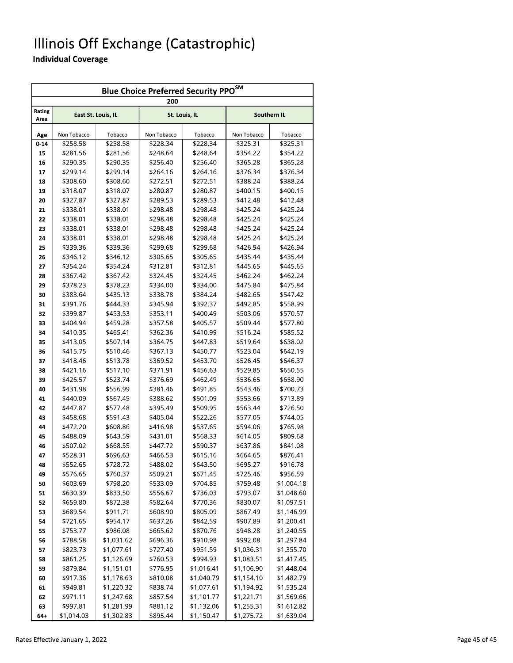#### Illinois Off Exchange (Catastrophic)

| <b>Blue Choice Preferred Security PPO</b> SM |             |                    |                      |               |             |             |  |  |  |  |  |
|----------------------------------------------|-------------|--------------------|----------------------|---------------|-------------|-------------|--|--|--|--|--|
|                                              |             |                    | 200                  |               |             |             |  |  |  |  |  |
| Rating<br>Area                               |             | East St. Louis, IL |                      | St. Louis, IL |             | Southern IL |  |  |  |  |  |
| Age                                          | Non Tobacco | Tobacco            | Non Tobacco          | Tobacco       | Non Tobacco | Tobacco     |  |  |  |  |  |
| $0 - 14$                                     | \$258.58    | \$258.58           | \$228.34             | \$228.34      | \$325.31    | \$325.31    |  |  |  |  |  |
| 15                                           | \$281.56    | \$281.56           | \$248.64             | \$248.64      | \$354.22    | \$354.22    |  |  |  |  |  |
| 16                                           | \$290.35    | \$290.35           | \$256.40             | \$256.40      | \$365.28    | \$365.28    |  |  |  |  |  |
| 17                                           | \$299.14    | \$299.14           | \$264.16             | \$264.16      | \$376.34    | \$376.34    |  |  |  |  |  |
| 18                                           | \$308.60    | \$308.60           | \$272.51             | \$272.51      | \$388.24    | \$388.24    |  |  |  |  |  |
| 19                                           | \$318.07    | \$318.07           | \$280.87             | \$280.87      | \$400.15    | \$400.15    |  |  |  |  |  |
| 20                                           | \$327.87    | \$327.87           | \$289.53             | \$289.53      | \$412.48    | \$412.48    |  |  |  |  |  |
| 21                                           | \$338.01    | \$338.01           | \$298.48             | \$298.48      | \$425.24    | \$425.24    |  |  |  |  |  |
| 22                                           | \$338.01    | \$338.01           | \$298.48             | \$298.48      | \$425.24    | \$425.24    |  |  |  |  |  |
| 23                                           | \$338.01    | \$338.01           | \$298.48             | \$298.48      | \$425.24    | \$425.24    |  |  |  |  |  |
| 24                                           | \$338.01    | \$338.01           | \$298.48             | \$298.48      | \$425.24    | \$425.24    |  |  |  |  |  |
| 25                                           | \$339.36    | \$339.36           | \$299.68             | \$299.68      | \$426.94    | \$426.94    |  |  |  |  |  |
| 26                                           | \$346.12    | \$346.12           | \$305.65             | \$305.65      | \$435.44    | \$435.44    |  |  |  |  |  |
| 27                                           | \$354.24    | \$354.24           | \$312.81             | \$312.81      | \$445.65    | \$445.65    |  |  |  |  |  |
| 28                                           | \$367.42    | \$367.42           | \$324.45             | \$324.45      | \$462.24    | \$462.24    |  |  |  |  |  |
| 29                                           | \$378.23    | \$378.23           | \$334.00             | \$334.00      | \$475.84    | \$475.84    |  |  |  |  |  |
| 30                                           | \$383.64    | \$435.13           | \$338.78             | \$384.24      | \$482.65    | \$547.42    |  |  |  |  |  |
| 31                                           | \$391.76    | \$444.33           | \$345.94             | \$392.37      | \$492.85    | \$558.99    |  |  |  |  |  |
| 32                                           | \$399.87    | \$453.53           | \$353.11             | \$400.49      | \$503.06    | \$570.57    |  |  |  |  |  |
| 33                                           | \$404.94    | \$459.28           | \$357.58             | \$405.57      | \$509.44    | \$577.80    |  |  |  |  |  |
| 34                                           | \$410.35    | \$465.41           | \$362.36             | \$410.99      | \$516.24    | \$585.52    |  |  |  |  |  |
| 35                                           | \$413.05    | \$507.14           | \$364.75             | \$447.83      | \$519.64    | \$638.02    |  |  |  |  |  |
| 36                                           | \$415.75    | \$510.46           | \$367.13             | \$450.77      | \$523.04    | \$642.19    |  |  |  |  |  |
| 37                                           | \$418.46    | \$513.78           | \$369.52             | \$453.70      | \$526.45    | \$646.37    |  |  |  |  |  |
| 38                                           | \$421.16    | \$517.10           | \$371.91             | \$456.63      | \$529.85    | \$650.55    |  |  |  |  |  |
| 39                                           | \$426.57    | \$523.74           | \$376.69             | \$462.49      | \$536.65    | \$658.90    |  |  |  |  |  |
| 40                                           | \$431.98    | \$556.99           | \$381.46             | \$491.85      | \$543.46    | \$700.73    |  |  |  |  |  |
| 41                                           | \$440.09    | \$567.45           | \$388.62             | \$501.09      | \$553.66    | \$713.89    |  |  |  |  |  |
| 42                                           | \$447.87    | \$577.48           | \$395.49             | \$509.95      | \$563.44    | \$726.50    |  |  |  |  |  |
| 43                                           | \$458.68    | \$591.43           | \$405.04             | \$522.26      | \$577.05    | \$744.05    |  |  |  |  |  |
| 44                                           | \$472.20    | \$608.86           | \$416.98             | \$537.65      | \$594.06    | \$765.98    |  |  |  |  |  |
| 45                                           | \$488.09    | \$643.59           | \$431.01             | \$568.33      | \$614.05    | \$809.68    |  |  |  |  |  |
| 46                                           | \$507.02    | \$668.55           | \$447.72             | \$590.37      | \$637.86    | \$841.08    |  |  |  |  |  |
| 47                                           | \$528.31    | \$696.63           | \$466.53             | \$615.16      | \$664.65    | \$876.41    |  |  |  |  |  |
| 48                                           | \$552.65    | \$728.72           | \$488.02             | \$643.50      | \$695.27    | \$916.78    |  |  |  |  |  |
| 49                                           | \$576.65    | \$760.37           | \$509.21             | \$671.45      | \$725.46    | \$956.59    |  |  |  |  |  |
| 50                                           | \$603.69    | \$798.20           | \$533.09             | \$704.85      | \$759.48    | \$1,004.18  |  |  |  |  |  |
| 51                                           | \$630.39    | \$833.50           | \$556.67             | \$736.03      | \$793.07    | \$1,048.60  |  |  |  |  |  |
| 52                                           | \$659.80    | \$872.38           | \$582.64             | \$770.36      | \$830.07    | \$1,097.51  |  |  |  |  |  |
| 53                                           | \$689.54    | \$911.71           | \$608.90             | \$805.09      | \$867.49    | \$1,146.99  |  |  |  |  |  |
| 54                                           | \$721.65    | \$954.17           | \$637.26             | \$842.59      | \$907.89    | \$1,200.41  |  |  |  |  |  |
| 55                                           | \$753.77    | \$986.08           | \$665.62             | \$870.76      | \$948.28    | \$1,240.55  |  |  |  |  |  |
| 56                                           | \$788.58    | \$1,031.62         | \$696.36             | \$910.98      | \$992.08    | \$1,297.84  |  |  |  |  |  |
| 57                                           | \$823.73    | \$1,077.61         | \$727.40             | \$951.59      | \$1,036.31  | \$1,355.70  |  |  |  |  |  |
| 58                                           | \$861.25    | \$1,126.69         | \$760.53             | \$994.93      | \$1,083.51  | \$1,417.45  |  |  |  |  |  |
| 59                                           | \$879.84    | \$1,151.01         | \$776.95             | \$1,016.41    | \$1,106.90  | \$1,448.04  |  |  |  |  |  |
| 60                                           | \$917.36    | \$1,178.63         | \$810.08             | \$1,040.79    | \$1,154.10  | \$1,482.79  |  |  |  |  |  |
| 61                                           | \$949.81    | \$1,220.32         | \$838.74             | \$1,077.61    | \$1,194.92  | \$1,535.24  |  |  |  |  |  |
| 62                                           | \$971.11    | \$1,247.68         | \$857.54             | \$1,101.77    | \$1,221.71  | \$1,569.66  |  |  |  |  |  |
| 63<br>64+                                    | \$997.81    | \$1,281.99         | \$881.12<br>\$895.44 | \$1,132.06    | \$1,255.31  | \$1,612.82  |  |  |  |  |  |
|                                              | \$1,014.03  | \$1,302.83         |                      | \$1,150.47    | \$1,275.72  | \$1,639.04  |  |  |  |  |  |